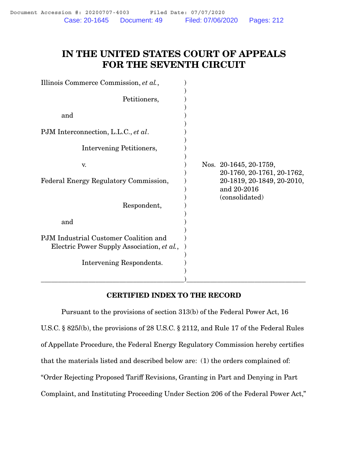# IN THE UNITED STATES COURT OF APPEALS FOR THE SEVENTH CIRCUIT

| Illinois Commerce Commission, et al.,                                               |                                                             |
|-------------------------------------------------------------------------------------|-------------------------------------------------------------|
| Petitioners,                                                                        |                                                             |
| and                                                                                 |                                                             |
| PJM Interconnection, L.L.C., et al.                                                 |                                                             |
| Intervening Petitioners,                                                            |                                                             |
| V.                                                                                  | Nos. 20-1645, 20-1759,<br>20-1760, 20-1761, 20-1762,        |
| Federal Energy Regulatory Commission,                                               | 20-1819, 20-1849, 20-2010,<br>and 20-2016<br>(consolidated) |
| Respondent,                                                                         |                                                             |
| and                                                                                 |                                                             |
| PJM Industrial Customer Coalition and<br>Electric Power Supply Association, et al., |                                                             |
| Intervening Respondents.                                                            |                                                             |
|                                                                                     |                                                             |

#### CERTIFIED INDEX TO THE RECORD

Pursuant to the provisions of section 313(b) of the Federal Power Act, 16 U.S.C. § 825*l*(b), the provisions of 28 U.S.C. § 2112, and Rule 17 of the Federal Rules of Appellate Procedure, the Federal Energy Regulatory Commission hereby certifies that the materials listed and described below are: (1) the orders complained of: "Order Rejecting Proposed Tariff Revisions, Granting in Part and Denying in Part Complaint, and Instituting Proceeding Under Section 206 of the Federal Power Act,"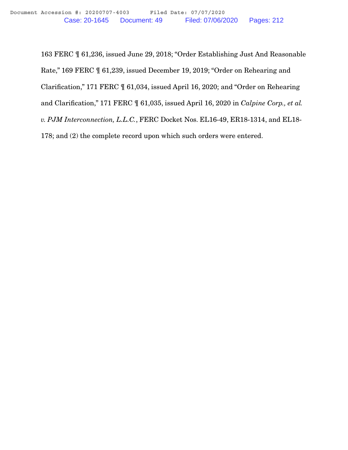163 FERC ¶ 61,236, issued June 29, 2018; "Order Establishing Just And Reasonable Rate," 169 FERC ¶ 61,239, issued December 19, 2019; "Order on Rehearing and Clarification," 171 FERC ¶ 61,034, issued April 16, 2020; and "Order on Rehearing and Clarification," 171 FERC ¶ 61,035, issued April 16, 2020 in *Calpine Corp., et al. v. PJM Interconnection, L.L.C.*, FERC Docket Nos. EL16-49, ER18-1314, and EL18- 178; and (2) the complete record upon which such orders were entered.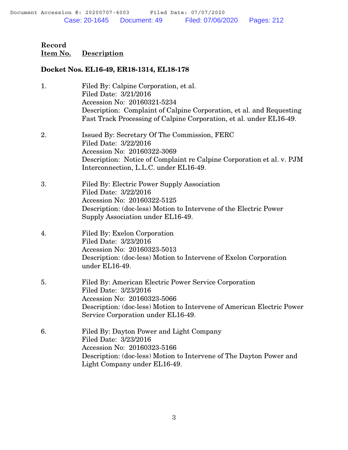#### Docket Nos. EL16-49, ER18-1314, EL18-178

| 1. | Filed By: Calpine Corporation, et al.<br>Filed Date: 3/21/2016<br>Accession No: 20160321-5234<br>Description: Complaint of Calpine Corporation, et al. and Requesting<br>Fast Track Processing of Calpine Corporation, et al. under EL16-49. |
|----|----------------------------------------------------------------------------------------------------------------------------------------------------------------------------------------------------------------------------------------------|
| 2. | Issued By: Secretary Of The Commission, FERC<br>Filed Date: 3/22/2016<br>Accession No: 20160322-3069<br>Description: Notice of Complaint re Calpine Corporation et al. v. PJM<br>Interconnection, L.L.C. under EL16-49.                      |
| 3. | Filed By: Electric Power Supply Association<br>Filed Date: 3/22/2016<br>Accession No: 20160322-5125<br>Description: (doc-less) Motion to Intervene of the Electric Power<br>Supply Association under EL16-49.                                |
| 4. | Filed By: Exelon Corporation<br>Filed Date: 3/23/2016<br>Accession No: 20160323-5013<br>Description: (doc-less) Motion to Intervene of Exelon Corporation<br>under EL16-49.                                                                  |
| 5. | Filed By: American Electric Power Service Corporation<br>Filed Date: 3/23/2016<br>Accession No: 20160323-5066<br>Description: (doc-less) Motion to Intervene of American Electric Power<br>Service Corporation under EL16-49.                |
| 6. | Filed By: Dayton Power and Light Company<br>Filed Date: 3/23/2016<br>Accession No: 20160323-5166<br>Description: (doc-less) Motion to Intervene of The Dayton Power and<br>Light Company under EL16-49.                                      |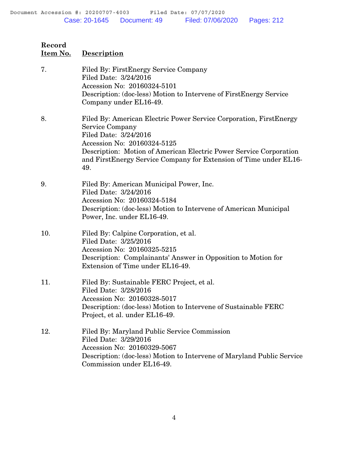# **Record Item No. Description** 7. Filed By: FirstEnergy Service Company Filed Date: 3/24/2016 Accession No: 20160324-5101 Description: (doc-less) Motion to Intervene of FirstEnergy Service Company under EL16-49. 8. Filed By: American Electric Power Service Corporation, FirstEnergy Service Company Filed Date: 3/24/2016 Accession No: 20160324-5125 Description: Motion of American Electric Power Service Corporation and FirstEnergy Service Company for Extension of Time under EL16- 49. 9. Filed By: American Municipal Power, Inc. Filed Date: 3/24/2016 Accession No: 20160324-5184 Description: (doc-less) Motion to Intervene of American Municipal Power, Inc. under EL16-49. 10. Filed By: Calpine Corporation, et al. Filed Date: 3/25/2016 Accession No: 20160325-5215 Description: Complainants' Answer in Opposition to Motion for

- Extension of Time under EL16-49.
- 11. Filed By: Sustainable FERC Project, et al. Filed Date: 3/28/2016 Accession No: 20160328-5017 Description: (doc-less) Motion to Intervene of Sustainable FERC Project, et al. under EL16-49.
- 12. Filed By: Maryland Public Service Commission Filed Date: 3/29/2016 Accession No: 20160329-5067 Description: (doc-less) Motion to Intervene of Maryland Public Service Commission under EL16-49.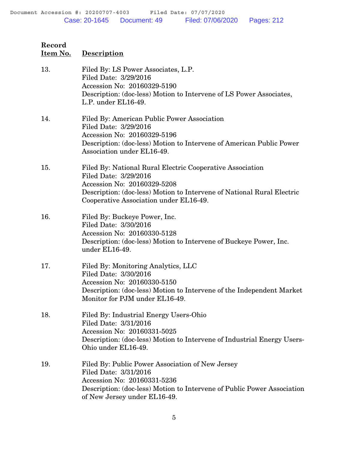**Record**

| <u>Item No.</u> | <b>Description</b>                                                                                                                                                                                                                    |
|-----------------|---------------------------------------------------------------------------------------------------------------------------------------------------------------------------------------------------------------------------------------|
| 13.             | Filed By: LS Power Associates, L.P.<br>Filed Date: 3/29/2016<br>Accession No: 20160329-5190<br>Description: (doc-less) Motion to Intervene of LS Power Associates,<br>L.P. under EL16-49.                                             |
| 14.             | Filed By: American Public Power Association<br>Filed Date: 3/29/2016<br>Accession No: 20160329-5196<br>Description: (doc-less) Motion to Intervene of American Public Power<br>Association under EL16-49.                             |
| 15.             | Filed By: National Rural Electric Cooperative Association<br>Filed Date: 3/29/2016<br>Accession No: 20160329-5208<br>Description: (doc-less) Motion to Intervene of National Rural Electric<br>Cooperative Association under EL16-49. |
| 16.             | Filed By: Buckeye Power, Inc.<br>Filed Date: 3/30/2016<br>Accession No: 20160330-5128<br>Description: (doc-less) Motion to Intervene of Buckeye Power, Inc.<br>under EL16-49.                                                         |
| 17.             | Filed By: Monitoring Analytics, LLC<br>Filed Date: 3/30/2016<br>Accession No: 20160330-5150<br>Description: (doc-less) Motion to Intervene of the Independent Market<br>Monitor for PJM under EL16-49.                                |
| 18.             | Filed By: Industrial Energy Users-Ohio<br>Filed Date: 3/31/2016<br>Accession No: 20160331-5025<br>Description: (doc-less) Motion to Intervene of Industrial Energy Users-<br>Ohio under EL16-49.                                      |
| 19.             | Filed By: Public Power Association of New Jersey<br>Filed Date: 3/31/2016<br>Accession No: 20160331-5236<br>Description: (doc-less) Motion to Intervene of Public Power Association<br>of New Jersey under EL16-49.                   |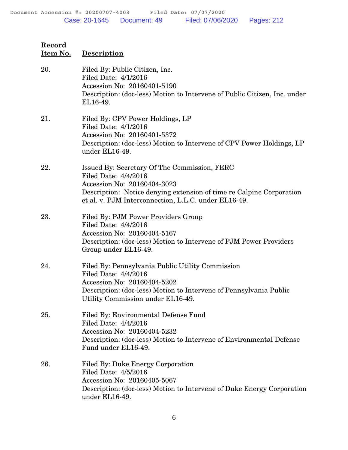**Record**

| <u>Item No.</u> | <b>Description</b>                                                                                                                                                                                                                  |
|-----------------|-------------------------------------------------------------------------------------------------------------------------------------------------------------------------------------------------------------------------------------|
| 20.             | Filed By: Public Citizen, Inc.<br>Filed Date: 4/1/2016<br>Accession No: 20160401-5190<br>Description: (doc-less) Motion to Intervene of Public Citizen, Inc. under<br>EL16-49.                                                      |
| 21.             | Filed By: CPV Power Holdings, LP<br>Filed Date: 4/1/2016<br>Accession No: 20160401-5372<br>Description: (doc-less) Motion to Intervene of CPV Power Holdings, LP<br>under EL16-49.                                                  |
| 22.             | Issued By: Secretary Of The Commission, FERC<br>Filed Date: 4/4/2016<br>Accession No: 20160404-3023<br>Description: Notice denying extension of time re Calpine Corporation<br>et al. v. PJM Interconnection, L.L.C. under EL16-49. |
| 23.             | Filed By: PJM Power Providers Group<br>Filed Date: 4/4/2016<br>Accession No: 20160404-5167<br>Description: (doc-less) Motion to Intervene of PJM Power Providers<br>Group under EL16-49.                                            |
| 24.             | Filed By: Pennsylvania Public Utility Commission<br>Filed Date: 4/4/2016<br>Accession No: 20160404-5202<br>Description: (doc-less) Motion to Intervene of Pennsylvania Public<br>Utility Commission under EL16-49.                  |
| 25.             | Filed By: Environmental Defense Fund<br>Filed Date: 4/4/2016<br>Accession No: 20160404-5232<br>Description: (doc-less) Motion to Intervene of Environmental Defense<br>Fund under EL16-49.                                          |
| 26.             | Filed By: Duke Energy Corporation<br>Filed Date: 4/5/2016<br>Accession No: 20160405-5067<br>Description: (doc-less) Motion to Intervene of Duke Energy Corporation<br>under EL16-49.                                                |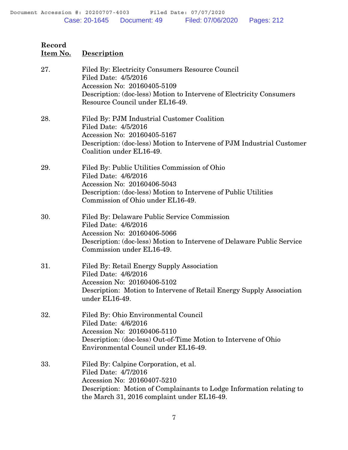| 27. | Filed By: Electricity Consumers Resource Council<br>Filed Date: 4/5/2016<br>Accession No: 20160405-5109<br>Description: (doc-less) Motion to Intervene of Electricity Consumers<br>Resource Council under EL16-49.  |
|-----|---------------------------------------------------------------------------------------------------------------------------------------------------------------------------------------------------------------------|
| 28. | Filed By: PJM Industrial Customer Coalition<br>Filed Date: 4/5/2016<br>Accession No: 20160405-5167<br>Description: (doc-less) Motion to Intervene of PJM Industrial Customer<br>Coalition under EL16-49.            |
| 29. | Filed By: Public Utilities Commission of Ohio<br>Filed Date: 4/6/2016<br>Accession No: 20160406-5043<br>Description: (doc-less) Motion to Intervene of Public Utilities<br>Commission of Ohio under EL16-49.        |
| 30. | Filed By: Delaware Public Service Commission<br>Filed Date: 4/6/2016<br>Accession No: 20160406-5066<br>Description: (doc-less) Motion to Intervene of Delaware Public Service<br>Commission under EL16-49.          |
| 31. | Filed By: Retail Energy Supply Association<br>Filed Date: 4/6/2016<br>Accession No: 20160406-5102<br>Description: Motion to Intervene of Retail Energy Supply Association<br>under EL16-49.                         |
| 32. | Filed By: Ohio Environmental Council<br>Filed Date: 4/6/2016<br>Accession No: 20160406-5110<br>Description: (doc-less) Out-of-Time Motion to Intervene of Ohio<br>Environmental Council under EL16-49.              |
| 33. | Filed By: Calpine Corporation, et al.<br>Filed Date: 4/7/2016<br>Accession No: 20160407-5210<br>Description: Motion of Complainants to Lodge Information relating to<br>the March 31, 2016 complaint under EL16-49. |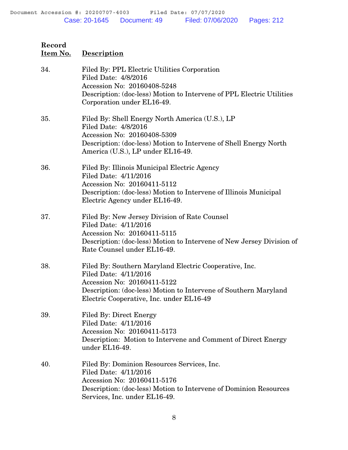| 34. | Filed By: PPL Electric Utilities Corporation<br>Filed Date: 4/8/2016<br>Accession No: 20160408-5248<br>Description: (doc-less) Motion to Intervene of PPL Electric Utilities<br>Corporation under EL16-49.                     |
|-----|--------------------------------------------------------------------------------------------------------------------------------------------------------------------------------------------------------------------------------|
| 35. | Filed By: Shell Energy North America (U.S.), LP<br>Filed Date: 4/8/2016<br>Accession No: 20160408-5309<br>Description: (doc-less) Motion to Intervene of Shell Energy North<br>America (U.S.), LP under EL16-49.               |
| 36. | Filed By: Illinois Municipal Electric Agency<br>Filed Date: 4/11/2016<br>Accession No: 20160411-5112<br>Description: (doc-less) Motion to Intervene of Illinois Municipal<br>Electric Agency under EL16-49.                    |
| 37. | Filed By: New Jersey Division of Rate Counsel<br>Filed Date: 4/11/2016<br>Accession No: 20160411-5115<br>Description: (doc-less) Motion to Intervene of New Jersey Division of<br>Rate Counsel under EL16-49.                  |
| 38. | Filed By: Southern Maryland Electric Cooperative, Inc.<br>Filed Date: 4/11/2016<br>Accession No: 20160411-5122<br>Description: (doc-less) Motion to Intervene of Southern Maryland<br>Electric Cooperative, Inc. under EL16-49 |
| 39. | <b>Filed By: Direct Energy</b><br>Filed Date: 4/11/2016<br>Accession No: 20160411-5173<br>Description: Motion to Intervene and Comment of Direct Energy<br>under EL16-49.                                                      |
| 40. | Filed By: Dominion Resources Services, Inc.<br>Filed Date: 4/11/2016<br>Accession No: 20160411-5176<br>Description: (doc-less) Motion to Intervene of Dominion Resources<br>Services, Inc. under EL16-49.                      |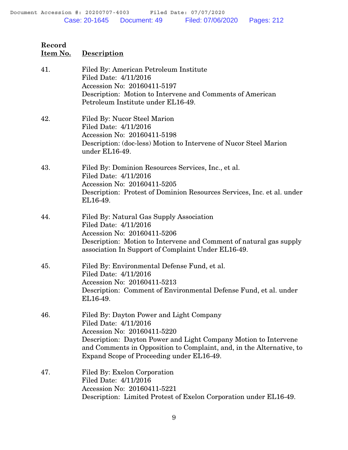| 41. | Filed By: American Petroleum Institute<br>Filed Date: 4/11/2016<br>Accession No: 20160411-5197<br>Description: Motion to Intervene and Comments of American<br>Petroleum Institute under EL16-49.                                                                                        |
|-----|------------------------------------------------------------------------------------------------------------------------------------------------------------------------------------------------------------------------------------------------------------------------------------------|
| 42. | Filed By: Nucor Steel Marion<br>Filed Date: 4/11/2016<br>Accession No: 20160411-5198<br>Description: (doc-less) Motion to Intervene of Nucor Steel Marion<br>under EL16-49.                                                                                                              |
| 43. | Filed By: Dominion Resources Services, Inc., et al.<br>Filed Date: 4/11/2016<br>Accession No: 20160411-5205<br>Description: Protest of Dominion Resources Services, Inc. et al. under<br>EL16-49.                                                                                        |
| 44. | Filed By: Natural Gas Supply Association<br>Filed Date: 4/11/2016<br>Accession No: 20160411-5206<br>Description: Motion to Intervene and Comment of natural gas supply<br>association In Support of Complaint Under EL16-49.                                                             |
| 45. | Filed By: Environmental Defense Fund, et al.<br>Filed Date: 4/11/2016<br>Accession No: 20160411-5213<br>Description: Comment of Environmental Defense Fund, et al. under<br>EL16-49.                                                                                                     |
| 46. | Filed By: Dayton Power and Light Company<br>Filed Date: 4/11/2016<br>Accession No: 20160411-5220<br>Description: Dayton Power and Light Company Motion to Intervene<br>and Comments in Opposition to Complaint, and, in the Alternative, to<br>Expand Scope of Proceeding under EL16-49. |
| 47. | Filed By: Exelon Corporation<br>Filed Date: 4/11/2016<br>Accession No: 20160411-5221<br>Description: Limited Protest of Exelon Corporation under EL16-49.                                                                                                                                |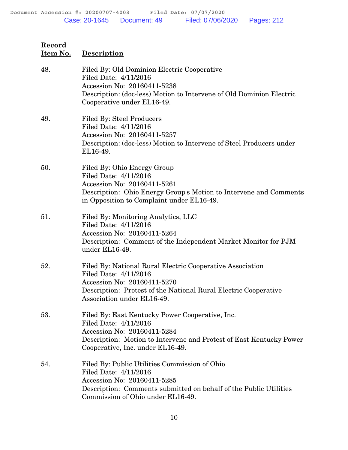| 48. | Filed By: Old Dominion Electric Cooperative<br>Filed Date: 4/11/2016<br>Accession No: 20160411-5238<br>Description: (doc-less) Motion to Intervene of Old Dominion Electric<br>Cooperative under EL16-49.          |
|-----|--------------------------------------------------------------------------------------------------------------------------------------------------------------------------------------------------------------------|
| 49. | <b>Filed By: Steel Producers</b><br>Filed Date: 4/11/2016<br>Accession No: 20160411-5257<br>Description: (doc-less) Motion to Intervene of Steel Producers under<br>EL16-49.                                       |
| 50. | Filed By: Ohio Energy Group<br>Filed Date: 4/11/2016<br>Accession No: 20160411-5261<br>Description: Ohio Energy Group's Motion to Intervene and Comments<br>in Opposition to Complaint under EL16-49.              |
| 51. | Filed By: Monitoring Analytics, LLC<br>Filed Date: 4/11/2016<br>Accession No: 20160411-5264<br>Description: Comment of the Independent Market Monitor for PJM<br>under EL16-49.                                    |
| 52. | Filed By: National Rural Electric Cooperative Association<br>Filed Date: 4/11/2016<br>Accession No: 20160411-5270<br>Description: Protest of the National Rural Electric Cooperative<br>Association under EL16-49. |
| 53. | Filed By: East Kentucky Power Cooperative, Inc.<br>Filed Date: 4/11/2016<br>Accession No: 20160411-5284<br>Description: Motion to Intervene and Protest of East Kentucky Power<br>Cooperative, Inc. under EL16-49. |
| 54. | Filed By: Public Utilities Commission of Ohio<br>Filed Date: 4/11/2016<br>Accession No: 20160411-5285<br>Description: Comments submitted on behalf of the Public Utilities<br>Commission of Ohio under EL16-49.    |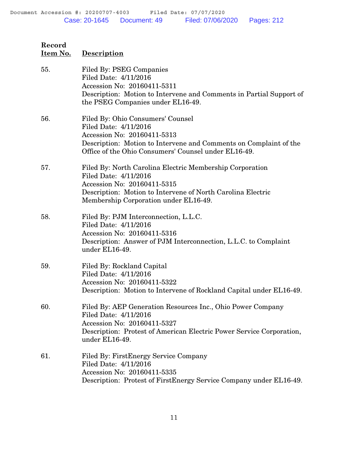**Record**

| <u>Item No.</u> | <b>Description</b>                                                                                                                                                                                                       |
|-----------------|--------------------------------------------------------------------------------------------------------------------------------------------------------------------------------------------------------------------------|
| 55.             | Filed By: PSEG Companies<br>Filed Date: 4/11/2016<br>Accession No: 20160411-5311<br>Description: Motion to Intervene and Comments in Partial Support of<br>the PSEG Companies under EL16-49.                             |
| 56.             | Filed By: Ohio Consumers' Counsel<br>Filed Date: 4/11/2016<br>Accession No: 20160411-5313<br>Description: Motion to Intervene and Comments on Complaint of the<br>Office of the Ohio Consumers' Counsel under EL16-49.   |
| 57.             | Filed By: North Carolina Electric Membership Corporation<br>Filed Date: 4/11/2016<br>Accession No: 20160411-5315<br>Description: Motion to Intervene of North Carolina Electric<br>Membership Corporation under EL16-49. |
| 58.             | Filed By: PJM Interconnection, L.L.C.<br>Filed Date: 4/11/2016<br>Accession No: 20160411-5316<br>Description: Answer of PJM Interconnection, L.L.C. to Complaint<br>under EL16-49.                                       |
| 59.             | Filed By: Rockland Capital<br>Filed Date: 4/11/2016<br>Accession No: 20160411-5322<br>Description: Motion to Intervene of Rockland Capital under EL16-49.                                                                |
| 60.             | Filed By: AEP Generation Resources Inc., Ohio Power Company<br>Filed Date: 4/11/2016<br>Accession No: 20160411-5327<br>Description: Protest of American Electric Power Service Corporation,<br>under EL16-49.            |
| 61.             | Filed By: FirstEnergy Service Company<br>Filed Date: 4/11/2016<br>Accession No: 20160411-5335<br>Description: Protest of FirstEnergy Service Company under EL16-49.                                                      |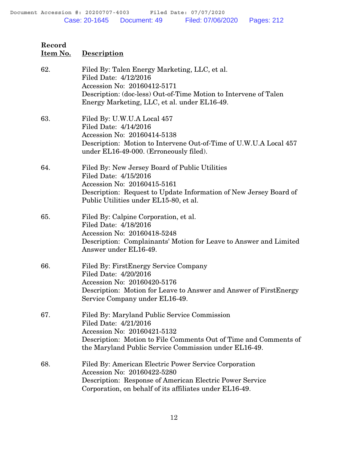| 62. | Filed By: Talen Energy Marketing, LLC, et al.<br>Filed Date: 4/12/2016<br>Accession No: 20160412-5171<br>Description: (doc-less) Out-of-Time Motion to Intervene of Talen<br>Energy Marketing, LLC, et al. under EL16-49.         |
|-----|-----------------------------------------------------------------------------------------------------------------------------------------------------------------------------------------------------------------------------------|
| 63. | Filed By: U.W.U.A Local 457<br>Filed Date: 4/14/2016<br>Accession No: 20160414-5138<br>Description: Motion to Intervene Out-of-Time of U.W.U.A Local 457<br>under EL16-49-000. (Erroneously filed).                               |
| 64. | Filed By: New Jersey Board of Public Utilities<br>Filed Date: 4/15/2016<br>Accession No: 20160415-5161<br>Description: Request to Update Information of New Jersey Board of<br>Public Utilities under EL15-80, et al.             |
| 65. | Filed By: Calpine Corporation, et al.<br>Filed Date: 4/18/2016<br>Accession No: 20160418-5248<br>Description: Complainants' Motion for Leave to Answer and Limited<br>Answer under EL16-49.                                       |
| 66. | Filed By: First Energy Service Company<br>Filed Date: 4/20/2016<br>Accession No: 20160420-5176<br>Description: Motion for Leave to Answer and Answer of First Energy<br>Service Company under EL16-49.                            |
| 67. | Filed By: Maryland Public Service Commission<br>Filed Date: 4/21/2016<br>Accession No: 20160421-5132<br>Description: Motion to File Comments Out of Time and Comments of<br>the Maryland Public Service Commission under EL16-49. |
| 68. | Filed By: American Electric Power Service Corporation<br>Accession No: 20160422-5280<br>Description: Response of American Electric Power Service<br>Corporation, on behalf of its affiliates under EL16-49.                       |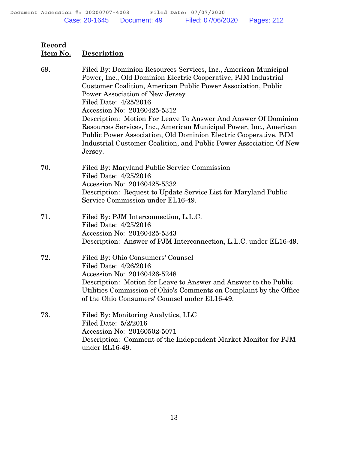| 69. | Filed By: Dominion Resources Services, Inc., American Municipal<br>Power, Inc., Old Dominion Electric Cooperative, PJM Industrial<br>Customer Coalition, American Public Power Association, Public<br>Power Association of New Jersey<br>Filed Date: 4/25/2016<br>Accession No: 20160425-5312<br>Description: Motion For Leave To Answer And Answer Of Dominion<br>Resources Services, Inc., American Municipal Power, Inc., American<br>Public Power Association, Old Dominion Electric Cooperative, PJM<br>Industrial Customer Coalition, and Public Power Association Of New |
|-----|---------------------------------------------------------------------------------------------------------------------------------------------------------------------------------------------------------------------------------------------------------------------------------------------------------------------------------------------------------------------------------------------------------------------------------------------------------------------------------------------------------------------------------------------------------------------------------|
|     | Jersey.                                                                                                                                                                                                                                                                                                                                                                                                                                                                                                                                                                         |
| 70. | Filed By: Maryland Public Service Commission<br>Filed Date: 4/25/2016<br>Accession No: 20160425-5332<br>Description: Request to Update Service List for Maryland Public<br>Service Commission under EL16-49.                                                                                                                                                                                                                                                                                                                                                                    |
| 71. | Filed By: PJM Interconnection, L.L.C.<br>Filed Date: 4/25/2016<br>Accession No: 20160425-5343<br>Description: Answer of PJM Interconnection, L.L.C. under EL16-49.                                                                                                                                                                                                                                                                                                                                                                                                              |
| 72. | Filed By: Ohio Consumers' Counsel<br>Filed Date: 4/26/2016<br>Accession No: 20160426-5248<br>Description: Motion for Leave to Answer and Answer to the Public<br>Utilities Commission of Ohio's Comments on Complaint by the Office<br>of the Ohio Consumers' Counsel under EL16-49.                                                                                                                                                                                                                                                                                            |
| 73. | Filed By: Monitoring Analytics, LLC<br>Filed Date: 5/2/2016<br>Accession No: 20160502-5071<br>Description: Comment of the Independent Market Monitor for PJM<br>under EL16-49.                                                                                                                                                                                                                                                                                                                                                                                                  |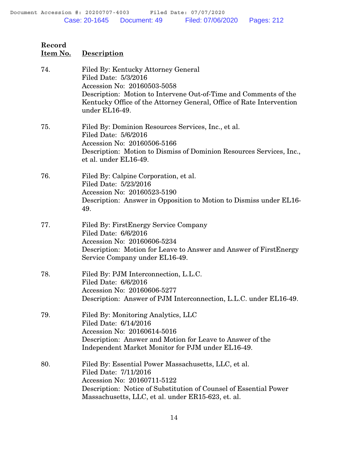| Record<br>Item No. | <b>Description</b>                                                                                                                                                                                                                                       |
|--------------------|----------------------------------------------------------------------------------------------------------------------------------------------------------------------------------------------------------------------------------------------------------|
| 74.                | Filed By: Kentucky Attorney General<br>Filed Date: 5/3/2016<br>Accession No: 20160503-5058<br>Description: Motion to Intervene Out-of-Time and Comments of the<br>Kentucky Office of the Attorney General, Office of Rate Intervention<br>under EL16-49. |
| 75.                | Filed By: Dominion Resources Services, Inc., et al.<br>Filed Date: 5/6/2016<br>Accession No: 20160506-5166<br>Description: Motion to Dismiss of Dominion Resources Services, Inc.,<br>et al. under EL16-49.                                              |
| 76.                | Filed By: Calpine Corporation, et al.<br>Filed Date: 5/23/2016<br>Accession No: 20160523-5190<br>Description: Answer in Opposition to Motion to Dismiss under EL16-<br>49.                                                                               |
| 77.                | Filed By: FirstEnergy Service Company<br>Filed Date: 6/6/2016<br>Accession No: 20160606-5234<br>Description: Motion for Leave to Answer and Answer of First Energy<br>Service Company under EL16-49.                                                     |
| 78.                | Filed By: PJM Interconnection, L.L.C.<br>Filed Date: 6/6/2016<br>Accession No: 20160606-5277<br>Description: Answer of PJM Interconnection, L.L.C. under EL16-49.                                                                                        |
| 79.                | Filed By: Monitoring Analytics, LLC<br>Filed Date: 6/14/2016<br>Accession No: 20160614-5016<br>Description: Answer and Motion for Leave to Answer of the<br>Independent Market Monitor for PJM under EL16-49.                                            |
| 80.                | Filed By: Essential Power Massachusetts, LLC, et al.<br>Filed Date: 7/11/2016<br>Accession No: 20160711-5122<br>Description: Notice of Substitution of Counsel of Essential Power<br>Massachusetts, LLC, et al. under ER15-623, et. al.                  |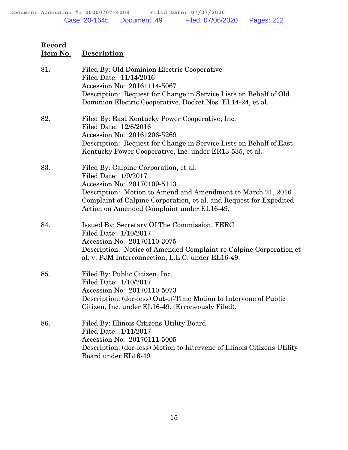| 81. | Filed By: Old Dominion Electric Cooperative<br>Filed Date: 11/14/2016<br>Accession No: 20161114-5067                                                                                                            |
|-----|-----------------------------------------------------------------------------------------------------------------------------------------------------------------------------------------------------------------|
|     | Description: Request for Change in Service Lists on Behalf of Old<br>Dominion Electric Cooperative, Docket Nos. EL14-24, et al.                                                                                 |
| 82. | Filed By: East Kentucky Power Cooperative, Inc.<br>Filed Date: 12/6/2016                                                                                                                                        |
|     | Accession No: 20161206-5269<br>Description: Request for Change in Service Lists on Behalf of East<br>Kentucky Power Cooperative, Inc. under ER13-535, et al.                                                    |
| 83. | Filed By: Calpine Corporation, et al.<br>Filed Date: 1/9/2017                                                                                                                                                   |
|     | Accession No: 20170109-5113<br>Description: Motion to Amend and Amendment to March 21, 2016<br>Complaint of Calpine Corporation, et al. and Request for Expedited<br>Action on Amended Complaint under EL16-49. |
| 84. | Issued By: Secretary Of The Commission, FERC<br>Filed Date: 1/10/2017<br>Accession No: 20170110-3075                                                                                                            |
|     | Description: Notice of Amended Complaint re Calpine Corporation et<br>al. v. PJM Interconnection, L.L.C. under EL16-49.                                                                                         |
| 85. | Filed By: Public Citizen, Inc.<br>Filed Date: 1/10/2017<br>Accession No: 20170110-5073                                                                                                                          |
|     | Description: (doc-less) Out-of-Time Motion to Intervene of Public<br>Citizen, Inc. under EL16-49. (Erroneously Filed).                                                                                          |
| 86. | Filed By: Illinois Citizens Utility Board<br>Filed Date: 1/11/2017                                                                                                                                              |
|     | Accession No: 20170111-5005<br>Description: (doc-less) Motion to Intervene of Illinois Citizens Utility<br>Board under EL16-49.                                                                                 |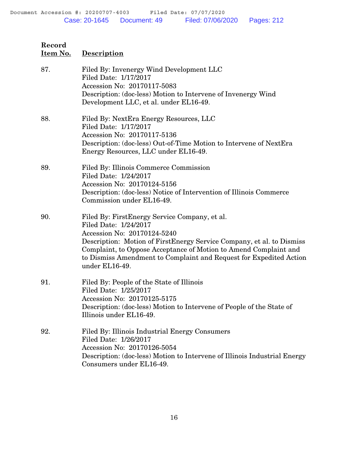| 87. | Filed By: Invenergy Wind Development LLC<br>Filed Date: 1/17/2017<br>Accession No: 20170117-5083<br>Description: (doc-less) Motion to Intervene of Invenergy Wind<br>Development LLC, et al. under EL16-49.                                                                                                                                 |
|-----|---------------------------------------------------------------------------------------------------------------------------------------------------------------------------------------------------------------------------------------------------------------------------------------------------------------------------------------------|
| 88. | Filed By: NextEra Energy Resources, LLC<br>Filed Date: 1/17/2017<br>Accession No: 20170117-5136<br>Description: (doc-less) Out-of-Time Motion to Intervene of NextEra<br>Energy Resources, LLC under EL16-49.                                                                                                                               |
| 89. | Filed By: Illinois Commerce Commission<br>Filed Date: 1/24/2017<br>Accession No: 20170124-5156<br>Description: (doc-less) Notice of Intervention of Illinois Commerce<br>Commission under EL16-49.                                                                                                                                          |
| 90. | Filed By: First Energy Service Company, et al.<br>Filed Date: 1/24/2017<br>Accession No: 20170124-5240<br>Description: Motion of FirstEnergy Service Company, et al. to Dismiss<br>Complaint, to Oppose Acceptance of Motion to Amend Complaint and<br>to Dismiss Amendment to Complaint and Request for Expedited Action<br>under EL16-49. |
| 91. | Filed By: People of the State of Illinois<br>Filed Date: 1/25/2017<br>Accession No: 20170125-5175<br>Description: (doc-less) Motion to Intervene of People of the State of<br>Illinois under EL16-49.                                                                                                                                       |
| 92. | Filed By: Illinois Industrial Energy Consumers<br>Filed Date: 1/26/2017<br>Accession No: 20170126-5054<br>Description: (doc-less) Motion to Intervene of Illinois Industrial Energy<br>Consumers under EL16-49.                                                                                                                             |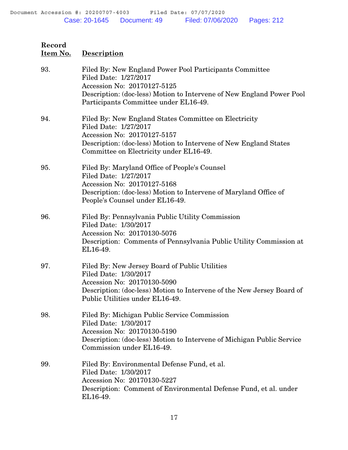| 93. | Filed By: New England Power Pool Participants Committee<br>Filed Date: 1/27/2017<br>Accession No: 20170127-5125<br>Description: (doc-less) Motion to Intervene of New England Power Pool<br>Participants Committee under EL16-49. |
|-----|-----------------------------------------------------------------------------------------------------------------------------------------------------------------------------------------------------------------------------------|
| 94. | Filed By: New England States Committee on Electricity<br>Filed Date: 1/27/2017<br>Accession No: 20170127-5157<br>Description: (doc-less) Motion to Intervene of New England States<br>Committee on Electricity under EL16-49.     |
| 95. | Filed By: Maryland Office of People's Counsel<br>Filed Date: 1/27/2017<br>Accession No: 20170127-5168<br>Description: (doc-less) Motion to Intervene of Maryland Office of<br>People's Counsel under EL16-49.                     |
| 96. | Filed By: Pennsylvania Public Utility Commission<br>Filed Date: 1/30/2017<br>Accession No: 20170130-5076<br>Description: Comments of Pennsylvania Public Utility Commission at<br>EL16-49.                                        |
| 97. | Filed By: New Jersey Board of Public Utilities<br>Filed Date: 1/30/2017<br>Accession No: 20170130-5090<br>Description: (doc-less) Motion to Intervene of the New Jersey Board of<br>Public Utilities under EL16-49.               |
| 98. | Filed By: Michigan Public Service Commission<br>Filed Date: 1/30/2017<br>Accession No: 20170130-5190<br>Description: (doc-less) Motion to Intervene of Michigan Public Service<br>Commission under EL16-49.                       |
| 99. | Filed By: Environmental Defense Fund, et al.<br>Filed Date: 1/30/2017<br>Accession No: 20170130-5227<br>Description: Comment of Environmental Defense Fund, et al. under<br>EL16-49.                                              |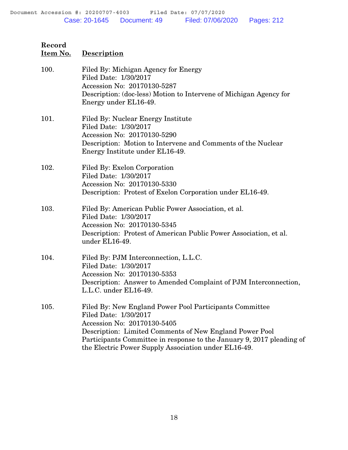| 100. | Filed By: Michigan Agency for Energy<br>Filed Date: 1/30/2017<br>Accession No: 20170130-5287<br>Description: (doc-less) Motion to Intervene of Michigan Agency for<br>Energy under EL16-49.                                                                                                                 |
|------|-------------------------------------------------------------------------------------------------------------------------------------------------------------------------------------------------------------------------------------------------------------------------------------------------------------|
| 101. | Filed By: Nuclear Energy Institute<br>Filed Date: 1/30/2017<br>Accession No: 20170130-5290<br>Description: Motion to Intervene and Comments of the Nuclear<br>Energy Institute under EL16-49.                                                                                                               |
| 102. | Filed By: Exelon Corporation<br>Filed Date: 1/30/2017<br>Accession No: 20170130-5330<br>Description: Protest of Exelon Corporation under EL16-49.                                                                                                                                                           |
| 103. | Filed By: American Public Power Association, et al.<br>Filed Date: 1/30/2017<br>Accession No: 20170130-5345<br>Description: Protest of American Public Power Association, et al.<br>under EL16-49.                                                                                                          |
| 104. | Filed By: PJM Interconnection, L.L.C.<br>Filed Date: 1/30/2017<br>Accession No: 20170130-5353<br>Description: Answer to Amended Complaint of PJM Interconnection,<br>L.L.C. under EL16-49.                                                                                                                  |
| 105. | Filed By: New England Power Pool Participants Committee<br>Filed Date: 1/30/2017<br>Accession No: 20170130-5405<br>Description: Limited Comments of New England Power Pool<br>Participants Committee in response to the January 9, 2017 pleading of<br>the Electric Power Supply Association under EL16-49. |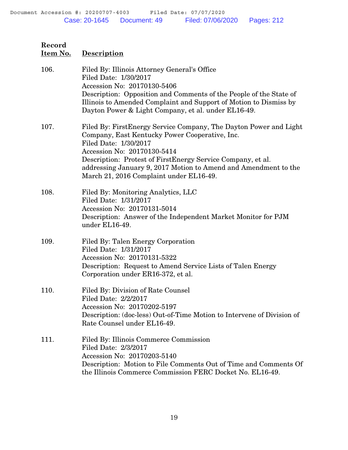| Record<br>Item No. | <b>Description</b>                                                                                                                                                                                                                                                                                                                                        |
|--------------------|-----------------------------------------------------------------------------------------------------------------------------------------------------------------------------------------------------------------------------------------------------------------------------------------------------------------------------------------------------------|
| 106.               | Filed By: Illinois Attorney General's Office<br>Filed Date: 1/30/2017<br>Accession No: 20170130-5406<br>Description: Opposition and Comments of the People of the State of<br>Illinois to Amended Complaint and Support of Motion to Dismiss by<br>Dayton Power & Light Company, et al. under EL16-49.                                                    |
| 107.               | Filed By: First Energy Service Company, The Dayton Power and Light<br>Company, East Kentucky Power Cooperative, Inc.<br>Filed Date: 1/30/2017<br>Accession No: 20170130-5414<br>Description: Protest of FirstEnergy Service Company, et al.<br>addressing January 9, 2017 Motion to Amend and Amendment to the<br>March 21, 2016 Complaint under EL16-49. |
| 108.               | Filed By: Monitoring Analytics, LLC<br>Filed Date: 1/31/2017<br>Accession No: 20170131-5014<br>Description: Answer of the Independent Market Monitor for PJM<br>under EL16-49.                                                                                                                                                                            |
| 109.               | Filed By: Talen Energy Corporation<br>Filed Date: 1/31/2017<br>Accession No: 20170131-5322<br>Description: Request to Amend Service Lists of Talen Energy<br>Corporation under ER16-372, et al.                                                                                                                                                           |
| 110.               | Filed By: Division of Rate Counsel<br>Filed Date: 2/2/2017<br>Accession No: 20170202-5197<br>Description: (doc-less) Out-of-Time Motion to Intervene of Division of<br>Rate Counsel under EL16-49.                                                                                                                                                        |
| 111.               | Filed By: Illinois Commerce Commission<br>Filed Date: 2/3/2017<br>Accession No: 20170203-5140<br>Description: Motion to File Comments Out of Time and Comments Of<br>the Illinois Commerce Commission FERC Docket No. EL16-49.                                                                                                                            |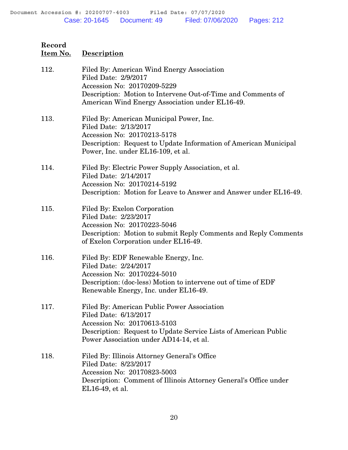| 112. | Filed By: American Wind Energy Association<br>Filed Date: 2/9/2017<br>Accession No: 20170209-5229<br>Description: Motion to Intervene Out-of-Time and Comments of                                                 |
|------|-------------------------------------------------------------------------------------------------------------------------------------------------------------------------------------------------------------------|
| 113. | American Wind Energy Association under EL16-49.<br>Filed By: American Municipal Power, Inc.<br>Filed Date: 2/13/2017                                                                                              |
|      | Accession No: 20170213-5178<br>Description: Request to Update Information of American Municipal<br>Power, Inc. under EL16-109, et al.                                                                             |
| 114. | Filed By: Electric Power Supply Association, et al.<br>Filed Date: 2/14/2017<br>Accession No: 20170214-5192<br>Description: Motion for Leave to Answer and Answer under EL16-49.                                  |
| 115. | Filed By: Exelon Corporation<br>Filed Date: 2/23/2017<br>Accession No: 20170223-5046<br>Description: Motion to submit Reply Comments and Reply Comments<br>of Exelon Corporation under EL16-49.                   |
| 116. | Filed By: EDF Renewable Energy, Inc.<br>Filed Date: 2/24/2017<br>Accession No: 20170224-5010<br>Description: (doc-less) Motion to intervene out of time of EDF<br>Renewable Energy, Inc. under EL16-49.           |
| 117. | Filed By: American Public Power Association<br>Filed Date: 6/13/2017<br>Accession No: 20170613-5103<br>Description: Request to Update Service Lists of American Public<br>Power Association under AD14-14, et al. |
| 118. | Filed By: Illinois Attorney General's Office<br>Filed Date: 8/23/2017<br>Accession No: 20170823-5003<br>Description: Comment of Illinois Attorney General's Office under<br>EL16-49, et al.                       |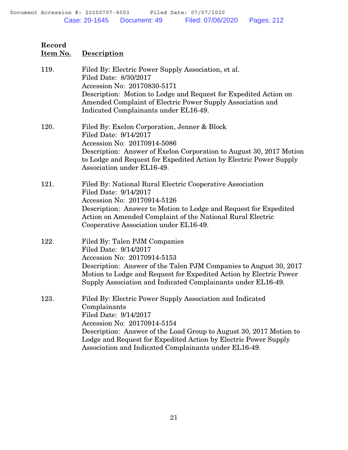**Record**

**Item No. Description**

| 119. | Filed By: Electric Power Supply Association, et al.<br>Filed Date: 8/30/2017<br>Accession No: 20170830-5171<br>Description: Motion to Lodge and Request for Expedited Action on<br>Amended Complaint of Electric Power Supply Association and<br>Indicated Complainants under EL16-49.                                              |
|------|-------------------------------------------------------------------------------------------------------------------------------------------------------------------------------------------------------------------------------------------------------------------------------------------------------------------------------------|
| 120. | Filed By: Exelon Corporation, Jenner & Block<br>Filed Date: 9/14/2017<br>Accession No: 20170914-5086<br>Description: Answer of Exelon Corporation to August 30, 2017 Motion<br>to Lodge and Request for Expedited Action by Electric Power Supply<br>Association under EL16-49.                                                     |
| 121. | Filed By: National Rural Electric Cooperative Association<br>Filed Date: 9/14/2017<br>Accession No: 20170914-5126<br>Description: Answer to Motion to Lodge and Request for Expedited<br>Action on Amended Complaint of the National Rural Electric<br>Cooperative Association under EL16-49.                                       |
| 122. | Filed By: Talen PJM Companies<br>Filed Date: 9/14/2017<br>Accession No: 20170914-5153<br>Description: Answer of the Talen PJM Companies to August 30, 2017<br>Motion to Lodge and Request for Expedited Action by Electric Power<br>Supply Association and Indicated Complainants under EL16-49.                                    |
| 123. | Filed By: Electric Power Supply Association and Indicated<br>Complainants<br>Filed Date: 9/14/2017<br>Accession No: 20170914-5154<br>Description: Answer of the Load Group to August 30, 2017 Motion to<br>Lodge and Request for Expedited Action by Electric Power Supply<br>Association and Indicated Complainants under EL16-49. |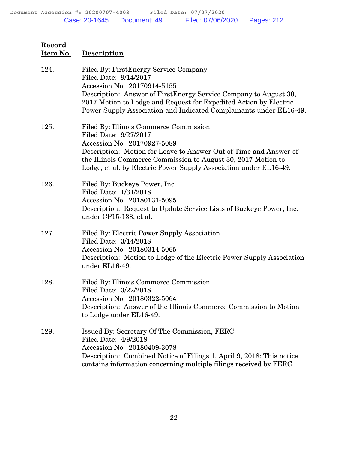| Record<br>Item No. | <b>Description</b>                                                                                                                                                                                                                                                                                            |
|--------------------|---------------------------------------------------------------------------------------------------------------------------------------------------------------------------------------------------------------------------------------------------------------------------------------------------------------|
| 124.               | Filed By: First Energy Service Company<br>Filed Date: 9/14/2017<br>Accession No: 20170914-5155<br>Description: Answer of FirstEnergy Service Company to August 30,<br>2017 Motion to Lodge and Request for Expedited Action by Electric<br>Power Supply Association and Indicated Complainants under EL16-49. |
| 125.               | Filed By: Illinois Commerce Commission<br>Filed Date: 9/27/2017<br>Accession No: 20170927-5089<br>Description: Motion for Leave to Answer Out of Time and Answer of<br>the Illinois Commerce Commission to August 30, 2017 Motion to<br>Lodge, et al. by Electric Power Supply Association under EL16-49.     |
| 126.               | Filed By: Buckeye Power, Inc.<br>Filed Date: 1/31/2018<br>Accession No: 20180131-5095<br>Description: Request to Update Service Lists of Buckeye Power, Inc.<br>under CP15-138, et al.                                                                                                                        |
| 127.               | Filed By: Electric Power Supply Association<br>Filed Date: 3/14/2018<br>Accession No: 20180314-5065<br>Description: Motion to Lodge of the Electric Power Supply Association<br>under EL16-49.                                                                                                                |
| 128.               | Filed By: Illinois Commerce Commission<br>Filed Date: 3/22/2018<br>Accession No: 20180322-5064<br>Description: Answer of the Illinois Commerce Commission to Motion<br>to Lodge under EL16-49.                                                                                                                |
| 129.               | Issued By: Secretary Of The Commission, FERC<br>Filed Date: 4/9/2018<br>Accession No: 20180409-3078<br>Description: Combined Notice of Filings 1, April 9, 2018: This notice<br>contains information concerning multiple filings received by FERC.                                                            |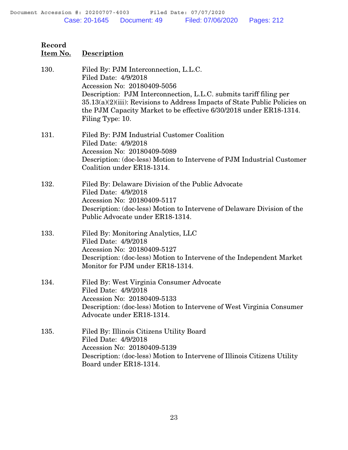| Record<br>Item No. | Description                                                                                                                                                                                                                                                                                                                                   |
|--------------------|-----------------------------------------------------------------------------------------------------------------------------------------------------------------------------------------------------------------------------------------------------------------------------------------------------------------------------------------------|
| 130.               | Filed By: PJM Interconnection, L.L.C.<br>Filed Date: 4/9/2018<br>Accession No: 20180409-5056<br>Description: PJM Interconnection, L.L.C. submits tariff filing per<br>$35.13(a)(2)(iii)$ : Revisions to Address Impacts of State Public Policies on<br>the PJM Capacity Market to be effective 6/30/2018 under ER18-1314.<br>Filing Type: 10. |
| 131.               | Filed By: PJM Industrial Customer Coalition<br>Filed Date: 4/9/2018<br>Accession No: 20180409-5089<br>Description: (doc-less) Motion to Intervene of PJM Industrial Customer<br>Coalition under ER18-1314.                                                                                                                                    |
| 132.               | Filed By: Delaware Division of the Public Advocate<br>Filed Date: 4/9/2018<br>Accession No: 20180409-5117<br>Description: (doc-less) Motion to Intervene of Delaware Division of the<br>Public Advocate under ER18-1314.                                                                                                                      |
| 133.               | Filed By: Monitoring Analytics, LLC<br>Filed Date: 4/9/2018<br>Accession No: 20180409-5127<br>Description: (doc-less) Motion to Intervene of the Independent Market<br>Monitor for PJM under ER18-1314.                                                                                                                                       |
| 134.               | Filed By: West Virginia Consumer Advocate<br>Filed Date: 4/9/2018<br>Accession No: 20180409-5133<br>Description: (doc-less) Motion to Intervene of West Virginia Consumer<br>Advocate under ER18-1314.                                                                                                                                        |
| 135.               | Filed By: Illinois Citizens Utility Board<br>Filed Date: 4/9/2018<br>Accession No: 20180409-5139<br>Description: (doc-less) Motion to Intervene of Illinois Citizens Utility<br>Board under ER18-1314.                                                                                                                                        |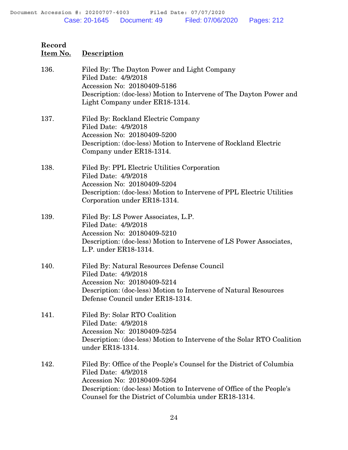| 136. | Filed By: The Dayton Power and Light Company<br>Filed Date: 4/9/2018<br>Accession No: 20180409-5186<br>Description: (doc-less) Motion to Intervene of The Dayton Power and<br>Light Company under ER18-1314.                                                   |
|------|----------------------------------------------------------------------------------------------------------------------------------------------------------------------------------------------------------------------------------------------------------------|
| 137. | Filed By: Rockland Electric Company<br>Filed Date: 4/9/2018<br>Accession No: 20180409-5200<br>Description: (doc-less) Motion to Intervene of Rockland Electric<br>Company under ER18-1314.                                                                     |
| 138. | Filed By: PPL Electric Utilities Corporation<br>Filed Date: 4/9/2018<br>Accession No: 20180409-5204<br>Description: (doc-less) Motion to Intervene of PPL Electric Utilities<br>Corporation under ER18-1314.                                                   |
| 139. | Filed By: LS Power Associates, L.P.<br>Filed Date: 4/9/2018<br>Accession No: 20180409-5210<br>Description: (doc-less) Motion to Intervene of LS Power Associates,<br>L.P. under ER18-1314.                                                                     |
| 140. | Filed By: Natural Resources Defense Council<br>Filed Date: 4/9/2018<br>Accession No: 20180409-5214<br>Description: (doc-less) Motion to Intervene of Natural Resources<br>Defense Council under ER18-1314.                                                     |
| 141. | Filed By: Solar RTO Coalition<br>Filed Date: 4/9/2018<br>Accession No: 20180409-5254<br>Description: (doc-less) Motion to Intervene of the Solar RTO Coalition<br>under ER18-1314.                                                                             |
| 142. | Filed By: Office of the People's Counsel for the District of Columbia<br>Filed Date: 4/9/2018<br>Accession No: 20180409-5264<br>Description: (doc-less) Motion to Intervene of Office of the People's<br>Counsel for the District of Columbia under ER18-1314. |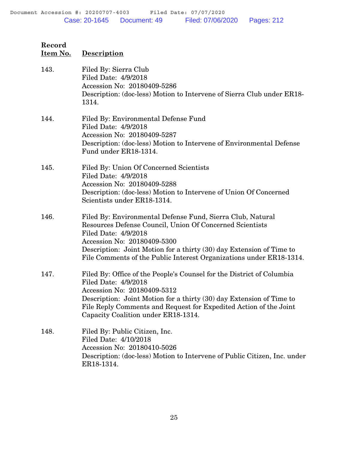| Record<br>Item No. | <b>Description</b>                                                                                                                                                                                                                                                                                                           |
|--------------------|------------------------------------------------------------------------------------------------------------------------------------------------------------------------------------------------------------------------------------------------------------------------------------------------------------------------------|
| 143.               | Filed By: Sierra Club<br>Filed Date: 4/9/2018<br>Accession No: 20180409-5286<br>Description: (doc-less) Motion to Intervene of Sierra Club under ER18-<br>1314.                                                                                                                                                              |
| 144.               | Filed By: Environmental Defense Fund<br>Filed Date: 4/9/2018<br>Accession No: 20180409-5287<br>Description: (doc-less) Motion to Intervene of Environmental Defense<br>Fund under ER18-1314.                                                                                                                                 |
| 145.               | Filed By: Union Of Concerned Scientists<br>Filed Date: 4/9/2018<br>Accession No: 20180409-5288<br>Description: (doc-less) Motion to Intervene of Union Of Concerned<br>Scientists under ER18-1314.                                                                                                                           |
| 146.               | Filed By: Environmental Defense Fund, Sierra Club, Natural<br>Resources Defense Council, Union Of Concerned Scientists<br>Filed Date: 4/9/2018<br>Accession No: 20180409-5300<br>Description: Joint Motion for a thirty (30) day Extension of Time to<br>File Comments of the Public Interest Organizations under ER18-1314. |
| 147.               | Filed By: Office of the People's Counsel for the District of Columbia<br>Filed Date: 4/9/2018<br>Accession No: 20180409-5312<br>Description: Joint Motion for a thirty (30) day Extension of Time to<br>File Reply Comments and Request for Expedited Action of the Joint<br>Capacity Coalition under ER18-1314.             |
| 148.               | Filed By: Public Citizen, Inc.<br>Filed Date: 4/10/2018<br>Accession No: 20180410-5026<br>Description: (doc-less) Motion to Intervene of Public Citizen, Inc. under                                                                                                                                                          |

ER18-1314.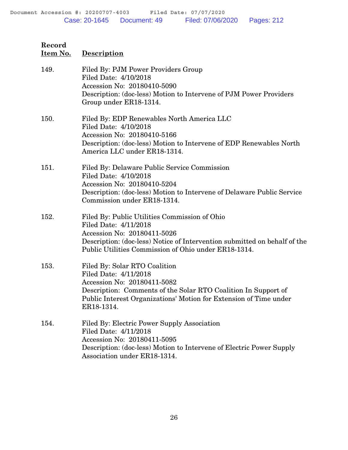| 149. | Filed By: PJM Power Providers Group<br>Filed Date: 4/10/2018<br>Accession No: 20180410-5090<br>Description: (doc-less) Motion to Intervene of PJM Power Providers<br>Group under ER18-1314.                                                |
|------|--------------------------------------------------------------------------------------------------------------------------------------------------------------------------------------------------------------------------------------------|
| 150. | Filed By: EDP Renewables North America LLC<br>Filed Date: 4/10/2018<br>Accession No: 20180410-5166<br>Description: (doc-less) Motion to Intervene of EDP Renewables North<br>America LLC under ER18-1314.                                  |
| 151. | Filed By: Delaware Public Service Commission<br>Filed Date: 4/10/2018<br>Accession No: 20180410-5204<br>Description: (doc-less) Motion to Intervene of Delaware Public Service<br>Commission under ER18-1314.                              |
| 152. | Filed By: Public Utilities Commission of Ohio<br>Filed Date: 4/11/2018<br>Accession No: 20180411-5026<br>Description: (doc-less) Notice of Intervention submitted on behalf of the<br>Public Utilities Commission of Ohio under ER18-1314. |
| 153. | Filed By: Solar RTO Coalition<br>Filed Date: 4/11/2018<br>Accession No: 20180411-5082<br>Description: Comments of the Solar RTO Coalition In Support of<br>Public Interest Organizations' Motion for Extension of Time under<br>ER18-1314. |
| 154. | Filed By: Electric Power Supply Association<br>Filed Date: 4/11/2018<br>Accession No: 20180411-5095<br>Description: (doc-less) Motion to Intervene of Electric Power Supply<br>Association under ER18-1314.                                |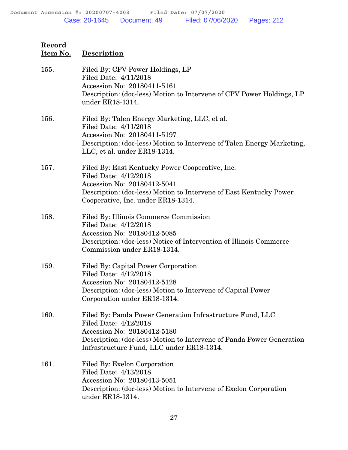**Record**

| Item No. | <b>Description</b>                                                                                                                                                                                                                      |
|----------|-----------------------------------------------------------------------------------------------------------------------------------------------------------------------------------------------------------------------------------------|
| 155.     | Filed By: CPV Power Holdings, LP<br>Filed Date: 4/11/2018<br>Accession No: 20180411-5161<br>Description: (doc-less) Motion to Intervene of CPV Power Holdings, LP<br>under ER18-1314.                                                   |
| 156.     | Filed By: Talen Energy Marketing, LLC, et al.<br>Filed Date: 4/11/2018<br>Accession No: 20180411-5197<br>Description: (doc-less) Motion to Intervene of Talen Energy Marketing,<br>LLC, et al. under ER18-1314.                         |
| 157.     | Filed By: East Kentucky Power Cooperative, Inc.<br>Filed Date: 4/12/2018<br>Accession No: 20180412-5041<br>Description: (doc-less) Motion to Intervene of East Kentucky Power<br>Cooperative, Inc. under ER18-1314.                     |
| 158.     | Filed By: Illinois Commerce Commission<br>Filed Date: 4/12/2018<br>Accession No: 20180412-5085<br>Description: (doc-less) Notice of Intervention of Illinois Commerce<br>Commission under ER18-1314.                                    |
| 159.     | Filed By: Capital Power Corporation<br>Filed Date: 4/12/2018<br>Accession No: 20180412-5128<br>Description: (doc-less) Motion to Intervene of Capital Power<br>Corporation under ER18-1314.                                             |
| 160.     | Filed By: Panda Power Generation Infrastructure Fund, LLC<br>Filed Date: 4/12/2018<br>Accession No: 20180412-5180<br>Description: (doc-less) Motion to Intervene of Panda Power Generation<br>Infrastructure Fund, LLC under ER18-1314. |
| 161.     | Filed By: Exelon Corporation<br>Filed Date: 4/13/2018<br>Accession No: 20180413-5051<br>Description: (doc-less) Motion to Intervene of Exelon Corporation<br>under ER18-1314.                                                           |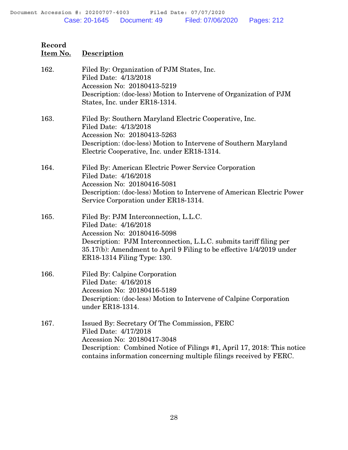| 162. | Filed By: Organization of PJM States, Inc.<br>Filed Date: 4/13/2018<br>Accession No: 20180413-5219<br>Description: (doc-less) Motion to Intervene of Organization of PJM<br>States, Inc. under ER18-1314.                                                                  |
|------|----------------------------------------------------------------------------------------------------------------------------------------------------------------------------------------------------------------------------------------------------------------------------|
| 163. | Filed By: Southern Maryland Electric Cooperative, Inc.<br>Filed Date: 4/13/2018<br>Accession No: 20180413-5263<br>Description: (doc-less) Motion to Intervene of Southern Maryland<br>Electric Cooperative, Inc. under ER18-1314.                                          |
| 164. | Filed By: American Electric Power Service Corporation<br>Filed Date: 4/16/2018<br>Accession No: 20180416-5081<br>Description: (doc-less) Motion to Intervene of American Electric Power<br>Service Corporation under ER18-1314.                                            |
| 165. | Filed By: PJM Interconnection, L.L.C.<br>Filed Date: 4/16/2018<br>Accession No: 20180416-5098<br>Description: PJM Interconnection, L.L.C. submits tariff filing per<br>35.17(b): Amendment to April 9 Filing to be effective 1/4/2019 under<br>ER18-1314 Filing Type: 130. |
| 166. | Filed By: Calpine Corporation<br>Filed Date: 4/16/2018<br>Accession No: 20180416-5189<br>Description: (doc-less) Motion to Intervene of Calpine Corporation<br>under ER18-1314.                                                                                            |
| 167. | Issued By: Secretary Of The Commission, FERC<br>Filed Date: 4/17/2018<br>Accession No: 20180417-3048<br>Description: Combined Notice of Filings #1, April 17, 2018: This notice<br>contains information concerning multiple filings received by FERC.                      |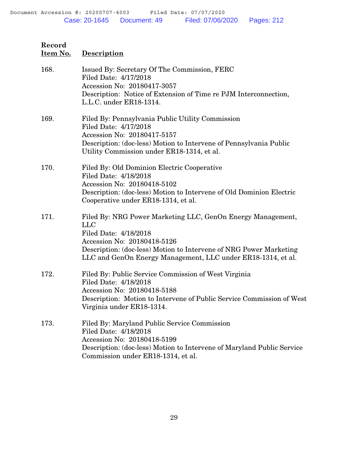| 168. | Issued By: Secretary Of The Commission, FERC<br>Filed Date: 4/17/2018<br>Accession No: 20180417-3057                                            |
|------|-------------------------------------------------------------------------------------------------------------------------------------------------|
|      | Description: Notice of Extension of Time re PJM Interconnection,<br>L.L.C. under ER18-1314.                                                     |
| 169. | Filed By: Pennsylvania Public Utility Commission<br>Filed Date: 4/17/2018                                                                       |
|      | Accession No: 20180417-5157<br>Description: (doc-less) Motion to Intervene of Pennsylvania Public<br>Utility Commission under ER18-1314, et al. |
| 170. | Filed By: Old Dominion Electric Cooperative<br>Filed Date: 4/18/2018<br>Accession No: 20180418-5102                                             |
|      | Description: (doc-less) Motion to Intervene of Old Dominion Electric<br>Cooperative under ER18-1314, et al.                                     |
| 171. | Filed By: NRG Power Marketing LLC, GenOn Energy Management,<br><b>LLC</b><br>Filed Date: 4/18/2018                                              |
|      | Accession No: 20180418-5126                                                                                                                     |
|      | Description: (doc-less) Motion to Intervene of NRG Power Marketing<br>LLC and GenOn Energy Management, LLC under ER18-1314, et al.              |
| 172. | Filed By: Public Service Commission of West Virginia<br>Filed Date: 4/18/2018                                                                   |
|      | Accession No: 20180418-5188<br>Description: Motion to Intervene of Public Service Commission of West<br>Virginia under ER18-1314.               |
| 173. | Filed By: Maryland Public Service Commission<br>Filed Date: 4/18/2018                                                                           |
|      | Accession No: 20180418-5199                                                                                                                     |
|      | Description: (doc-less) Motion to Intervene of Maryland Public Service<br>Commission under ER18-1314, et al.                                    |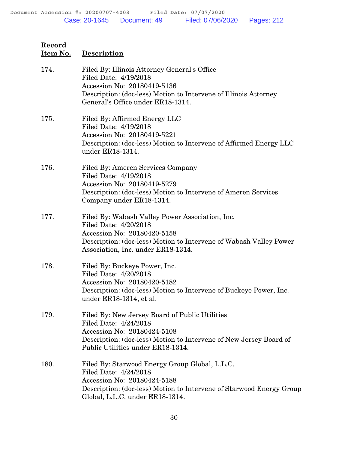| 174. | Filed By: Illinois Attorney General's Office<br>Filed Date: 4/19/2018<br>Accession No: 20180419-5136<br>Description: (doc-less) Motion to Intervene of Illinois Attorney<br>General's Office under ER18-1314.       |
|------|---------------------------------------------------------------------------------------------------------------------------------------------------------------------------------------------------------------------|
| 175. | Filed By: Affirmed Energy LLC<br>Filed Date: 4/19/2018<br>Accession No: 20180419-5221<br>Description: (doc-less) Motion to Intervene of Affirmed Energy LLC<br>under ER18-1314.                                     |
| 176. | Filed By: Ameren Services Company<br>Filed Date: 4/19/2018<br>Accession No: 20180419-5279<br>Description: (doc-less) Motion to Intervene of Ameren Services<br>Company under ER18-1314.                             |
| 177. | Filed By: Wabash Valley Power Association, Inc.<br>Filed Date: 4/20/2018<br>Accession No: 20180420-5158<br>Description: (doc-less) Motion to Intervene of Wabash Valley Power<br>Association, Inc. under ER18-1314. |
| 178. | Filed By: Buckeye Power, Inc.<br>Filed Date: 4/20/2018<br>Accession No: 20180420-5182<br>Description: (doc-less) Motion to Intervene of Buckeye Power, Inc.<br>under ER18-1314, et al.                              |
| 179. | Filed By: New Jersey Board of Public Utilities<br>Filed Date: 4/24/2018<br>Accession No: 20180424-5108<br>Description: (doc-less) Motion to Intervene of New Jersey Board of<br>Public Utilities under ER18-1314.   |
| 180. | Filed By: Starwood Energy Group Global, L.L.C.<br>Filed Date: 4/24/2018<br>Accession No: 20180424-5188<br>Description: (doc-less) Motion to Intervene of Starwood Energy Group<br>Global, L.L.C. under ER18-1314.   |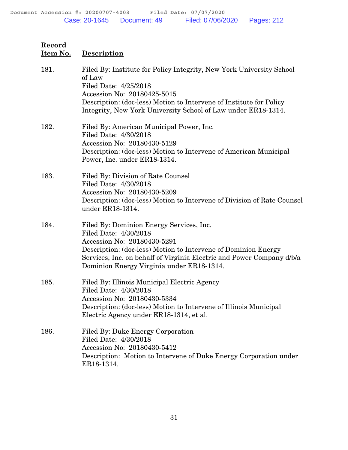| 181. | Filed By: Institute for Policy Integrity, New York University School<br>of Law<br>Filed Date: 4/25/2018<br>Accession No: 20180425-5015<br>Description: (doc-less) Motion to Intervene of Institute for Policy<br>Integrity, New York University School of Law under ER18-1314.           |
|------|------------------------------------------------------------------------------------------------------------------------------------------------------------------------------------------------------------------------------------------------------------------------------------------|
| 182. | Filed By: American Municipal Power, Inc.<br>Filed Date: 4/30/2018<br>Accession No: 20180430-5129<br>Description: (doc-less) Motion to Intervene of American Municipal<br>Power, Inc. under ER18-1314.                                                                                    |
| 183. | Filed By: Division of Rate Counsel<br>Filed Date: 4/30/2018<br>Accession No: 20180430-5209<br>Description: (doc-less) Motion to Intervene of Division of Rate Counsel<br>under ER18-1314.                                                                                                |
| 184. | Filed By: Dominion Energy Services, Inc.<br>Filed Date: 4/30/2018<br>Accession No: 20180430-5291<br>Description: (doc-less) Motion to Intervene of Dominion Energy<br>Services, Inc. on behalf of Virginia Electric and Power Company d/b/a<br>Dominion Energy Virginia under ER18-1314. |
| 185. | Filed By: Illinois Municipal Electric Agency<br>Filed Date: 4/30/2018<br>Accession No: 20180430-5334<br>Description: (doc-less) Motion to Intervene of Illinois Municipal<br>Electric Agency under ER18-1314, et al.                                                                     |
| 186. | Filed By: Duke Energy Corporation<br>Filed Date: 4/30/2018<br>Accession No: 20180430-5412<br>Description: Motion to Intervene of Duke Energy Corporation under<br>ER18-1314.                                                                                                             |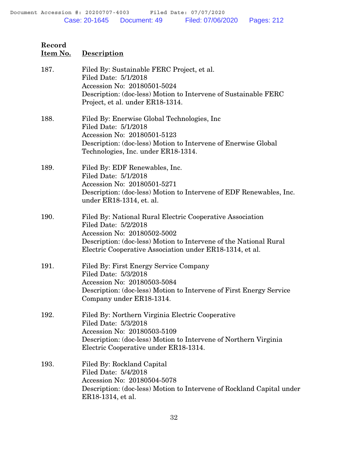| 187. | Filed By: Sustainable FERC Project, et al.<br>Filed Date: 5/1/2018<br>Accession No: 20180501-5024<br>Description: (doc-less) Motion to Intervene of Sustainable FERC<br>Project, et al. under ER18-1314.                                          |
|------|---------------------------------------------------------------------------------------------------------------------------------------------------------------------------------------------------------------------------------------------------|
| 188. | Filed By: Enerwise Global Technologies, Inc.<br>Filed Date: 5/1/2018<br>Accession No: 20180501-5123<br>Description: (doc-less) Motion to Intervene of Enerwise Global<br>Technologies, Inc. under ER18-1314.                                      |
| 189. | Filed By: EDF Renewables, Inc.<br>Filed Date: 5/1/2018<br>Accession No: 20180501-5271<br>Description: (doc-less) Motion to Intervene of EDF Renewables, Inc.<br>under ER18-1314, et. al.                                                          |
| 190. | Filed By: National Rural Electric Cooperative Association<br>Filed Date: 5/2/2018<br>Accession No: 20180502-5002<br>Description: (doc-less) Motion to Intervene of the National Rural<br>Electric Cooperative Association under ER18-1314, et al. |
| 191. | Filed By: First Energy Service Company<br>Filed Date: 5/3/2018<br>Accession No: 20180503-5084<br>Description: (doc-less) Motion to Intervene of First Energy Service<br>Company under ER18-1314.                                                  |
| 192. | Filed By: Northern Virginia Electric Cooperative<br>Filed Date: 5/3/2018<br>Accession No: 20180503-5109<br>Description: (doc-less) Motion to Intervene of Northern Virginia<br>Electric Cooperative under ER18-1314.                              |
| 193. | Filed By: Rockland Capital<br>Filed Date: 5/4/2018<br>Accession No: 20180504-5078<br>Description: (doc-less) Motion to Intervene of Rockland Capital under<br>ER18-1314, et al.                                                                   |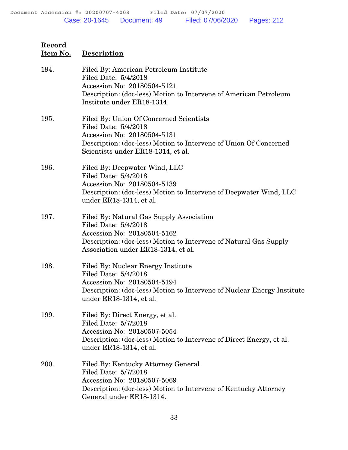| 194. | Filed By: American Petroleum Institute<br>Filed Date: 5/4/2018<br>Accession No: 20180504-5121<br>Description: (doc-less) Motion to Intervene of American Petroleum<br>Institute under ER18-1314.            |
|------|-------------------------------------------------------------------------------------------------------------------------------------------------------------------------------------------------------------|
| 195. | Filed By: Union Of Concerned Scientists<br>Filed Date: 5/4/2018<br>Accession No: 20180504-5131<br>Description: (doc-less) Motion to Intervene of Union Of Concerned<br>Scientists under ER18-1314, et al.   |
| 196. | Filed By: Deepwater Wind, LLC<br>Filed Date: 5/4/2018<br>Accession No: 20180504-5139<br>Description: (doc-less) Motion to Intervene of Deepwater Wind, LLC<br>under ER18-1314, et al.                       |
| 197. | Filed By: Natural Gas Supply Association<br>Filed Date: 5/4/2018<br>Accession No: 20180504-5162<br>Description: (doc-less) Motion to Intervene of Natural Gas Supply<br>Association under ER18-1314, et al. |
| 198. | Filed By: Nuclear Energy Institute<br>Filed Date: 5/4/2018<br>Accession No: 20180504-5194<br>Description: (doc-less) Motion to Intervene of Nuclear Energy Institute<br>under ER18-1314, et al.             |
| 199. | Filed By: Direct Energy, et al.<br>Filed Date: 5/7/2018<br>Accession No: 20180507-5054<br>Description: (doc-less) Motion to Intervene of Direct Energy, et al.<br>under ER18-1314, et al.                   |
| 200. | Filed By: Kentucky Attorney General<br>Filed Date: 5/7/2018<br>Accession No: 20180507-5069<br>Description: (doc-less) Motion to Intervene of Kentucky Attorney<br>General under ER18-1314.                  |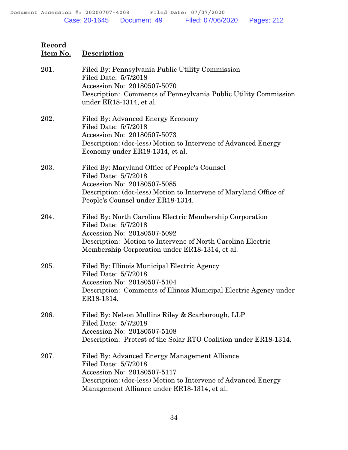| 201. | Filed By: Pennsylvania Public Utility Commission<br>Filed Date: 5/7/2018<br>Accession No: 20180507-5070<br>Description: Comments of Pennsylvania Public Utility Commission<br>under ER18-1314, et al.                            |
|------|----------------------------------------------------------------------------------------------------------------------------------------------------------------------------------------------------------------------------------|
| 202. | Filed By: Advanced Energy Economy<br>Filed Date: 5/7/2018<br>Accession No: 20180507-5073<br>Description: (doc-less) Motion to Intervene of Advanced Energy<br>Economy under ER18-1314, et al.                                    |
| 203. | Filed By: Maryland Office of People's Counsel<br>Filed Date: 5/7/2018<br>Accession No: 20180507-5085<br>Description: (doc-less) Motion to Intervene of Maryland Office of<br>People's Counsel under ER18-1314.                   |
| 204. | Filed By: North Carolina Electric Membership Corporation<br>Filed Date: 5/7/2018<br>Accession No: 20180507-5092<br>Description: Motion to Intervene of North Carolina Electric<br>Membership Corporation under ER18-1314, et al. |
| 205. | Filed By: Illinois Municipal Electric Agency<br>Filed Date: 5/7/2018<br>Accession No: 20180507-5104<br>Description: Comments of Illinois Municipal Electric Agency under<br>ER18-1314.                                           |
| 206. | Filed By: Nelson Mullins Riley & Scarborough, LLP<br>Filed Date: 5/7/2018<br>Accession No: 20180507-5108<br>Description: Protest of the Solar RTO Coalition under ER18-1314.                                                     |
| 207. | Filed By: Advanced Energy Management Alliance<br>Filed Date: 5/7/2018<br>Accession No: 20180507-5117<br>Description: (doc-less) Motion to Intervene of Advanced Energy<br>Management Alliance under ER18-1314, et al.            |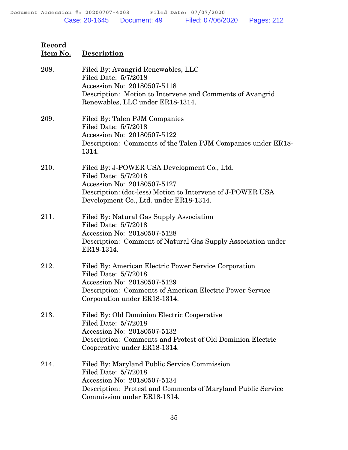| 208. | Filed By: Avangrid Renewables, LLC<br>Filed Date: 5/7/2018<br>Accession No: 20180507-5118<br>Description: Motion to Intervene and Comments of Avangrid<br>Renewables, LLC under ER18-1314.                 |
|------|------------------------------------------------------------------------------------------------------------------------------------------------------------------------------------------------------------|
| 209. | Filed By: Talen PJM Companies<br>Filed Date: 5/7/2018<br>Accession No: 20180507-5122<br>Description: Comments of the Talen PJM Companies under ER18-<br>1314.                                              |
| 210. | Filed By: J-POWER USA Development Co., Ltd.<br>Filed Date: 5/7/2018<br>Accession No: 20180507-5127<br>Description: (doc-less) Motion to Intervene of J-POWER USA<br>Development Co., Ltd. under ER18-1314. |
| 211. | Filed By: Natural Gas Supply Association<br>Filed Date: 5/7/2018<br>Accession No: 20180507-5128<br>Description: Comment of Natural Gas Supply Association under<br>ER18-1314.                              |
| 212. | Filed By: American Electric Power Service Corporation<br>Filed Date: 5/7/2018<br>Accession No: 20180507-5129<br>Description: Comments of American Electric Power Service<br>Corporation under ER18-1314.   |
| 213. | Filed By: Old Dominion Electric Cooperative<br>Filed Date: 5/7/2018<br>Accession No: 20180507-5132<br>Description: Comments and Protest of Old Dominion Electric<br>Cooperative under ER18-1314.           |
| 214. | Filed By: Maryland Public Service Commission<br>Filed Date: 5/7/2018<br>Accession No: 20180507-5134<br>Description: Protest and Comments of Maryland Public Service<br>Commission under ER18-1314.         |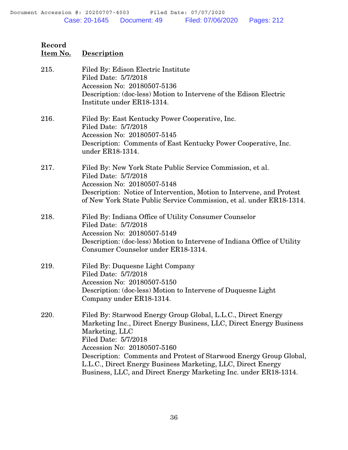| 215. | Filed By: Edison Electric Institute<br>Filed Date: 5/7/2018<br>Accession No: 20180507-5136<br>Description: (doc-less) Motion to Intervene of the Edison Electric<br>Institute under ER18-1314.                                                                                                                                                                                                                          |
|------|-------------------------------------------------------------------------------------------------------------------------------------------------------------------------------------------------------------------------------------------------------------------------------------------------------------------------------------------------------------------------------------------------------------------------|
| 216. | Filed By: East Kentucky Power Cooperative, Inc.<br>Filed Date: 5/7/2018<br>Accession No: 20180507-5145<br>Description: Comments of East Kentucky Power Cooperative, Inc.<br>under ER18-1314.                                                                                                                                                                                                                            |
| 217. | Filed By: New York State Public Service Commission, et al.<br>Filed Date: 5/7/2018<br>Accession No: 20180507-5148<br>Description: Notice of Intervention, Motion to Intervene, and Protest<br>of New York State Public Service Commission, et al. under ER18-1314.                                                                                                                                                      |
| 218. | Filed By: Indiana Office of Utility Consumer Counselor<br>Filed Date: 5/7/2018<br>Accession No: 20180507-5149<br>Description: (doc-less) Motion to Intervene of Indiana Office of Utility<br>Consumer Counselor under ER18-1314.                                                                                                                                                                                        |
| 219. | Filed By: Duquesne Light Company<br>Filed Date: 5/7/2018<br>Accession No: 20180507-5150<br>Description: (doc-less) Motion to Intervene of Duquesne Light<br>Company under ER18-1314.                                                                                                                                                                                                                                    |
| 220. | Filed By: Starwood Energy Group Global, L.L.C., Direct Energy<br>Marketing Inc., Direct Energy Business, LLC, Direct Energy Business<br>Marketing, LLC<br>Filed Date: 5/7/2018<br>Accession No: 20180507-5160<br>Description: Comments and Protest of Starwood Energy Group Global,<br>L.L.C., Direct Energy Business Marketing, LLC, Direct Energy<br>Business, LLC, and Direct Energy Marketing Inc. under ER18-1314. |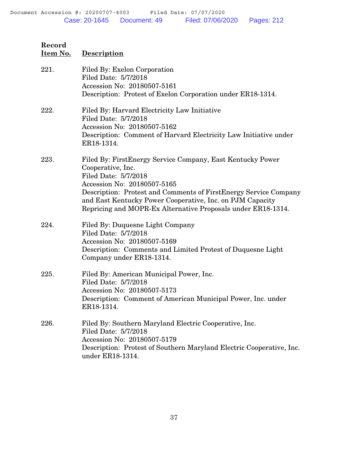# **Record Item No. Description** 221. Filed By: Exelon Corporation Filed Date: 5/7/2018 Accession No: 20180507-5161 Description: Protest of Exelon Corporation under ER18-1314. 222. Filed By: Harvard Electricity Law Initiative Filed Date: 5/7/2018 Accession No: 20180507-5162 Description: Comment of Harvard Electricity Law Initiative under ER18-1314. 223. Filed By: FirstEnergy Service Company, East Kentucky Power

- Cooperative, Inc. Filed Date: 5/7/2018 Accession No: 20180507-5165 Description: Protest and Comments of FirstEnergy Service Company and East Kentucky Power Cooperative, Inc. on PJM Capacity Repricing and MOPR-Ex Alternative Proposals under ER18-1314.
- 224. Filed By: Duquesne Light Company Filed Date: 5/7/2018 Accession No: 20180507-5169 Description: Comments and Limited Protest of Duquesne Light Company under ER18-1314.
- 225. Filed By: American Municipal Power, Inc. Filed Date: 5/7/2018 Accession No: 20180507-5173 Description: Comment of American Municipal Power, Inc. under ER18-1314.
- 226. Filed By: Southern Maryland Electric Cooperative, Inc. Filed Date: 5/7/2018 Accession No: 20180507-5179 Description: Protest of Southern Maryland Electric Cooperative, Inc. under ER18-1314.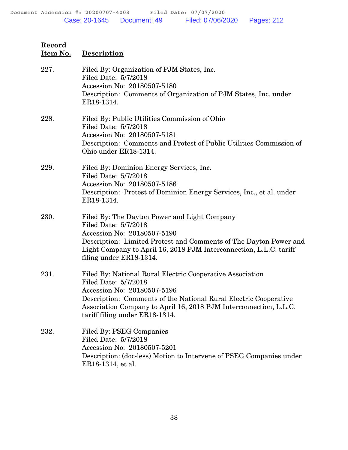## **Item No. Description** 227. Filed By: Organization of PJM States, Inc. Filed Date: 5/7/2018 Accession No: 20180507-5180 Description: Comments of Organization of PJM States, Inc. under ER18-1314. 228. Filed By: Public Utilities Commission of Ohio Filed Date: 5/7/2018 Accession No: 20180507-5181 Description: Comments and Protest of Public Utilities Commission of Ohio under ER18-1314. 229. Filed By: Dominion Energy Services, Inc. Filed Date: 5/7/2018 Accession No: 20180507-5186 Description: Protest of Dominion Energy Services, Inc., et al. under ER18-1314. 230. Filed By: The Dayton Power and Light Company Filed Date: 5/7/2018 Accession No: 20180507-5190 Description: Limited Protest and Comments of The Dayton Power and Light Company to April 16, 2018 PJM Interconnection, L.L.C. tariff filing under ER18-1314. 231. Filed By: National Rural Electric Cooperative Association Filed Date: 5/7/2018 Accession No: 20180507-5196 Description: Comments of the National Rural Electric Cooperative Association Company to April 16, 2018 PJM Interconnection, L.L.C. tariff filing under ER18-1314. 232. Filed By: PSEG Companies Filed Date: 5/7/2018 Accession No: 20180507-5201 Description: (doc-less) Motion to Intervene of PSEG Companies under ER18-1314, et al.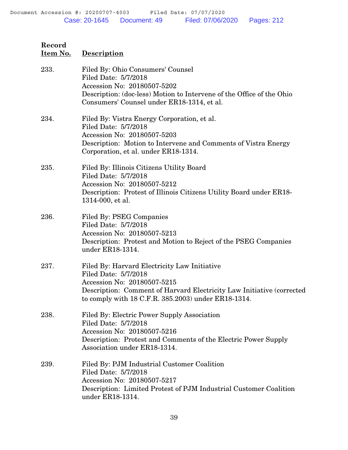| 233. | Filed By: Ohio Consumers' Counsel<br>Filed Date: 5/7/2018<br>Accession No: 20180507-5202<br>Description: (doc-less) Motion to Intervene of the Office of the Ohio<br>Consumers' Counsel under ER18-1314, et al.                     |
|------|-------------------------------------------------------------------------------------------------------------------------------------------------------------------------------------------------------------------------------------|
| 234. | Filed By: Vistra Energy Corporation, et al.<br>Filed Date: 5/7/2018<br>Accession No: 20180507-5203<br>Description: Motion to Intervene and Comments of Vistra Energy<br>Corporation, et al. under ER18-1314.                        |
| 235. | Filed By: Illinois Citizens Utility Board<br>Filed Date: 5/7/2018<br>Accession No: 20180507-5212<br>Description: Protest of Illinois Citizens Utility Board under ER18-<br>1314-000, et al.                                         |
| 236. | <b>Filed By: PSEG Companies</b><br>Filed Date: 5/7/2018<br>Accession No: 20180507-5213<br>Description: Protest and Motion to Reject of the PSEG Companies<br>under ER18-1314.                                                       |
| 237. | Filed By: Harvard Electricity Law Initiative<br>Filed Date: 5/7/2018<br>Accession No: 20180507-5215<br>Description: Comment of Harvard Electricity Law Initiative (corrected<br>to comply with 18 C.F.R. 385.2003) under ER18-1314. |
| 238. | Filed By: Electric Power Supply Association<br>Filed Date: 5/7/2018<br>Accession No: 20180507-5216<br>Description: Protest and Comments of the Electric Power Supply<br>Association under ER18-1314.                                |
| 239. | Filed By: PJM Industrial Customer Coalition<br>Filed Date: 5/7/2018<br>Accession No: 20180507-5217<br>Description: Limited Protest of PJM Industrial Customer Coalition<br>under ER18-1314.                                         |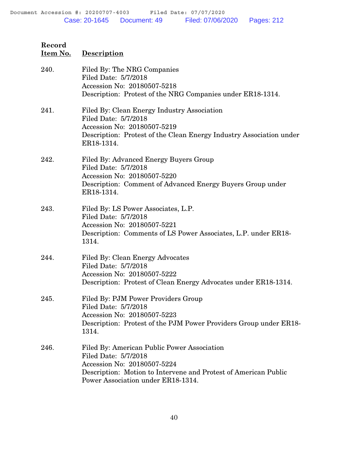| Record<br>Item No. | <b>Description</b>                                                                                                                                                                                          |
|--------------------|-------------------------------------------------------------------------------------------------------------------------------------------------------------------------------------------------------------|
| 240.               | Filed By: The NRG Companies<br>Filed Date: 5/7/2018<br>Accession No: 20180507-5218<br>Description: Protest of the NRG Companies under ER18-1314.                                                            |
| 241.               | Filed By: Clean Energy Industry Association<br>Filed Date: 5/7/2018<br>Accession No: 20180507-5219<br>Description: Protest of the Clean Energy Industry Association under<br>ER18-1314.                     |
| 242.               | Filed By: Advanced Energy Buyers Group<br>Filed Date: 5/7/2018<br>Accession No: 20180507-5220<br>Description: Comment of Advanced Energy Buyers Group under<br>ER18-1314.                                   |
| 243.               | Filed By: LS Power Associates, L.P.<br>Filed Date: 5/7/2018<br>Accession No: 20180507-5221<br>Description: Comments of LS Power Associates, L.P. under ER18-<br>1314.                                       |
| 244.               | Filed By: Clean Energy Advocates<br>Filed Date: 5/7/2018<br>Accession No: 20180507-5222<br>Description: Protest of Clean Energy Advocates under ER18-1314.                                                  |
| 245.               | Filed By: PJM Power Providers Group<br>Filed Date: 5/7/2018<br>Accession No: 20180507-5223<br>Description: Protest of the PJM Power Providers Group under ER18-<br>1314.                                    |
| 246.               | Filed By: American Public Power Association<br>Filed Date: 5/7/2018<br>Accession No: 20180507-5224<br>Description: Motion to Intervene and Protest of American Public<br>Power Association under ER18-1314. |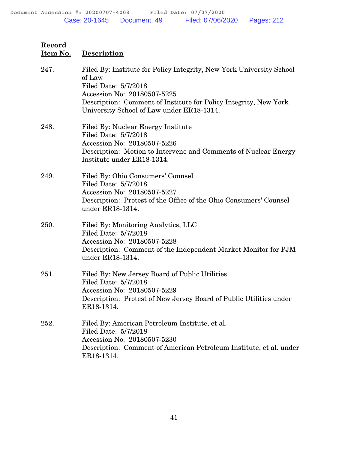| 247. | Filed By: Institute for Policy Integrity, New York University School<br>of Law<br>Filed Date: 5/7/2018<br>Accession No: 20180507-5225<br>Description: Comment of Institute for Policy Integrity, New York<br>University School of Law under ER18-1314. |
|------|--------------------------------------------------------------------------------------------------------------------------------------------------------------------------------------------------------------------------------------------------------|
| 248. | Filed By: Nuclear Energy Institute<br>Filed Date: 5/7/2018<br>Accession No: 20180507-5226<br>Description: Motion to Intervene and Comments of Nuclear Energy<br>Institute under ER18-1314.                                                             |
| 249. | Filed By: Ohio Consumers' Counsel<br>Filed Date: 5/7/2018<br>Accession No: 20180507-5227<br>Description: Protest of the Office of the Ohio Consumers' Counsel<br>under ER18-1314.                                                                      |
| 250. | Filed By: Monitoring Analytics, LLC<br>Filed Date: 5/7/2018<br>Accession No: 20180507-5228<br>Description: Comment of the Independent Market Monitor for PJM<br>under ER18-1314.                                                                       |
| 251. | Filed By: New Jersey Board of Public Utilities<br>Filed Date: 5/7/2018<br>Accession No: 20180507-5229<br>Description: Protest of New Jersey Board of Public Utilities under<br>ER18-1314.                                                              |
| 252. | Filed By: American Petroleum Institute, et al.<br>Filed Date: 5/7/2018<br>Accession No: 20180507-5230<br>Description: Comment of American Petroleum Institute, et al. under<br>ER18-1314.                                                              |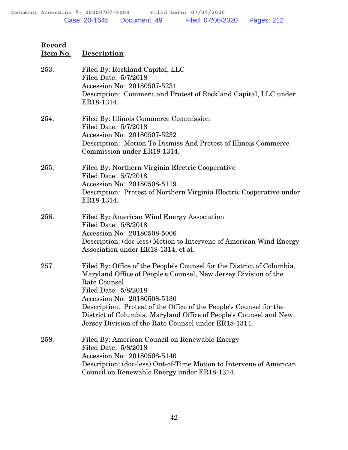| Record<br>Item No. | <b>Description</b>                                                                                                                                                                                                                                                                                                                                                                                                  |
|--------------------|---------------------------------------------------------------------------------------------------------------------------------------------------------------------------------------------------------------------------------------------------------------------------------------------------------------------------------------------------------------------------------------------------------------------|
| 253.               | Filed By: Rockland Capital, LLC<br>Filed Date: 5/7/2018<br>Accession No: 20180507-5231<br>Description: Comment and Protest of Rockland Capital, LLC under<br>ER18-1314.                                                                                                                                                                                                                                             |
| 254.               | Filed By: Illinois Commerce Commission<br>Filed Date: 5/7/2018<br>Accession No: 20180507-5232<br>Description: Motion To Dismiss And Protest of Illinois Commerce<br>Commission under ER18-1314.                                                                                                                                                                                                                     |
| 255.               | Filed By: Northern Virginia Electric Cooperative<br>Filed Date: 5/7/2018<br>Accession No: 20180508-5119<br>Description: Protest of Northern Virginia Electric Cooperative under<br>ER18-1314.                                                                                                                                                                                                                       |
| 256.               | Filed By: American Wind Energy Association<br>Filed Date: 5/8/2018<br>Accession No: 20180508-5006<br>Description: (doc-less) Motion to Intervene of American Wind Energy<br>Association under ER18-1314, et al.                                                                                                                                                                                                     |
| 257.               | Filed By: Office of the People's Counsel for the District of Columbia,<br>Maryland Office of People's Counsel, New Jersey Division of the<br>Rate Counsel<br>Filed Date: 5/8/2018<br>Accession No: 20180508-5130<br>Description: Protest of the Office of the People's Counsel for the<br>District of Columbia, Maryland Office of People's Counsel and New<br>Jersey Division of the Rate Counsel under ER18-1314. |
| 258.               | Filed By: American Council on Renewable Energy<br>Filed Date: 5/8/2018<br>Accession No: 20180508-5140<br>Description: (doc-less) Out-of-Time Motion to Intervene of American<br>Council on Renewable Energy under ER18-1314.                                                                                                                                                                                        |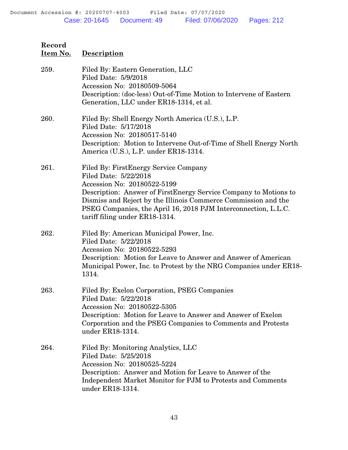| 259. | Filed By: Eastern Generation, LLC<br>Filed Date: 5/9/2018<br>Accession No: 20180509-5064<br>Description: (doc-less) Out-of-Time Motion to Intervene of Eastern<br>Generation, LLC under ER18-1314, et al.                                                                                                                                |
|------|------------------------------------------------------------------------------------------------------------------------------------------------------------------------------------------------------------------------------------------------------------------------------------------------------------------------------------------|
| 260. | Filed By: Shell Energy North America (U.S.), L.P.<br>Filed Date: 5/17/2018<br>Accession No: 20180517-5140<br>Description: Motion to Intervene Out-of-Time of Shell Energy North<br>America (U.S.), L.P. under ER18-1314.                                                                                                                 |
| 261. | Filed By: First Energy Service Company<br>Filed Date: 5/22/2018<br>Accession No: 20180522-5199<br>Description: Answer of FirstEnergy Service Company to Motions to<br>Dismiss and Reject by the Illinois Commerce Commission and the<br>PSEG Companies, the April 16, 2018 PJM Interconnection, L.L.C.<br>tariff filing under ER18-1314. |
| 262. | Filed By: American Municipal Power, Inc.<br>Filed Date: 5/22/2018<br>Accession No: 20180522-5293<br>Description: Motion for Leave to Answer and Answer of American<br>Municipal Power, Inc. to Protest by the NRG Companies under ER18-<br>1314.                                                                                         |
| 263. | Filed By: Exelon Corporation, PSEG Companies<br>Filed Date: 5/22/2018<br>Accession No: 20180522-5305<br>Description: Motion for Leave to Answer and Answer of Exelon<br>Corporation and the PSEG Companies to Comments and Protests<br>under ER18-1314.                                                                                  |
| 264. | Filed By: Monitoring Analytics, LLC<br>Filed Date: 5/25/2018<br>Accession No: 20180525-5224<br>Description: Answer and Motion for Leave to Answer of the<br>Independent Market Monitor for PJM to Protests and Comments<br>under ER18-1314.                                                                                              |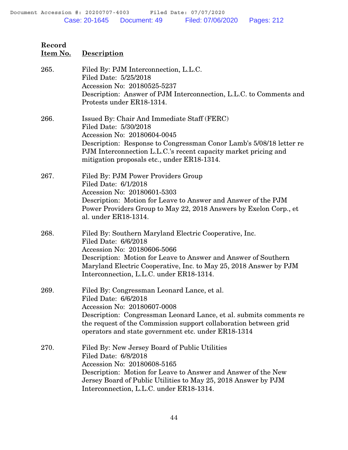| Item No. | <b>Description</b>                                                                                                                                                                                                                                                                                  |  |
|----------|-----------------------------------------------------------------------------------------------------------------------------------------------------------------------------------------------------------------------------------------------------------------------------------------------------|--|
| 265.     | Filed By: PJM Interconnection, L.L.C.<br>Filed Date: 5/25/2018<br>Accession No: 20180525-5237<br>Description: Answer of PJM Interconnection, L.L.C. to Comments and<br>Protests under ER18-1314.                                                                                                    |  |
| 266.     | Issued By: Chair And Immediate Staff (FERC)<br>Filed Date: 5/30/2018<br>Accession No: 20180604-0045<br>Description: Response to Congressman Conor Lamb's 5/08/18 letter re<br>PJM Interconnection L.L.C.'s recent capacity market pricing and<br>mitigation proposals etc., under ER18-1314.        |  |
| 267.     | Filed By: PJM Power Providers Group<br>Filed Date: 6/1/2018<br>Accession No: 20180601-5303<br>Description: Motion for Leave to Answer and Answer of the PJM<br>Power Providers Group to May 22, 2018 Answers by Exelon Corp., et<br>al. under ER18-1314.                                            |  |
| 268.     | Filed By: Southern Maryland Electric Cooperative, Inc.<br>Filed Date: 6/6/2018<br>Accession No: 20180606-5066<br>Description: Motion for Leave to Answer and Answer of Southern<br>Maryland Electric Cooperative, Inc. to May 25, 2018 Answer by PJM<br>Interconnection, L.L.C. under ER18-1314.    |  |
| 269.     | Filed By: Congressman Leonard Lance, et al.<br>Filed Date: 6/6/2018<br>Accession No: 20180607-0008<br>Description: Congressman Leonard Lance, et al. submits comments re<br>the request of the Commission support collaboration between grid<br>operators and state government etc. under ER18-1314 |  |
| 270.     | Filed By: New Jersey Board of Public Utilities<br>Filed Date: 6/8/2018<br>Accession No: 20180608-5165<br>Description: Motion for Leave to Answer and Answer of the New<br>Jersey Board of Public Utilities to May 25, 2018 Answer by PJM<br>Interconnection, L.L.C. under ER18-1314.                |  |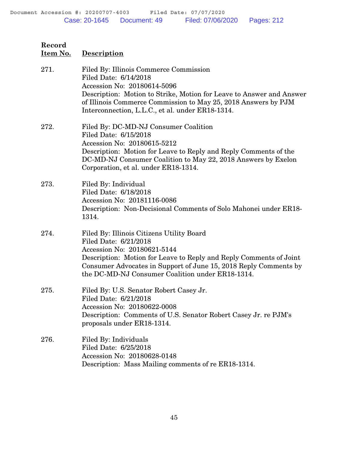**Item No. Description**

| 271. | Filed By: Illinois Commerce Commission<br>Filed Date: 6/14/2018<br>Accession No: 20180614-5096<br>Description: Motion to Strike, Motion for Leave to Answer and Answer<br>of Illinois Commerce Commission to May 25, 2018 Answers by PJM<br>Interconnection, L.L.C., et al. under ER18-1314.    |
|------|-------------------------------------------------------------------------------------------------------------------------------------------------------------------------------------------------------------------------------------------------------------------------------------------------|
| 272. | Filed By: DC-MD-NJ Consumer Coalition<br>Filed Date: 6/15/2018<br>Accession No: 20180615-5212<br>Description: Motion for Leave to Reply and Reply Comments of the<br>DC-MD-NJ Consumer Coalition to May 22, 2018 Answers by Exelon<br>Corporation, et al. under ER18-1314.                      |
| 273. | Filed By: Individual<br>Filed Date: 6/18/2018<br>Accession No: 20181116-0086<br>Description: Non-Decisional Comments of Solo Mahonei under ER18-<br>1314.                                                                                                                                       |
| 274. | Filed By: Illinois Citizens Utility Board<br>Filed Date: 6/21/2018<br>Accession No: 20180621-5144<br>Description: Motion for Leave to Reply and Reply Comments of Joint<br>Consumer Advocates in Support of June 15, 2018 Reply Comments by<br>the DC-MD-NJ Consumer Coalition under ER18-1314. |
| 275. | Filed By: U.S. Senator Robert Casey Jr.<br>Filed Date: 6/21/2018<br>Accession No: 20180622-0008<br>Description: Comments of U.S. Senator Robert Casey Jr. re PJM's<br>proposals under ER18-1314.                                                                                                |
| 276. | Filed By: Individuals<br>Filed Date: 6/25/2018<br>Accession No: 20180628-0148<br>Description: Mass Mailing comments of re ER18-1314.                                                                                                                                                            |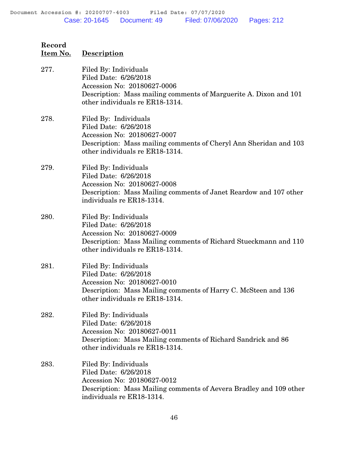**Record Item No. Description** 277. Filed By: Individuals Filed Date: 6/26/2018 Accession No: 20180627-0006 Description: Mass mailing comments of Marguerite A. Dixon and 101 other individuals re ER18-1314. 278. Filed By: Individuals Filed Date: 6/26/2018 Accession No: 20180627-0007 Description: Mass mailing comments of Cheryl Ann Sheridan and 103 other individuals re ER18-1314. 279. Filed By: Individuals Filed Date: 6/26/2018 Accession No: 20180627-0008 Description: Mass Mailing comments of Janet Reardow and 107 other individuals re ER18-1314. 280. Filed By: Individuals Filed Date: 6/26/2018 Accession No: 20180627-0009 Description: Mass Mailing comments of Richard Stueckmann and 110 other individuals re ER18-1314. 281. Filed By: Individuals Filed Date: 6/26/2018 Accession No: 20180627-0010 Description: Mass Mailing comments of Harry C. McSteen and 136 other individuals re ER18-1314. 282. Filed By: Individuals Filed Date: 6/26/2018 Accession No: 20180627-0011 Description: Mass Mailing comments of Richard Sandrick and 86 other individuals re ER18-1314. 283. Filed By: Individuals Filed Date: 6/26/2018 Accession No: 20180627-0012 Description: Mass Mailing comments of Aevera Bradley and 109 other individuals re ER18-1314.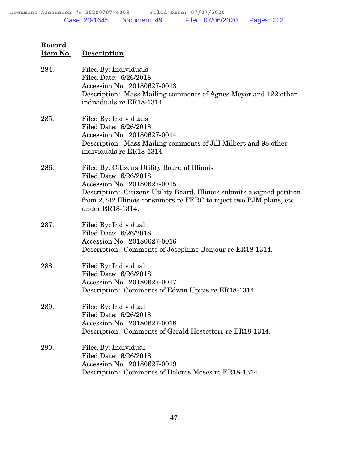| Record<br>Item No. | <b>Description</b>                                                                                                                                                                                                                                                         |
|--------------------|----------------------------------------------------------------------------------------------------------------------------------------------------------------------------------------------------------------------------------------------------------------------------|
| 284.               | Filed By: Individuals<br>Filed Date: 6/26/2018<br>Accession No: 20180627-0013<br>Description: Mass Mailing comments of Agnes Meyer and 122 other<br>individuals re ER18-1314.                                                                                              |
| 285.               | Filed By: Individuals<br>Filed Date: 6/26/2018<br>Accession No: 20180627-0014<br>Description: Mass Mailing comments of Jill Milbert and 98 other<br>individuals re ER18-1314.                                                                                              |
| 286.               | Filed By: Citizens Utility Board of Illinois<br>Filed Date: 6/26/2018<br>Accession No: 20180627-0015<br>Description: Citizens Utility Board, Illinois submits a signed petition<br>from 2,742 Illinois consumers re FERC to reject two PJM plans, etc.<br>under ER18-1314. |
| 287.               | Filed By: Individual<br>Filed Date: 6/26/2018<br>Accession No: 20180627-0016<br>Description: Comments of Josephine Bonjour re ER18-1314.                                                                                                                                   |
| 288.               | Filed By: Individual<br>Filed Date: 6/26/2018<br>Accession No: 20180627-0017<br>Description: Comments of Edwin Upitis re ER18-1314.                                                                                                                                        |
| 289.               | Filed By: Individual<br>Filed Date: 6/26/2018<br>Accession No: 20180627-0018<br>Description: Comments of Gerald Hostetterr re ER18-1314.                                                                                                                                   |
| 290.               | Filed By: Individual<br>Filed Date: 6/26/2018<br>Accession No: 20180627-0019<br>Description: Comments of Dolores Moses re ER18-1314.                                                                                                                                       |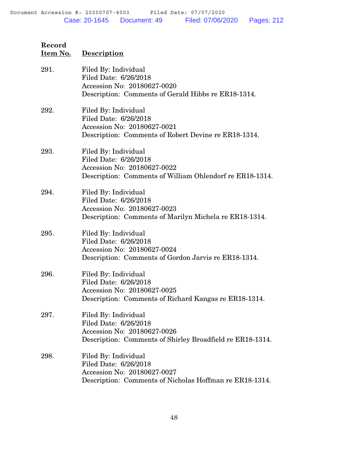| Item No. | <b>Description</b>                                                                                                                        |  |
|----------|-------------------------------------------------------------------------------------------------------------------------------------------|--|
| 291.     | Filed By: Individual<br>Filed Date: 6/26/2018<br>Accession No: 20180627-0020<br>Description: Comments of Gerald Hibbs re ER18-1314.       |  |
| 292.     | Filed By: Individual<br>Filed Date: 6/26/2018<br>Accession No: 20180627-0021<br>Description: Comments of Robert Devine re ER18-1314.      |  |
| 293.     | Filed By: Individual<br>Filed Date: 6/26/2018<br>Accession No: 20180627-0022<br>Description: Comments of William Ohlendorf re ER18-1314.  |  |
| 294.     | Filed By: Individual<br>Filed Date: 6/26/2018<br>Accession No: 20180627-0023<br>Description: Comments of Marilyn Michela re ER18-1314.    |  |
| 295.     | Filed By: Individual<br>Filed Date: 6/26/2018<br>Accession No: 20180627-0024<br>Description: Comments of Gordon Jarvis re ER18-1314.      |  |
| 296.     | Filed By: Individual<br>Filed Date: 6/26/2018<br>Accession No: 20180627-0025<br>Description: Comments of Richard Kangas re ER18-1314.     |  |
| 297.     | Filed By: Individual<br>Filed Date: 6/26/2018<br>Accession No: 20180627-0026<br>Description: Comments of Shirley Broadfield re ER18-1314. |  |
| 298.     | Filed By: Individual<br>Filed Date: 6/26/2018<br>Accession No: 20180627-0027<br>Description: Comments of Nicholas Hoffman re ER18-1314.   |  |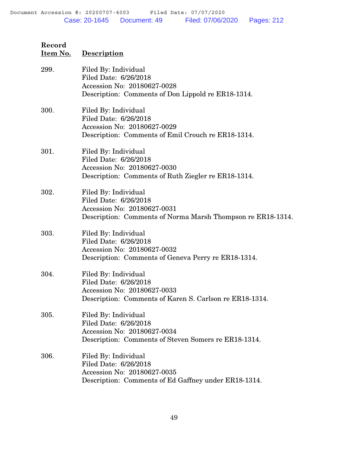| 299. | Filed By: Individual<br>Filed Date: 6/26/2018<br>Accession No: 20180627-0028<br>Description: Comments of Don Lippold re ER18-1314.          |
|------|---------------------------------------------------------------------------------------------------------------------------------------------|
| 300. | Filed By: Individual<br>Filed Date: 6/26/2018<br>Accession No: 20180627-0029<br>Description: Comments of Emil Crouch re ER18-1314.          |
| 301. | Filed By: Individual<br>Filed Date: 6/26/2018<br>Accession No: 20180627-0030<br>Description: Comments of Ruth Ziegler re ER18-1314.         |
| 302. | Filed By: Individual<br>Filed Date: 6/26/2018<br>Accession No: 20180627-0031<br>Description: Comments of Norma Marsh Thompson re ER18-1314. |
| 303. | Filed By: Individual<br>Filed Date: 6/26/2018<br>Accession No: 20180627-0032<br>Description: Comments of Geneva Perry re ER18-1314.         |
| 304. | Filed By: Individual<br>Filed Date: 6/26/2018<br>Accession No: 20180627-0033<br>Description: Comments of Karen S. Carlson re ER18-1314.     |
| 305. | Filed By: Individual<br>Filed Date: 6/26/2018<br>Accession No: 20180627-0034<br>Description: Comments of Steven Somers re ER18-1314.        |
| 306. | Filed By: Individual<br>Filed Date: 6/26/2018<br>Accession No: 20180627-0035<br>Description: Comments of Ed Gaffney under ER18-1314.        |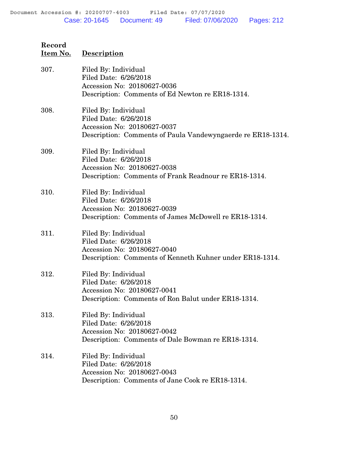| 307. | Filed By: Individual<br>Filed Date: 6/26/2018<br>Accession No: 20180627-0036<br>Description: Comments of Ed Newton re ER18-1314.            |
|------|---------------------------------------------------------------------------------------------------------------------------------------------|
| 308. | Filed By: Individual<br>Filed Date: 6/26/2018<br>Accession No: 20180627-0037<br>Description: Comments of Paula Vandewyngaerde re ER18-1314. |
| 309. | Filed By: Individual<br>Filed Date: 6/26/2018<br>Accession No: 20180627-0038<br>Description: Comments of Frank Readnour re ER18-1314.       |
| 310. | Filed By: Individual<br>Filed Date: 6/26/2018<br>Accession No: 20180627-0039<br>Description: Comments of James McDowell re ER18-1314.       |
| 311. | Filed By: Individual<br>Filed Date: 6/26/2018<br>Accession No: 20180627-0040<br>Description: Comments of Kenneth Kuhner under ER18-1314.    |
| 312. | Filed By: Individual<br>Filed Date: 6/26/2018<br>Accession No: 20180627-0041<br>Description: Comments of Ron Balut under ER18-1314.         |
| 313. | Filed By: Individual<br>Filed Date: 6/26/2018<br>Accession No: 20180627-0042<br>Description: Comments of Dale Bowman re ER18-1314.          |
| 314. | Filed By: Individual<br>Filed Date: 6/26/2018<br>Accession No: 20180627-0043<br>Description: Comments of Jane Cook re ER18-1314.            |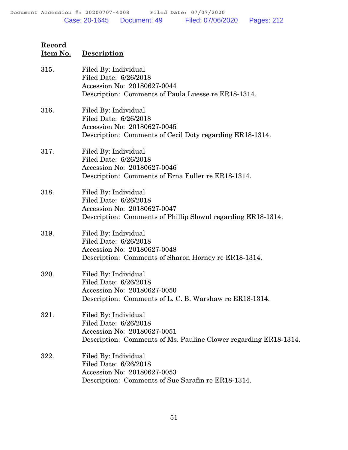| Record   |             |
|----------|-------------|
| Item No. | Description |

| 315. | Filed By: Individual<br>Filed Date: 6/26/2018<br>Accession No: 20180627-0044<br>Description: Comments of Paula Luesse re ER18-1314.              |
|------|--------------------------------------------------------------------------------------------------------------------------------------------------|
| 316. | Filed By: Individual<br>Filed Date: 6/26/2018<br>Accession No: 20180627-0045<br>Description: Comments of Cecil Doty regarding ER18-1314.         |
| 317. | Filed By: Individual<br>Filed Date: 6/26/2018<br>Accession No: 20180627-0046<br>Description: Comments of Erna Fuller re ER18-1314.               |
| 318. | Filed By: Individual<br>Filed Date: 6/26/2018<br>Accession No: 20180627-0047<br>Description: Comments of Phillip Slownl regarding ER18-1314.     |
| 319. | Filed By: Individual<br>Filed Date: 6/26/2018<br>Accession No: 20180627-0048<br>Description: Comments of Sharon Horney re ER18-1314.             |
| 320. | Filed By: Individual<br>Filed Date: 6/26/2018<br>Accession No: 20180627-0050<br>Description: Comments of L. C. B. Warshaw re ER18-1314.          |
| 321. | Filed By: Individual<br>Filed Date: 6/26/2018<br>Accession No: 20180627-0051<br>Description: Comments of Ms. Pauline Clower regarding ER18-1314. |
| 322. | Filed By: Individual<br>Filed Date: 6/26/2018<br>Accession No: 20180627-0053<br>Description: Comments of Sue Sarafin re ER18-1314.               |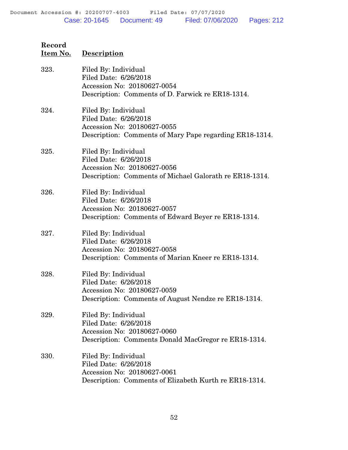# **Record Item No. Description** 323. Filed By: Individual Filed Date: 6/26/2018 Accession No: 20180627-0054 Description: Comments of D. Farwick re ER18-1314. 324. Filed By: Individual Filed Date: 6/26/2018 Accession No: 20180627-0055 Description: Comments of Mary Pape regarding ER18-1314. 325. Filed By: Individual Filed Date: 6/26/2018 Accession No: 20180627-0056 Description: Comments of Michael Galorath re ER18-1314. 326. Filed By: Individual Filed Date: 6/26/2018 Accession No: 20180627-0057 Description: Comments of Edward Beyer re ER18-1314. 327. Filed By: Individual

# Filed Date: 6/26/2018 Accession No: 20180627-0058 Description: Comments of Marian Kneer re ER18-1314.

#### 328. Filed By: Individual Filed Date: 6/26/2018 Accession No: 20180627-0059 Description: Comments of August Nendze re ER18-1314.

## 329. Filed By: Individual Filed Date: 6/26/2018 Accession No: 20180627-0060 Description: Comments Donald MacGregor re ER18-1314.

#### 330. Filed By: Individual Filed Date: 6/26/2018 Accession No: 20180627-0061 Description: Comments of Elizabeth Kurth re ER18-1314.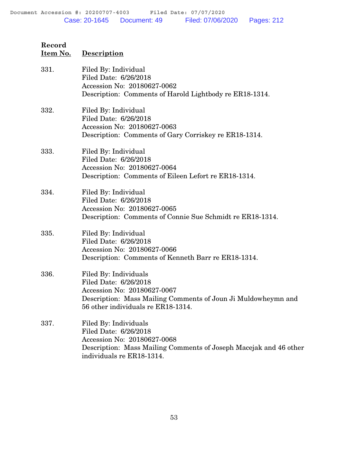| Item No. | <b>Description</b>                                                                                                                                                                   |
|----------|--------------------------------------------------------------------------------------------------------------------------------------------------------------------------------------|
| 331.     | Filed By: Individual<br>Filed Date: 6/26/2018<br>Accession No: 20180627-0062<br>Description: Comments of Harold Lightbody re ER18-1314.                                              |
| 332.     | Filed By: Individual<br>Filed Date: 6/26/2018<br>Accession No: 20180627-0063<br>Description: Comments of Gary Corriskey re ER18-1314.                                                |
| 333.     | Filed By: Individual<br>Filed Date: 6/26/2018<br>Accession No: 20180627-0064<br>Description: Comments of Eileen Lefort re ER18-1314.                                                 |
| 334.     | Filed By: Individual<br>Filed Date: 6/26/2018<br>Accession No: 20180627-0065<br>Description: Comments of Connie Sue Schmidt re ER18-1314.                                            |
| 335.     | Filed By: Individual<br>Filed Date: 6/26/2018<br>Accession No: 20180627-0066<br>Description: Comments of Kenneth Barr re ER18-1314.                                                  |
| 336.     | Filed By: Individuals<br>Filed Date: 6/26/2018<br>Accession No: 20180627-0067<br>Description: Mass Mailing Comments of Joun Ji Muldowheymn and<br>56 other individuals re ER18-1314. |
| 337.     | Filed By: Individuals<br>Filed Date: 6/26/2018<br>Accession No: 20180627-0068<br>Description: Mass Mailing Comments of Joseph Macejak and 46 other<br>individuals re ER18-1314.      |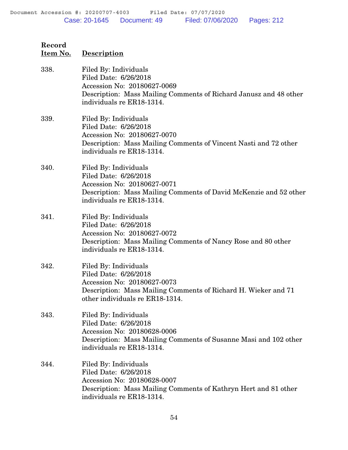| Record<br>Item No. | <b>Description</b>                                                                                                                                                                 |
|--------------------|------------------------------------------------------------------------------------------------------------------------------------------------------------------------------------|
| 338.               | Filed By: Individuals<br>Filed Date: 6/26/2018<br>Accession No: 20180627-0069<br>Description: Mass Mailing Comments of Richard Janusz and 48 other<br>individuals re ER18-1314.    |
| 339.               | Filed By: Individuals<br>Filed Date: 6/26/2018<br>Accession No: 20180627-0070<br>Description: Mass Mailing Comments of Vincent Nasti and 72 other<br>individuals re ER18-1314.     |
| 340.               | Filed By: Individuals<br>Filed Date: 6/26/2018<br>Accession No: 20180627-0071<br>Description: Mass Mailing Comments of David McKenzie and 52 other<br>individuals re ER18-1314.    |
| 341.               | Filed By: Individuals<br>Filed Date: 6/26/2018<br>Accession No: 20180627-0072<br>Description: Mass Mailing Comments of Nancy Rose and 80 other<br>individuals re ER18-1314.        |
| 342.               | Filed By: Individuals<br>Filed Date: 6/26/2018<br>Accession No: 20180627-0073<br>Description: Mass Mailing Comments of Richard H. Wieker and 71<br>other individuals re ER18-1314. |
| 343.               | Filed By: Individuals<br>Filed Date: 6/26/2018<br>Accession No: 20180628-0006<br>Description: Mass Mailing Comments of Susanne Masi and 102 other<br>individuals re ER18-1314.     |
| 344.               | Filed By: Individuals<br>Filed Date: 6/26/2018<br>Accession No: 20180628-0007<br>Description: Mass Mailing Comments of Kathryn Hert and 81 other<br>individuals re ER18-1314.      |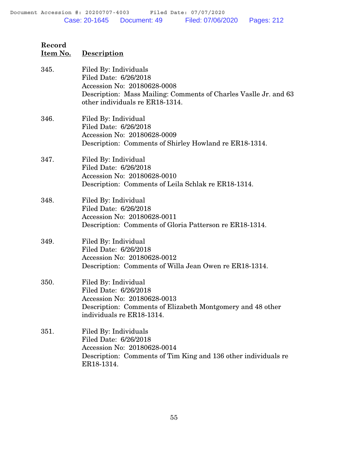| Record<br>Item No. | <b>Description</b>                                                                                                                                                                   |
|--------------------|--------------------------------------------------------------------------------------------------------------------------------------------------------------------------------------|
| 345.               | Filed By: Individuals<br>Filed Date: 6/26/2018<br>Accession No: 20180628-0008<br>Description: Mass Mailing: Comments of Charles Vaslle Jr. and 63<br>other individuals re ER18-1314. |
| 346.               | Filed By: Individual<br>Filed Date: 6/26/2018<br>Accession No: 20180628-0009<br>Description: Comments of Shirley Howland re ER18-1314.                                               |
| 347.               | Filed By: Individual<br>Filed Date: 6/26/2018<br>Accession No: 20180628-0010<br>Description: Comments of Leila Schlak re ER18-1314.                                                  |
| 348.               | Filed By: Individual<br>Filed Date: 6/26/2018<br>Accession No: 20180628-0011<br>Description: Comments of Gloria Patterson re ER18-1314.                                              |
| 349.               | Filed By: Individual<br>Filed Date: 6/26/2018<br>Accession No: 20180628-0012<br>Description: Comments of Willa Jean Owen re ER18-1314.                                               |
| 350.               | Filed By: Individual<br>Filed Date: 6/26/2018<br>Accession No: 20180628-0013<br>Description: Comments of Elizabeth Montgomery and 48 other<br>individuals re ER18-1314.              |
| 351.               | Filed By: Individuals<br>Filed Date: 6/26/2018<br>Accession No: 20180628-0014<br>Description: Comments of Tim King and 136 other individuals re                                      |

ER18-1314.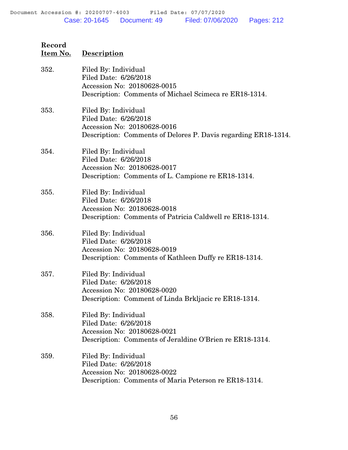| Record<br><u>Item No.</u> | <b>Description</b>                                                                                                                             |
|---------------------------|------------------------------------------------------------------------------------------------------------------------------------------------|
| 352.                      | Filed By: Individual<br>Filed Date: 6/26/2018<br>Accession No: 20180628-0015<br>Description: Comments of Michael Scimeca re ER18-1314.         |
| 353.                      | Filed By: Individual<br>Filed Date: 6/26/2018<br>Accession No: 20180628-0016<br>Description: Comments of Delores P. Davis regarding ER18-1314. |
| 354.                      | Filed By: Individual<br>Filed Date: 6/26/2018<br>Accession No: 20180628-0017<br>Description: Comments of L. Campione re ER18-1314.             |
| 355.                      | Filed By: Individual<br>Filed Date: 6/26/2018<br>Accession No: 20180628-0018<br>Description: Comments of Patricia Caldwell re ER18-1314.       |
| 356.                      | Filed By: Individual<br>Filed Date: 6/26/2018<br>Accession No: 20180628-0019<br>Description: Comments of Kathleen Duffy re ER18-1314.          |
| 357.                      | Filed By: Individual<br>Filed Date: 6/26/2018<br>Accession No: 20180628-0020<br>Description: Comment of Linda Brkljacic re ER18-1314.          |
| 358.                      | Filed By: Individual<br>Filed Date: 6/26/2018<br>Accession No: 20180628-0021<br>Description: Comments of Jeraldine O'Brien re ER18-1314.       |
| 359.                      | Filed By: Individual<br>Filed Date: 6/26/2018<br>Accession No: 20180628-0022<br>Description: Comments of Maria Peterson re ER18-1314.          |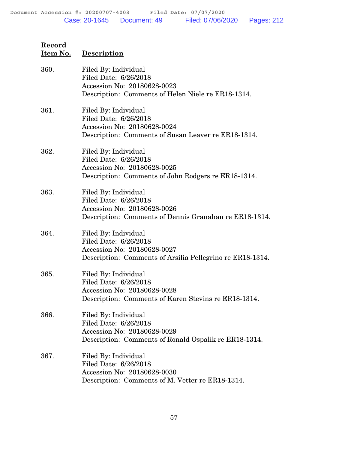| 360. | Filed By: Individual<br>Filed Date: 6/26/2018<br>Accession No: 20180628-0023<br>Description: Comments of Helen Niele re ER18-1314.        |
|------|-------------------------------------------------------------------------------------------------------------------------------------------|
| 361. | Filed By: Individual<br>Filed Date: 6/26/2018<br>Accession No: 20180628-0024<br>Description: Comments of Susan Leaver re ER18-1314.       |
| 362. | Filed By: Individual<br>Filed Date: 6/26/2018<br>Accession No: 20180628-0025<br>Description: Comments of John Rodgers re ER18-1314.       |
| 363. | Filed By: Individual<br>Filed Date: 6/26/2018<br>Accession No: 20180628-0026<br>Description: Comments of Dennis Granahan re ER18-1314.    |
| 364. | Filed By: Individual<br>Filed Date: 6/26/2018<br>Accession No: 20180628-0027<br>Description: Comments of Arsilia Pellegrino re ER18-1314. |
| 365. | Filed By: Individual<br>Filed Date: 6/26/2018<br>Accession No: 20180628-0028<br>Description: Comments of Karen Stevins re ER18-1314.      |
| 366. | Filed By: Individual<br>Filed Date: 6/26/2018<br>Accession No: 20180628-0029<br>Description: Comments of Ronald Ospalik re ER18-1314.     |
| 367. | Filed By: Individual<br>Filed Date: 6/26/2018<br>Accession No: 20180628-0030<br>Description: Comments of M. Vetter re ER18-1314.          |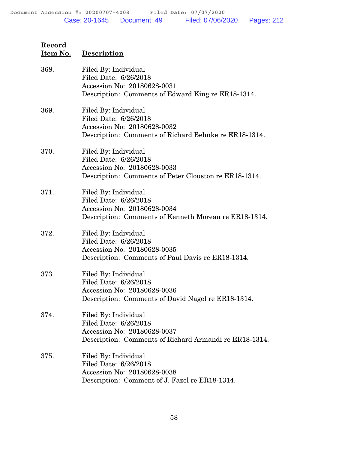| 368. | Filed By: Individual<br>Filed Date: 6/26/2018<br>Accession No: 20180628-0031<br>Description: Comments of Edward King re ER18-1314.     |
|------|----------------------------------------------------------------------------------------------------------------------------------------|
| 369. | Filed By: Individual<br>Filed Date: 6/26/2018<br>Accession No: 20180628-0032<br>Description: Comments of Richard Behnke re ER18-1314.  |
| 370. | Filed By: Individual<br>Filed Date: 6/26/2018<br>Accession No: 20180628-0033<br>Description: Comments of Peter Clouston re ER18-1314.  |
| 371. | Filed By: Individual<br>Filed Date: 6/26/2018<br>Accession No: 20180628-0034<br>Description: Comments of Kenneth Moreau re ER18-1314.  |
| 372. | Filed By: Individual<br>Filed Date: 6/26/2018<br>Accession No: 20180628-0035<br>Description: Comments of Paul Davis re ER18-1314.      |
| 373. | Filed By: Individual<br>Filed Date: 6/26/2018<br>Accession No: 20180628-0036<br>Description: Comments of David Nagel re ER18-1314.     |
| 374. | Filed By: Individual<br>Filed Date: 6/26/2018<br>Accession No: 20180628-0037<br>Description: Comments of Richard Armandi re ER18-1314. |
| 375. | Filed By: Individual<br>Filed Date: 6/26/2018<br>Accession No: 20180628-0038<br>Description: Comment of J. Fazel re ER18-1314.         |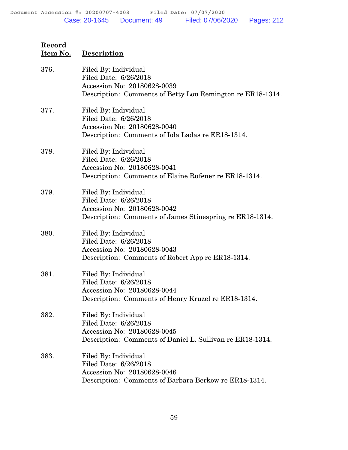| Record   |                    |
|----------|--------------------|
| Item No. | <b>Description</b> |

| 376. | Filed By: Individual<br>Filed Date: 6/26/2018<br>Accession No: 20180628-0039<br>Description: Comments of Betty Lou Remington re ER18-1314. |
|------|--------------------------------------------------------------------------------------------------------------------------------------------|
| 377. | Filed By: Individual<br>Filed Date: 6/26/2018<br>Accession No: 20180628-0040<br>Description: Comments of Iola Ladas re ER18-1314.          |
| 378. | Filed By: Individual<br>Filed Date: 6/26/2018<br>Accession No: 20180628-0041<br>Description: Comments of Elaine Rufener re ER18-1314.      |
| 379. | Filed By: Individual<br>Filed Date: 6/26/2018<br>Accession No: 20180628-0042<br>Description: Comments of James Stinespring re ER18-1314.   |
| 380. | Filed By: Individual<br>Filed Date: 6/26/2018<br>Accession No: 20180628-0043<br>Description: Comments of Robert App re ER18-1314.          |
| 381. | Filed By: Individual<br>Filed Date: 6/26/2018<br>Accession No: 20180628-0044<br>Description: Comments of Henry Kruzel re ER18-1314.        |
| 382. | Filed By: Individual<br>Filed Date: 6/26/2018<br>Accession No: 20180628-0045<br>Description: Comments of Daniel L. Sullivan re ER18-1314.  |
| 383. | Filed By: Individual<br>Filed Date: 6/26/2018<br>Accession No: 20180628-0046<br>Description: Comments of Barbara Berkow re ER18-1314.      |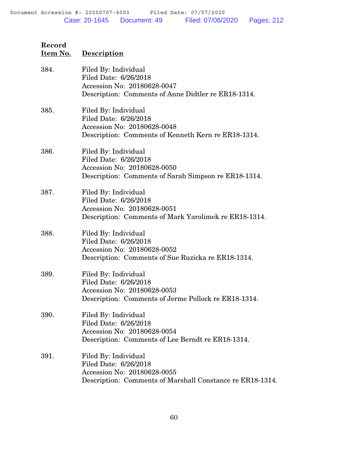| 384. | Filed By: Individual<br>Filed Date: 6/26/2018<br>Accession No: 20180628-0047<br>Description: Comments of Anne Didtler re ER18-1314.       |
|------|-------------------------------------------------------------------------------------------------------------------------------------------|
| 385. | Filed By: Individual<br>Filed Date: 6/26/2018<br>Accession No: 20180628-0048<br>Description: Comments of Kenneth Kern re ER18-1314.       |
| 386. | Filed By: Individual<br>Filed Date: 6/26/2018<br>Accession No: 20180628-0050<br>Description: Comments of Sarah Simpson re ER18-1314.      |
| 387. | Filed By: Individual<br>Filed Date: 6/26/2018<br>Accession No: 20180628-0051<br>Description: Comments of Mark Yarolimek re ER18-1314.     |
| 388. | Filed By: Individual<br>Filed Date: 6/26/2018<br>Accession No: 20180628-0052<br>Description: Comments of Sue Ruzicka re ER18-1314.        |
| 389. | Filed By: Individual<br>Filed Date: 6/26/2018<br>Accession No: 20180628-0053<br>Description: Comments of Jerme Pollock re ER18-1314.      |
| 390. | Filed By: Individual<br>Filed Date: 6/26/2018<br>Accession No: 20180628-0054<br>Description: Comments of Lee Berndt re ER18-1314.         |
| 391. | Filed By: Individual<br>Filed Date: 6/26/2018<br>Accession No: 20180628-0055<br>Description: Comments of Marshall Constance re ER18-1314. |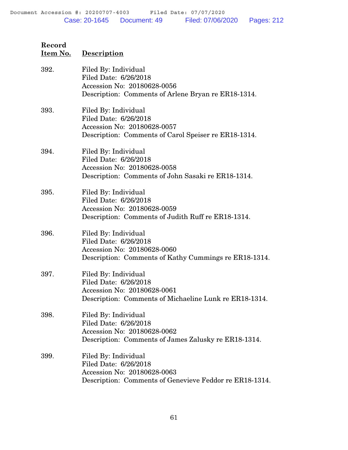| Record   |             |
|----------|-------------|
| Item No. | Description |

| 392. | Filed By: Individual<br>Filed Date: 6/26/2018<br>Accession No: 20180628-0056<br>Description: Comments of Arlene Bryan re ER18-1314.     |
|------|-----------------------------------------------------------------------------------------------------------------------------------------|
| 393. | Filed By: Individual<br>Filed Date: 6/26/2018<br>Accession No: 20180628-0057<br>Description: Comments of Carol Speiser re ER18-1314.    |
| 394. | Filed By: Individual<br>Filed Date: 6/26/2018<br>Accession No: 20180628-0058<br>Description: Comments of John Sasaki re ER18-1314.      |
| 395. | Filed By: Individual<br>Filed Date: 6/26/2018<br>Accession No: 20180628-0059<br>Description: Comments of Judith Ruff re ER18-1314.      |
| 396. | Filed By: Individual<br>Filed Date: 6/26/2018<br>Accession No: 20180628-0060<br>Description: Comments of Kathy Cummings re ER18-1314.   |
| 397. | Filed By: Individual<br>Filed Date: 6/26/2018<br>Accession No: 20180628-0061<br>Description: Comments of Michaeline Lunk re ER18-1314.  |
| 398. | Filed By: Individual<br>Filed Date: 6/26/2018<br>Accession No: 20180628-0062<br>Description: Comments of James Zalusky re ER18-1314.    |
| 399. | Filed By: Individual<br>Filed Date: 6/26/2018<br>Accession No: 20180628-0063<br>Description: Comments of Genevieve Feddor re ER18-1314. |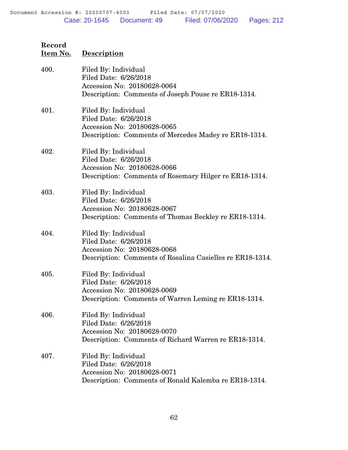| Record   |                    |
|----------|--------------------|
| Item No. | <b>Description</b> |

| 400. | Filed By: Individual<br>Filed Date: 6/26/2018<br>Accession No: 20180628-0064<br>Description: Comments of Joseph Pouse re ER18-1314.       |
|------|-------------------------------------------------------------------------------------------------------------------------------------------|
| 401. | Filed By: Individual<br>Filed Date: 6/26/2018<br>Accession No: 20180628-0065<br>Description: Comments of Mercedes Madey re ER18-1314.     |
| 402. | Filed By: Individual<br>Filed Date: 6/26/2018<br>Accession No: 20180628-0066<br>Description: Comments of Rosemary Hilger re ER18-1314.    |
| 403. | Filed By: Individual<br>Filed Date: 6/26/2018<br>Accession No: 20180628-0067<br>Description: Comments of Thomas Beckley re ER18-1314.     |
| 404. | Filed By: Individual<br>Filed Date: 6/26/2018<br>Accession No: 20180628-0068<br>Description: Comments of Rosalina Casielles re ER18-1314. |
| 405. | Filed By: Individual<br>Filed Date: 6/26/2018<br>Accession No: 20180628-0069<br>Description: Comments of Warren Leming re ER18-1314.      |
| 406. | Filed By: Individual<br>Filed Date: 6/26/2018<br>Accession No: 20180628-0070<br>Description: Comments of Richard Warren re ER18-1314.     |
| 407. | Filed By: Individual<br>Filed Date: 6/26/2018<br>Accession No: 20180628-0071<br>Description: Comments of Ronald Kalemba re ER18-1314.     |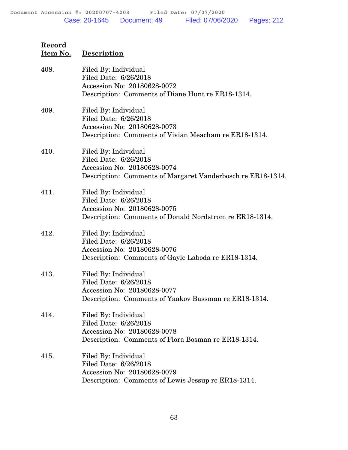| Record   |                    |
|----------|--------------------|
| Item No. | <b>Description</b> |

| 408. | Filed By: Individual<br>Filed Date: 6/26/2018<br>Accession No: 20180628-0072<br>Description: Comments of Diane Hunt re ER18-1314.           |
|------|---------------------------------------------------------------------------------------------------------------------------------------------|
| 409. | Filed By: Individual<br>Filed Date: 6/26/2018<br>Accession No: 20180628-0073<br>Description: Comments of Vivian Meacham re ER18-1314.       |
| 410. | Filed By: Individual<br>Filed Date: 6/26/2018<br>Accession No: 20180628-0074<br>Description: Comments of Margaret Vanderbosch re ER18-1314. |
| 411. | Filed By: Individual<br>Filed Date: 6/26/2018<br>Accession No: 20180628-0075<br>Description: Comments of Donald Nordstrom re ER18-1314.     |
| 412. | Filed By: Individual<br>Filed Date: 6/26/2018<br>Accession No: 20180628-0076<br>Description: Comments of Gayle Laboda re ER18-1314.         |
| 413. | Filed By: Individual<br>Filed Date: 6/26/2018<br>Accession No: 20180628-0077<br>Description: Comments of Yaakov Bassman re ER18-1314.       |
| 414. | Filed By: Individual<br>Filed Date: 6/26/2018<br>Accession No: 20180628-0078<br>Description: Comments of Flora Bosman re ER18-1314.         |
| 415. | Filed By: Individual<br>Filed Date: 6/26/2018<br>Accession No: 20180628-0079<br>Description: Comments of Lewis Jessup re ER18-1314.         |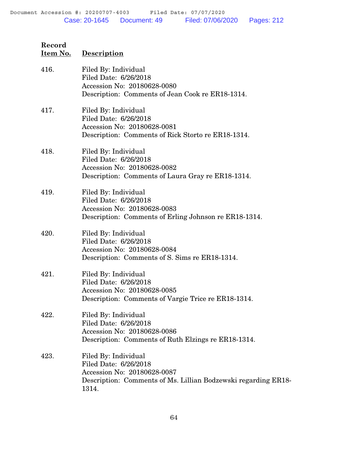| Record   |             |
|----------|-------------|
| Item No. | Description |

| 416. | Filed By: Individual<br>Filed Date: 6/26/2018<br>Accession No: 20180628-0080<br>Description: Comments of Jean Cook re ER18-1314.                        |
|------|---------------------------------------------------------------------------------------------------------------------------------------------------------|
| 417. | Filed By: Individual<br>Filed Date: 6/26/2018<br>Accession No: 20180628-0081<br>Description: Comments of Rick Storto re ER18-1314.                      |
| 418. | Filed By: Individual<br>Filed Date: 6/26/2018<br>Accession No: 20180628-0082<br>Description: Comments of Laura Gray re ER18-1314.                       |
| 419. | Filed By: Individual<br>Filed Date: 6/26/2018<br>Accession No: 20180628-0083<br>Description: Comments of Erling Johnson re ER18-1314.                   |
| 420. | Filed By: Individual<br>Filed Date: 6/26/2018<br>Accession No: 20180628-0084<br>Description: Comments of S. Sims re ER18-1314.                          |
| 421. | Filed By: Individual<br>Filed Date: 6/26/2018<br>Accession No: 20180628-0085<br>Description: Comments of Vargie Trice re ER18-1314.                     |
| 422. | Filed By: Individual<br>Filed Date: 6/26/2018<br>Accession No: 20180628-0086<br>Description: Comments of Ruth Elzings re ER18-1314.                     |
| 423. | Filed By: Individual<br>Filed Date: 6/26/2018<br>Accession No: 20180628-0087<br>Description: Comments of Ms. Lillian Bodzewski regarding ER18-<br>1314. |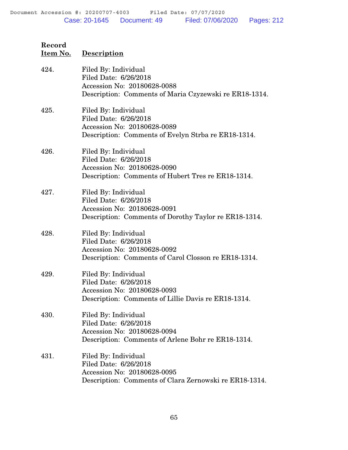| 424. | Filed By: Individual<br>Filed Date: 6/26/2018<br>Accession No: 20180628-0088<br>Description: Comments of Maria Czyzewski re ER18-1314. |
|------|----------------------------------------------------------------------------------------------------------------------------------------|
| 425. | Filed By: Individual<br>Filed Date: 6/26/2018<br>Accession No: 20180628-0089<br>Description: Comments of Evelyn Strba re ER18-1314.    |
| 426. | Filed By: Individual<br>Filed Date: 6/26/2018<br>Accession No: 20180628-0090<br>Description: Comments of Hubert Tres re ER18-1314.     |
| 427. | Filed By: Individual<br>Filed Date: 6/26/2018<br>Accession No: 20180628-0091<br>Description: Comments of Dorothy Taylor re ER18-1314.  |
| 428. | Filed By: Individual<br>Filed Date: 6/26/2018<br>Accession No: 20180628-0092<br>Description: Comments of Carol Closson re ER18-1314.   |
| 429. | Filed By: Individual<br>Filed Date: 6/26/2018<br>Accession No: 20180628-0093<br>Description: Comments of Lillie Davis re ER18-1314.    |
| 430. | Filed By: Individual<br>Filed Date: 6/26/2018<br>Accession No: 20180628-0094<br>Description: Comments of Arlene Bohr re ER18-1314.     |
| 431. | Filed By: Individual<br>Filed Date: 6/26/2018<br>Accession No: 20180628-0095<br>Description: Comments of Clara Zernowski re ER18-1314. |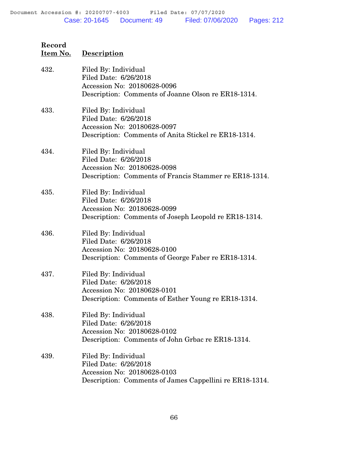# **Record Item No. Description** 432. Filed By: Individual Filed Date: 6/26/2018 Accession No: 20180628-0096 Description: Comments of Joanne Olson re ER18-1314. 433. Filed By: Individual

Filed Date: 6/26/2018 Accession No: 20180628-0097 Description: Comments of Anita Stickel re ER18-1314.

#### 434. Filed By: Individual Filed Date: 6/26/2018 Accession No: 20180628-0098 Description: Comments of Francis Stammer re ER18-1314.

435. Filed By: Individual Filed Date: 6/26/2018 Accession No: 20180628-0099 Description: Comments of Joseph Leopold re ER18-1314.

#### 436. Filed By: Individual Filed Date: 6/26/2018 Accession No: 20180628-0100 Description: Comments of George Faber re ER18-1314.

- 437. Filed By: Individual Filed Date: 6/26/2018 Accession No: 20180628-0101 Description: Comments of Esther Young re ER18-1314.
- 438. Filed By: Individual Filed Date: 6/26/2018 Accession No: 20180628-0102 Description: Comments of John Grbac re ER18-1314.
- 439. Filed By: Individual Filed Date: 6/26/2018 Accession No: 20180628-0103 Description: Comments of James Cappellini re ER18-1314.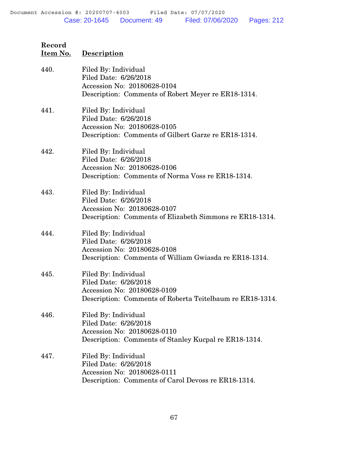| Record   |             |
|----------|-------------|
| Item No. | Description |

| 440. | Filed By: Individual<br>Filed Date: 6/26/2018<br>Accession No: 20180628-0104<br>Description: Comments of Robert Meyer re ER18-1314.       |
|------|-------------------------------------------------------------------------------------------------------------------------------------------|
| 441. | Filed By: Individual<br>Filed Date: 6/26/2018<br>Accession No: 20180628-0105<br>Description: Comments of Gilbert Garze re ER18-1314.      |
| 442. | Filed By: Individual<br>Filed Date: 6/26/2018<br>Accession No: 20180628-0106<br>Description: Comments of Norma Voss re ER18-1314.         |
| 443. | Filed By: Individual<br>Filed Date: 6/26/2018<br>Accession No: 20180628-0107<br>Description: Comments of Elizabeth Simmons re ER18-1314.  |
| 444. | Filed By: Individual<br>Filed Date: 6/26/2018<br>Accession No: 20180628-0108<br>Description: Comments of William Gwiasda re ER18-1314.    |
| 445. | Filed By: Individual<br>Filed Date: 6/26/2018<br>Accession No: 20180628-0109<br>Description: Comments of Roberta Teitelbaum re ER18-1314. |
| 446. | Filed By: Individual<br>Filed Date: 6/26/2018<br>Accession No: 20180628-0110<br>Description: Comments of Stanley Kucpal re ER18-1314.     |
| 447. | Filed By: Individual<br>Filed Date: 6/26/2018<br>Accession No: 20180628-0111<br>Description: Comments of Carol Devoss re ER18-1314.       |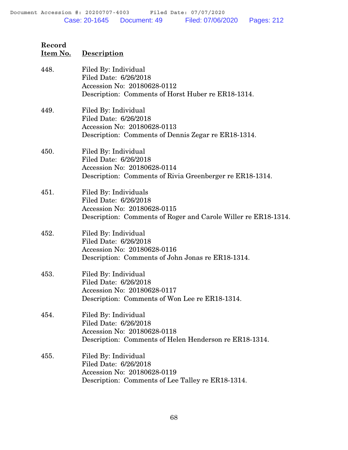| Record   |             |
|----------|-------------|
| Item No. | Description |

| 448. | Filed By: Individual<br>Filed Date: 6/26/2018<br>Accession No: 20180628-0112<br>Description: Comments of Horst Huber re ER18-1314.              |
|------|-------------------------------------------------------------------------------------------------------------------------------------------------|
| 449. | Filed By: Individual<br>Filed Date: 6/26/2018<br>Accession No: 20180628-0113<br>Description: Comments of Dennis Zegar re ER18-1314.             |
| 450. | Filed By: Individual<br>Filed Date: 6/26/2018<br>Accession No: 20180628-0114<br>Description: Comments of Rivia Greenberger re ER18-1314.        |
| 451. | Filed By: Individuals<br>Filed Date: 6/26/2018<br>Accession No: 20180628-0115<br>Description: Comments of Roger and Carole Willer re ER18-1314. |
| 452. | Filed By: Individual<br>Filed Date: 6/26/2018<br>Accession No: 20180628-0116<br>Description: Comments of John Jonas re ER18-1314.               |
| 453. | Filed By: Individual<br>Filed Date: 6/26/2018<br>Accession No: 20180628-0117<br>Description: Comments of Won Lee re ER18-1314.                  |
| 454. | Filed By: Individual<br>Filed Date: 6/26/2018<br>Accession No: 20180628-0118<br>Description: Comments of Helen Henderson re ER18-1314.          |
| 455. | Filed By: Individual<br>Filed Date: 6/26/2018<br>Accession No: 20180628-0119<br>Description: Comments of Lee Talley re ER18-1314.               |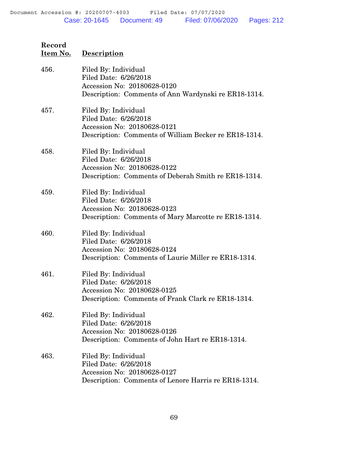| Record   |             |
|----------|-------------|
| Item No. | Description |

| 456. | Filed By: Individual<br>Filed Date: 6/26/2018<br>Accession No: 20180628-0120<br>Description: Comments of Ann Wardynski re ER18-1314.  |
|------|---------------------------------------------------------------------------------------------------------------------------------------|
| 457. | Filed By: Individual<br>Filed Date: 6/26/2018<br>Accession No: 20180628-0121<br>Description: Comments of William Becker re ER18-1314. |
| 458. | Filed By: Individual<br>Filed Date: 6/26/2018<br>Accession No: 20180628-0122<br>Description: Comments of Deberah Smith re ER18-1314.  |
| 459. | Filed By: Individual<br>Filed Date: 6/26/2018<br>Accession No: 20180628-0123<br>Description: Comments of Mary Marcotte re ER18-1314.  |
| 460. | Filed By: Individual<br>Filed Date: 6/26/2018<br>Accession No: 20180628-0124<br>Description: Comments of Laurie Miller re ER18-1314.  |
| 461. | Filed By: Individual<br>Filed Date: 6/26/2018<br>Accession No: 20180628-0125<br>Description: Comments of Frank Clark re ER18-1314.    |
| 462. | Filed By: Individual<br>Filed Date: 6/26/2018<br>Accession No: 20180628-0126<br>Description: Comments of John Hart re ER18-1314.      |
| 463. | Filed By: Individual<br>Filed Date: 6/26/2018<br>Accession No: 20180628-0127<br>Description: Comments of Lenore Harris re ER18-1314.  |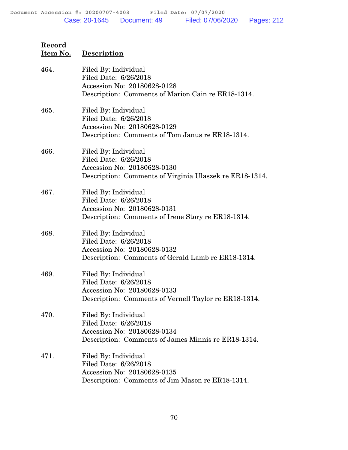| Record   |                    |
|----------|--------------------|
| Item No. | <b>Description</b> |

| 464. | Filed By: Individual<br>Filed Date: 6/26/2018<br>Accession No: 20180628-0128<br>Description: Comments of Marion Cain re ER18-1314.      |
|------|-----------------------------------------------------------------------------------------------------------------------------------------|
| 465. | Filed By: Individual<br>Filed Date: 6/26/2018<br>Accession No: 20180628-0129<br>Description: Comments of Tom Janus re ER18-1314.        |
| 466. | Filed By: Individual<br>Filed Date: 6/26/2018<br>Accession No: 20180628-0130<br>Description: Comments of Virginia Ulaszek re ER18-1314. |
| 467. | Filed By: Individual<br>Filed Date: 6/26/2018<br>Accession No: 20180628-0131<br>Description: Comments of Irene Story re ER18-1314.      |
| 468. | Filed By: Individual<br>Filed Date: 6/26/2018<br>Accession No: 20180628-0132<br>Description: Comments of Gerald Lamb re ER18-1314.      |
| 469. | Filed By: Individual<br>Filed Date: 6/26/2018<br>Accession No: 20180628-0133<br>Description: Comments of Vernell Taylor re ER18-1314.   |
| 470. | Filed By: Individual<br>Filed Date: 6/26/2018<br>Accession No: 20180628-0134<br>Description: Comments of James Minnis re ER18-1314.     |
| 471. | Filed By: Individual<br>Filed Date: 6/26/2018<br>Accession No: 20180628-0135<br>Description: Comments of Jim Mason re ER18-1314.        |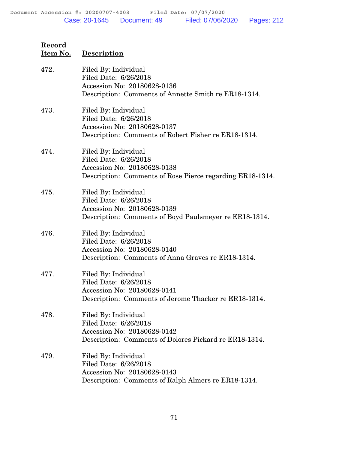| 472. | Filed By: Individual<br>Filed Date: 6/26/2018<br>Accession No: 20180628-0136<br>Description: Comments of Annette Smith re ER18-1314.      |
|------|-------------------------------------------------------------------------------------------------------------------------------------------|
| 473. | Filed By: Individual<br>Filed Date: 6/26/2018<br>Accession No: 20180628-0137<br>Description: Comments of Robert Fisher re ER18-1314.      |
| 474. | Filed By: Individual<br>Filed Date: 6/26/2018<br>Accession No: 20180628-0138<br>Description: Comments of Rose Pierce regarding ER18-1314. |
| 475. | Filed By: Individual<br>Filed Date: 6/26/2018<br>Accession No: 20180628-0139<br>Description: Comments of Boyd Paulsmeyer re ER18-1314.    |
| 476. | Filed By: Individual<br>Filed Date: 6/26/2018<br>Accession No: 20180628-0140<br>Description: Comments of Anna Graves re ER18-1314.        |
| 477. | Filed By: Individual<br>Filed Date: 6/26/2018<br>Accession No: 20180628-0141<br>Description: Comments of Jerome Thacker re ER18-1314.     |
| 478. | Filed By: Individual<br>Filed Date: 6/26/2018<br>Accession No: 20180628-0142<br>Description: Comments of Dolores Pickard re ER18-1314.    |
| 479. | Filed By: Individual<br>Filed Date: 6/26/2018<br>Accession No: 20180628-0143<br>Description: Comments of Ralph Almers re ER18-1314.       |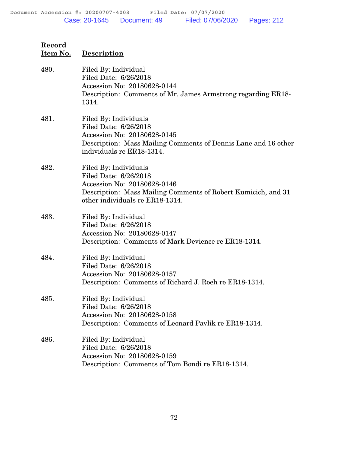| Record<br>Item No. | <b>Description</b>                                                                                                                                                                |
|--------------------|-----------------------------------------------------------------------------------------------------------------------------------------------------------------------------------|
| 480.               | Filed By: Individual<br>Filed Date: 6/26/2018<br>Accession No: 20180628-0144<br>Description: Comments of Mr. James Armstrong regarding ER18-<br>1314.                             |
| 481.               | Filed By: Individuals<br>Filed Date: 6/26/2018<br>Accession No: 20180628-0145<br>Description: Mass Mailing Comments of Dennis Lane and 16 other<br>individuals re ER18-1314.      |
| 482.               | Filed By: Individuals<br>Filed Date: 6/26/2018<br>Accession No: 20180628-0146<br>Description: Mass Mailing Comments of Robert Kumicich, and 31<br>other individuals re ER18-1314. |
| 483.               | Filed By: Individual<br>Filed Date: 6/26/2018<br>Accession No: 20180628-0147<br>Description: Comments of Mark Devience re ER18-1314.                                              |
| 484.               | Filed By: Individual<br>Filed Date: 6/26/2018<br>Accession No: 20180628-0157<br>Description: Comments of Richard J. Roeh re ER18-1314.                                            |
| 485.               | Filed By: Individual<br>Filed Date: 6/26/2018<br>Accession No: 20180628-0158<br>Description: Comments of Leonard Pavlik re ER18-1314.                                             |
| 486.               | Filed By: Individual<br>Filed Date: 6/26/2018<br>Accession No: 20180628-0159<br>Description: Comments of Tom Bondi re ER18-1314.                                                  |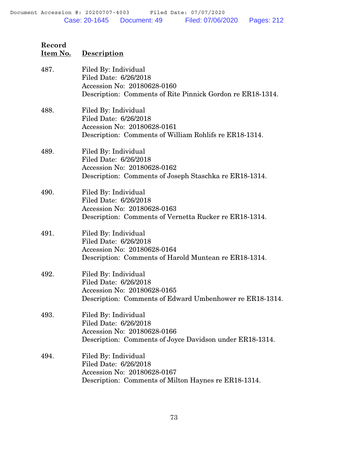Gordon re ER18-1314.

| Item No. | <b>Description</b>                                                                                                                      |
|----------|-----------------------------------------------------------------------------------------------------------------------------------------|
| 487.     | Filed By: Individual<br>Filed Date: 6/26/2018<br>Accession No: 20180628-0160<br>Description: Comments of Rite Pinnick Gordon re ER18-13 |
| 488.     | Filed By: Individual<br>Filed Date: 6/26/2018<br>Accession No: 20180628-0161<br>Description: Comments of William Rohlifs re ER18-1314.  |
| 489.     | Filed By: Individual<br>Filed Date: 6/26/2018<br>Accession No: 20180628-0162<br>Description: Comments of Joseph Staschka re ER18-1314.  |
| 490.     | Filed By: Individual<br>Filed Date: 6/26/2018<br>Accession No: 20180628-0163<br>Description: Comments of Vernetta Rucker re ER18-1314.  |
| 491.     | Filed By: Individual<br>Filed Date: 6/26/2018<br>Accession No: 20180628-0164<br>Description: Comments of Harold Muntean re ER18-1314.   |

**Record**

- 492. Filed By: Individual Filed Date: 6/26/2018 Accession No: 20180628-0165 Description: Comments of Edward Umbenhower re ER18-1314.
- 493. Filed By: Individual Filed Date: 6/26/2018 Accession No: 20180628-0166 Description: Comments of Joyce Davidson under ER18-1314.
- 494. Filed By: Individual Filed Date: 6/26/2018 Accession No: 20180628-0167 Description: Comments of Milton Haynes re ER18-1314.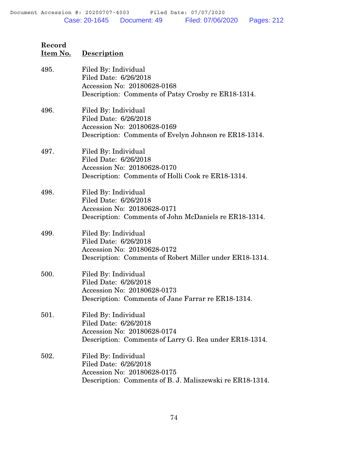| 495. | Filed By: Individual<br>Filed Date: 6/26/2018<br>Accession No: 20180628-0168<br>Description: Comments of Patsy Crosby re ER18-1314.      |
|------|------------------------------------------------------------------------------------------------------------------------------------------|
| 496. | Filed By: Individual<br>Filed Date: 6/26/2018<br>Accession No: 20180628-0169<br>Description: Comments of Evelyn Johnson re ER18-1314.    |
| 497. | Filed By: Individual<br>Filed Date: 6/26/2018<br>Accession No: 20180628-0170<br>Description: Comments of Holli Cook re ER18-1314.        |
| 498. | Filed By: Individual<br>Filed Date: 6/26/2018<br>Accession No: 20180628-0171<br>Description: Comments of John McDaniels re ER18-1314.    |
| 499. | Filed By: Individual<br>Filed Date: 6/26/2018<br>Accession No: 20180628-0172<br>Description: Comments of Robert Miller under ER18-1314.  |
| 500. | Filed By: Individual<br>Filed Date: 6/26/2018<br>Accession No: 20180628-0173<br>Description: Comments of Jane Farrar re ER18-1314.       |
| 501. | Filed By: Individual<br>Filed Date: 6/26/2018<br>Accession No: 20180628-0174<br>Description: Comments of Larry G. Rea under ER18-1314.   |
| 502. | Filed By: Individual<br>Filed Date: 6/26/2018<br>Accession No: 20180628-0175<br>Description: Comments of B. J. Maliszewski re ER18-1314. |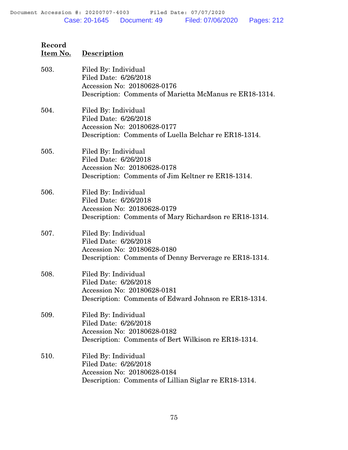| Item No. | Description                                                                                                                             |
|----------|-----------------------------------------------------------------------------------------------------------------------------------------|
| 503.     | Filed By: Individual<br>Filed Date: 6/26/2018<br>Accession No: 20180628-0176<br>Description: Comments of Marietta McManus re ER18-1314. |
| 504.     | Filed By: Individual<br>Filed Date: 6/26/2018<br>Accession No: 20180628-0177<br>Description: Comments of Luella Belchar re ER18-1314.   |
| 505.     | Filed By: Individual<br>Filed Date: 6/26/2018<br>Accession No: 20180628-0178<br>Description: Comments of Jim Keltner re ER18-1314.      |
| 506.     | Filed By: Individual<br>Filed Date: 6/26/2018<br>Accession No: 20180628-0179<br>Description: Comments of Mary Richardson re ER18-1314.  |
| 507.     | Filed By: Individual<br>Filed Date: 6/26/2018<br>Accession No: 20180628-0180<br>Description: Comments of Denny Berverage re ER18-1314.  |
| 508.     | Filed By: Individual<br>Filed Date: 6/26/2018<br>Accession No: 20180628-0181<br>Description: Comments of Edward Johnson re ER18-1314.   |
| 509.     | Filed By: Individual<br>Filed Date: 6/26/2018<br>Accession No: 20180628-0182<br>Description: Comments of Bert Wilkison re ER18-1314.    |
| 510.     | Filed By: Individual<br>Filed Date: 6/26/2018<br>Accession No: 20180628-0184<br>Description: Comments of Lillian Siglar re ER18-1314.   |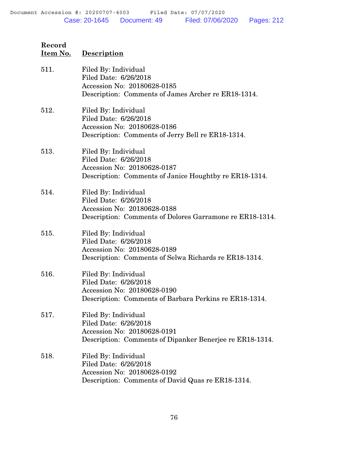| Record   |                    |
|----------|--------------------|
| Item No. | <b>Description</b> |

| 511. | Filed By: Individual<br>Filed Date: 6/26/2018<br>Accession No: 20180628-0185<br>Description: Comments of James Archer re ER18-1314.      |
|------|------------------------------------------------------------------------------------------------------------------------------------------|
| 512. | Filed By: Individual<br>Filed Date: 6/26/2018<br>Accession No: 20180628-0186<br>Description: Comments of Jerry Bell re ER18-1314.        |
| 513. | Filed By: Individual<br>Filed Date: 6/26/2018<br>Accession No: 20180628-0187<br>Description: Comments of Janice Houghtby re ER18-1314.   |
| 514. | Filed By: Individual<br>Filed Date: 6/26/2018<br>Accession No: 20180628-0188<br>Description: Comments of Dolores Garramone re ER18-1314. |
| 515. | Filed By: Individual<br>Filed Date: 6/26/2018<br>Accession No: 20180628-0189<br>Description: Comments of Selwa Richards re ER18-1314.    |
| 516. | Filed By: Individual<br>Filed Date: 6/26/2018<br>Accession No: 20180628-0190<br>Description: Comments of Barbara Perkins re ER18-1314.   |
| 517. | Filed By: Individual<br>Filed Date: 6/26/2018<br>Accession No: 20180628-0191<br>Description: Comments of Dipanker Benerjee re ER18-1314. |
| 518. | Filed By: Individual<br>Filed Date: 6/26/2018<br>Accession No: 20180628-0192<br>Description: Comments of David Quas re ER18-1314.        |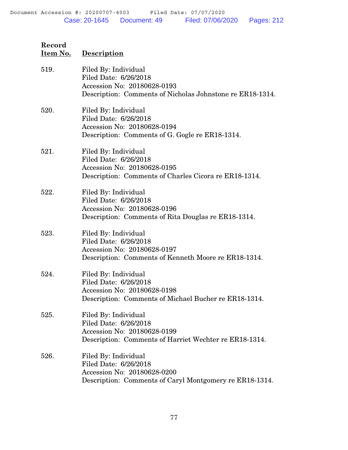| Record   |                    |
|----------|--------------------|
| Item No. | <b>Description</b> |

| 519. | Filed By: Individual<br>Filed Date: 6/26/2018<br>Accession No: 20180628-0193<br>Description: Comments of Nicholas Johnstone re ER18-1314. |
|------|-------------------------------------------------------------------------------------------------------------------------------------------|
| 520. | Filed By: Individual<br>Filed Date: 6/26/2018<br>Accession No: 20180628-0194<br>Description: Comments of G. Gogle re ER18-1314.           |
| 521. | Filed By: Individual<br>Filed Date: 6/26/2018<br>Accession No: 20180628-0195<br>Description: Comments of Charles Cicora re ER18-1314.     |
| 522. | Filed By: Individual<br>Filed Date: 6/26/2018<br>Accession No: 20180628-0196<br>Description: Comments of Rita Douglas re ER18-1314.       |
| 523. | Filed By: Individual<br>Filed Date: 6/26/2018<br>Accession No: 20180628-0197<br>Description: Comments of Kenneth Moore re ER18-1314.      |
| 524. | Filed By: Individual<br>Filed Date: 6/26/2018<br>Accession No: 20180628-0198<br>Description: Comments of Michael Bucher re ER18-1314.     |
| 525. | Filed By: Individual<br>Filed Date: 6/26/2018<br>Accession No: 20180628-0199<br>Description: Comments of Harriet Wechter re ER18-1314.    |
| 526. | Filed By: Individual<br>Filed Date: 6/26/2018<br>Accession No: 20180628-0200<br>Description: Comments of Caryl Montgomery re ER18-1314.   |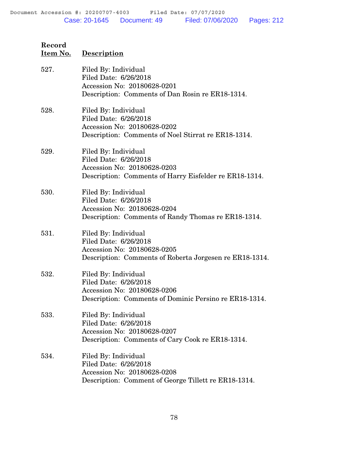| 527. | Filed By: Individual<br>Filed Date: 6/26/2018<br>Accession No: 20180628-0201<br>Description: Comments of Dan Rosin re ER18-1314.        |
|------|-----------------------------------------------------------------------------------------------------------------------------------------|
| 528. | Filed By: Individual<br>Filed Date: 6/26/2018<br>Accession No: 20180628-0202<br>Description: Comments of Noel Stirrat re ER18-1314.     |
| 529. | Filed By: Individual<br>Filed Date: 6/26/2018<br>Accession No: 20180628-0203<br>Description: Comments of Harry Eisfelder re ER18-1314.  |
| 530. | Filed By: Individual<br>Filed Date: 6/26/2018<br>Accession No: 20180628-0204<br>Description: Comments of Randy Thomas re ER18-1314.     |
| 531. | Filed By: Individual<br>Filed Date: 6/26/2018<br>Accession No: 20180628-0205<br>Description: Comments of Roberta Jorgesen re ER18-1314. |
| 532. | Filed By: Individual<br>Filed Date: 6/26/2018<br>Accession No: 20180628-0206<br>Description: Comments of Dominic Persino re ER18-1314.  |
| 533. | Filed By: Individual<br>Filed Date: 6/26/2018<br>Accession No: 20180628-0207<br>Description: Comments of Cary Cook re ER18-1314.        |
| 534. | Filed By: Individual<br>Filed Date: 6/26/2018<br>Accession No: 20180628-0208<br>Description: Comment of George Tillett re ER18-1314.    |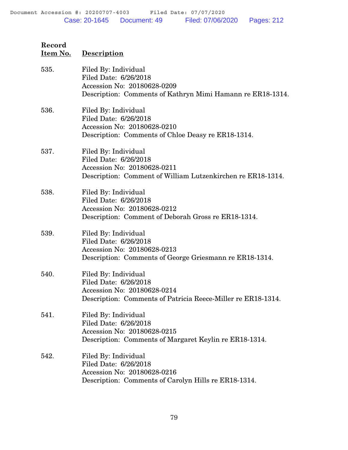| Record<br><u>Item No.</u> | <b>Description</b>                                                                                                                           |
|---------------------------|----------------------------------------------------------------------------------------------------------------------------------------------|
| 535.                      | Filed By: Individual<br>Filed Date: 6/26/2018<br>Accession No: 20180628-0209<br>Description: Comments of Kathryn Mimi Hamann re ER18-1314.   |
| 536.                      | Filed By: Individual<br>Filed Date: 6/26/2018<br>Accession No: 20180628-0210<br>Description: Comments of Chloe Deasy re ER18-1314.           |
| 537.                      | Filed By: Individual<br>Filed Date: 6/26/2018<br>Accession No: 20180628-0211<br>Description: Comment of William Lutzenkirchen re ER18-1314.  |
| 538.                      | Filed By: Individual<br>Filed Date: 6/26/2018<br>Accession No: 20180628-0212<br>Description: Comment of Deborah Gross re ER18-1314.          |
| 539.                      | Filed By: Individual<br>Filed Date: 6/26/2018<br>Accession No: 20180628-0213<br>Description: Comments of George Griesmann re ER18-1314.      |
| 540.                      | Filed By: Individual<br>Filed Date: 6/26/2018<br>Accession No: 20180628-0214<br>Description: Comments of Patricia Reece-Miller re ER18-1314. |
| 541.                      | Filed By: Individual<br>Filed Date: 6/26/2018<br>Accession No: 20180628-0215<br>Description: Comments of Margaret Keylin re ER18-1314.       |
| 542.                      | Filed By: Individual<br>Filed Date: 6/26/2018<br>Accession No: 20180628-0216<br>Description: Comments of Carolyn Hills re ER18-1314.         |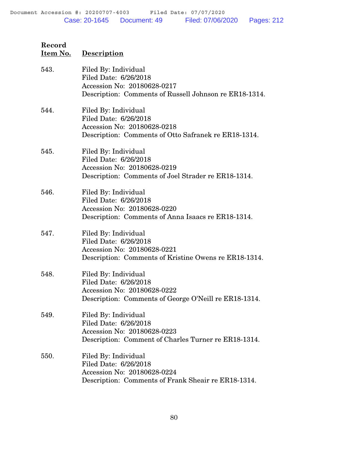| Record   |                    |
|----------|--------------------|
| Item No. | <b>Description</b> |

| 543. | Filed By: Individual<br>Filed Date: 6/26/2018<br>Accession No: 20180628-0217<br>Description: Comments of Russell Johnson re ER18-1314. |
|------|----------------------------------------------------------------------------------------------------------------------------------------|
| 544. | Filed By: Individual<br>Filed Date: 6/26/2018<br>Accession No: 20180628-0218<br>Description: Comments of Otto Safranek re ER18-1314.   |
| 545. | Filed By: Individual<br>Filed Date: 6/26/2018<br>Accession No: 20180628-0219<br>Description: Comments of Joel Strader re ER18-1314.    |
| 546. | Filed By: Individual<br>Filed Date: 6/26/2018<br>Accession No: 20180628-0220<br>Description: Comments of Anna Isaacs re ER18-1314.     |
| 547. | Filed By: Individual<br>Filed Date: 6/26/2018<br>Accession No: 20180628-0221<br>Description: Comments of Kristine Owens re ER18-1314.  |
| 548. | Filed By: Individual<br>Filed Date: 6/26/2018<br>Accession No: 20180628-0222<br>Description: Comments of George O'Neill re ER18-1314.  |
| 549. | Filed By: Individual<br>Filed Date: 6/26/2018<br>Accession No: 20180628-0223<br>Description: Comment of Charles Turner re ER18-1314.   |
| 550. | Filed By: Individual<br>Filed Date: 6/26/2018<br>Accession No: 20180628-0224<br>Description: Comments of Frank Sheair re ER18-1314.    |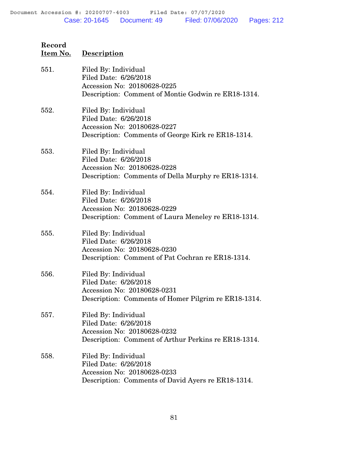| 551. | Filed By: Individual<br>Filed Date: 6/26/2018<br>Accession No: 20180628-0225<br>Description: Comment of Montie Godwin re ER18-1314.  |
|------|--------------------------------------------------------------------------------------------------------------------------------------|
| 552. | Filed By: Individual<br>Filed Date: 6/26/2018<br>Accession No: 20180628-0227<br>Description: Comments of George Kirk re ER18-1314.   |
| 553. | Filed By: Individual<br>Filed Date: 6/26/2018<br>Accession No: 20180628-0228<br>Description: Comments of Della Murphy re ER18-1314.  |
| 554. | Filed By: Individual<br>Filed Date: 6/26/2018<br>Accession No: 20180628-0229<br>Description: Comment of Laura Meneley re ER18-1314.  |
| 555. | Filed By: Individual<br>Filed Date: 6/26/2018<br>Accession No: 20180628-0230<br>Description: Comment of Pat Cochran re ER18-1314.    |
| 556. | Filed By: Individual<br>Filed Date: 6/26/2018<br>Accession No: 20180628-0231<br>Description: Comments of Homer Pilgrim re ER18-1314. |
| 557. | Filed By: Individual<br>Filed Date: 6/26/2018<br>Accession No: 20180628-0232<br>Description: Comment of Arthur Perkins re ER18-1314. |
| 558. | Filed By: Individual<br>Filed Date: 6/26/2018<br>Accession No: 20180628-0233<br>Description: Comments of David Ayers re ER18-1314.   |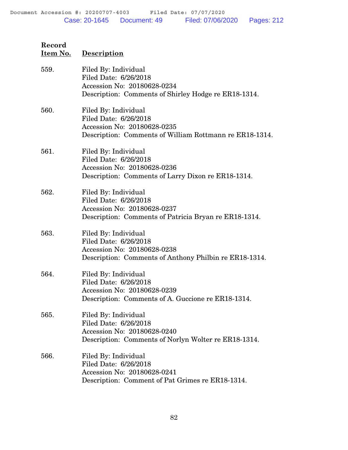| 559. | Filed By: Individual<br>Filed Date: 6/26/2018<br>Accession No: 20180628-0234<br>Description: Comments of Shirley Hodge re ER18-1314.    |
|------|-----------------------------------------------------------------------------------------------------------------------------------------|
| 560. | Filed By: Individual<br>Filed Date: 6/26/2018<br>Accession No: 20180628-0235<br>Description: Comments of William Rottmann re ER18-1314. |
| 561. | Filed By: Individual<br>Filed Date: 6/26/2018<br>Accession No: 20180628-0236<br>Description: Comments of Larry Dixon re ER18-1314.      |
| 562. | Filed By: Individual<br>Filed Date: 6/26/2018<br>Accession No: 20180628-0237<br>Description: Comments of Patricia Bryan re ER18-1314.   |
| 563. | Filed By: Individual<br>Filed Date: 6/26/2018<br>Accession No: 20180628-0238<br>Description: Comments of Anthony Philbin re ER18-1314.  |
| 564. | Filed By: Individual<br>Filed Date: 6/26/2018<br>Accession No: 20180628-0239<br>Description: Comments of A. Guccione re ER18-1314.      |
| 565. | Filed By: Individual<br>Filed Date: 6/26/2018<br>Accession No: 20180628-0240<br>Description: Comments of Norlyn Wolter re ER18-1314.    |
| 566. | Filed By: Individual<br>Filed Date: 6/26/2018<br>Accession No: 20180628-0241<br>Description: Comment of Pat Grimes re ER18-1314.        |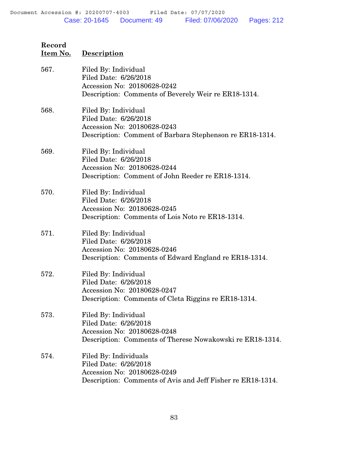| Record   |                    |
|----------|--------------------|
| Item No. | <b>Description</b> |

| 567. | Filed By: Individual<br>Filed Date: 6/26/2018<br>Accession No: 20180628-0242<br>Description: Comments of Beverely Weir re ER18-1314.         |
|------|----------------------------------------------------------------------------------------------------------------------------------------------|
| 568. | Filed By: Individual<br>Filed Date: 6/26/2018<br>Accession No: 20180628-0243<br>Description: Comment of Barbara Stephenson re ER18-1314.     |
| 569. | Filed By: Individual<br>Filed Date: 6/26/2018<br>Accession No: 20180628-0244<br>Description: Comment of John Reeder re ER18-1314.            |
| 570. | Filed By: Individual<br>Filed Date: 6/26/2018<br>Accession No: 20180628-0245<br>Description: Comments of Lois Noto re ER18-1314.             |
| 571. | Filed By: Individual<br>Filed Date: 6/26/2018<br>Accession No: 20180628-0246<br>Description: Comments of Edward England re ER18-1314.        |
| 572. | Filed By: Individual<br>Filed Date: 6/26/2018<br>Accession No: 20180628-0247<br>Description: Comments of Cleta Riggins re ER18-1314.         |
| 573. | Filed By: Individual<br>Filed Date: 6/26/2018<br>Accession No: 20180628-0248<br>Description: Comments of Therese Nowakowski re ER18-1314.    |
| 574. | Filed By: Individuals<br>Filed Date: 6/26/2018<br>Accession No: 20180628-0249<br>Description: Comments of Avis and Jeff Fisher re ER18-1314. |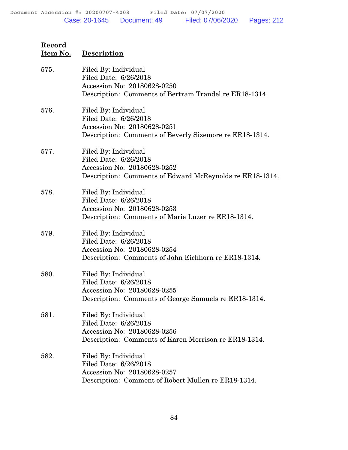| Record   |             |
|----------|-------------|
| Item No. | Description |

| 575. | Filed By: Individual<br>Filed Date: 6/26/2018<br>Accession No: 20180628-0250<br>Description: Comments of Bertram Trandel re ER18-1314.   |
|------|------------------------------------------------------------------------------------------------------------------------------------------|
| 576. | Filed By: Individual<br>Filed Date: 6/26/2018<br>Accession No: 20180628-0251<br>Description: Comments of Beverly Sizemore re ER18-1314.  |
| 577. | Filed By: Individual<br>Filed Date: 6/26/2018<br>Accession No: 20180628-0252<br>Description: Comments of Edward McReynolds re ER18-1314. |
| 578. | Filed By: Individual<br>Filed Date: 6/26/2018<br>Accession No: 20180628-0253<br>Description: Comments of Marie Luzer re ER18-1314.       |
| 579. | Filed By: Individual<br>Filed Date: 6/26/2018<br>Accession No: 20180628-0254<br>Description: Comments of John Eichhorn re ER18-1314.     |
| 580. | Filed By: Individual<br>Filed Date: 6/26/2018<br>Accession No: 20180628-0255<br>Description: Comments of George Samuels re ER18-1314.    |
| 581. | Filed By: Individual<br>Filed Date: 6/26/2018<br>Accession No: 20180628-0256<br>Description: Comments of Karen Morrison re ER18-1314.    |
| 582. | Filed By: Individual<br>Filed Date: 6/26/2018<br>Accession No: 20180628-0257<br>Description: Comment of Robert Mullen re ER18-1314.      |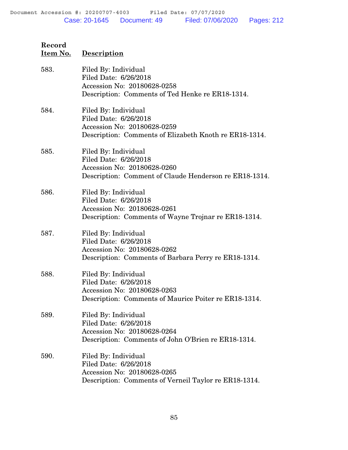| 583. | Filed By: Individual<br>Filed Date: 6/26/2018<br>Accession No: 20180628-0258<br>Description: Comments of Ted Henke re ER18-1314.       |
|------|----------------------------------------------------------------------------------------------------------------------------------------|
| 584. | Filed By: Individual<br>Filed Date: 6/26/2018<br>Accession No: 20180628-0259<br>Description: Comments of Elizabeth Knoth re ER18-1314. |
| 585. | Filed By: Individual<br>Filed Date: 6/26/2018<br>Accession No: 20180628-0260<br>Description: Comment of Claude Henderson re ER18-1314. |
| 586. | Filed By: Individual<br>Filed Date: 6/26/2018<br>Accession No: 20180628-0261<br>Description: Comments of Wayne Trojnar re ER18-1314.   |
| 587. | Filed By: Individual<br>Filed Date: 6/26/2018<br>Accession No: 20180628-0262<br>Description: Comments of Barbara Perry re ER18-1314.   |
| 588. | Filed By: Individual<br>Filed Date: 6/26/2018<br>Accession No: 20180628-0263<br>Description: Comments of Maurice Poiter re ER18-1314.  |
| 589. | Filed By: Individual<br>Filed Date: 6/26/2018<br>Accession No: 20180628-0264<br>Description: Comments of John O'Brien re ER18-1314.    |
| 590. | Filed By: Individual<br>Filed Date: 6/26/2018<br>Accession No: 20180628-0265<br>Description: Comments of Verneil Taylor re ER18-1314.  |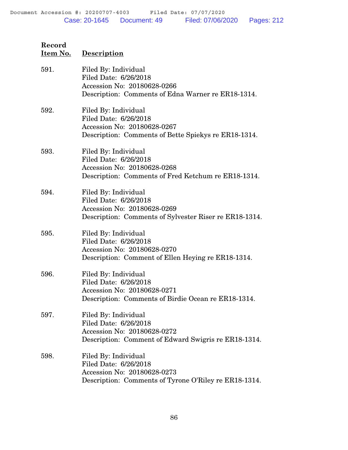| Record   |                    |
|----------|--------------------|
| Item No. | <b>Description</b> |

| 591. | Filed By: Individual<br>Filed Date: 6/26/2018<br>Accession No: 20180628-0266<br>Description: Comments of Edna Warner re ER18-1314.     |
|------|----------------------------------------------------------------------------------------------------------------------------------------|
| 592. | Filed By: Individual<br>Filed Date: 6/26/2018<br>Accession No: 20180628-0267<br>Description: Comments of Bette Spiekys re ER18-1314.   |
| 593. | Filed By: Individual<br>Filed Date: 6/26/2018<br>Accession No: 20180628-0268<br>Description: Comments of Fred Ketchum re ER18-1314.    |
| 594. | Filed By: Individual<br>Filed Date: 6/26/2018<br>Accession No: 20180628-0269<br>Description: Comments of Sylvester Riser re ER18-1314. |
| 595. | Filed By: Individual<br>Filed Date: 6/26/2018<br>Accession No: 20180628-0270<br>Description: Comment of Ellen Heying re ER18-1314.     |
| 596. | Filed By: Individual<br>Filed Date: 6/26/2018<br>Accession No: 20180628-0271<br>Description: Comments of Birdie Ocean re ER18-1314.    |
| 597. | Filed By: Individual<br>Filed Date: 6/26/2018<br>Accession No: 20180628-0272<br>Description: Comment of Edward Swigris re ER18-1314.   |
| 598. | Filed By: Individual<br>Filed Date: 6/26/2018<br>Accession No: 20180628-0273<br>Description: Comments of Tyrone O'Riley re ER18-1314.  |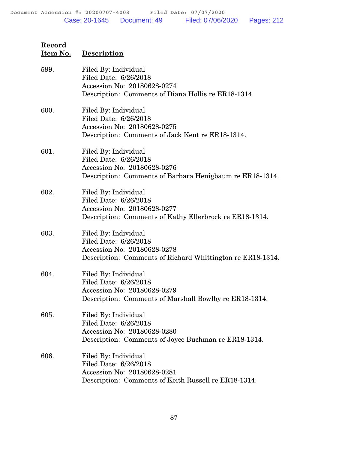| 599. | Filed By: Individual<br>Filed Date: 6/26/2018<br>Accession No: 20180628-0274<br>Description: Comments of Diana Hollis re ER18-1314.        |
|------|--------------------------------------------------------------------------------------------------------------------------------------------|
| 600. | Filed By: Individual<br>Filed Date: 6/26/2018<br>Accession No: 20180628-0275<br>Description: Comments of Jack Kent re ER18-1314.           |
| 601. | Filed By: Individual<br>Filed Date: 6/26/2018<br>Accession No: 20180628-0276<br>Description: Comments of Barbara Henigbaum re ER18-1314.   |
| 602. | Filed By: Individual<br>Filed Date: 6/26/2018<br>Accession No: 20180628-0277<br>Description: Comments of Kathy Ellerbrock re ER18-1314.    |
| 603. | Filed By: Individual<br>Filed Date: 6/26/2018<br>Accession No: 20180628-0278<br>Description: Comments of Richard Whittington re ER18-1314. |
| 604. | Filed By: Individual<br>Filed Date: 6/26/2018<br>Accession No: 20180628-0279<br>Description: Comments of Marshall Bowlby re ER18-1314.     |
| 605. | Filed By: Individual<br>Filed Date: 6/26/2018<br>Accession No: 20180628-0280<br>Description: Comments of Joyce Buchman re ER18-1314.       |
| 606. | Filed By: Individual<br>Filed Date: 6/26/2018<br>Accession No: 20180628-0281<br>Description: Comments of Keith Russell re ER18-1314.       |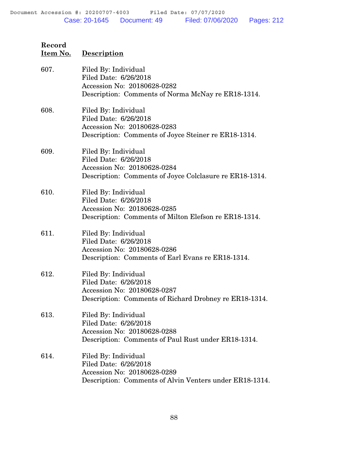| 607. | Filed By: Individual<br>Filed Date: 6/26/2018<br>Accession No: 20180628-0282<br>Description: Comments of Norma McNay re ER18-1314.      |
|------|-----------------------------------------------------------------------------------------------------------------------------------------|
| 608. | Filed By: Individual<br>Filed Date: 6/26/2018<br>Accession No: 20180628-0283<br>Description: Comments of Joyce Steiner re ER18-1314.    |
| 609. | Filed By: Individual<br>Filed Date: 6/26/2018<br>Accession No: 20180628-0284<br>Description: Comments of Joyce Colclasure re ER18-1314. |
| 610. | Filed By: Individual<br>Filed Date: 6/26/2018<br>Accession No: 20180628-0285<br>Description: Comments of Milton Elefson re ER18-1314.   |
| 611. | Filed By: Individual<br>Filed Date: 6/26/2018<br>Accession No: 20180628-0286<br>Description: Comments of Earl Evans re ER18-1314.       |
| 612. | Filed By: Individual<br>Filed Date: 6/26/2018<br>Accession No: 20180628-0287<br>Description: Comments of Richard Drobney re ER18-1314.  |
| 613. | Filed By: Individual<br>Filed Date: 6/26/2018<br>Accession No: 20180628-0288<br>Description: Comments of Paul Rust under ER18-1314.     |
| 614. | Filed By: Individual<br>Filed Date: 6/26/2018<br>Accession No: 20180628-0289<br>Description: Comments of Alvin Venters under ER18-1314. |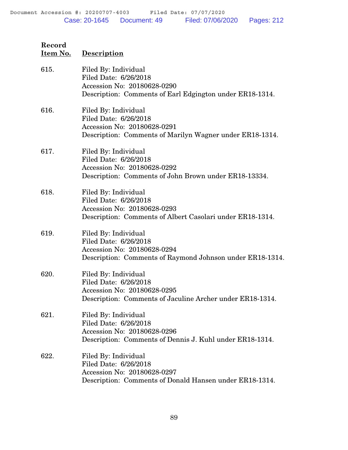| Record   |             |
|----------|-------------|
| Item No. | Description |

| 615. | Filed By: Individual<br>Filed Date: 6/26/2018<br>Accession No: 20180628-0290<br>Description: Comments of Earl Edgington under ER18-1314.  |
|------|-------------------------------------------------------------------------------------------------------------------------------------------|
| 616. | Filed By: Individual<br>Filed Date: 6/26/2018<br>Accession No: 20180628-0291<br>Description: Comments of Marilyn Wagner under ER18-1314.  |
| 617. | Filed By: Individual<br>Filed Date: 6/26/2018<br>Accession No: 20180628-0292<br>Description: Comments of John Brown under ER18-13334.     |
| 618. | Filed By: Individual<br>Filed Date: 6/26/2018<br>Accession No: 20180628-0293<br>Description: Comments of Albert Casolari under ER18-1314. |
| 619. | Filed By: Individual<br>Filed Date: 6/26/2018<br>Accession No: 20180628-0294<br>Description: Comments of Raymond Johnson under ER18-1314. |
| 620. | Filed By: Individual<br>Filed Date: 6/26/2018<br>Accession No: 20180628-0295<br>Description: Comments of Jaculine Archer under ER18-1314. |
| 621. | Filed By: Individual<br>Filed Date: 6/26/2018<br>Accession No: 20180628-0296<br>Description: Comments of Dennis J. Kuhl under ER18-1314.  |
| 622. | Filed By: Individual<br>Filed Date: 6/26/2018<br>Accession No: 20180628-0297<br>Description: Comments of Donald Hansen under ER18-1314.   |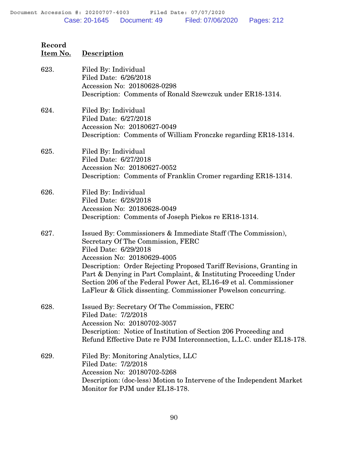| Record<br><u>Item No.</u> | <b>Description</b>                                                                                                                                                                                                                                                                                                                                                                                                                         |
|---------------------------|--------------------------------------------------------------------------------------------------------------------------------------------------------------------------------------------------------------------------------------------------------------------------------------------------------------------------------------------------------------------------------------------------------------------------------------------|
| 623.                      | Filed By: Individual<br>Filed Date: 6/26/2018<br>Accession No: 20180628-0298<br>Description: Comments of Ronald Szewczuk under ER18-1314.                                                                                                                                                                                                                                                                                                  |
| 624.                      | Filed By: Individual<br>Filed Date: 6/27/2018<br>Accession No: 20180627-0049<br>Description: Comments of William Fronczke regarding ER18-1314.                                                                                                                                                                                                                                                                                             |
| 625.                      | Filed By: Individual<br>Filed Date: 6/27/2018<br>Accession No: 20180627-0052<br>Description: Comments of Franklin Cromer regarding ER18-1314.                                                                                                                                                                                                                                                                                              |
| 626.                      | Filed By: Individual<br>Filed Date: 6/28/2018<br>Accession No: 20180628-0049<br>Description: Comments of Joseph Piekos re ER18-1314.                                                                                                                                                                                                                                                                                                       |
| 627.                      | Issued By: Commissioners & Immediate Staff (The Commission),<br>Secretary Of The Commission, FERC<br>Filed Date: 6/29/2018<br>Accession No: 20180629-4005<br>Description: Order Rejecting Proposed Tariff Revisions, Granting in<br>Part & Denying in Part Complaint, & Instituting Proceeding Under<br>Section 206 of the Federal Power Act, EL16-49 et al. Commissioner<br>LaFleur & Glick dissenting. Commissioner Powelson concurring. |
| 628.                      | Issued By: Secretary Of The Commission, FERC<br>Filed Date: 7/2/2018<br>Accession No: 20180702-3057<br>Description: Notice of Institution of Section 206 Proceeding and<br>Refund Effective Date re PJM Interconnection, L.L.C. under EL18-178.                                                                                                                                                                                            |
| 629.                      | Filed By: Monitoring Analytics, LLC<br>Filed Date: 7/2/2018<br>Accession No: 20180702-5268<br>Description: (doc-less) Motion to Intervene of the Independent Market<br>Monitor for PJM under EL18-178.                                                                                                                                                                                                                                     |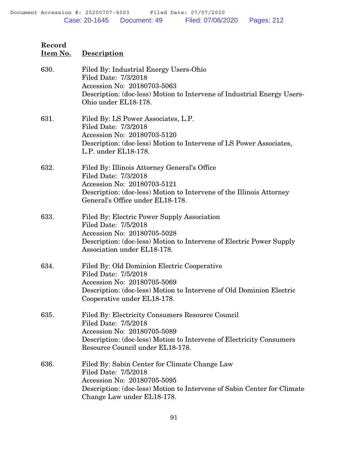# **Item No. Description** 630. Filed By: Industrial Energy Users-Ohio Filed Date: 7/3/2018 Accession No: 20180703-5063 Description: (doc-less) Motion to Intervene of Industrial Energy Users-Ohio under EL18-178. 631. Filed By: LS Power Associates, L.P. Filed Date: 7/3/2018 Accession No: 20180703-5120 Description: (doc-less) Motion to Intervene of LS Power Associates, L.P. under EL18-178. 632. Filed By: Illinois Attorney General's Office Filed Date: 7/3/2018 Accession No: 20180703-5121 Description: (doc-less) Motion to Intervene of the Illinois Attorney General's Office under EL18-178. 633. Filed By: Electric Power Supply Association Filed Date: 7/5/2018 Accession No: 20180705-5028 Description: (doc-less) Motion to Intervene of Electric Power Supply Association under EL18-178. 634. Filed By: Old Dominion Electric Cooperative Filed Date: 7/5/2018 Accession No: 20180705-5069 Description: (doc-less) Motion to Intervene of Old Dominion Electric Cooperative under EL18-178. 635. Filed By: Electricity Consumers Resource Council Filed Date: 7/5/2018 Accession No: 20180705-5089 Description: (doc-less) Motion to Intervene of Electricity Consumers Resource Council under EL18-178. 636. Filed By: Sabin Center for Climate Change Law Filed Date: 7/5/2018 Accession No: 20180705-5095 Description: (doc-less) Motion to Intervene of Sabin Center for Climate Change Law under EL18-178.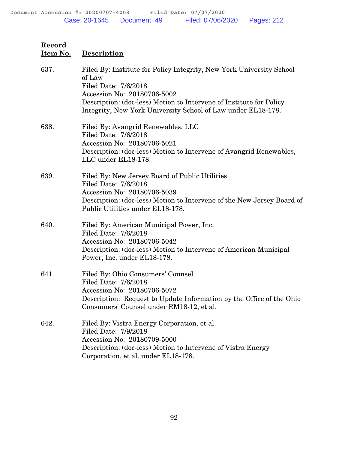| 637. | Filed By: Institute for Policy Integrity, New York University School<br>of Law<br>Filed Date: 7/6/2018<br>Accession No: 20180706-5002<br>Description: (doc-less) Motion to Intervene of Institute for Policy<br>Integrity, New York University School of Law under EL18-178. |
|------|------------------------------------------------------------------------------------------------------------------------------------------------------------------------------------------------------------------------------------------------------------------------------|
| 638. | Filed By: Avangrid Renewables, LLC<br>Filed Date: 7/6/2018<br>Accession No: 20180706-5021<br>Description: (doc-less) Motion to Intervene of Avangrid Renewables,<br>LLC under EL18-178.                                                                                      |
| 639. | Filed By: New Jersey Board of Public Utilities<br>Filed Date: 7/6/2018<br>Accession No: 20180706-5039<br>Description: (doc-less) Motion to Intervene of the New Jersey Board of<br>Public Utilities under EL18-178.                                                          |
| 640. | Filed By: American Municipal Power, Inc.<br>Filed Date: 7/6/2018<br>Accession No: 20180706-5042<br>Description: (doc-less) Motion to Intervene of American Municipal<br>Power, Inc. under EL18-178.                                                                          |
| 641. | Filed By: Ohio Consumers' Counsel<br>Filed Date: 7/6/2018<br>Accession No: 20180706-5072<br>Description: Request to Update Information by the Office of the Ohio<br>Consumers' Counsel under RM18-12, et al.                                                                 |
| 642. | Filed By: Vistra Energy Corporation, et al.<br>Filed Date: 7/9/2018<br>Accession No: 20180709-5000<br>Description: (doc-less) Motion to Intervene of Vistra Energy<br>Corporation, et al. under EL18-178.                                                                    |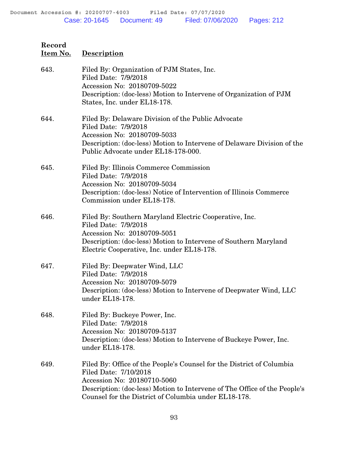| 643. | Filed By: Organization of PJM States, Inc.<br>Filed Date: 7/9/2018<br>Accession No: 20180709-5022<br>Description: (doc-less) Motion to Intervene of Organization of PJM |
|------|-------------------------------------------------------------------------------------------------------------------------------------------------------------------------|
|      | States, Inc. under EL18-178.                                                                                                                                            |
| 644. | Filed By: Delaware Division of the Public Advocate<br>Filed Date: 7/9/2018<br>Accession No: 20180709-5033                                                               |
|      | Description: (doc-less) Motion to Intervene of Delaware Division of the<br>Public Advocate under EL18-178-000.                                                          |
| 645. | Filed By: Illinois Commerce Commission<br>Filed Date: 7/9/2018                                                                                                          |
|      | Accession No: 20180709-5034                                                                                                                                             |
|      | Description: (doc-less) Notice of Intervention of Illinois Commerce<br>Commission under EL18-178.                                                                       |
| 646. | Filed By: Southern Maryland Electric Cooperative, Inc.<br>Filed Date: 7/9/2018                                                                                          |
|      | Accession No: 20180709-5051                                                                                                                                             |
|      | Description: (doc-less) Motion to Intervene of Southern Maryland<br>Electric Cooperative, Inc. under EL18-178.                                                          |
| 647. | Filed By: Deepwater Wind, LLC<br>Filed Date: 7/9/2018                                                                                                                   |
|      | Accession No: 20180709-5079                                                                                                                                             |
|      | Description: (doc-less) Motion to Intervene of Deepwater Wind, LLC<br>under EL18-178.                                                                                   |
| 648. | Filed By: Buckeye Power, Inc.<br>Filed Date: 7/9/2018                                                                                                                   |
|      | Accession No: 20180709-5137                                                                                                                                             |
|      | Description: (doc-less) Motion to Intervene of Buckeye Power, Inc.<br>under EL18-178.                                                                                   |
| 649. | Filed By: Office of the People's Counsel for the District of Columbia<br>Filed Date: 7/10/2018                                                                          |
|      | Accession No: 20180710-5060                                                                                                                                             |
|      | Description: (doc-less) Motion to Intervene of The Office of the People's<br>Counsel for the District of Columbia under EL18-178.                                       |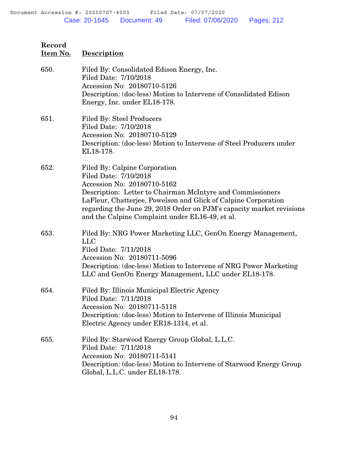| Record<br>Item No. | <b>Description</b>                                                                                                                                                                                                                                                                                                                               |
|--------------------|--------------------------------------------------------------------------------------------------------------------------------------------------------------------------------------------------------------------------------------------------------------------------------------------------------------------------------------------------|
| 650.               | Filed By: Consolidated Edison Energy, Inc.<br>Filed Date: 7/10/2018<br>Accession No: 20180710-5126<br>Description: (doc-less) Motion to Intervene of Consolidated Edison<br>Energy, Inc. under EL18-178.                                                                                                                                         |
| 651.               | <b>Filed By: Steel Producers</b><br>Filed Date: 7/10/2018<br>Accession No: 20180710-5129<br>Description: (doc-less) Motion to Intervene of Steel Producers under<br>EL18-178.                                                                                                                                                                    |
| 652.               | Filed By: Calpine Corporation<br>Filed Date: 7/10/2018<br>Accession No: 20180710-5162<br>Description: Letter to Chairman McIntyre and Commissioners<br>LaFleur, Chatterjee, Powelson and Glick of Calpine Corporation<br>regarding the June 29, 2018 Order on PJM's capacity market revisions<br>and the Calpine Complaint under EL16-49, et al. |
| 653.               | Filed By: NRG Power Marketing LLC, GenOn Energy Management,<br><b>LLC</b><br>Filed Date: 7/11/2018<br>Accession No: 20180711-5096<br>Description: (doc-less) Motion to Intervene of NRG Power Marketing<br>LLC and GenOn Energy Management, LLC under EL18-178.                                                                                  |
| 654.               | Filed By: Illinois Municipal Electric Agency<br>Filed Date: 7/11/2018<br>Accession No: 20180711-5118<br>Description: (doc-less) Motion to Intervene of Illinois Municipal<br>Electric Agency under ER18-1314, et al.                                                                                                                             |
| 655.               | Filed By: Starwood Energy Group Global, L.L.C.<br>Filed Date: 7/11/2018<br>Accession No: 20180711-5141<br>Description: (doc-less) Motion to Intervene of Starwood Energy Group<br>Global, L.L.C. under EL18-178.                                                                                                                                 |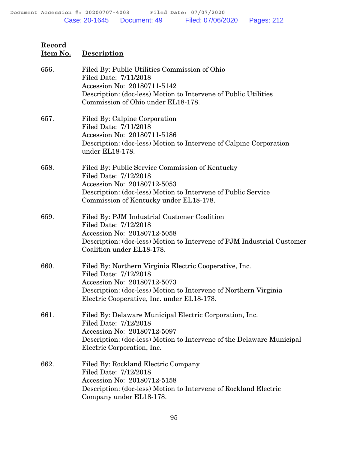| 656. | Filed By: Public Utilities Commission of Ohio<br>Filed Date: 7/11/2018<br>Accession No: 20180711-5142<br>Description: (doc-less) Motion to Intervene of Public Utilities<br>Commission of Ohio under EL18-178.                   |
|------|----------------------------------------------------------------------------------------------------------------------------------------------------------------------------------------------------------------------------------|
| 657. | Filed By: Calpine Corporation<br>Filed Date: 7/11/2018<br>Accession No: 20180711-5186<br>Description: (doc-less) Motion to Intervene of Calpine Corporation<br>under EL18-178.                                                   |
| 658. | Filed By: Public Service Commission of Kentucky<br>Filed Date: 7/12/2018<br>Accession No: 20180712-5053<br>Description: (doc-less) Motion to Intervene of Public Service<br>Commission of Kentucky under EL18-178.               |
| 659. | Filed By: PJM Industrial Customer Coalition<br>Filed Date: 7/12/2018<br>Accession No: 20180712-5058<br>Description: (doc-less) Motion to Intervene of PJM Industrial Customer<br>Coalition under EL18-178.                       |
| 660. | Filed By: Northern Virginia Electric Cooperative, Inc.<br>Filed Date: 7/12/2018<br>Accession No: 20180712-5073<br>Description: (doc-less) Motion to Intervene of Northern Virginia<br>Electric Cooperative, Inc. under EL18-178. |
| 661. | Filed By: Delaware Municipal Electric Corporation, Inc.<br>Filed Date: 7/12/2018<br>Accession No: 20180712-5097<br>Description: (doc-less) Motion to Intervene of the Delaware Municipal<br>Electric Corporation, Inc.           |
| 662. | Filed By: Rockland Electric Company<br>Filed Date: 7/12/2018<br>Accession No: 20180712-5158<br>Description: (doc-less) Motion to Intervene of Rockland Electric<br>Company under EL18-178.                                       |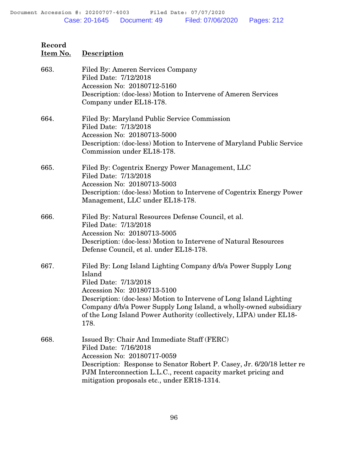| 663. | Filed By: Ameren Services Company<br>Filed Date: 7/12/2018<br>Accession No: 20180712-5160<br>Description: (doc-less) Motion to Intervene of Ameren Services<br>Company under EL18-178.                                                                                                                                                                      |
|------|-------------------------------------------------------------------------------------------------------------------------------------------------------------------------------------------------------------------------------------------------------------------------------------------------------------------------------------------------------------|
| 664. | Filed By: Maryland Public Service Commission<br>Filed Date: 7/13/2018<br>Accession No: 20180713-5000<br>Description: (doc-less) Motion to Intervene of Maryland Public Service<br>Commission under EL18-178.                                                                                                                                                |
| 665. | Filed By: Cogentrix Energy Power Management, LLC<br>Filed Date: 7/13/2018<br>Accession No: 20180713-5003<br>Description: (doc-less) Motion to Intervene of Cogentrix Energy Power<br>Management, LLC under EL18-178.                                                                                                                                        |
| 666. | Filed By: Natural Resources Defense Council, et al.<br>Filed Date: 7/13/2018<br>Accession No: 20180713-5005<br>Description: (doc-less) Motion to Intervene of Natural Resources<br>Defense Council, et al. under EL18-178.                                                                                                                                  |
| 667. | Filed By: Long Island Lighting Company d/b/a Power Supply Long<br>Island<br>Filed Date: 7/13/2018<br>Accession No: 20180713-5100<br>Description: (doc-less) Motion to Intervene of Long Island Lighting<br>Company d/b/a Power Supply Long Island, a wholly-owned subsidiary<br>of the Long Island Power Authority (collectively, LIPA) under EL18-<br>178. |
| 668. | Issued By: Chair And Immediate Staff (FERC)<br>Filed Date: 7/16/2018<br>Accession No: 20180717-0059<br>Description: Response to Senator Robert P. Casey, Jr. 6/20/18 letter re<br>PJM Interconnection L.L.C., recent capacity market pricing and<br>mitigation proposals etc., under ER18-1314.                                                             |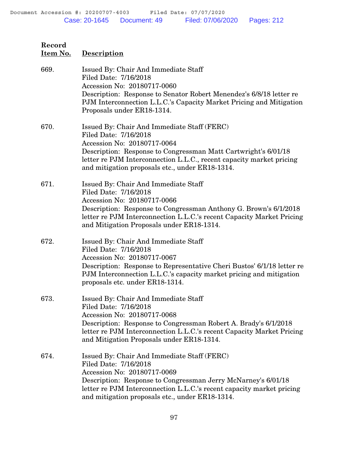| Record<br>Item No. | <b>Description</b>                                                                                                                                                                                                                                                                               |
|--------------------|--------------------------------------------------------------------------------------------------------------------------------------------------------------------------------------------------------------------------------------------------------------------------------------------------|
| 669.               | Issued By: Chair And Immediate Staff<br>Filed Date: 7/16/2018<br>Accession No: 20180717-0060<br>Description: Response to Senator Robert Menendez's 6/8/18 letter re<br>PJM Interconnection L.L.C.'s Capacity Market Pricing and Mitigation<br>Proposals under ER18-1314.                         |
| 670.               | Issued By: Chair And Immediate Staff (FERC)<br>Filed Date: 7/16/2018<br>Accession No: 20180717-0064<br>Description: Response to Congressman Matt Cartwright's 6/01/18<br>letter re PJM Interconnection L.L.C., recent capacity market pricing<br>and mitigation proposals etc., under ER18-1314. |
| 671.               | Issued By: Chair And Immediate Staff<br>Filed Date: 7/16/2018<br>Accession No: 20180717-0066<br>Description: Response to Congressman Anthony G. Brown's 6/1/2018<br>letter re PJM Interconnection L.L.C.'s recent Capacity Market Pricing<br>and Mitigation Proposals under ER18-1314.           |
| 672.               | Issued By: Chair And Immediate Staff<br>Filed Date: 7/16/2018<br>Accession No: 20180717-0067<br>Description: Response to Representative Cheri Bustos' 6/1/18 letter re<br>PJM Interconnection L.L.C.'s capacity market pricing and mitigation<br>proposals etc. under ER18-1314.                 |
| 673.               | Issued By: Chair And Immediate Staff<br>Filed Date: 7/16/2018<br>Accession No: 20180717-0068<br>Description: Response to Congressman Robert A. Brady's 6/1/2018<br>letter re PJM Interconnection L.L.C.'s recent Capacity Market Pricing<br>and Mitigation Proposals under ER18-1314.            |
| 674.               | Issued By: Chair And Immediate Staff (FERC)<br>Filed Date: 7/16/2018<br>Accession No: 20180717-0069<br>Description: Response to Congressman Jerry McNarney's 6/01/18<br>letter re PJM Interconnection L.L.C.'s recent capacity market pricing<br>and mitigation proposals etc., under ER18-1314. |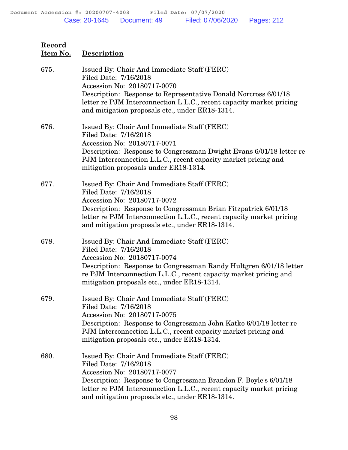| Record<br>Item No. | <b>Description</b>                                                                                                                                                                                                                                                                                |
|--------------------|---------------------------------------------------------------------------------------------------------------------------------------------------------------------------------------------------------------------------------------------------------------------------------------------------|
| 675.               | Issued By: Chair And Immediate Staff (FERC)<br>Filed Date: 7/16/2018<br>Accession No: 20180717-0070<br>Description: Response to Representative Donald Norcross 6/01/18<br>letter re PJM Interconnection L.L.C., recent capacity market pricing<br>and mitigation proposals etc., under ER18-1314. |
| 676.               | Issued By: Chair And Immediate Staff (FERC)<br>Filed Date: 7/16/2018<br>Accession No: 20180717-0071<br>Description: Response to Congressman Dwight Evans 6/01/18 letter re<br>PJM Interconnection L.L.C., recent capacity market pricing and<br>mitigation proposals under ER18-1314.             |
| 677.               | Issued By: Chair And Immediate Staff (FERC)<br>Filed Date: 7/16/2018<br>Accession No: 20180717-0072<br>Description: Response to Congressman Brian Fitzpatrick 6/01/18<br>letter re PJM Interconnection L.L.C., recent capacity market pricing<br>and mitigation proposals etc., under ER18-1314.  |
| 678.               | Issued By: Chair And Immediate Staff (FERC)<br>Filed Date: 7/16/2018<br>Accession No: 20180717-0074<br>Description: Response to Congressman Randy Hultgren 6/01/18 letter<br>re PJM Interconnection L.L.C., recent capacity market pricing and<br>mitigation proposals etc., under ER18-1314.     |
| 679.               | Issued By: Chair And Immediate Staff (FERC)<br>Filed Date: 7/16/2018<br>Accession No: 20180717-0075<br>Description: Response to Congressman John Katko 6/01/18 letter re<br>PJM Interconnection L.L.C., recent capacity market pricing and<br>mitigation proposals etc., under ER18-1314.         |
| 680.               | Issued By: Chair And Immediate Staff (FERC)<br>Filed Date: 7/16/2018<br>Accession No: 20180717-0077<br>Description: Response to Congressman Brandon F. Boyle's 6/01/18<br>letter re PJM Interconnection L.L.C., recent capacity market pricing<br>and mitigation proposals etc., under ER18-1314. |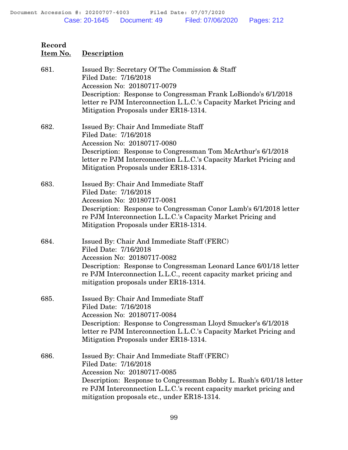| Item No. | <b>Description</b>                                                                                                                                                                                                                                                                              |
|----------|-------------------------------------------------------------------------------------------------------------------------------------------------------------------------------------------------------------------------------------------------------------------------------------------------|
| 681.     | Issued By: Secretary Of The Commission & Staff<br>Filed Date: 7/16/2018<br>Accession No: 20180717-0079<br>Description: Response to Congressman Frank LoBiondo's 6/1/2018<br>letter re PJM Interconnection L.L.C.'s Capacity Market Pricing and<br>Mitigation Proposals under ER18-1314.         |
| 682.     | Issued By: Chair And Immediate Staff<br>Filed Date: 7/16/2018<br>Accession No: 20180717-0080<br>Description: Response to Congressman Tom McArthur's 6/1/2018<br>letter re PJM Interconnection L.L.C.'s Capacity Market Pricing and<br>Mitigation Proposals under ER18-1314.                     |
| 683.     | Issued By: Chair And Immediate Staff<br>Filed Date: 7/16/2018<br>Accession No: 20180717-0081<br>Description: Response to Congressman Conor Lamb's 6/1/2018 letter<br>re PJM Interconnection L.L.C.'s Capacity Market Pricing and<br>Mitigation Proposals under ER18-1314.                       |
| 684.     | Issued By: Chair And Immediate Staff (FERC)<br>Filed Date: 7/16/2018<br>Accession No: 20180717-0082<br>Description: Response to Congressman Leonard Lance 6/01/18 letter<br>re PJM Interconnection L.L.C., recent capacity market pricing and<br>mitigation proposals under ER18-1314.          |
| 685.     | Issued By: Chair And Immediate Staff<br>Filed Date: 7/16/2018<br>Accession No: 20180717-0084<br>Description: Response to Congressman Lloyd Smucker's 6/1/2018<br>letter re PJM Interconnection L.L.C.'s Capacity Market Pricing and<br>Mitigation Proposals under ER18-1314.                    |
| 686.     | Issued By: Chair And Immediate Staff (FERC)<br>Filed Date: 7/16/2018<br>Accession No: 20180717-0085<br>Description: Response to Congressman Bobby L. Rush's 6/01/18 letter<br>re PJM Interconnection L.L.C.'s recent capacity market pricing and<br>mitigation proposals etc., under ER18-1314. |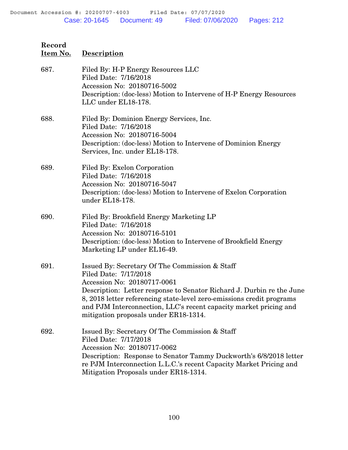| Record<br>Item No. | <b>Description</b>                                                                                                                                                                                                                                                                                                                                                     |
|--------------------|------------------------------------------------------------------------------------------------------------------------------------------------------------------------------------------------------------------------------------------------------------------------------------------------------------------------------------------------------------------------|
| 687.               | Filed By: H-P Energy Resources LLC<br>Filed Date: 7/16/2018<br>Accession No: 20180716-5002<br>Description: (doc-less) Motion to Intervene of H-P Energy Resources<br>LLC under EL18-178.                                                                                                                                                                               |
| 688.               | Filed By: Dominion Energy Services, Inc.<br>Filed Date: 7/16/2018<br>Accession No: 20180716-5004<br>Description: (doc-less) Motion to Intervene of Dominion Energy<br>Services, Inc. under EL18-178.                                                                                                                                                                   |
| 689.               | Filed By: Exelon Corporation<br>Filed Date: 7/16/2018<br>Accession No: 20180716-5047<br>Description: (doc-less) Motion to Intervene of Exelon Corporation<br>under EL18-178.                                                                                                                                                                                           |
| 690.               | Filed By: Brookfield Energy Marketing LP<br>Filed Date: 7/16/2018<br>Accession No: 20180716-5101<br>Description: (doc-less) Motion to Intervene of Brookfield Energy<br>Marketing LP under EL16-49.                                                                                                                                                                    |
| 691.               | Issued By: Secretary Of The Commission & Staff<br>Filed Date: 7/17/2018<br>Accession No: 20180717-0061<br>Description: Letter response to Senator Richard J. Durbin re the June<br>8, 2018 letter referencing state-level zero-emissions credit programs<br>and PJM Interconnection, LLC's recent capacity market pricing and<br>mitigation proposals under ER18-1314. |
| 692.               | Issued By: Secretary Of The Commission & Staff<br>Filed Date: 7/17/2018<br>Accession No: 20180717-0062<br>Description: Response to Senator Tammy Duckworth's 6/8/2018 letter<br>re PJM Interconnection L.L.C.'s recent Capacity Market Pricing and<br>Mitigation Proposals under ER18-1314.                                                                            |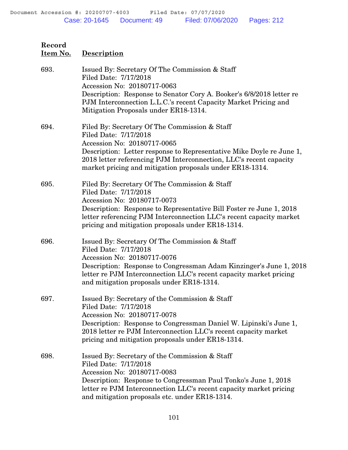**Item No. Description**

## 693. Issued By: Secretary Of The Commission & Staff Filed Date: 7/17/2018 Accession No: 20180717-0063 Description: Response to Senator Cory A. Booker's 6/8/2018 letter re PJM Interconnection L.L.C.'s recent Capacity Market Pricing and Mitigation Proposals under ER18-1314. 694. Filed By: Secretary Of The Commission & Staff Filed Date: 7/17/2018 Accession No: 20180717-0065 Description: Letter response to Representative Mike Doyle re June 1, 2018 letter referencing PJM Interconnection, LLC's recent capacity market pricing and mitigation proposals under ER18-1314. 695. Filed By: Secretary Of The Commission & Staff Filed Date: 7/17/2018 Accession No: 20180717-0073 Description: Response to Representative Bill Foster re June 1, 2018 letter referencing PJM Interconnection LLC's recent capacity market pricing and mitigation proposals under ER18-1314. 696. Issued By: Secretary Of The Commission & Staff Filed Date: 7/17/2018 Accession No: 20180717-0076 Description: Response to Congressman Adam Kinzinger's June 1, 2018 letter re PJM Interconnection LLC's recent capacity market pricing and mitigation proposals under ER18-1314. 697. Issued By: Secretary of the Commission & Staff Filed Date: 7/17/2018 Accession No: 20180717-0078 Description: Response to Congressman Daniel W. Lipinski's June 1, 2018 letter re PJM Interconnection LLC's recent capacity market pricing and mitigation proposals under ER18-1314. 698. Issued By: Secretary of the Commission & Staff Filed Date: 7/17/2018 Accession No: 20180717-0083 Description: Response to Congressman Paul Tonko's June 1, 2018 letter re PJM Interconnection LLC's recent capacity market pricing and mitigation proposals etc. under ER18-1314.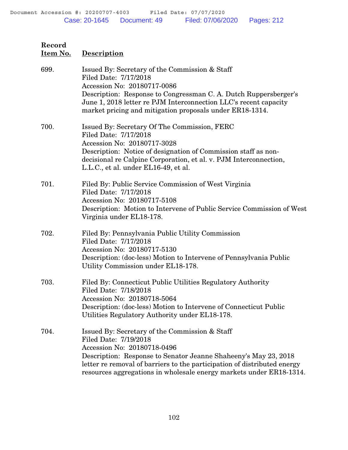## **Item No. Description** 699. Issued By: Secretary of the Commission & Staff Filed Date: 7/17/2018 Accession No: 20180717-0086 Description: Response to Congressman C. A. Dutch Ruppersberger's June 1, 2018 letter re PJM Interconnection LLC's recent capacity market pricing and mitigation proposals under ER18-1314. 700. Issued By: Secretary Of The Commission, FERC Filed Date: 7/17/2018 Accession No: 20180717-3028 Description: Notice of designation of Commission staff as nondecisional re Calpine Corporation, et al. v. PJM Interconnection, L.L.C., et al. under EL16-49, et al. 701. Filed By: Public Service Commission of West Virginia Filed Date: 7/17/2018 Accession No: 20180717-5108 Description: Motion to Intervene of Public Service Commission of West Virginia under EL18-178. 702. Filed By: Pennsylvania Public Utility Commission Filed Date: 7/17/2018 Accession No: 20180717-5130 Description: (doc-less) Motion to Intervene of Pennsylvania Public Utility Commission under EL18-178. 703. Filed By: Connecticut Public Utilities Regulatory Authority Filed Date: 7/18/2018 Accession No: 20180718-5064 Description: (doc-less) Motion to Intervene of Connecticut Public Utilities Regulatory Authority under EL18-178. 704. Issued By: Secretary of the Commission & Staff Filed Date: 7/19/2018 Accession No: 20180718-0496 Description: Response to Senator Jeanne Shaheeny's May 23, 2018 letter re removal of barriers to the participation of distributed energy resources aggregations in wholesale energy markets under ER18-1314.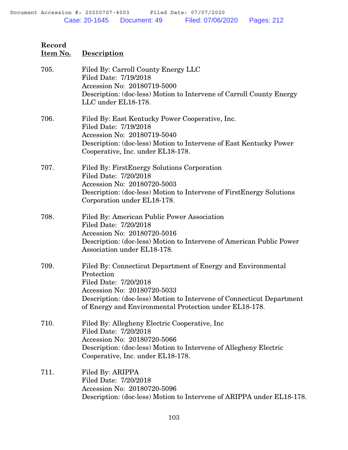## **Record Item No. Description** 705. Filed By: Carroll County Energy LLC Filed Date: 7/19/2018 Accession No: 20180719-5000 Description: (doc-less) Motion to Intervene of Carroll County Energy LLC under EL18-178. 706. Filed By: East Kentucky Power Cooperative, Inc. Filed Date: 7/19/2018 Accession No: 20180719-5040 Description: (doc-less) Motion to Intervene of East Kentucky Power Cooperative, Inc. under EL18-178. 707. Filed By: FirstEnergy Solutions Corporation Filed Date: 7/20/2018 Accession No: 20180720-5003 Description: (doc-less) Motion to Intervene of FirstEnergy Solutions Corporation under EL18-178. 708. Filed By: American Public Power Association Filed Date: 7/20/2018 Accession No: 20180720-5016 Description: (doc-less) Motion to Intervene of American Public Power Association under EL18-178. 709. Filed By: Connecticut Department of Energy and Environmental Protection Filed Date: 7/20/2018 Accession No: 20180720-5033 Description: (doc-less) Motion to Intervene of Connecticut Department of Energy and Environmental Protection under EL18-178. 710. Filed By: Allegheny Electric Cooperative, Inc Filed Date: 7/20/2018 Accession No: 20180720-5066 Description: (doc-less) Motion to Intervene of Allegheny Electric Cooperative, Inc. under EL18-178.

711. Filed By: ARIPPA Filed Date: 7/20/2018 Accession No: 20180720-5096 Description: (doc-less) Motion to Intervene of ARIPPA under EL18-178.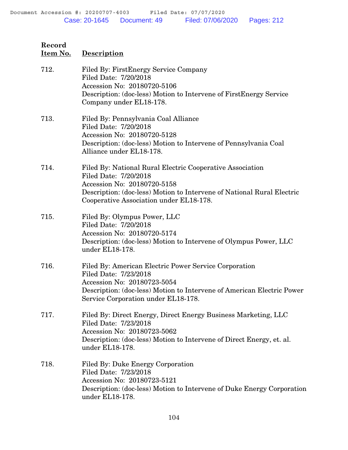# **Record Item No. Description** 712. Filed By: FirstEnergy Service Company Filed Date: 7/20/2018 Accession No: 20180720-5106 Description: (doc-less) Motion to Intervene of FirstEnergy Service Company under EL18-178. 713. Filed By: Pennsylvania Coal Alliance Filed Date: 7/20/2018 Accession No: 20180720-5128 Description: (doc-less) Motion to Intervene of Pennsylvania Coal Alliance under EL18-178. 714. Filed By: National Rural Electric Cooperative Association Filed Date: 7/20/2018 Accession No: 20180720-5158 Description: (doc-less) Motion to Intervene of National Rural Electric Cooperative Association under EL18-178. 715. Filed By: Olympus Power, LLC Filed Date: 7/20/2018 Accession No: 20180720-5174 Description: (doc-less) Motion to Intervene of Olympus Power, LLC

under EL18-178.

- 716. Filed By: American Electric Power Service Corporation Filed Date: 7/23/2018 Accession No: 20180723-5054 Description: (doc-less) Motion to Intervene of American Electric Power Service Corporation under EL18-178.
- 717. Filed By: Direct Energy, Direct Energy Business Marketing, LLC Filed Date: 7/23/2018 Accession No: 20180723-5062 Description: (doc-less) Motion to Intervene of Direct Energy, et. al. under EL18-178.
- 718. Filed By: Duke Energy Corporation Filed Date: 7/23/2018 Accession No: 20180723-5121 Description: (doc-less) Motion to Intervene of Duke Energy Corporation under EL18-178.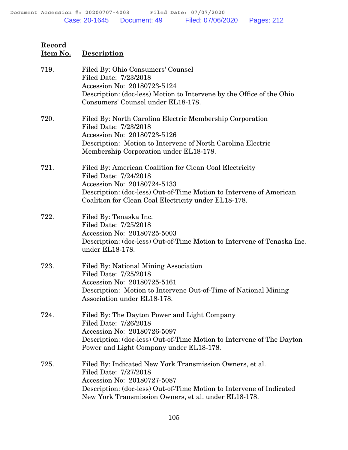| 719. | Filed By: Ohio Consumers' Counsel<br>Filed Date: 7/23/2018<br>Accession No: 20180723-5124<br>Description: (doc-less) Motion to Intervene by the Office of the Ohio<br>Consumers' Counsel under EL18-178.                                         |
|------|--------------------------------------------------------------------------------------------------------------------------------------------------------------------------------------------------------------------------------------------------|
| 720. | Filed By: North Carolina Electric Membership Corporation<br>Filed Date: 7/23/2018<br>Accession No: 20180723-5126<br>Description: Motion to Intervene of North Carolina Electric<br>Membership Corporation under EL18-178.                        |
| 721. | Filed By: American Coalition for Clean Coal Electricity<br>Filed Date: 7/24/2018<br>Accession No: 20180724-5133<br>Description: (doc-less) Out-of-Time Motion to Intervene of American<br>Coalition for Clean Coal Electricity under EL18-178.   |
| 722. | Filed By: Tenaska Inc.<br>Filed Date: 7/25/2018<br>Accession No: 20180725-5003<br>Description: (doc-less) Out-of-Time Motion to Intervene of Tenaska Inc.<br>under EL18-178.                                                                     |
| 723. | Filed By: National Mining Association<br>Filed Date: 7/25/2018<br>Accession No: 20180725-5161<br>Description: Motion to Intervene Out-of-Time of National Mining<br>Association under EL18-178.                                                  |
| 724. | Filed By: The Dayton Power and Light Company<br>Filed Date: 7/26/2018<br>Accession No: 20180726-5097<br>Description: (doc-less) Out-of-Time Motion to Intervene of The Dayton<br>Power and Light Company under EL18-178.                         |
| 725. | Filed By: Indicated New York Transmission Owners, et al.<br>Filed Date: 7/27/2018<br>Accession No: 20180727-5087<br>Description: (doc-less) Out-of-Time Motion to Intervene of Indicated<br>New York Transmission Owners, et al. under EL18-178. |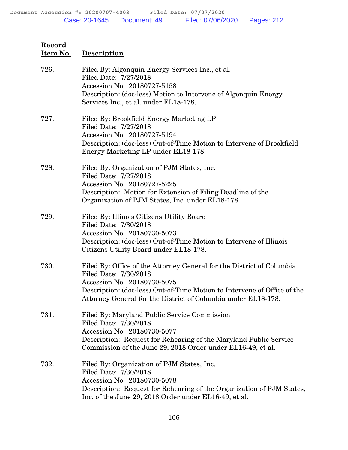| 726. | Filed By: Algonquin Energy Services Inc., et al.<br>Filed Date: 7/27/2018<br>Accession No: 20180727-5158<br>Description: (doc-less) Motion to Intervene of Algonquin Energy<br>Services Inc., et al. under EL18-178.                                                       |
|------|----------------------------------------------------------------------------------------------------------------------------------------------------------------------------------------------------------------------------------------------------------------------------|
| 727. | Filed By: Brookfield Energy Marketing LP<br>Filed Date: 7/27/2018<br>Accession No: 20180727-5194<br>Description: (doc-less) Out-of-Time Motion to Intervene of Brookfield<br>Energy Marketing LP under EL18-178.                                                           |
| 728. | Filed By: Organization of PJM States, Inc.<br>Filed Date: 7/27/2018<br>Accession No: 20180727-5225<br>Description: Motion for Extension of Filing Deadline of the<br>Organization of PJM States, Inc. under EL18-178.                                                      |
| 729. | Filed By: Illinois Citizens Utility Board<br>Filed Date: 7/30/2018<br>Accession No: 20180730-5073<br>Description: (doc-less) Out-of-Time Motion to Intervene of Illinois<br>Citizens Utility Board under EL18-178.                                                         |
| 730. | Filed By: Office of the Attorney General for the District of Columbia<br>Filed Date: 7/30/2018<br>Accession No: 20180730-5075<br>Description: (doc-less) Out-of-Time Motion to Intervene of Office of the<br>Attorney General for the District of Columbia under EL18-178. |
| 731. | Filed By: Maryland Public Service Commission<br>Filed Date: 7/30/2018<br>Accession No: 20180730-5077<br>Description: Request for Rehearing of the Maryland Public Service<br>Commission of the June 29, 2018 Order under EL16-49, et al.                                   |
| 732. | Filed By: Organization of PJM States, Inc.<br>Filed Date: 7/30/2018<br>Accession No: 20180730-5078<br>Description: Request for Rehearing of the Organization of PJM States,<br>Inc. of the June 29, 2018 Order under EL16-49, et al.                                       |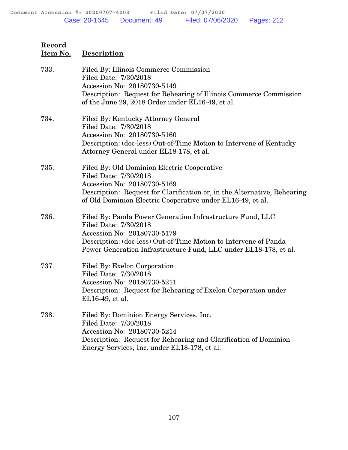| 733. | Filed By: Illinois Commerce Commission<br>Filed Date: 7/30/2018<br>Accession No: 20180730-5149<br>Description: Request for Rehearing of Illinois Commerce Commission<br>of the June 29, 2018 Order under EL16-49, et al.                                  |
|------|-----------------------------------------------------------------------------------------------------------------------------------------------------------------------------------------------------------------------------------------------------------|
| 734. | Filed By: Kentucky Attorney General<br>Filed Date: 7/30/2018<br>Accession No: 20180730-5160<br>Description: (doc-less) Out-of-Time Motion to Intervene of Kentucky<br>Attorney General under EL18-178, et al.                                             |
| 735. | Filed By: Old Dominion Electric Cooperative<br>Filed Date: 7/30/2018<br>Accession No: 20180730-5169<br>Description: Request for Clarification or, in the Alternative, Rehearing<br>of Old Dominion Electric Cooperative under EL16-49, et al.             |
| 736. | Filed By: Panda Power Generation Infrastructure Fund, LLC<br>Filed Date: 7/30/2018<br>Accession No: 20180730-5179<br>Description: (doc-less) Out-of-Time Motion to Intervene of Panda<br>Power Generation Infrastructure Fund, LLC under EL18-178, et al. |
| 737. | Filed By: Exelon Corporation<br>Filed Date: 7/30/2018<br>Accession No: 20180730-5211<br>Description: Request for Rehearing of Exelon Corporation under<br>EL16-49, et al.                                                                                 |
| 738. | Filed By: Dominion Energy Services, Inc.<br>Filed Date: 7/30/2018<br>Accession No: 20180730-5214<br>Description: Request for Rehearing and Clarification of Dominion<br>Energy Services, Inc. under EL18-178, et al.                                      |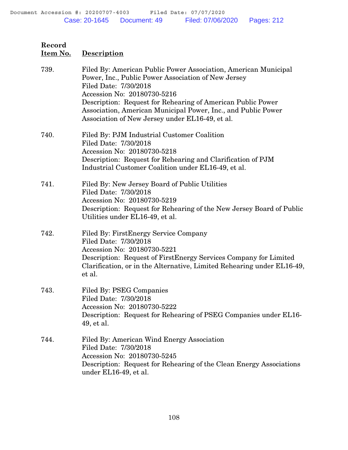| 739. | Filed By: American Public Power Association, American Municipal<br>Power, Inc., Public Power Association of New Jersey<br>Filed Date: 7/30/2018<br>Accession No: 20180730-5216<br>Description: Request for Rehearing of American Public Power<br>Association, American Municipal Power, Inc., and Public Power<br>Association of New Jersey under EL16-49, et al. |
|------|-------------------------------------------------------------------------------------------------------------------------------------------------------------------------------------------------------------------------------------------------------------------------------------------------------------------------------------------------------------------|
| 740. | Filed By: PJM Industrial Customer Coalition<br>Filed Date: 7/30/2018<br>Accession No: 20180730-5218<br>Description: Request for Rehearing and Clarification of PJM<br>Industrial Customer Coalition under EL16-49, et al.                                                                                                                                         |
| 741. | Filed By: New Jersey Board of Public Utilities<br>Filed Date: 7/30/2018<br>Accession No: 20180730-5219<br>Description: Request for Rehearing of the New Jersey Board of Public<br>Utilities under EL16-49, et al.                                                                                                                                                 |
| 742. | Filed By: FirstEnergy Service Company<br>Filed Date: 7/30/2018<br>Accession No: 20180730-5221<br>Description: Request of FirstEnergy Services Company for Limited<br>Clarification, or in the Alternative, Limited Rehearing under EL16-49,<br>et al.                                                                                                             |
| 743. | Filed By: PSEG Companies<br>Filed Date: 7/30/2018<br>Accession No: 20180730-5222<br>Description: Request for Rehearing of PSEG Companies under EL16-<br>49, et al.                                                                                                                                                                                                |
| 744. | Filed By: American Wind Energy Association<br>Filed Date: 7/30/2018<br>Accession No: 20180730-5245<br>Description: Request for Rehearing of the Clean Energy Associations<br>under EL16-49, et al.                                                                                                                                                                |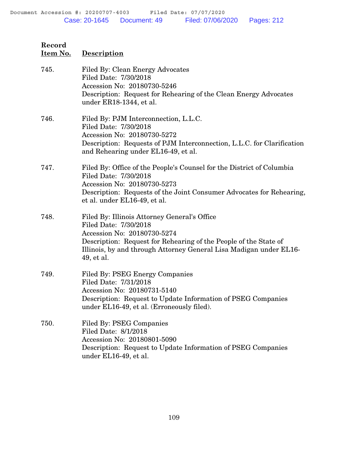| Record<br>Item No. | Description                                                                                                                                                                                                                                                  |
|--------------------|--------------------------------------------------------------------------------------------------------------------------------------------------------------------------------------------------------------------------------------------------------------|
| 745.               | Filed By: Clean Energy Advocates<br>Filed Date: 7/30/2018<br>Accession No: 20180730-5246<br>Description: Request for Rehearing of the Clean Energy Advocates<br>under ER18-1344, et al.                                                                      |
| 746.               | Filed By: PJM Interconnection, L.L.C.<br>Filed Date: 7/30/2018<br>Accession No: 20180730-5272<br>Description: Requests of PJM Interconnection, L.L.C. for Clarification<br>and Rehearing under EL16-49, et al.                                               |
| 747.               | Filed By: Office of the People's Counsel for the District of Columbia<br>Filed Date: 7/30/2018<br>Accession No: 20180730-5273<br>Description: Requests of the Joint Consumer Advocates for Rehearing,<br>et al. under EL16-49, et al.                        |
| 748.               | Filed By: Illinois Attorney General's Office<br>Filed Date: 7/30/2018<br>Accession No: 20180730-5274<br>Description: Request for Rehearing of the People of the State of<br>Illinois, by and through Attorney General Lisa Madigan under EL16-<br>49, et al. |
| 749.               | Filed By: PSEG Energy Companies<br>Filed Date: 7/31/2018<br>Accession No: 20180731-5140<br>Description: Request to Update Information of PSEG Companies<br>under EL16-49, et al. (Erroneously filed).                                                        |
| 750.               | Filed By: PSEG Companies<br>Filed Date: 8/1/2018<br>Accession No: 20180801-5090                                                                                                                                                                              |

Description: Request to Update Information of PSEG Companies under EL16-49, et al.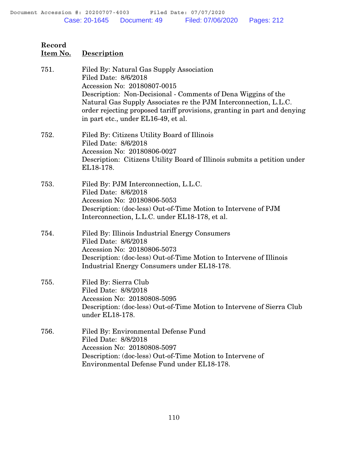| Record<br><u>Item No.</u> | <b>Description</b>                                                                                                                                                                                                                                                                                                                                      |
|---------------------------|---------------------------------------------------------------------------------------------------------------------------------------------------------------------------------------------------------------------------------------------------------------------------------------------------------------------------------------------------------|
| 751.                      | Filed By: Natural Gas Supply Association<br>Filed Date: 8/6/2018<br>Accession No: 20180807-0015<br>Description: Non-Decisional - Comments of Dena Wiggins of the<br>Natural Gas Supply Associates re the PJM Interconnection, L.L.C.<br>order rejecting proposed tariff provisions, granting in part and denying<br>in part etc., under EL16-49, et al. |
| 752.                      | Filed By: Citizens Utility Board of Illinois<br>Filed Date: 8/6/2018<br>Accession No: 20180806-0027<br>Description: Citizens Utility Board of Illinois submits a petition under<br>EL18-178.                                                                                                                                                            |
| 753.                      | Filed By: PJM Interconnection, L.L.C.<br>Filed Date: 8/6/2018<br>Accession No: 20180806-5053<br>Description: (doc-less) Out-of-Time Motion to Intervene of PJM<br>Interconnection, L.L.C. under EL18-178, et al.                                                                                                                                        |
| 754.                      | Filed By: Illinois Industrial Energy Consumers<br>Filed Date: 8/6/2018<br>Accession No: 20180806-5073<br>Description: (doc-less) Out-of-Time Motion to Intervene of Illinois<br>Industrial Energy Consumers under EL18-178.                                                                                                                             |
| 755.                      | Filed By: Sierra Club<br>Filed Date: 8/8/2018<br>Accession No: 20180808-5095<br>Description: (doc-less) Out-of-Time Motion to Intervene of Sierra Club<br>under EL18-178.                                                                                                                                                                               |
| 756.                      | Filed By: Environmental Defense Fund<br>Filed Date: 8/8/2018<br>Accession No: 20180808-5097<br>Description: (doc-less) Out-of-Time Motion to Intervene of<br>Environmental Defense Fund under EL18-178.                                                                                                                                                 |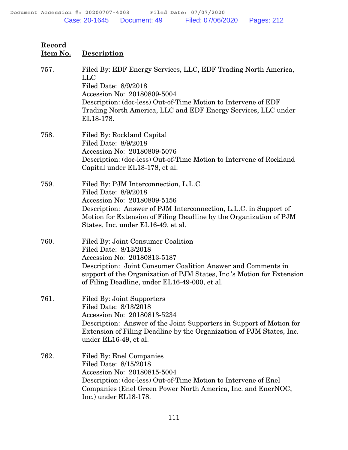| Record<br>Item No. | <b>Description</b>                                                                                                                                                                                                                                                                    |
|--------------------|---------------------------------------------------------------------------------------------------------------------------------------------------------------------------------------------------------------------------------------------------------------------------------------|
| 757.               | Filed By: EDF Energy Services, LLC, EDF Trading North America,<br><b>LLC</b><br>Filed Date: 8/9/2018<br>Accession No: 20180809-5004<br>Description: (doc-less) Out-of-Time Motion to Intervene of EDF<br>Trading North America, LLC and EDF Energy Services, LLC under<br>EL18-178.   |
| 758.               | Filed By: Rockland Capital<br>Filed Date: 8/9/2018<br>Accession No: 20180809-5076<br>Description: (doc-less) Out-of-Time Motion to Intervene of Rockland<br>Capital under EL18-178, et al.                                                                                            |
| 759.               | Filed By: PJM Interconnection, L.L.C.<br>Filed Date: 8/9/2018<br>Accession No: 20180809-5156<br>Description: Answer of PJM Interconnection, L.L.C. in Support of<br>Motion for Extension of Filing Deadline by the Organization of PJM<br>States, Inc. under EL16-49, et al.          |
| 760.               | Filed By: Joint Consumer Coalition<br>Filed Date: 8/13/2018<br>Accession No: 20180813-5187<br>Description: Joint Consumer Coalition Answer and Comments in<br>support of the Organization of PJM States, Inc.'s Motion for Extension<br>of Filing Deadline, under EL16-49-000, et al. |
| 761.               | <b>Filed By: Joint Supporters</b><br>Filed Date: 8/13/2018<br>Accession No: 20180813-5234<br>Description: Answer of the Joint Supporters in Support of Motion for<br>Extension of Filing Deadline by the Organization of PJM States, Inc.<br>under EL16-49, et al.                    |
| 762.               | <b>Filed By: Enel Companies</b><br>Filed Date: 8/15/2018<br>Accession No: 20180815-5004<br>Description: (doc-less) Out-of-Time Motion to Intervene of Enel<br>Companies (Enel Green Power North America, Inc. and EnerNOC,<br>$Inc.)$ under $EL18-178.$                               |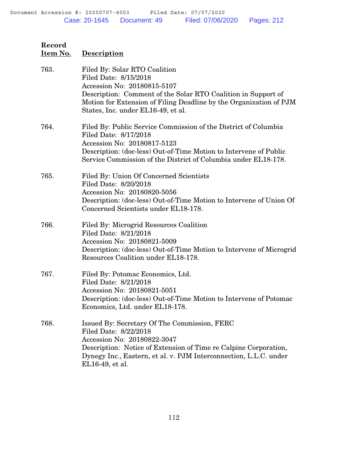| <u>Item No.</u> | <b>Description</b>                                                                                                                                                                                                                                                 |
|-----------------|--------------------------------------------------------------------------------------------------------------------------------------------------------------------------------------------------------------------------------------------------------------------|
| 763.            | Filed By: Solar RTO Coalition<br>Filed Date: 8/15/2018<br>Accession No: 20180815-5107<br>Description: Comment of the Solar RTO Coalition in Support of<br>Motion for Extension of Filing Deadline by the Organization of PJM<br>States, Inc. under EL16-49, et al. |
| 764.            | Filed By: Public Service Commission of the District of Columbia<br>Filed Date: 8/17/2018<br>Accession No: 20180817-5123<br>Description: (doc-less) Out-of-Time Motion to Intervene of Public<br>Service Commission of the District of Columbia under EL18-178.     |
| 765.            | Filed By: Union Of Concerned Scientists<br>Filed Date: 8/20/2018<br>Accession No: 20180820-5056<br>Description: (doc-less) Out-of-Time Motion to Intervene of Union Of<br>Concerned Scientists under EL18-178.                                                     |
| 766.            | Filed By: Microgrid Resources Coalition<br>Filed Date: 8/21/2018<br>Accession No: 20180821-5009<br>Description: (doc-less) Out-of-Time Motion to Intervene of Microgrid<br>Resources Coalition under EL18-178.                                                     |
| 767.            | Filed By: Potomac Economics, Ltd.<br>Filed Date: 8/21/2018<br>Accession No: 20180821-5051<br>Description: (doc-less) Out-of-Time Motion to Intervene of Potomac<br>Economics, Ltd. under EL18-178.                                                                 |
| 768.            | Issued By: Secretary Of The Commission, FERC<br>Filed Date: 8/22/2018<br>Accession No: 20180822-3047<br>Description: Notice of Extension of Time re Calpine Corporation,<br>Dynegy Inc., Eastern, et al. v. PJM Interconnection, L.L.C. under<br>EL16-49, et al.   |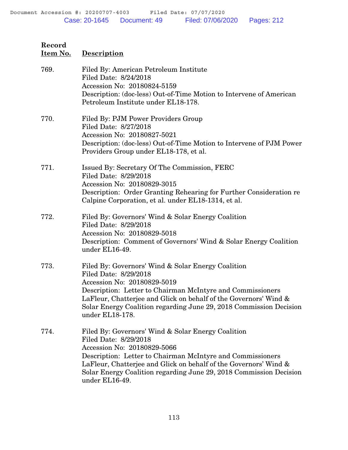| 769. | Filed By: American Petroleum Institute<br>Filed Date: 8/24/2018<br>Accession No: 20180824-5159<br>Description: (doc-less) Out-of-Time Motion to Intervene of American<br>Petroleum Institute under EL18-178.                                                                                                                          |
|------|---------------------------------------------------------------------------------------------------------------------------------------------------------------------------------------------------------------------------------------------------------------------------------------------------------------------------------------|
| 770. | Filed By: PJM Power Providers Group<br>Filed Date: 8/27/2018<br>Accession No: 20180827-5021<br>Description: (doc-less) Out-of-Time Motion to Intervene of PJM Power<br>Providers Group under EL18-178, et al.                                                                                                                         |
| 771. | Issued By: Secretary Of The Commission, FERC<br>Filed Date: 8/29/2018<br>Accession No: 20180829-3015<br>Description: Order Granting Rehearing for Further Consideration re<br>Calpine Corporation, et al. under EL18-1314, et al.                                                                                                     |
| 772. | Filed By: Governors' Wind & Solar Energy Coalition<br>Filed Date: 8/29/2018<br>Accession No: 20180829-5018<br>Description: Comment of Governors' Wind & Solar Energy Coalition<br>under EL16-49.                                                                                                                                      |
| 773. | Filed By: Governors' Wind & Solar Energy Coalition<br>Filed Date: 8/29/2018<br>Accession No: 20180829-5019<br>Description: Letter to Chairman McIntyre and Commissioners<br>LaFleur, Chatterjee and Glick on behalf of the Governors' Wind &<br>Solar Energy Coalition regarding June 29, 2018 Commission Decision<br>under EL18-178. |
| 774. | Filed By: Governors' Wind & Solar Energy Coalition<br>Filed Date: 8/29/2018<br>Accession No: 20180829-5066<br>Description: Letter to Chairman McIntyre and Commissioners<br>LaFleur, Chatterjee and Glick on behalf of the Governors' Wind &<br>Solar Energy Coalition regarding June 29, 2018 Commission Decision<br>under EL16-49.  |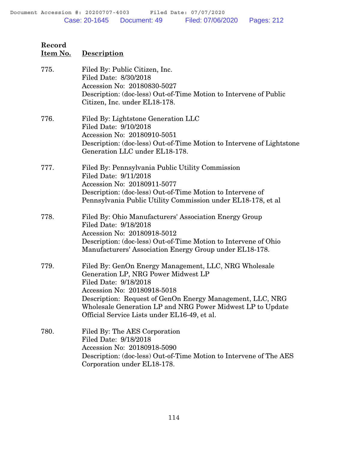## **Item No. Description** 775. Filed By: Public Citizen, Inc. Filed Date: 8/30/2018 Accession No: 20180830-5027 Description: (doc-less) Out-of-Time Motion to Intervene of Public Citizen, Inc. under EL18-178. 776. Filed By: Lightstone Generation LLC Filed Date: 9/10/2018 Accession No: 20180910-5051 Description: (doc-less) Out-of-Time Motion to Intervene of Lightstone Generation LLC under EL18-178. 777. Filed By: Pennsylvania Public Utility Commission Filed Date: 9/11/2018 Accession No: 20180911-5077 Description: (doc-less) Out-of-Time Motion to Intervene of Pennsylvania Public Utility Commission under EL18-178, et al 778. Filed By: Ohio Manufacturers' Association Energy Group Filed Date: 9/18/2018 Accession No: 20180918-5012 Description: (doc-less) Out-of-Time Motion to Intervene of Ohio Manufacturers' Association Energy Group under EL18-178. 779. Filed By: GenOn Energy Management, LLC, NRG Wholesale Generation LP, NRG Power Midwest LP Filed Date: 9/18/2018 Accession No: 20180918-5018 Description: Request of GenOn Energy Management, LLC, NRG Wholesale Generation LP and NRG Power Midwest LP to Update Official Service Lists under EL16-49, et al.

780. Filed By: The AES Corporation Filed Date: 9/18/2018 Accession No: 20180918-5090 Description: (doc-less) Out-of-Time Motion to Intervene of The AES Corporation under EL18-178.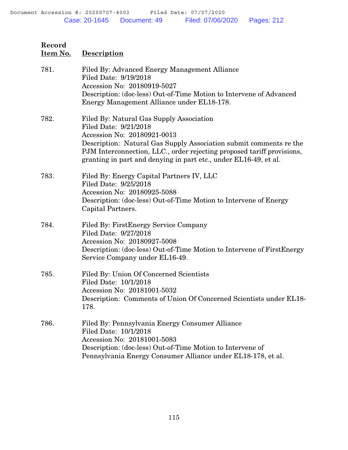| 781. | Filed By: Advanced Energy Management Alliance<br>Filed Date: 9/19/2018<br>Accession No: 20180919-5027<br>Description: (doc-less) Out-of-Time Motion to Intervene of Advanced                                                                                                                                         |
|------|----------------------------------------------------------------------------------------------------------------------------------------------------------------------------------------------------------------------------------------------------------------------------------------------------------------------|
|      | Energy Management Alliance under EL18-178.                                                                                                                                                                                                                                                                           |
| 782. | Filed By: Natural Gas Supply Association<br>Filed Date: 9/21/2018<br>Accession No: 20180921-0013<br>Description: Natural Gas Supply Association submit comments re the<br>PJM Interconnection, LLC., order rejecting proposed tariff provisions,<br>granting in part and denying in part etc., under EL16-49, et al. |
| 783. | Filed By: Energy Capital Partners IV, LLC<br>Filed Date: 9/25/2018<br>Accession No: 20180925-5088<br>Description: (doc-less) Out-of-Time Motion to Intervene of Energy<br>Capital Partners.                                                                                                                          |
| 784. | Filed By: FirstEnergy Service Company<br>Filed Date: 9/27/2018<br>Accession No: 20180927-5008<br>Description: (doc-less) Out-of-Time Motion to Intervene of FirstEnergy<br>Service Company under EL16-49.                                                                                                            |
| 785. | Filed By: Union Of Concerned Scientists<br>Filed Date: 10/1/2018<br>Accession No: 20181001-5032<br>Description: Comments of Union Of Concerned Scientists under EL18-<br>178.                                                                                                                                        |
| 786. | Filed By: Pennsylvania Energy Consumer Alliance<br>Filed Date: 10/1/2018<br>Accession No: 20181001-5083<br>Description: (doc-less) Out-of-Time Motion to Intervene of<br>Pennsylvania Energy Consumer Alliance under EL18-178, et al.                                                                                |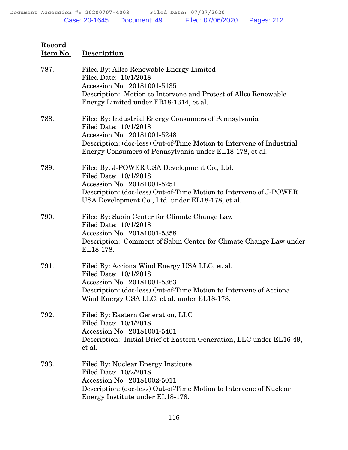| 787. | Filed By: Allco Renewable Energy Limited<br>Filed Date: 10/1/2018<br>Accession No: 20181001-5135<br>Description: Motion to Intervene and Protest of Allco Renewable<br>Energy Limited under ER18-1314, et al.                                     |
|------|---------------------------------------------------------------------------------------------------------------------------------------------------------------------------------------------------------------------------------------------------|
| 788. | Filed By: Industrial Energy Consumers of Pennsylvania<br>Filed Date: 10/1/2018<br>Accession No: 20181001-5248<br>Description: (doc-less) Out-of-Time Motion to Intervene of Industrial<br>Energy Consumers of Pennsylvania under EL18-178, et al. |
| 789. | Filed By: J-POWER USA Development Co., Ltd.<br>Filed Date: 10/1/2018<br>Accession No: 20181001-5251<br>Description: (doc-less) Out-of-Time Motion to Intervene of J-POWER<br>USA Development Co., Ltd. under EL18-178, et al.                     |
| 790. | Filed By: Sabin Center for Climate Change Law<br>Filed Date: 10/1/2018<br>Accession No: 20181001-5358<br>Description: Comment of Sabin Center for Climate Change Law under<br>EL18-178.                                                           |
| 791. | Filed By: Acciona Wind Energy USA LLC, et al.<br>Filed Date: 10/1/2018<br>Accession No: 20181001-5363<br>Description: (doc-less) Out-of-Time Motion to Intervene of Acciona<br>Wind Energy USA LLC, et al. under EL18-178.                        |
| 792. | Filed By: Eastern Generation, LLC<br>Filed Date: 10/1/2018<br>Accession No: 20181001-5401<br>Description: Initial Brief of Eastern Generation, LLC under EL16-49,<br>et al.                                                                       |
| 793. | Filed By: Nuclear Energy Institute<br>Filed Date: 10/2/2018<br>Accession No: 20181002-5011<br>Description: (doc-less) Out-of-Time Motion to Intervene of Nuclear<br>Energy Institute under EL18-178.                                              |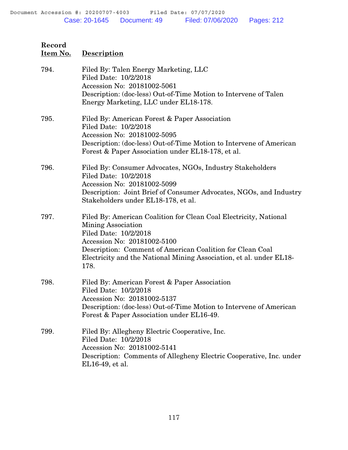| 794. | Filed By: Talen Energy Marketing, LLC<br>Filed Date: 10/2/2018<br>Accession No: 20181002-5061<br>Description: (doc-less) Out-of-Time Motion to Intervene of Talen<br>Energy Marketing, LLC under EL18-178.                                                                                  |
|------|---------------------------------------------------------------------------------------------------------------------------------------------------------------------------------------------------------------------------------------------------------------------------------------------|
| 795. | Filed By: American Forest & Paper Association<br>Filed Date: 10/2/2018<br>Accession No: 20181002-5095<br>Description: (doc-less) Out-of-Time Motion to Intervene of American<br>Forest & Paper Association under EL18-178, et al.                                                           |
| 796. | Filed By: Consumer Advocates, NGOs, Industry Stakeholders<br>Filed Date: 10/2/2018<br>Accession No: 20181002-5099<br>Description: Joint Brief of Consumer Advocates, NGOs, and Industry<br>Stakeholders under EL18-178, et al.                                                              |
| 797. | Filed By: American Coalition for Clean Coal Electricity, National<br>Mining Association<br>Filed Date: 10/2/2018<br>Accession No: 20181002-5100<br>Description: Comment of American Coalition for Clean Coal<br>Electricity and the National Mining Association, et al. under EL18-<br>178. |
| 798. | Filed By: American Forest & Paper Association<br>Filed Date: 10/2/2018<br>Accession No: 20181002-5137<br>Description: (doc-less) Out-of-Time Motion to Intervene of American<br>Forest & Paper Association under EL16-49.                                                                   |
| 799. | Filed By: Allegheny Electric Cooperative, Inc.<br>Filed Date: 10/2/2018<br>Accession No: 20181002-5141<br>Description: Comments of Allegheny Electric Cooperative, Inc. under<br>EL16-49, et al.                                                                                            |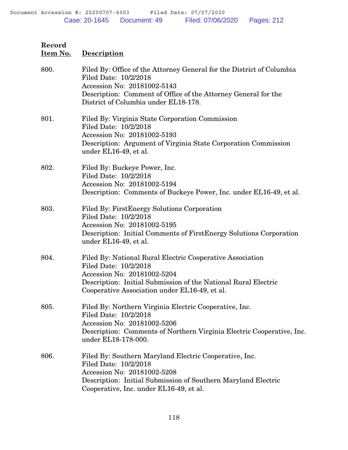| 800. | Filed By: Office of the Attorney General for the District of Columbia<br>Filed Date: 10/2/2018<br>Accession No: 20181002-5143<br>Description: Comment of Office of the Attorney General for the<br>District of Columbia under EL18-178. |
|------|-----------------------------------------------------------------------------------------------------------------------------------------------------------------------------------------------------------------------------------------|
| 801. | Filed By: Virginia State Corporation Commission<br>Filed Date: 10/2/2018<br>Accession No: 20181002-5193<br>Description: Argument of Virginia State Corporation Commission<br>under EL16-49, et al.                                      |
| 802. | Filed By: Buckeye Power, Inc.<br>Filed Date: 10/2/2018<br>Accession No: 20181002-5194<br>Description: Comments of Buckeye Power, Inc. under EL16-49, et al.                                                                             |
| 803. | Filed By: First Energy Solutions Corporation<br>Filed Date: 10/2/2018<br>Accession No: 20181002-5195<br>Description: Initial Comments of FirstEnergy Solutions Corporation<br>under EL16-49, et al.                                     |
| 804. | Filed By: National Rural Electric Cooperative Association<br>Filed Date: 10/2/2018<br>Accession No: 20181002-5204<br>Description: Initial Submission of the National Rural Electric<br>Cooperative Association under EL16-49, et al.    |
| 805. | Filed By: Northern Virginia Electric Cooperative, Inc.<br>Filed Date: 10/2/2018<br>Accession No: 20181002-5206<br>Description: Comments of Northern Virginia Electric Cooperative, Inc.<br>under EL18-178-000.                          |
| 806. | Filed By: Southern Maryland Electric Cooperative, Inc.<br>Filed Date: 10/2/2018<br>Accession No: 20181002-5208<br>Description: Initial Submission of Southern Maryland Electric<br>Cooperative, Inc. under EL16-49, et al.              |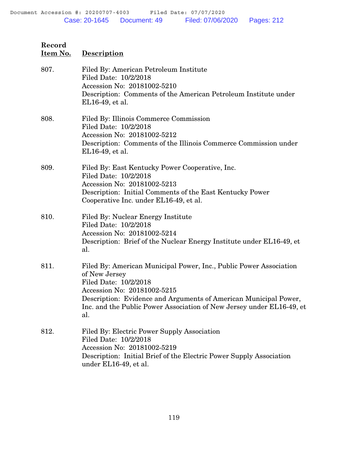# **Record Item No. Description** 807. Filed By: American Petroleum Institute

| <b>OV</b> 1. | r neu Dy. American i etroleum mstitute<br>Filed Date: 10/2/2018<br>Accession No: 20181002-5210<br>Description: Comments of the American Petroleum Institute under<br>EL16-49, et al.                                                                                                            |
|--------------|-------------------------------------------------------------------------------------------------------------------------------------------------------------------------------------------------------------------------------------------------------------------------------------------------|
| 808.         | Filed By: Illinois Commerce Commission<br>Filed Date: 10/2/2018<br>Accession No: 20181002-5212<br>Description: Comments of the Illinois Commerce Commission under<br>EL16-49, et al.                                                                                                            |
| 809.         | Filed By: East Kentucky Power Cooperative, Inc.<br>Filed Date: 10/2/2018<br>Accession No: 20181002-5213<br>Description: Initial Comments of the East Kentucky Power<br>Cooperative Inc. under EL16-49, et al.                                                                                   |
| 810.         | Filed By: Nuclear Energy Institute<br>Filed Date: 10/2/2018<br>Accession No: 20181002-5214<br>Description: Brief of the Nuclear Energy Institute under EL16-49, et<br>al.                                                                                                                       |
| 811.         | Filed By: American Municipal Power, Inc., Public Power Association<br>of New Jersey<br>Filed Date: 10/2/2018<br>Accession No: 20181002-5215<br>Description: Evidence and Arguments of American Municipal Power,<br>Inc. and the Public Power Association of New Jersey under EL16-49, et<br>al. |
| 812.         | Filed By: Electric Power Supply Association<br>Filed Date: 10/2/2018<br>Accession No: 20181002-5219<br>Description: Initial Brief of the Electric Power Supply Association<br>under EL16-49, et al.                                                                                             |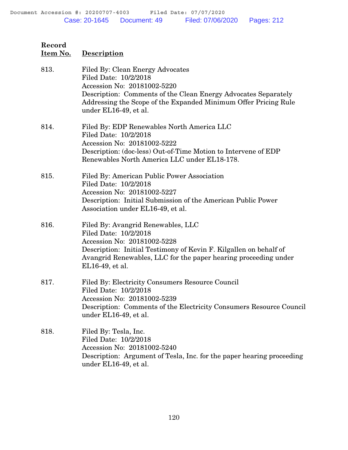| Record<br>Item No. | <b>Description</b>                                                                                                                                                                                                                                     |
|--------------------|--------------------------------------------------------------------------------------------------------------------------------------------------------------------------------------------------------------------------------------------------------|
| 813.               | Filed By: Clean Energy Advocates<br>Filed Date: 10/2/2018<br>Accession No: 20181002-5220<br>Description: Comments of the Clean Energy Advocates Separately<br>Addressing the Scope of the Expanded Minimum Offer Pricing Rule<br>under EL16-49, et al. |
| 814.               | Filed By: EDP Renewables North America LLC<br>Filed Date: 10/2/2018<br>Accession No: 20181002-5222<br>Description: (doc-less) Out-of-Time Motion to Intervene of EDP<br>Renewables North America LLC under EL18-178.                                   |
| 815.               | Filed By: American Public Power Association<br>Filed Date: 10/2/2018<br>Accession No: 20181002-5227<br>Description: Initial Submission of the American Public Power<br>Association under EL16-49, et al.                                               |
| 816.               | Filed By: Avangrid Renewables, LLC<br>Filed Date: 10/2/2018<br>Accession No: 20181002-5228<br>Description: Initial Testimony of Kevin F. Kilgallen on behalf of<br>Avangrid Renewables, LLC for the paper hearing proceeding under<br>EL16-49, et al.  |
| 817.               | Filed By: Electricity Consumers Resource Council<br>Filed Date: 10/2/2018<br>Accession No: 20181002-5239<br>Description: Comments of the Electricity Consumers Resource Council<br>under EL16-49, et al.                                               |
| 818.               | Filed By: Tesla, Inc.<br>Filed Date: 10/2/2018<br>Accession No: 20181002-5240<br>Description: Argument of Tesla, Inc. for the paper hearing proceeding<br>under EL16-49, et al.                                                                        |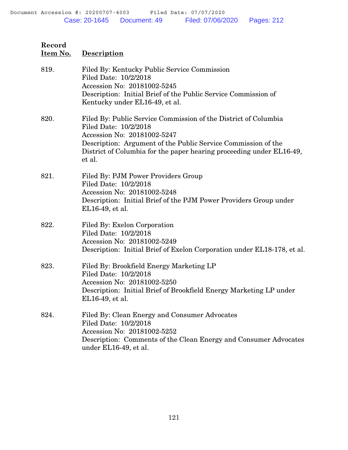## **Item No. Description** 819. Filed By: Kentucky Public Service Commission Filed Date: 10/2/2018 Accession No: 20181002-5245 Description: Initial Brief of the Public Service Commission of Kentucky under EL16-49, et al. 820. Filed By: Public Service Commission of the District of Columbia Filed Date: 10/2/2018 Accession No: 20181002-5247 Description: Argument of the Public Service Commission of the District of Columbia for the paper hearing proceeding under EL16-49, et al. 821. Filed By: PJM Power Providers Group Filed Date: 10/2/2018 Accession No: 20181002-5248 Description: Initial Brief of the PJM Power Providers Group under

EL16-49, et al.

#### 822. Filed By: Exelon Corporation Filed Date: 10/2/2018 Accession No: 20181002-5249 Description: Initial Brief of Exelon Corporation under EL18-178, et al.

- 823. Filed By: Brookfield Energy Marketing LP Filed Date: 10/2/2018 Accession No: 20181002-5250 Description: Initial Brief of Brookfield Energy Marketing LP under EL16-49, et al.
- 824. Filed By: Clean Energy and Consumer Advocates Filed Date: 10/2/2018 Accession No: 20181002-5252 Description: Comments of the Clean Energy and Consumer Advocates under EL16-49, et al.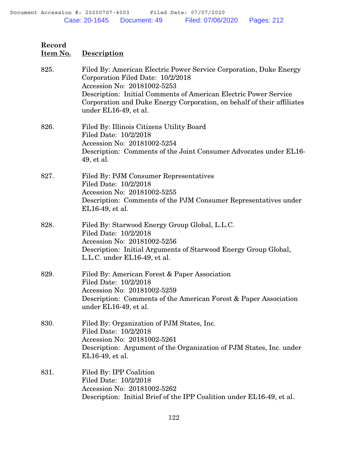| 825. | Filed By: American Electric Power Service Corporation, Duke Energy<br>Corporation Filed Date: 10/2/2018<br>Accession No: 20181002-5253<br>Description: Initial Comments of American Electric Power Service<br>Corporation and Duke Energy Corporation, on behalf of their affiliates<br>under EL16-49, et al. |
|------|---------------------------------------------------------------------------------------------------------------------------------------------------------------------------------------------------------------------------------------------------------------------------------------------------------------|
| 826. | Filed By: Illinois Citizens Utility Board<br>Filed Date: 10/2/2018<br>Accession No: 20181002-5254<br>Description: Comments of the Joint Consumer Advocates under EL16-<br>49, et al.                                                                                                                          |
| 827. | Filed By: PJM Consumer Representatives<br>Filed Date: 10/2/2018<br>Accession No: 20181002-5255<br>Description: Comments of the PJM Consumer Representatives under<br>EL16-49, et al.                                                                                                                          |
| 828. | Filed By: Starwood Energy Group Global, L.L.C.<br>Filed Date: 10/2/2018<br>Accession No: 20181002-5256<br>Description: Initial Arguments of Starwood Energy Group Global,<br>L.L.C. under EL16-49, et al.                                                                                                     |
| 829. | Filed By: American Forest & Paper Association<br>Filed Date: 10/2/2018<br>Accession No: 20181002-5259<br>Description: Comments of the American Forest & Paper Association<br>under EL16-49, et al.                                                                                                            |
| 830. | Filed By: Organization of PJM States, Inc.<br>Filed Date: 10/2/2018<br>Accession No: 20181002-5261<br>Description: Argument of the Organization of PJM States, Inc. under<br>EL16-49, et al.                                                                                                                  |
| 831. | Filed By: IPP Coalition<br>Filed Date: 10/2/2018<br>Accession No: 20181002-5262<br>Description: Initial Brief of the IPP Coalition under EL16-49, et al.                                                                                                                                                      |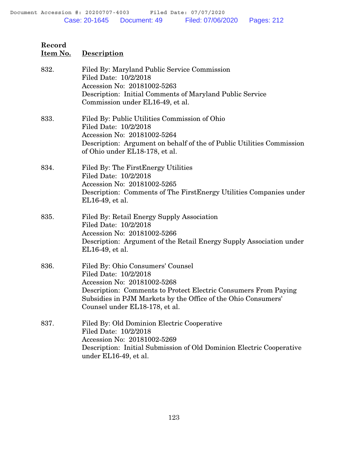| 832. | Filed By: Maryland Public Service Commission<br>Filed Date: 10/2/2018<br>Accession No: 20181002-5263<br>Description: Initial Comments of Maryland Public Service<br>Commission under EL16-49, et al.                                                            |
|------|-----------------------------------------------------------------------------------------------------------------------------------------------------------------------------------------------------------------------------------------------------------------|
| 833. | Filed By: Public Utilities Commission of Ohio<br>Filed Date: 10/2/2018<br>Accession No: 20181002-5264<br>Description: Argument on behalf of the of Public Utilities Commission<br>of Ohio under EL18-178, et al.                                                |
| 834. | Filed By: The First Energy Utilities<br>Filed Date: 10/2/2018<br>Accession No: 20181002-5265<br>Description: Comments of The First Energy Utilities Companies under<br>EL16-49, et al.                                                                          |
| 835. | Filed By: Retail Energy Supply Association<br>Filed Date: 10/2/2018<br>Accession No: 20181002-5266<br>Description: Argument of the Retail Energy Supply Association under<br>EL16-49, et al.                                                                    |
| 836. | Filed By: Ohio Consumers' Counsel<br>Filed Date: 10/2/2018<br>Accession No: 20181002-5268<br>Description: Comments to Protect Electric Consumers From Paying<br>Subsidies in PJM Markets by the Office of the Ohio Consumers'<br>Counsel under EL18-178, et al. |
| 837. | Filed By: Old Dominion Electric Cooperative<br>Filed Date: 10/2/2018<br>Accession No: 20181002-5269<br>Description: Initial Submission of Old Dominion Electric Cooperative<br>under EL16-49, et al.                                                            |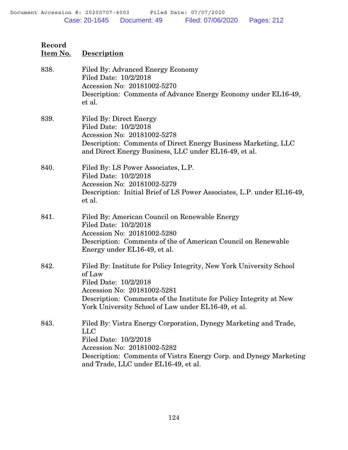| Record<br>Item No. | <b>Description</b>                                                                                                                                                                                                                                                  |
|--------------------|---------------------------------------------------------------------------------------------------------------------------------------------------------------------------------------------------------------------------------------------------------------------|
| 838.               | Filed By: Advanced Energy Economy<br>Filed Date: 10/2/2018<br>Accession No: 20181002-5270<br>Description: Comments of Advance Energy Economy under EL16-49,<br>et al.                                                                                               |
| 839.               | Filed By: Direct Energy<br>Filed Date: 10/2/2018<br>Accession No: 20181002-5278<br>Description: Comments of Direct Energy Business Marketing, LLC<br>and Direct Energy Business, LLC under EL16-49, et al.                                                          |
| 840.               | Filed By: LS Power Associates, L.P.<br>Filed Date: 10/2/2018<br>Accession No: 20181002-5279<br>Description: Initial Brief of LS Power Associates, L.P. under EL16-49,<br>et al.                                                                                     |
| 841.               | Filed By: American Council on Renewable Energy<br>Filed Date: 10/2/2018<br>Accession No: 20181002-5280<br>Description: Comments of the of American Council on Renewable<br>Energy under EL16-49, et al.                                                             |
| 842.               | Filed By: Institute for Policy Integrity, New York University School<br>of Law<br>Filed Date: 10/2/2018<br>Accession No: 20181002-5281<br>Description: Comments of the Institute for Policy Integrity at New<br>York University School of Law under EL16-49, et al. |
| 843.               | Filed By: Vistra Energy Corporation, Dynegy Marketing and Trade,<br><b>LLC</b><br>Filed Date: 10/2/2018<br>Accession No: 20181002-5282<br>Description: Comments of Vistra Energy Corp. and Dynegy Marketing<br>and Trade, LLC under EL16-49, et al.                 |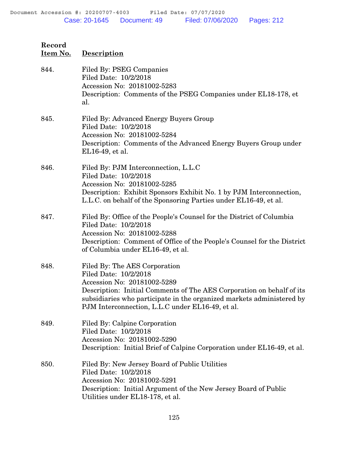| Record<br><u>Item No.</u> | <b>Description</b>                                                                                                                                                                                                                                                                          |
|---------------------------|---------------------------------------------------------------------------------------------------------------------------------------------------------------------------------------------------------------------------------------------------------------------------------------------|
| 844.                      | Filed By: PSEG Companies<br>Filed Date: 10/2/2018<br>Accession No: 20181002-5283<br>Description: Comments of the PSEG Companies under EL18-178, et<br>al.                                                                                                                                   |
| 845.                      | Filed By: Advanced Energy Buyers Group<br>Filed Date: 10/2/2018<br>Accession No: 20181002-5284<br>Description: Comments of the Advanced Energy Buyers Group under<br>EL16-49, et al.                                                                                                        |
| 846.                      | Filed By: PJM Interconnection, L.L.C<br>Filed Date: 10/2/2018<br>Accession No: 20181002-5285<br>Description: Exhibit Sponsors Exhibit No. 1 by PJM Interconnection,<br>L.L.C. on behalf of the Sponsoring Parties under EL16-49, et al.                                                     |
| 847.                      | Filed By: Office of the People's Counsel for the District of Columbia<br>Filed Date: 10/2/2018<br>Accession No: 20181002-5288<br>Description: Comment of Office of the People's Counsel for the District<br>of Columbia under EL16-49, et al.                                               |
| 848.                      | Filed By: The AES Corporation<br>Filed Date: 10/2/2018<br>Accession No: 20181002-5289<br>Description: Initial Comments of The AES Corporation on behalf of its<br>subsidiaries who participate in the organized markets administered by<br>PJM Interconnection, L.L.C under EL16-49, et al. |
| 849.                      | Filed By: Calpine Corporation<br>Filed Date: 10/2/2018<br>Accession No: 20181002-5290<br>Description: Initial Brief of Calpine Corporation under EL16-49, et al.                                                                                                                            |
| 850.                      | Filed By: New Jersey Board of Public Utilities<br>Filed Date: 10/2/2018<br>Accession No: 20181002-5291<br>Description: Initial Argument of the New Jersey Board of Public<br>Utilities under EL18-178, et al.                                                                               |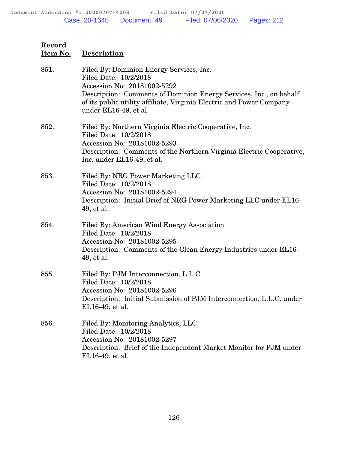| Record<br><u>Item No.</u> | Description                                                                                                                                                                                                                                                             |
|---------------------------|-------------------------------------------------------------------------------------------------------------------------------------------------------------------------------------------------------------------------------------------------------------------------|
| 851.                      | Filed By: Dominion Energy Services, Inc.<br>Filed Date: 10/2/2018<br>Accession No: 20181002-5292<br>Description: Comments of Dominion Energy Services, Inc., on behalf<br>of its public utility affiliate, Virginia Electric and Power Company<br>under EL16-49, et al. |
| 852.                      | Filed By: Northern Virginia Electric Cooperative, Inc.<br>Filed Date: 10/2/2018<br>Accession No: 20181002-5293<br>Description: Comments of the Northern Virginia Electric Cooperative,<br>Inc. under EL16-49, et al.                                                    |
| 853.                      | Filed By: NRG Power Marketing LLC<br>Filed Date: 10/2/2018<br>Accession No: 20181002-5294<br>Description: Initial Brief of NRG Power Marketing LLC under EL16-<br>49, et al.                                                                                            |
| 854.                      | Filed By: American Wind Energy Association<br>Filed Date: 10/2/2018<br>Accession No: 20181002-5295<br>Description: Comments of the Clean Energy Industries under EL16-<br>49, et al.                                                                                    |
| 855.                      | Filed By: PJM Interconnection, L.L.C.<br>Filed Date: 10/2/2018<br>Accession No: 20181002-5296<br>Description: Initial Submission of PJM Interconnection, L.L.C. under<br>EL16-49, et al.                                                                                |
| 856.                      | Filed By: Monitoring Analytics, LLC<br>Filed Date: 10/2/2018<br>Accession No: 20181002-5297<br>Description: Brief of the Independent Market Monitor for PJM under<br>EL16-49, et al.                                                                                    |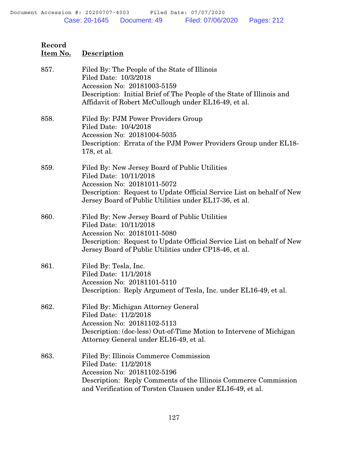| 857. | Filed By: The People of the State of Illinois<br>Filed Date: 10/3/2018<br>Accession No: 20181003-5159<br>Description: Initial Brief of The People of the State of Illinois and<br>Affidavit of Robert McCullough under EL16-49, et al.     |
|------|--------------------------------------------------------------------------------------------------------------------------------------------------------------------------------------------------------------------------------------------|
| 858. | Filed By: PJM Power Providers Group<br>Filed Date: 10/4/2018<br>Accession No: 20181004-5035<br>Description: Errata of the PJM Power Providers Group under EL18-<br>178, et al.                                                             |
| 859. | Filed By: New Jersey Board of Public Utilities<br>Filed Date: 10/11/2018<br>Accession No: 20181011-5072<br>Description: Request to Update Official Service List on behalf of New<br>Jersey Board of Public Utilities under EL17-36, et al. |
| 860. | Filed By: New Jersey Board of Public Utilities<br>Filed Date: 10/11/2018<br>Accession No: 20181011-5080<br>Description: Request to Update Official Service List on behalf of New<br>Jersey Board of Public Utilities under CP18-46, et al. |
| 861. | Filed By: Tesla, Inc.<br>Filed Date: 11/1/2018<br>Accession No: 20181101-5110<br>Description: Reply Argument of Tesla, Inc. under EL16-49, et al.                                                                                          |
| 862. | Filed By: Michigan Attorney General<br>Filed Date: 11/2/2018<br>Accession No: 20181102-5113<br>Description: (doc-less) Out-of-Time Motion to Intervene of Michigan<br>Attorney General under EL16-49, et al.                               |
| 863. | Filed By: Illinois Commerce Commission<br>Filed Date: 11/2/2018<br>Accession No: 20181102-5196<br>Description: Reply Comments of the Illinois Commerce Commission<br>and Verification of Torsten Clausen under EL16-49, et al.             |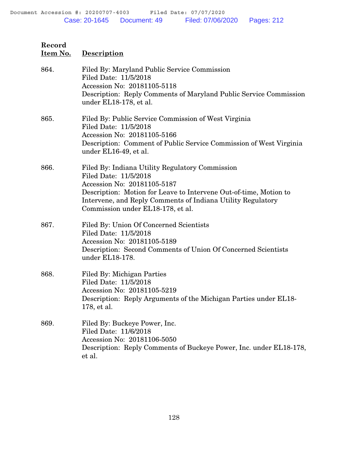| Record<br>Item No. | <b>Description</b>                                                                                                                                                                                                                                                               |
|--------------------|----------------------------------------------------------------------------------------------------------------------------------------------------------------------------------------------------------------------------------------------------------------------------------|
| 864.               | Filed By: Maryland Public Service Commission<br>Filed Date: 11/5/2018<br>Accession No: 20181105-5118<br>Description: Reply Comments of Maryland Public Service Commission<br>under EL18-178, et al.                                                                              |
| 865.               | Filed By: Public Service Commission of West Virginia<br>Filed Date: 11/5/2018<br>Accession No: 20181105-5166<br>Description: Comment of Public Service Commission of West Virginia<br>under EL16-49, et al.                                                                      |
| 866.               | Filed By: Indiana Utility Regulatory Commission<br>Filed Date: 11/5/2018<br>Accession No: 20181105-5187<br>Description: Motion for Leave to Intervene Out-of-time, Motion to<br>Intervene, and Reply Comments of Indiana Utility Regulatory<br>Commission under EL18-178, et al. |
| 867.               | Filed By: Union Of Concerned Scientists<br>Filed Date: 11/5/2018<br>Accession No: 20181105-5189<br>Description: Second Comments of Union Of Concerned Scientists<br>under EL18-178.                                                                                              |
| 868.               | Filed By: Michigan Parties<br>Filed Date: 11/5/2018<br>Accession No: 20181105-5219<br>Description: Reply Arguments of the Michigan Parties under EL18-<br>178, et al.                                                                                                            |
| 869.               | Filed By: Buckeye Power, Inc.<br>Filed Date: 11/6/2018<br>Accession No: 20181106-5050<br>Description: Reply Comments of Buckeye Power, Inc. under EL18-178,<br>et al.                                                                                                            |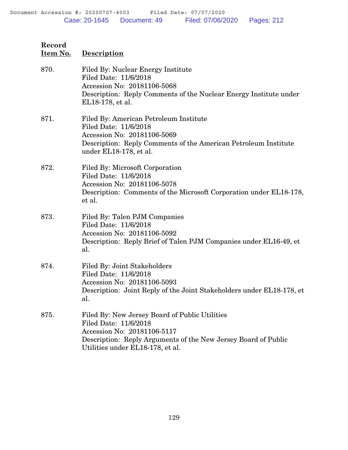| Record<br>Item No. | <b>Description</b>                                                                                                                                                                                           |
|--------------------|--------------------------------------------------------------------------------------------------------------------------------------------------------------------------------------------------------------|
| 870.               | Filed By: Nuclear Energy Institute<br>Filed Date: 11/6/2018<br>Accession No: 20181106-5068<br>Description: Reply Comments of the Nuclear Energy Institute under<br>EL18-178, et al.                          |
| 871.               | Filed By: American Petroleum Institute<br>Filed Date: 11/6/2018<br>Accession No: 20181106-5069<br>Description: Reply Comments of the American Petroleum Institute<br>under EL18-178, et al.                  |
| 872.               | Filed By: Microsoft Corporation<br>Filed Date: 11/6/2018<br>Accession No: 20181106-5078<br>Description: Comments of the Microsoft Corporation under EL18-178,<br>et al.                                      |
| 873.               | Filed By: Talen PJM Companies<br>Filed Date: 11/6/2018<br>Accession No: 20181106-5092<br>Description: Reply Brief of Talen PJM Companies under EL16-49, et<br>al.                                            |
| 874.               | Filed By: Joint Stakeholders<br>Filed Date: 11/6/2018<br>Accession No: 20181106-5093<br>Description: Joint Reply of the Joint Stakeholders under EL18-178, et<br>al.                                         |
| 875.               | Filed By: New Jersey Board of Public Utilities<br>Filed Date: 11/6/2018<br>Accession No: 20181106-5117<br>Description: Reply Arguments of the New Jersey Board of Public<br>Utilities under EL18-178, et al. |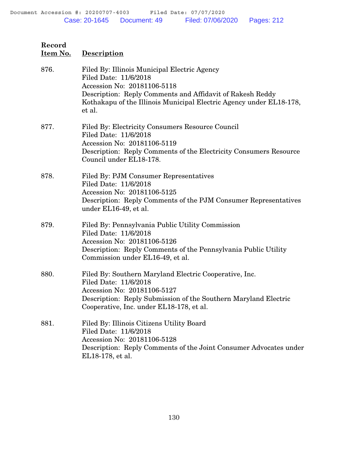| Record<br>Item No. | <b>Description</b>                                                                                                                                                                                                                                 |
|--------------------|----------------------------------------------------------------------------------------------------------------------------------------------------------------------------------------------------------------------------------------------------|
| 876.               | Filed By: Illinois Municipal Electric Agency<br>Filed Date: 11/6/2018<br>Accession No: 20181106-5118<br>Description: Reply Comments and Affidavit of Rakesh Reddy<br>Kothakapu of the Illinois Municipal Electric Agency under EL18-178,<br>et al. |
| 877.               | Filed By: Electricity Consumers Resource Council<br>Filed Date: 11/6/2018<br>Accession No: 20181106-5119<br>Description: Reply Comments of the Electricity Consumers Resource<br>Council under EL18-178.                                           |
| 878.               | Filed By: PJM Consumer Representatives<br>Filed Date: 11/6/2018<br>Accession No: 20181106-5125<br>Description: Reply Comments of the PJM Consumer Representatives<br>under EL16-49, et al.                                                         |
| 879.               | Filed By: Pennsylvania Public Utility Commission<br>Filed Date: 11/6/2018<br>Accession No: 20181106-5126<br>Description: Reply Comments of the Pennsylvania Public Utility<br>Commission under EL16-49, et al.                                     |
| 880.               | Filed By: Southern Maryland Electric Cooperative, Inc.<br>Filed Date: 11/6/2018<br>Accession No: 20181106-5127<br>Description: Reply Submission of the Southern Maryland Electric<br>Cooperative, Inc. under EL18-178, et al.                      |
| 881.               | Filed By: Illinois Citizens Utility Board<br>Filed Date: 11/6/2018<br>Accession No: 20181106-5128<br>Description: Reply Comments of the Joint Consumer Advocates under<br>EL18-178, et al.                                                         |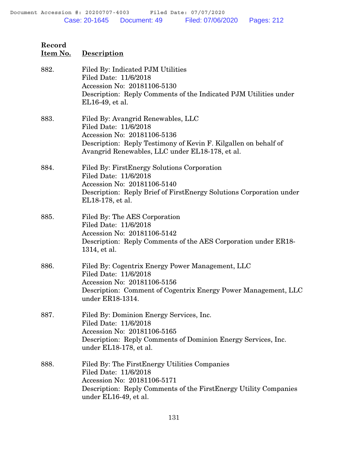| Record<br>Item No. | Description                                                                                                                                                                                                      |
|--------------------|------------------------------------------------------------------------------------------------------------------------------------------------------------------------------------------------------------------|
| 882.               | Filed By: Indicated PJM Utilities<br>Filed Date: 11/6/2018<br>Accession No: 20181106-5130<br>Description: Reply Comments of the Indicated PJM Utilities under<br>EL16-49, et al.                                 |
| 883.               | Filed By: Avangrid Renewables, LLC<br>Filed Date: 11/6/2018<br>Accession No: 20181106-5136<br>Description: Reply Testimony of Kevin F. Kilgallen on behalf of<br>Avangrid Renewables, LLC under EL18-178, et al. |
| 884.               | Filed By: First Energy Solutions Corporation<br>Filed Date: 11/6/2018<br>Accession No: 20181106-5140<br>Description: Reply Brief of FirstEnergy Solutions Corporation under<br>EL18-178, et al.                  |
| 885.               | Filed By: The AES Corporation<br>Filed Date: 11/6/2018<br>Accession No: 20181106-5142<br>Description: Reply Comments of the AES Corporation under ER18-<br>1314, et al.                                          |
| 886.               | Filed By: Cogentrix Energy Power Management, LLC<br>Filed Date: 11/6/2018<br>Accession No: 20181106-5156<br>Description: Comment of Cogentrix Energy Power Management, LLC<br>under ER18-1314.                   |
| 887.               | Filed By: Dominion Energy Services, Inc.<br>Filed Date: 11/6/2018<br>Accession No: 20181106-5165<br>Description: Reply Comments of Dominion Energy Services, Inc.<br>under EL18-178, et al.                      |
| 888.               | Filed By: The FirstEnergy Utilities Companies<br>Filed Date: 11/6/2018<br>Accession No: 20181106-5171<br>Description: Reply Comments of the First Energy Utility Companies<br>under EL16-49, et al.              |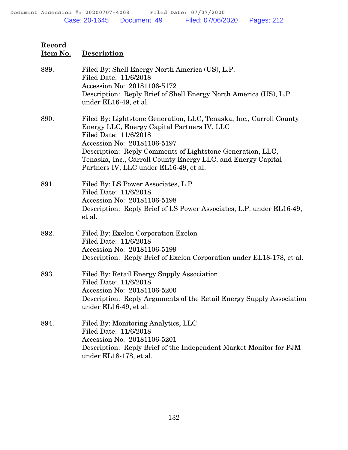| Record<br>Item No. | <b>Description</b>                                                                                                                                                                                                                                                                                                                                 |
|--------------------|----------------------------------------------------------------------------------------------------------------------------------------------------------------------------------------------------------------------------------------------------------------------------------------------------------------------------------------------------|
| 889.               | Filed By: Shell Energy North America (US), L.P.<br>Filed Date: 11/6/2018<br>Accession No: 20181106-5172<br>Description: Reply Brief of Shell Energy North America (US), L.P.<br>under EL16-49, et al.                                                                                                                                              |
| 890.               | Filed By: Lightstone Generation, LLC, Tenaska, Inc., Carroll County<br>Energy LLC, Energy Capital Partners IV, LLC<br>Filed Date: 11/6/2018<br>Accession No: 20181106-5197<br>Description: Reply Comments of Lightstone Generation, LLC,<br>Tenaska, Inc., Carroll County Energy LLC, and Energy Capital<br>Partners IV, LLC under EL16-49, et al. |
| 891.               | Filed By: LS Power Associates, L.P.<br>Filed Date: 11/6/2018<br>Accession No: 20181106-5198<br>Description: Reply Brief of LS Power Associates, L.P. under EL16-49,<br>et al.                                                                                                                                                                      |
| 892.               | Filed By: Exelon Corporation Exelon<br>Filed Date: 11/6/2018<br>Accession No: 20181106-5199<br>Description: Reply Brief of Exelon Corporation under EL18-178, et al.                                                                                                                                                                               |
| 893.               | Filed By: Retail Energy Supply Association<br>Filed Date: 11/6/2018<br>Accession No: 20181106-5200<br>Description: Reply Arguments of the Retail Energy Supply Association<br>under EL16-49, et al.                                                                                                                                                |
| 894.               | Filed By: Monitoring Analytics, LLC<br>Filed Date: 11/6/2018<br>Accession No: 20181106-5201<br>Description: Reply Brief of the Independent Market Monitor for PJM<br>under EL18-178, et al.                                                                                                                                                        |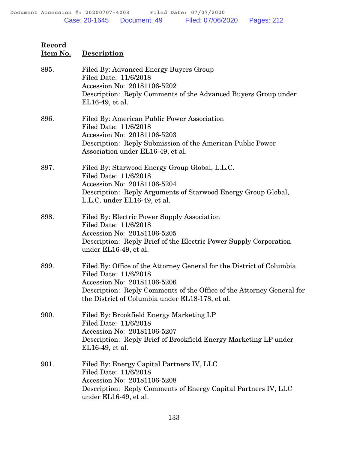| necora<br><u>Item No.</u> | <b>Description</b>                                                                                                                                                                                                                                        |
|---------------------------|-----------------------------------------------------------------------------------------------------------------------------------------------------------------------------------------------------------------------------------------------------------|
| 895.                      | Filed By: Advanced Energy Buyers Group<br>Filed Date: 11/6/2018<br>Accession No: 20181106-5202<br>Description: Reply Comments of the Advanced Buyers Group under<br>EL16-49, et al.                                                                       |
| 896.                      | Filed By: American Public Power Association<br>Filed Date: 11/6/2018<br>Accession No: 20181106-5203<br>Description: Reply Submission of the American Public Power<br>Association under EL16-49, et al.                                                    |
| 897.                      | Filed By: Starwood Energy Group Global, L.L.C.<br>Filed Date: 11/6/2018<br>Accession No: 20181106-5204<br>Description: Reply Arguments of Starwood Energy Group Global,<br>L.L.C. under EL16-49, et al.                                                   |
| 898.                      | Filed By: Electric Power Supply Association<br>Filed Date: 11/6/2018<br>Accession No: 20181106-5205<br>Description: Reply Brief of the Electric Power Supply Corporation<br>under EL16-49, et al.                                                         |
| 899.                      | Filed By: Office of the Attorney General for the District of Columbia<br>Filed Date: 11/6/2018<br>Accession No: 20181106-5206<br>Description: Reply Comments of the Office of the Attorney General for<br>the District of Columbia under EL18-178, et al. |
| 900.                      | Filed By: Brookfield Energy Marketing LP<br>Filed Date: 11/6/2018<br>Accession No: 20181106-5207<br>Description: Reply Brief of Brookfield Energy Marketing LP under<br>EL16-49, et al.                                                                   |
| 901.                      | Filed By: Energy Capital Partners IV, LLC<br>Filed Date: 11/6/2018<br>Accession No: 20181106-5208<br>Description: Reply Comments of Energy Capital Partners IV, LLC<br>under EL16-49, et al.                                                              |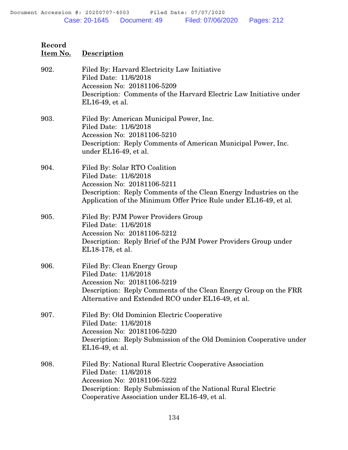| Record<br>Item No. | <b>Description</b>                                                                                                                                                                                                                 |
|--------------------|------------------------------------------------------------------------------------------------------------------------------------------------------------------------------------------------------------------------------------|
| 902.               | Filed By: Harvard Electricity Law Initiative<br>Filed Date: 11/6/2018<br>Accession No: 20181106-5209<br>Description: Comments of the Harvard Electric Law Initiative under<br>EL16-49, et al.                                      |
| 903.               | Filed By: American Municipal Power, Inc.<br>Filed Date: 11/6/2018<br>Accession No: 20181106-5210<br>Description: Reply Comments of American Municipal Power, Inc.<br>under EL16-49, et al.                                         |
| 904.               | Filed By: Solar RTO Coalition<br>Filed Date: 11/6/2018<br>Accession No: 20181106-5211<br>Description: Reply Comments of the Clean Energy Industries on the<br>Application of the Minimum Offer Price Rule under EL16-49, et al.    |
| 905.               | Filed By: PJM Power Providers Group<br>Filed Date: 11/6/2018<br>Accession No: 20181106-5212<br>Description: Reply Brief of the PJM Power Providers Group under<br>EL18-178, et al.                                                 |
| 906.               | Filed By: Clean Energy Group<br>Filed Date: 11/6/2018<br>Accession No: 20181106-5219<br>Description: Reply Comments of the Clean Energy Group on the FRR<br>Alternative and Extended RCO under EL16-49, et al.                     |
| 907.               | Filed By: Old Dominion Electric Cooperative<br>Filed Date: 11/6/2018<br>Accession No: 20181106-5220<br>Description: Reply Submission of the Old Dominion Cooperative under<br>EL16-49, et al.                                      |
| 908.               | Filed By: National Rural Electric Cooperative Association<br>Filed Date: 11/6/2018<br>Accession No: 20181106-5222<br>Description: Reply Submission of the National Rural Electric<br>Cooperative Association under EL16-49, et al. |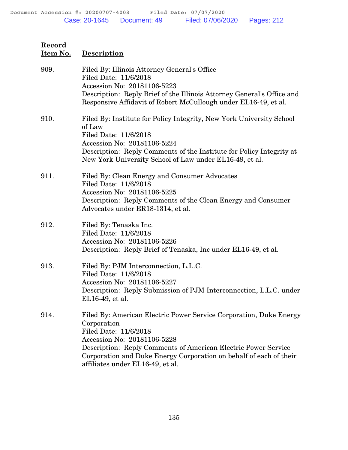| Record<br>Item No. | <b>Description</b>                                                                                                                                                                                                                                                                |
|--------------------|-----------------------------------------------------------------------------------------------------------------------------------------------------------------------------------------------------------------------------------------------------------------------------------|
| 909.               | Filed By: Illinois Attorney General's Office<br>Filed Date: 11/6/2018<br>Accession No: 20181106-5223<br>Description: Reply Brief of the Illinois Attorney General's Office and<br>Responsive Affidavit of Robert McCullough under EL16-49, et al.                                 |
| 910.               | Filed By: Institute for Policy Integrity, New York University School<br>of Law<br>Filed Date: 11/6/2018<br>Accession No: 20181106-5224<br>Description: Reply Comments of the Institute for Policy Integrity at<br>New York University School of Law under EL16-49, et al.         |
| 911.               | Filed By: Clean Energy and Consumer Advocates<br>Filed Date: 11/6/2018<br>Accession No: 20181106-5225<br>Description: Reply Comments of the Clean Energy and Consumer<br>Advocates under ER18-1314, et al.                                                                        |
| 912.               | Filed By: Tenaska Inc.<br>Filed Date: 11/6/2018<br>Accession No: 20181106-5226<br>Description: Reply Brief of Tenaska, Inc under EL16-49, et al.                                                                                                                                  |
| 913.               | Filed By: PJM Interconnection, L.L.C.<br>Filed Date: 11/6/2018<br>Accession No: 20181106-5227<br>Description: Reply Submission of PJM Interconnection, L.L.C. under<br>EL16-49, et al.                                                                                            |
| 914.               | Filed By: American Electric Power Service Corporation, Duke Energy<br>Corporation<br>Filed Date: 11/6/2018<br>Accession No: 20181106-5228<br>Description: Reply Comments of American Electric Power Service<br>Corporation and Duke Energy Corporation on behalf of each of their |

affiliates under EL16-49, et al.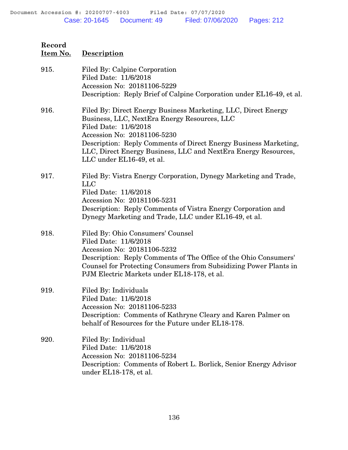| Record   |             |
|----------|-------------|
| Item No. | Description |

| 915. | Filed By: Calpine Corporation<br>Filed Date: 11/6/2018<br>Accession No: 20181106-5229<br>Description: Reply Brief of Calpine Corporation under EL16-49, et al.                                                                                                                                                                            |
|------|-------------------------------------------------------------------------------------------------------------------------------------------------------------------------------------------------------------------------------------------------------------------------------------------------------------------------------------------|
| 916. | Filed By: Direct Energy Business Marketing, LLC, Direct Energy<br>Business, LLC, NextEra Energy Resources, LLC<br>Filed Date: 11/6/2018<br>Accession No: 20181106-5230<br>Description: Reply Comments of Direct Energy Business Marketing,<br>LLC, Direct Energy Business, LLC and NextEra Energy Resources,<br>LLC under EL16-49, et al. |
| 917. | Filed By: Vistra Energy Corporation, Dynegy Marketing and Trade,<br><b>LLC</b><br>Filed Date: 11/6/2018<br>Accession No: 20181106-5231<br>Description: Reply Comments of Vistra Energy Corporation and<br>Dynegy Marketing and Trade, LLC under EL16-49, et al.                                                                           |
| 918. | Filed By: Ohio Consumers' Counsel<br>Filed Date: 11/6/2018<br>Accession No: 20181106-5232<br>Description: Reply Comments of The Office of the Ohio Consumers'<br>Counsel for Protecting Consumers from Subsidizing Power Plants in<br>PJM Electric Markets under EL18-178, et al.                                                         |
| 919. | Filed By: Individuals<br>Filed Date: 11/6/2018<br>Accession No: 20181106-5233<br>Description: Comments of Kathryne Cleary and Karen Palmer on<br>behalf of Resources for the Future under EL18-178.                                                                                                                                       |
| 920. | Filed By: Individual<br>Filed Date: 11/6/2018<br>Accession No: 20181106-5234<br>Description: Comments of Robert L. Borlick, Senior Energy Advisor<br>under EL18-178, et al.                                                                                                                                                               |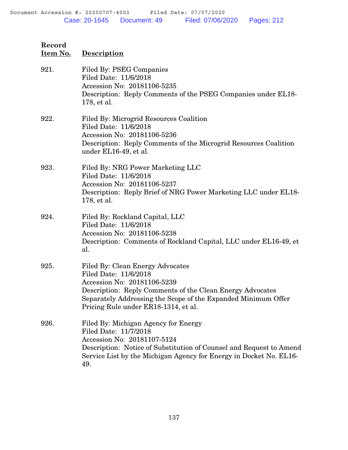| Record<br>Item No. | <b>Description</b>                                                                                                                                                                                                                                             |
|--------------------|----------------------------------------------------------------------------------------------------------------------------------------------------------------------------------------------------------------------------------------------------------------|
| 921.               | Filed By: PSEG Companies<br>Filed Date: 11/6/2018<br>Accession No: 20181106-5235<br>Description: Reply Comments of the PSEG Companies under EL18-<br>178, et al.                                                                                               |
| 922.               | Filed By: Microgrid Resources Coalition<br>Filed Date: 11/6/2018<br>Accession No: 20181106-5236<br>Description: Reply Comments of the Microgrid Resources Coalition<br>under EL16-49, et al.                                                                   |
| 923.               | Filed By: NRG Power Marketing LLC<br>Filed Date: 11/6/2018<br>Accession No: 20181106-5237<br>Description: Reply Brief of NRG Power Marketing LLC under EL18-<br>178, et al.                                                                                    |
| 924.               | Filed By: Rockland Capital, LLC<br>Filed Date: 11/6/2018<br>Accession No: 20181106-5238<br>Description: Comments of Rockland Capital, LLC under EL16-49, et<br>al.                                                                                             |
| 925.               | Filed By: Clean Energy Advocates<br>Filed Date: 11/6/2018<br>Accession No: 20181106-5239<br>Description: Reply Comments of the Clean Energy Advocates<br>Separately Addressing the Scope of the Expanded Minimum Offer<br>Pricing Rule under ER18-1314, et al. |
| 926.               | Filed By: Michigan Agency for Energy<br>Filed Date: 11/7/2018<br>Accession No: 20181107-5124<br>Description: Notice of Substitution of Counsel and Request to Amend<br>Service List by the Michigan Agency for Energy in Docket No. EL16-<br>49.               |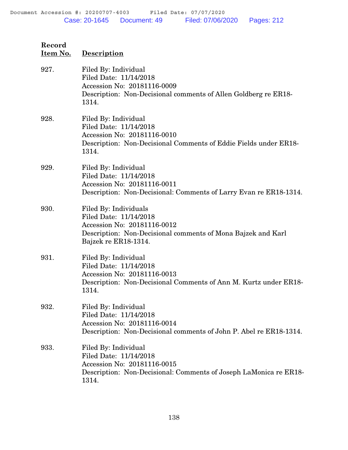| Item No. | <b>Description</b>                                                                                                                                                     |
|----------|------------------------------------------------------------------------------------------------------------------------------------------------------------------------|
| 927.     | Filed By: Individual<br>Filed Date: 11/14/2018<br>Accession No: 20181116-0009<br>Description: Non-Decisional comments of Allen Goldberg re ER18-<br>1314.              |
| 928.     | Filed By: Individual<br>Filed Date: 11/14/2018<br>Accession No: 20181116-0010<br>Description: Non-Decisional Comments of Eddie Fields under ER18-<br>1314.             |
| 929.     | Filed By: Individual<br>Filed Date: 11/14/2018<br>Accession No: 20181116-0011<br>Description: Non-Decisional: Comments of Larry Evan re ER18-1314.                     |
| 930.     | Filed By: Individuals<br>Filed Date: 11/14/2018<br>Accession No: 20181116-0012<br>Description: Non-Decisional comments of Mona Bajzek and Karl<br>Bajzek re ER18-1314. |
| 931.     | Filed By: Individual<br>Filed Date: 11/14/2018<br>Accession No: 20181116-0013<br>Description: Non-Decisional Comments of Ann M. Kurtz under ER18-<br>1314.             |
| 932.     | Filed By: Individual<br>Filed Date: 11/14/2018<br>Accession No: 20181116-0014<br>Description: Non-Decisional comments of John P. Abel re ER18-1314.                    |
| 933.     | Filed By: Individual<br>Filed Date: 11/14/2018<br>Accession No: 20181116-0015<br>Description: Non-Decisional: Comments of Joseph LaMonica re ER18-<br>1314.            |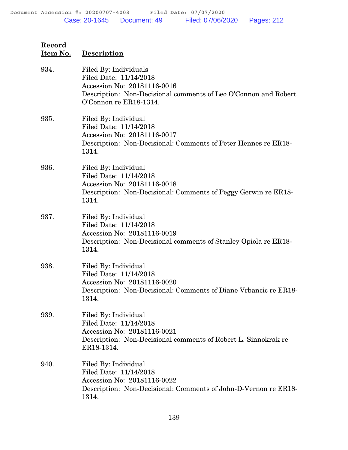| <u>Item No.</u> | <b>Description</b>                                                                                                                                                          |
|-----------------|-----------------------------------------------------------------------------------------------------------------------------------------------------------------------------|
| 934.            | Filed By: Individuals<br>Filed Date: 11/14/2018<br>Accession No: 20181116-0016<br>Description: Non-Decisional comments of Leo O'Connon and Robert<br>O'Connon re ER18-1314. |
| 935.            | Filed By: Individual<br>Filed Date: 11/14/2018<br>Accession No: 20181116-0017<br>Description: Non-Decisional: Comments of Peter Hennes re ER18-<br>1314.                    |
| 936.            | Filed By: Individual<br>Filed Date: 11/14/2018<br>Accession No: 20181116-0018<br>Description: Non-Decisional: Comments of Peggy Gerwin re ER18-<br>1314.                    |
| 937.            | Filed By: Individual<br>Filed Date: 11/14/2018<br>Accession No: 20181116-0019<br>Description: Non-Decisional comments of Stanley Opiola re ER18-<br>1314.                   |
| 938.            | Filed By: Individual<br>Filed Date: 11/14/2018<br>Accession No: 20181116-0020<br>Description: Non-Decisional: Comments of Diane Vrbancic re ER18-<br>1314.                  |
| 939.            | Filed By: Individual<br>Filed Date: 11/14/2018<br>Accession No: 20181116-0021<br>Description: Non-Decisional comments of Robert L. Sinnokrak re<br>ER18-1314.               |
| 940.            | Filed By: Individual<br>Filed Date: 11/14/2018<br>Accession No: 20181116-0022<br>Description: Non-Decisional: Comments of John-D-Vernon re ER18-<br>1314.                   |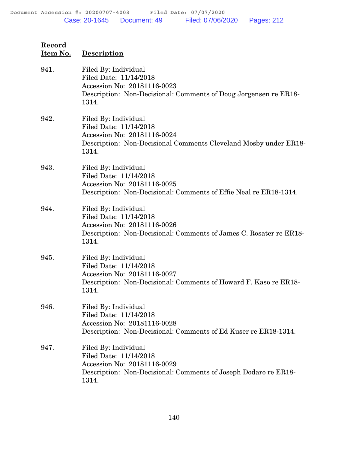| Record<br>Item No. | <b>Description</b>                                                                                                                                           |
|--------------------|--------------------------------------------------------------------------------------------------------------------------------------------------------------|
| 941.               | Filed By: Individual<br>Filed Date: 11/14/2018<br>Accession No: 20181116-0023<br>Description: Non-Decisional: Comments of Doug Jorgensen re ER18-<br>1314.   |
| 942.               | Filed By: Individual<br>Filed Date: 11/14/2018<br>Accession No: 20181116-0024<br>Description: Non-Decisional Comments Cleveland Mosby under ER18-<br>1314.   |
| 943.               | Filed By: Individual<br>Filed Date: 11/14/2018<br>Accession No: 20181116-0025<br>Description: Non-Decisional: Comments of Effie Neal re ER18-1314.           |
| 944.               | Filed By: Individual<br>Filed Date: 11/14/2018<br>Accession No: 20181116-0026<br>Description: Non-Decisional: Comments of James C. Rosater re ER18-<br>1314. |
| 945.               | Filed By: Individual<br>Filed Date: 11/14/2018<br>Accession No: 20181116-0027<br>Description: Non-Decisional: Comments of Howard F. Kaso re ER18-<br>1314.   |
| 946.               | Filed By: Individual<br>Filed Date: 11/14/2018<br>Accession No: 20181116-0028<br>Description: Non-Decisional: Comments of Ed Kuser re ER18-1314.             |
| 947.               | Filed By: Individual<br>Filed Date: 11/14/2018<br>Accession No: 20181116-0029<br>Description: Non-Decisional: Comments of Joseph Dodaro re ER18-<br>1314.    |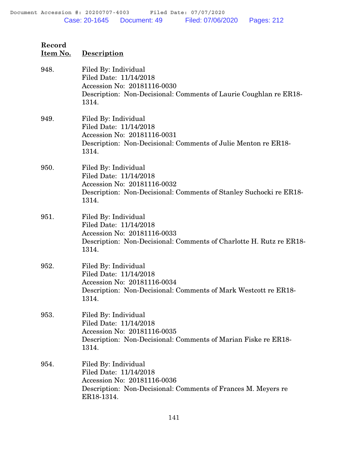| Record<br>Item No. | <b>Description</b>                                                                                                                                            |
|--------------------|---------------------------------------------------------------------------------------------------------------------------------------------------------------|
| 948.               | Filed By: Individual<br>Filed Date: 11/14/2018<br>Accession No: 20181116-0030<br>Description: Non-Decisional: Comments of Laurie Coughlan re ER18-<br>1314.   |
| 949.               | Filed By: Individual<br>Filed Date: 11/14/2018<br>Accession No: 20181116-0031<br>Description: Non-Decisional: Comments of Julie Menton re ER18-<br>1314.      |
| 950.               | Filed By: Individual<br>Filed Date: 11/14/2018<br>Accession No: 20181116-0032<br>Description: Non-Decisional: Comments of Stanley Suchocki re ER18-<br>1314.  |
| 951.               | Filed By: Individual<br>Filed Date: 11/14/2018<br>Accession No: 20181116-0033<br>Description: Non-Decisional: Comments of Charlotte H. Rutz re ER18-<br>1314. |
| 952.               | Filed By: Individual<br>Filed Date: 11/14/2018<br>Accession No: 20181116-0034<br>Description: Non-Decisional: Comments of Mark Westcott re ER18-<br>1314.     |
| 953.               | Filed By: Individual<br>Filed Date: 11/14/2018<br>Accession No: 20181116-0035<br>Description: Non-Decisional: Comments of Marian Fiske re ER18-<br>1314.      |
| 954.               | Filed By: Individual<br>Filed Date: 11/14/2018<br>Accession No: 20181116-0036<br>Description: Non-Decisional: Comments of Frances M. Meyers re<br>ER18-1314.  |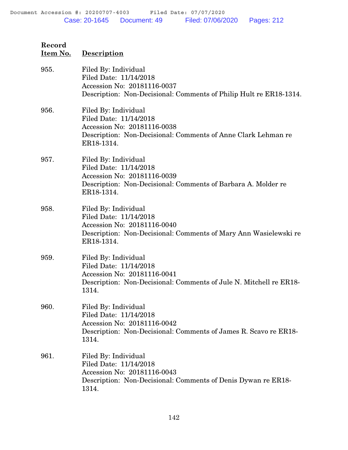| Record<br>Item No. | Description                                                                                                                                                     |
|--------------------|-----------------------------------------------------------------------------------------------------------------------------------------------------------------|
| 955.               | Filed By: Individual<br>Filed Date: 11/14/2018<br>Accession No: 20181116-0037<br>Description: Non-Decisional: Comments of Philip Hult re ER18-1314.             |
| 956.               | Filed By: Individual<br>Filed Date: 11/14/2018<br>Accession No: 20181116-0038<br>Description: Non-Decisional: Comments of Anne Clark Lehman re<br>ER18-1314.    |
| 957.               | Filed By: Individual<br>Filed Date: 11/14/2018<br>Accession No: 20181116-0039<br>Description: Non-Decisional: Comments of Barbara A. Molder re<br>ER18-1314.    |
| 958.               | Filed By: Individual<br>Filed Date: 11/14/2018<br>Accession No: 20181116-0040<br>Description: Non-Decisional: Comments of Mary Ann Wasielewski re<br>ER18-1314. |
| 959.               | Filed By: Individual<br>Filed Date: 11/14/2018<br>Accession No: 20181116-0041<br>Description: Non-Decisional: Comments of Jule N. Mitchell re ER18-<br>1314.    |
| 960.               | Filed By: Individual                                                                                                                                            |

960. Filed By: Individual Filed Date: 11/14/2018 Accession No: 20181116-0042 Description: Non-Decisional: Comments of James R. Scavo re ER18- 1314.

961. Filed By: Individual Filed Date: 11/14/2018 Accession No: 20181116-0043 Description: Non-Decisional: Comments of Denis Dywan re ER18- 1314.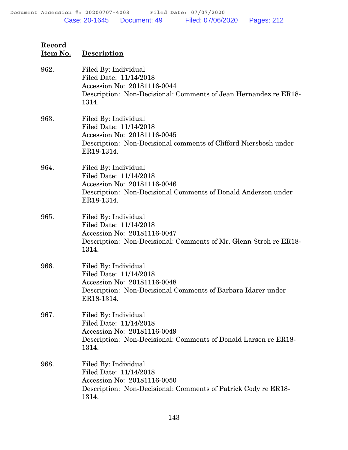| Record<br>Item No. | <b>Description</b>                                                                                                                                              |
|--------------------|-----------------------------------------------------------------------------------------------------------------------------------------------------------------|
| 962.               | Filed By: Individual<br>Filed Date: 11/14/2018<br>Accession No: 20181116-0044<br>Description: Non-Decisional: Comments of Jean Hernandez re ER18-<br>1314.      |
| 963.               | Filed By: Individual<br>Filed Date: 11/14/2018<br>Accession No: 20181116-0045<br>Description: Non-Decisional comments of Clifford Niersbosh under<br>ER18-1314. |
| 964.               | Filed By: Individual<br>Filed Date: 11/14/2018<br>Accession No: 20181116-0046<br>Description: Non-Decisional Comments of Donald Anderson under<br>ER18-1314.    |
| 965.               | Filed By: Individual<br>Filed Date: 11/14/2018<br>Accession No: 20181116-0047<br>Description: Non-Decisional: Comments of Mr. Glenn Stroh re ER18-<br>1314.     |
| 966.               | Filed By: Individual<br>Filed Date: 11/14/2018<br>Accession No: 20181116-0048<br>Description: Non-Decisional Comments of Barbara Idarer under<br>ER18-1314.     |
| 967.               | Filed By: Individual<br>Filed Date: 11/14/2018<br>Accession No: 20181116-0049<br>Description: Non-Decisional: Comments of Donald Larsen re ER18-<br>1314.       |
| 968.               | Filed By: Individual<br>Filed Date: 11/14/2018<br>Accession No: 20181116-0050<br>Description: Non-Decisional: Comments of Patrick Cody re ER18-<br>1314.        |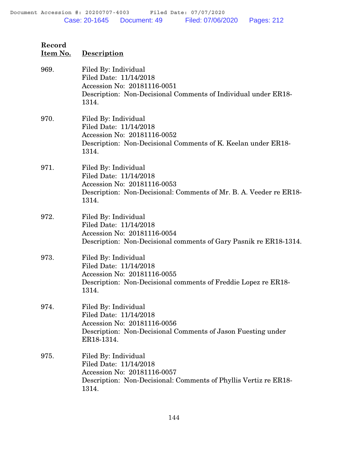| Record<br>Item No. | Description                                                                                                                                                  |
|--------------------|--------------------------------------------------------------------------------------------------------------------------------------------------------------|
| 969.               | Filed By: Individual<br>Filed Date: 11/14/2018<br>Accession No: 20181116-0051<br>Description: Non-Decisional Comments of Individual under ER18-<br>1314.     |
| 970.               | Filed By: Individual<br>Filed Date: 11/14/2018<br>Accession No: 20181116-0052<br>Description: Non-Decisional Comments of K. Keelan under ER18-<br>1314.      |
| 971.               | Filed By: Individual<br>Filed Date: 11/14/2018<br>Accession No: 20181116-0053<br>Description: Non-Decisional: Comments of Mr. B. A. Veeder re ER18-<br>1314. |
| 972.               | Filed By: Individual<br>Filed Date: 11/14/2018<br>Accession No: 20181116-0054<br>Description: Non-Decisional comments of Gary Pasnik re ER18-1314.           |
| 973.               | Filed By: Individual<br>Filed Date: 11/14/2018<br>Accession No: 20181116-0055<br>Description: Non-Decisional comments of Freddie Lopez re ER18-<br>1314.     |
| 974.               | Filed By: Individual<br>Filed Date: 11/14/2018<br>Accession No: 20181116-0056<br>Description: Non-Decisional Comments of Jason Fuesting under<br>ER18-1314.  |
| 975.               | Filed By: Individual<br>Filed Date: 11/14/2018<br>Accession No: 20181116-0057<br>Description: Non-Decisional: Comments of Phyllis Vertiz re ER18-<br>1314.   |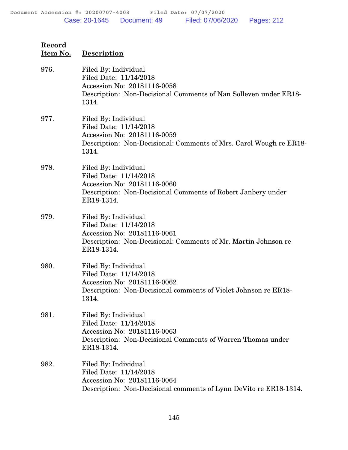| Record<br>Item No. | <b>Description</b>                                                                                                                                            |
|--------------------|---------------------------------------------------------------------------------------------------------------------------------------------------------------|
| 976.               | Filed By: Individual<br>Filed Date: 11/14/2018<br>Accession No: 20181116-0058<br>Description: Non-Decisional Comments of Nan Solleven under ER18-<br>1314.    |
| 977.               | Filed By: Individual<br>Filed Date: 11/14/2018<br>Accession No: 20181116-0059<br>Description: Non-Decisional: Comments of Mrs. Carol Wough re ER18-<br>1314.  |
| 978.               | Filed By: Individual<br>Filed Date: 11/14/2018<br>Accession No: 20181116-0060<br>Description: Non-Decisional Comments of Robert Janbery under<br>ER18-1314.   |
| 979.               | Filed By: Individual<br>Filed Date: 11/14/2018<br>Accession No: 20181116-0061<br>Description: Non-Decisional: Comments of Mr. Martin Johnson re<br>ER18-1314. |
| 980.               | Filed By: Individual<br>Filed Date: 11/14/2018<br>Accession No: 20181116-0062<br>Description: Non-Decisional comments of Violet Johnson re ER18-<br>1314.     |
| 981.               | Filed By: Individual<br>Filed Date: 11/14/2018<br>Accession No: 20181116-0063<br>Description: Non-Decisional Comments of Warren Thomas under<br>ER18-1314.    |
| 982.               | Filed By: Individual<br>Filed Date: 11/14/2018<br>Accession No: 20181116-0064<br>Description: Non-Decisional comments of Lynn DeVito re ER18-1314.            |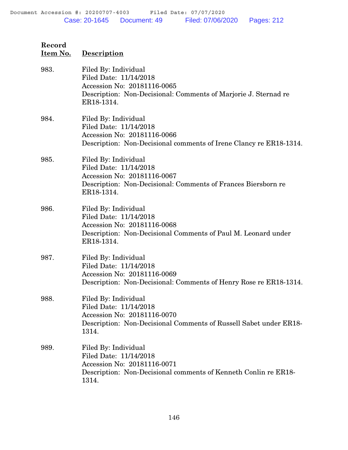| Record<br>Item No. | <b>Description</b>                                                                                                                                             |
|--------------------|----------------------------------------------------------------------------------------------------------------------------------------------------------------|
| 983.               | Filed By: Individual<br>Filed Date: 11/14/2018<br>Accession No: 20181116-0065<br>Description: Non-Decisional: Comments of Marjorie J. Sternad re<br>ER18-1314. |
| 984.               | Filed By: Individual<br>Filed Date: 11/14/2018<br>Accession No: 20181116-0066<br>Description: Non-Decisional comments of Irene Clancy re ER18-1314.            |
| 985.               | Filed By: Individual<br>Filed Date: 11/14/2018<br>Accession No: 20181116-0067<br>Description: Non-Decisional: Comments of Frances Biersborn re<br>ER18-1314.   |
| 986.               | Filed By: Individual<br>Filed Date: 11/14/2018<br>Accession No: 20181116-0068<br>Description: Non-Decisional Comments of Paul M. Leonard under<br>ER18-1314.   |
| 987.               | Filed By: Individual<br>Filed Date: 11/14/2018<br>Accession No: 20181116-0069<br>Description: Non-Decisional: Comments of Henry Rose re ER18-1314.             |
| 988.               | Filed By: Individual<br>Filed Date: 11/14/2018<br>Accession No: 20181116-0070<br>Description: Non-Decisional Comments of Russell Sabet under ER18-<br>1314.    |
| 989.               | Filed By: Individual<br>Filed Date: 11/14/2018<br>Accession No: 20181116-0071<br>Description: Non-Decisional comments of Kenneth Conlin re ER18-<br>1314.      |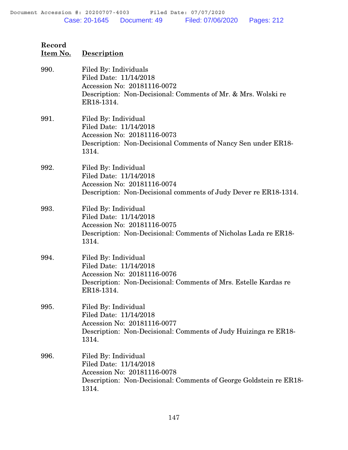| <u>Item No.</u> | <b>Description</b>                                                                                                                                             |
|-----------------|----------------------------------------------------------------------------------------------------------------------------------------------------------------|
| 990.            | Filed By: Individuals<br>Filed Date: 11/14/2018<br>Accession No: 20181116-0072<br>Description: Non-Decisional: Comments of Mr. & Mrs. Wolski re<br>ER18-1314.  |
| 991.            | Filed By: Individual<br>Filed Date: 11/14/2018<br>Accession No: 20181116-0073<br>Description: Non-Decisional Comments of Nancy Sen under ER18-<br>1314.        |
| 992.            | Filed By: Individual<br>Filed Date: 11/14/2018<br>Accession No: 20181116-0074<br>Description: Non-Decisional comments of Judy Dever re ER18-1314.              |
| 993.            | Filed By: Individual<br>Filed Date: 11/14/2018<br>Accession No: 20181116-0075<br>Description: Non-Decisional: Comments of Nicholas Lada re ER18-<br>1314.      |
| 994.            | Filed By: Individual<br>Filed Date: 11/14/2018<br>Accession No: 20181116-0076<br>Description: Non-Decisional: Comments of Mrs. Estelle Kardas re<br>ER18-1314. |
| 995.            | Filed By: Individual<br>Filed Date: 11/14/2018<br>Accession No: 20181116-0077<br>Description: Non-Decisional: Comments of Judy Huizinga re ER18-<br>1314.      |
| 996.            | Filed By: Individual<br>Filed Date: 11/14/2018<br>Accession No: 20181116-0078<br>Description: Non-Decisional: Comments of George Goldstein re ER18-<br>1314.   |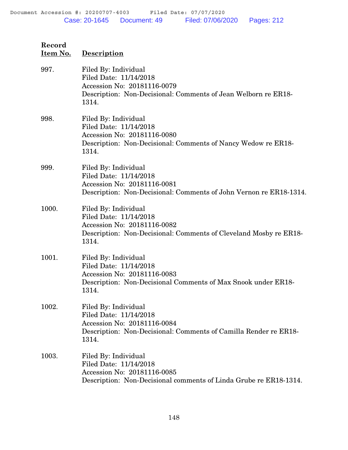| Item No. | <b>Description</b>                                                                                                                                          |
|----------|-------------------------------------------------------------------------------------------------------------------------------------------------------------|
| 997.     | Filed By: Individual<br>Filed Date: 11/14/2018<br>Accession No: 20181116-0079<br>Description: Non-Decisional: Comments of Jean Welborn re ER18-<br>1314.    |
| 998.     | Filed By: Individual<br>Filed Date: 11/14/2018<br>Accession No: 20181116-0080<br>Description: Non-Decisional: Comments of Nancy Wedow re ER18-<br>1314.     |
| 999.     | Filed By: Individual<br>Filed Date: 11/14/2018<br>Accession No: 20181116-0081<br>Description: Non-Decisional: Comments of John Vernon re ER18-1314.         |
| 1000.    | Filed By: Individual<br>Filed Date: 11/14/2018<br>Accession No: 20181116-0082<br>Description: Non-Decisional: Comments of Cleveland Mosby re ER18-<br>1314. |
| 1001.    | Filed By: Individual<br>Filed Date: 11/14/2018<br>Accession No: 20181116-0083<br>Description: Non-Decisional Comments of Max Snook under ER18-<br>1314.     |
| 1002.    | Filed By: Individual<br>Filed Date: 11/14/2018<br>Accession No: 20181116-0084<br>Description: Non-Decisional: Comments of Camilla Render re ER18-<br>1314.  |
| 1003.    | Filed By: Individual<br>Filed Date: 11/14/2018<br>Accession No: 20181116-0085<br>Description: Non-Decisional comments of Linda Grube re ER18-1314.          |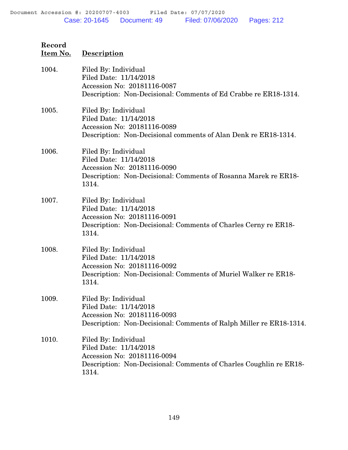| <u>Item No.</u> | <b>Description</b>                                                                                                                                           |
|-----------------|--------------------------------------------------------------------------------------------------------------------------------------------------------------|
| 1004.           | Filed By: Individual<br>Filed Date: 11/14/2018<br>Accession No: 20181116-0087<br>Description: Non-Decisional: Comments of Ed Crabbe re ER18-1314.            |
| 1005.           | Filed By: Individual<br>Filed Date: 11/14/2018<br>Accession No: 20181116-0089<br>Description: Non-Decisional comments of Alan Denk re ER18-1314.             |
| 1006.           | Filed By: Individual<br>Filed Date: 11/14/2018<br>Accession No: 20181116-0090<br>Description: Non-Decisional: Comments of Rosanna Marek re ER18-<br>1314.    |
| 1007.           | Filed By: Individual<br>Filed Date: 11/14/2018<br>Accession No: 20181116-0091<br>Description: Non-Decisional: Comments of Charles Cerny re ER18-<br>1314.    |
| 1008.           | Filed By: Individual<br>Filed Date: 11/14/2018<br>Accession No: 20181116-0092<br>Description: Non-Decisional: Comments of Muriel Walker re ER18-<br>1314.    |
| 1009.           | Filed By: Individual<br>Filed Date: 11/14/2018<br>Accession No: 20181116-0093<br>Description: Non-Decisional: Comments of Ralph Miller re ER18-1314.         |
| 1010.           | Filed By: Individual<br>Filed Date: 11/14/2018<br>Accession No: 20181116-0094<br>Description: Non-Decisional: Comments of Charles Coughlin re ER18-<br>1314. |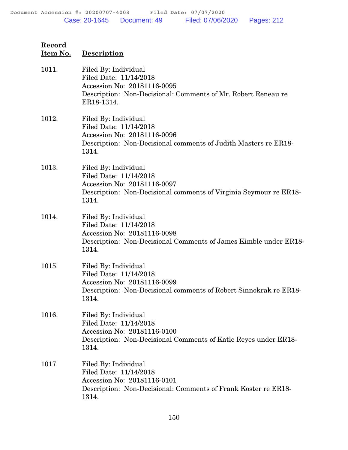| Record<br>Item No. | <b>Description</b>                                                                                                                                           |
|--------------------|--------------------------------------------------------------------------------------------------------------------------------------------------------------|
| 1011.              | Filed By: Individual<br>Filed Date: 11/14/2018<br>Accession No: 20181116-0095<br>Description: Non-Decisional: Comments of Mr. Robert Reneau re<br>ER18-1314. |
| 1012.              | Filed By: Individual<br>Filed Date: 11/14/2018<br>Accession No: 20181116-0096<br>Description: Non-Decisional comments of Judith Masters re ER18-<br>1314.    |
| 1013.              | Filed By: Individual<br>Filed Date: 11/14/2018<br>Accession No: 20181116-0097<br>Description: Non-Decisional comments of Virginia Seymour re ER18-<br>1314.  |
| 1014.              | Filed By: Individual<br>Filed Date: 11/14/2018<br>Accession No: 20181116-0098<br>Description: Non-Decisional Comments of James Kimble under ER18-<br>1314.   |
| 1015.              | Filed By: Individual<br>Filed Date: 11/14/2018<br>Accession No: 20181116-0099<br>Description: Non-Decisional comments of Robert Sinnokrak re ER18-<br>1314.  |
| 1016.              | Filed By: Individual<br>Filed Date: 11/14/2018<br>Accession No: 20181116-0100<br>Description: Non-Decisional Comments of Katle Reyes under ER18-<br>1314.    |
| 1017.              | Filed By: Individual<br>Filed Date: 11/14/2018<br>Accession No: 20181116-0101<br>Description: Non-Decisional: Comments of Frank Koster re ER18-<br>1314.     |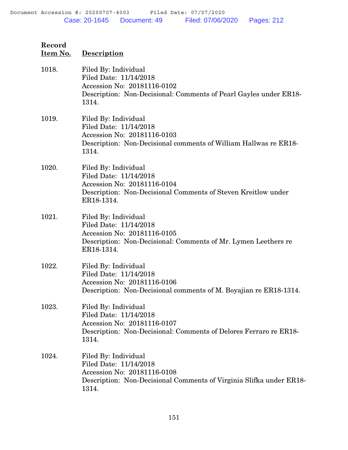| Record<br>Item No. | <b>Description</b>                                                                                                                                            |
|--------------------|---------------------------------------------------------------------------------------------------------------------------------------------------------------|
| 1018.              | Filed By: Individual<br>Filed Date: 11/14/2018<br>Accession No: 20181116-0102<br>Description: Non-Decisional: Comments of Pearl Gayles under ER18-<br>1314.   |
| 1019.              | Filed By: Individual<br>Filed Date: 11/14/2018<br>Accession No: 20181116-0103<br>Description: Non-Decisional comments of William Hallwas re ER18-<br>1314.    |
| 1020.              | Filed By: Individual<br>Filed Date: 11/14/2018<br>Accession No: 20181116-0104<br>Description: Non-Decisional Comments of Steven Kreitlow under<br>ER18-1314.  |
| 1021.              | Filed By: Individual<br>Filed Date: 11/14/2018<br>Accession No: 20181116-0105<br>Description: Non-Decisional: Comments of Mr. Lymen Leethers re<br>ER18-1314. |
| 1022.              | Filed By: Individual<br>Filed Date: 11/14/2018<br>Accession No: 20181116-0106<br>Description: Non-Decisional comments of M. Boyajian re ER18-1314.            |
| 1023.              | Filed By: Individual<br>Filed Date: 11/14/2018<br>Accession No: 20181116-0107<br>Description: Non-Decisional: Comments of Delores Ferraro re ER18-<br>1314.   |
| 1024.              | Filed By: Individual<br>Filed Date: 11/14/2018<br>Accession No: 20181116-0108<br>Description: Non-Decisional Comments of Virginia Slifka under ER18-<br>1314. |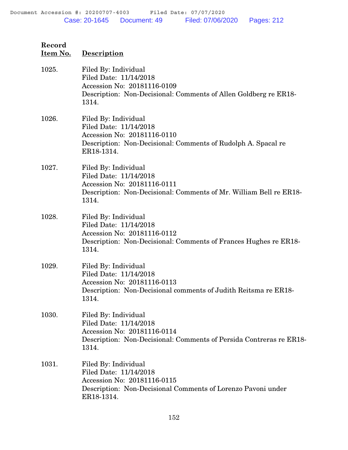| Record<br>Item No. | Description                                                                                                                                                   |
|--------------------|---------------------------------------------------------------------------------------------------------------------------------------------------------------|
| 1025.              | Filed By: Individual<br>Filed Date: 11/14/2018<br>Accession No: 20181116-0109<br>Description: Non-Decisional: Comments of Allen Goldberg re ER18-<br>1314.    |
| 1026.              | Filed By: Individual<br>Filed Date: 11/14/2018<br>Accession No: 20181116-0110<br>Description: Non-Decisional: Comments of Rudolph A. Spacal re<br>ER18-1314.  |
| 1027.              | Filed By: Individual<br>Filed Date: 11/14/2018<br>Accession No: 20181116-0111<br>Description: Non-Decisional: Comments of Mr. William Bell re ER18-<br>1314.  |
| 1028.              | Filed By: Individual<br>Filed Date: 11/14/2018<br>Accession No: 20181116-0112<br>Description: Non-Decisional: Comments of Frances Hughes re ER18-<br>1314.    |
| 1029.              | Filed By: Individual<br>Filed Date: 11/14/2018<br>Accession No: 20181116-0113<br>Description: Non-Decisional comments of Judith Reitsma re ER18-<br>1314.     |
| 1030.              | Filed By: Individual<br>Filed Date: 11/14/2018<br>Accession No: 20181116-0114<br>Description: Non-Decisional: Comments of Persida Contreras re ER18-<br>1314. |
| 1031.              | Filed By: Individual<br>Filed Date: 11/14/2018<br>Accession No: 20181116-0115<br>Description: Non-Decisional Comments of Lorenzo Pavoni under<br>ER18-1314.   |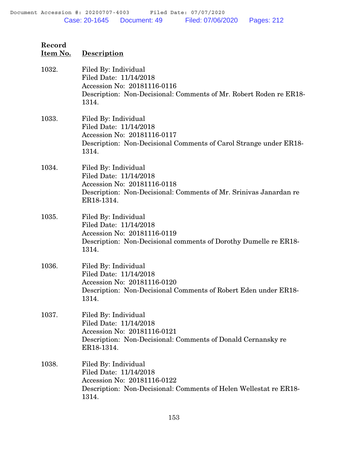| Record<br>Item No. | <b>Description</b>                                                                                                                                               |
|--------------------|------------------------------------------------------------------------------------------------------------------------------------------------------------------|
| 1032.              | Filed By: Individual<br>Filed Date: 11/14/2018<br>Accession No: 20181116-0116<br>Description: Non-Decisional: Comments of Mr. Robert Roden re ER18-<br>1314.     |
| 1033.              | Filed By: Individual<br>Filed Date: 11/14/2018<br>Accession No: 20181116-0117<br>Description: Non-Decisional Comments of Carol Strange under ER18-<br>1314.      |
| 1034.              | Filed By: Individual<br>Filed Date: 11/14/2018<br>Accession No: 20181116-0118<br>Description: Non-Decisional: Comments of Mr. Srinivas Janardan re<br>ER18-1314. |
| 1035.              | Filed By: Individual<br>Filed Date: 11/14/2018<br>Accession No: 20181116-0119<br>Description: Non-Decisional comments of Dorothy Dumelle re ER18-<br>1314.       |
| 1036.              | Filed By: Individual<br>Filed Date: 11/14/2018<br>Accession No: 20181116-0120<br>Description: Non-Decisional Comments of Robert Eden under ER18-<br>1314.        |
| 1037.              | Filed By: Individual<br>Filed Date: 11/14/2018<br>Accession No: 20181116-0121<br>Description: Non-Decisional: Comments of Donald Cernansky re<br>ER18-1314.      |
| 1038.              | Filed By: Individual<br>Filed Date: 11/14/2018<br>Accession No: 20181116-0122<br>Description: Non-Decisional: Comments of Helen Wellestat re ER18-<br>1314.      |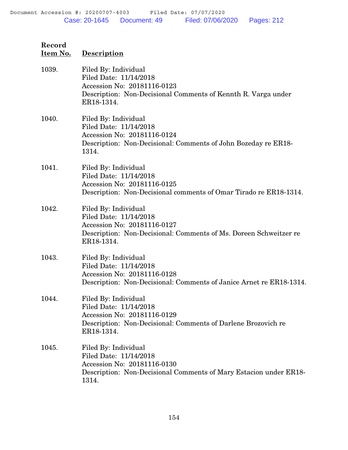| Record<br>Item No. | Description                                                                                                                                                      |
|--------------------|------------------------------------------------------------------------------------------------------------------------------------------------------------------|
| 1039.              | Filed By: Individual<br>Filed Date: 11/14/2018<br>Accession No: 20181116-0123<br>Description: Non-Decisional Comments of Kennth R. Varga under<br>ER18-1314.     |
| 1040.              | Filed By: Individual<br>Filed Date: 11/14/2018<br>Accession No: 20181116-0124<br>Description: Non-Decisional: Comments of John Bozeday re ER18-<br>1314.         |
| 1041.              | Filed By: Individual<br>Filed Date: 11/14/2018<br>Accession No: 20181116-0125<br>Description: Non-Decisional comments of Omar Tirado re ER18-1314.               |
| 1042.              | Filed By: Individual<br>Filed Date: 11/14/2018<br>Accession No: 20181116-0127<br>Description: Non-Decisional: Comments of Ms. Doreen Schweitzer re<br>ER18-1314. |
| 1043.              | Filed By: Individual<br>Filed Date: 11/14/2018<br>Accession No: 20181116-0128<br>Description: Non-Decisional: Comments of Janice Arnet re ER18-1314.             |
| 1044.              | Filed By: Individual<br>Filed Date: 11/14/2018<br>Accession No: 20181116-0129<br>Description: Non-Decisional: Comments of Darlene Brozovich re<br>ER18-1314.     |
| 1045.              | Filed By: Individual<br>Filed Date: 11/14/2018<br>Accession No: 20181116-0130<br>Description: Non-Decisional Comments of Mary Estacion under ER18-<br>1314.      |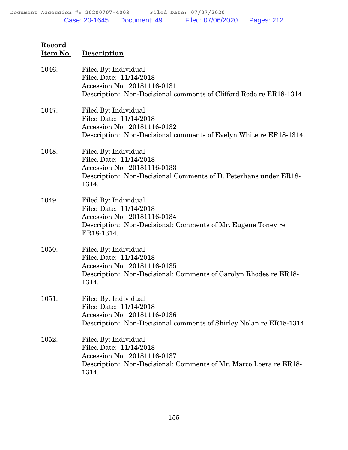| Record<br>Item No. | <b>Description</b>                                                                                                                                          |
|--------------------|-------------------------------------------------------------------------------------------------------------------------------------------------------------|
| 1046.              | Filed By: Individual<br>Filed Date: 11/14/2018<br>Accession No: 20181116-0131<br>Description: Non-Decisional comments of Clifford Rode re ER18-1314.        |
| 1047.              | Filed By: Individual<br>Filed Date: 11/14/2018<br>Accession No: 20181116-0132<br>Description: Non-Decisional comments of Evelyn White re ER18-1314.         |
| 1048.              | Filed By: Individual<br>Filed Date: 11/14/2018<br>Accession No: 20181116-0133<br>Description: Non-Decisional Comments of D. Peterhans under ER18-<br>1314.  |
| 1049.              | Filed By: Individual<br>Filed Date: 11/14/2018<br>Accession No: 20181116-0134<br>Description: Non-Decisional: Comments of Mr. Eugene Toney re<br>ER18-1314. |
| 1050.              | Filed By: Individual<br>Filed Date: 11/14/2018<br>Accession No: 20181116-0135<br>Description: Non-Decisional: Comments of Carolyn Rhodes re ER18-<br>1314.  |
| 1051.              | Filed By: Individual<br>Filed Date: 11/14/2018<br>Accession No: 20181116-0136<br>Description: Non-Decisional comments of Shirley Nolan re ER18-1314.        |
| 1052.              | Filed By: Individual<br>Filed Date: 11/14/2018<br>Accession No: 20181116-0137<br>Description: Non-Decisional: Comments of Mr. Marco Loera re ER18-<br>1314. |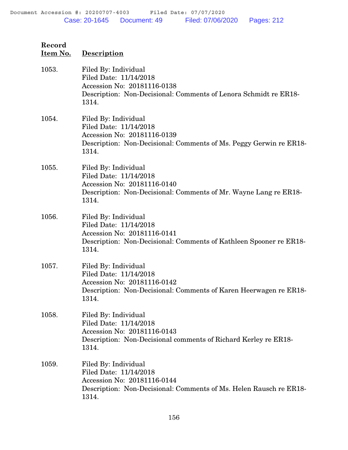| Record<br>Item No. | <b>Description</b>                                                                                                                                           |
|--------------------|--------------------------------------------------------------------------------------------------------------------------------------------------------------|
| 1053.              | Filed By: Individual<br>Filed Date: 11/14/2018<br>Accession No: 20181116-0138<br>Description: Non-Decisional: Comments of Lenora Schmidt re ER18-<br>1314.   |
| 1054.              | Filed By: Individual<br>Filed Date: 11/14/2018<br>Accession No: 20181116-0139<br>Description: Non-Decisional: Comments of Ms. Peggy Gerwin re ER18-<br>1314. |
| 1055.              | Filed By: Individual<br>Filed Date: 11/14/2018<br>Accession No: 20181116-0140<br>Description: Non-Decisional: Comments of Mr. Wayne Lang re ER18-<br>1314.   |
| 1056.              | Filed By: Individual<br>Filed Date: 11/14/2018<br>Accession No: 20181116-0141<br>Description: Non-Decisional: Comments of Kathleen Spooner re ER18-<br>1314. |
| 1057.              | Filed By: Individual<br>Filed Date: 11/14/2018<br>Accession No: 20181116-0142<br>Description: Non-Decisional: Comments of Karen Heerwagen re ER18-<br>1314.  |
| 1058.              | Filed By: Individual<br>Filed Date: 11/14/2018<br>Accession No: 20181116-0143<br>Description: Non-Decisional comments of Richard Kerley re ER18-<br>1314.    |
| 1059.              | Filed By: Individual<br>Filed Date: 11/14/2018<br>Accession No: 20181116-0144<br>Description: Non-Decisional: Comments of Ms. Helen Rausch re ER18-<br>1314. |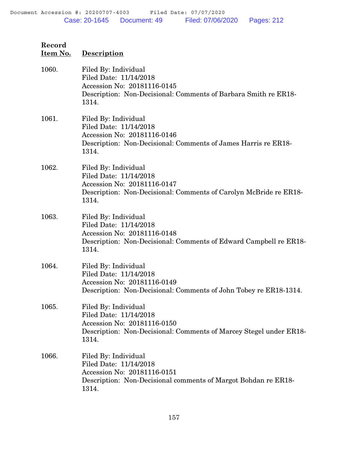| Item No. | <b>Description</b>                                                                                                                                           |
|----------|--------------------------------------------------------------------------------------------------------------------------------------------------------------|
| 1060.    | Filed By: Individual<br>Filed Date: 11/14/2018<br>Accession No: 20181116-0145<br>Description: Non-Decisional: Comments of Barbara Smith re ER18-<br>1314.    |
| 1061.    | Filed By: Individual<br>Filed Date: 11/14/2018<br>Accession No: 20181116-0146<br>Description: Non-Decisional: Comments of James Harris re ER18-<br>1314.     |
| 1062.    | Filed By: Individual<br>Filed Date: 11/14/2018<br>Accession No: 20181116-0147<br>Description: Non-Decisional: Comments of Carolyn McBride re ER18-<br>1314.  |
| 1063.    | Filed By: Individual<br>Filed Date: 11/14/2018<br>Accession No: 20181116-0148<br>Description: Non-Decisional: Comments of Edward Campbell re ER18-<br>1314.  |
| 1064.    | Filed By: Individual<br>Filed Date: 11/14/2018<br>Accession No: 20181116-0149<br>Description: Non-Decisional: Comments of John Tobey re ER18-1314.           |
| 1065.    | Filed By: Individual<br>Filed Date: 11/14/2018<br>Accession No: 20181116-0150<br>Description: Non-Decisional: Comments of Marcey Stegel under ER18-<br>1314. |
| 1066.    | Filed By: Individual<br>Filed Date: 11/14/2018<br>Accession No: 20181116-0151<br>Description: Non-Decisional comments of Margot Bohdan re ER18-<br>1314.     |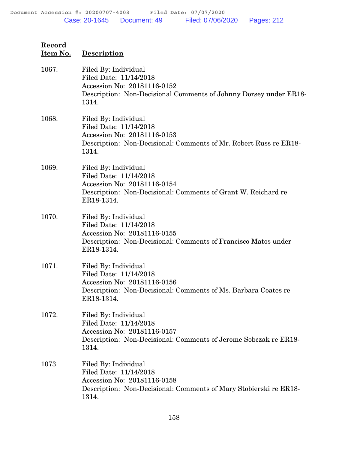| Record<br>Item No. | Description                                                                                                                                                   |
|--------------------|---------------------------------------------------------------------------------------------------------------------------------------------------------------|
| 1067.              | Filed By: Individual<br>Filed Date: 11/14/2018<br>Accession No: 20181116-0152<br>Description: Non-Decisional Comments of Johnny Dorsey under ER18-<br>1314.   |
| 1068.              | Filed By: Individual<br>Filed Date: 11/14/2018<br>Accession No: 20181116-0153<br>Description: Non-Decisional: Comments of Mr. Robert Russ re ER18-<br>1314.   |
| 1069.              | Filed By: Individual<br>Filed Date: 11/14/2018<br>Accession No: 20181116-0154<br>Description: Non-Decisional: Comments of Grant W. Reichard re<br>ER18-1314.  |
| 1070.              | Filed By: Individual<br>Filed Date: 11/14/2018<br>Accession No: 20181116-0155<br>Description: Non-Decisional: Comments of Francisco Matos under<br>ER18-1314. |
| 1071.              | Filed By: Individual<br>Filed Date: 11/14/2018<br>Accession No: 20181116-0156<br>Description: Non-Decisional: Comments of Ms. Barbara Coates re<br>ER18-1314. |
| 1072.              | Filed By: Individual<br>Filed Date: 11/14/2018<br>Accession No: 20181116-0157<br>Description: Non-Decisional: Comments of Jerome Sobczak re ER18-<br>1314.    |
| 1073.              | Filed By: Individual<br>Filed Date: 11/14/2018<br>Accession No: 20181116-0158<br>Description: Non-Decisional: Comments of Mary Stobierski re ER18-<br>1314.   |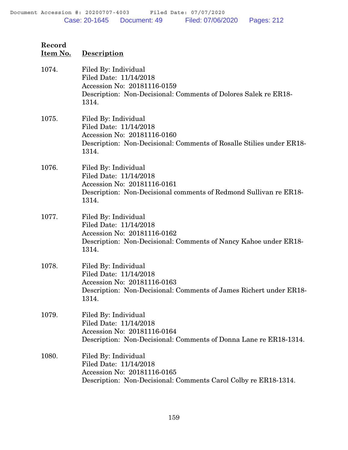| Item No. | <b>Description</b>                                                                                                                                             |
|----------|----------------------------------------------------------------------------------------------------------------------------------------------------------------|
| 1074.    | Filed By: Individual<br>Filed Date: 11/14/2018<br>Accession No: 20181116-0159<br>Description: Non-Decisional: Comments of Dolores Salek re ER18-<br>1314.      |
| 1075.    | Filed By: Individual<br>Filed Date: 11/14/2018<br>Accession No: 20181116-0160<br>Description: Non-Decisional: Comments of Rosalle Stilies under ER18-<br>1314. |
| 1076.    | Filed By: Individual<br>Filed Date: 11/14/2018<br>Accession No: 20181116-0161<br>Description: Non-Decisional comments of Redmond Sullivan re ER18-<br>1314.    |
| 1077.    | Filed By: Individual<br>Filed Date: 11/14/2018<br>Accession No: 20181116-0162<br>Description: Non-Decisional: Comments of Nancy Kahoe under ER18-<br>1314.     |
| 1078.    | Filed By: Individual<br>Filed Date: 11/14/2018<br>Accession No: 20181116-0163<br>Description: Non-Decisional: Comments of James Richert under ER18-<br>1314.   |
| 1079.    | Filed By: Individual<br>Filed Date: 11/14/2018<br>Accession No: 20181116-0164<br>Description: Non-Decisional: Comments of Donna Lane re ER18-1314.             |
| 1080.    | Filed By: Individual<br>Filed Date: 11/14/2018<br>Accession No: 20181116-0165<br>Description: Non-Decisional: Comments Carol Colby re ER18-1314.               |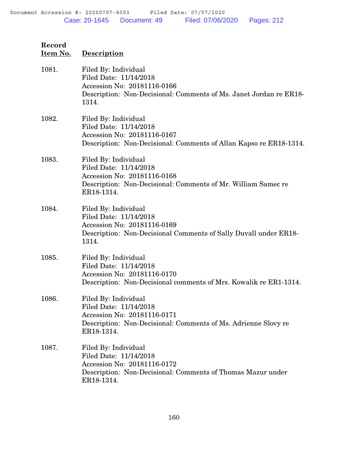| Record<br>Item No. | <b>Description</b>                                                                                                                                            |
|--------------------|---------------------------------------------------------------------------------------------------------------------------------------------------------------|
| 1081.              | Filed By: Individual<br>Filed Date: 11/14/2018<br>Accession No: 20181116-0166<br>Description: Non-Decisional: Comments of Ms. Janet Jordan re ER18-<br>1314.  |
| 1082.              | Filed By: Individual<br>Filed Date: 11/14/2018<br>Accession No: 20181116-0167<br>Description: Non-Decisional: Comments of Allan Kapso re ER18-1314.           |
| 1083.              | Filed By: Individual<br>Filed Date: 11/14/2018<br>Accession No: 20181116-0168<br>Description: Non-Decisional: Comments of Mr. William Samec re<br>ER18-1314.  |
| 1084.              | Filed By: Individual<br>Filed Date: 11/14/2018<br>Accession No: 20181116-0169<br>Description: Non-Decisional Comments of Sally Duvall under ER18-<br>1314.    |
| 1085.              | Filed By: Individual<br>Filed Date: 11/14/2018<br>Accession No: 20181116-0170<br>Description: Non-Decisional comments of Mrs. Kowalik re ER1-1314.            |
| 1086.              | Filed By: Individual<br>Filed Date: 11/14/2018<br>Accession No: 20181116-0171<br>Description: Non-Decisional: Comments of Ms. Adrienne Slovy re<br>ER18-1314. |
| 1087.              | Filed By: Individual<br>Filed Date: 11/14/2018<br>Accession No: 20181116-0172<br>Description: Non-Decisional: Comments of Thomas Mazur under<br>ER18-1314.    |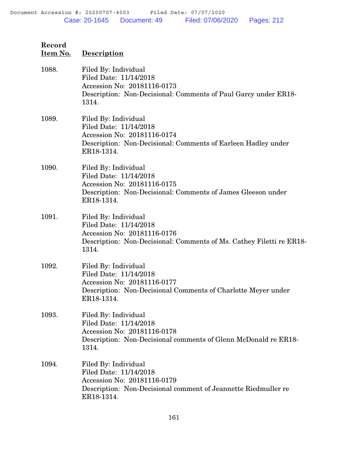| Record<br>Item No. | <b>Description</b>                                                                                                                                             |
|--------------------|----------------------------------------------------------------------------------------------------------------------------------------------------------------|
| 1088.              | Filed By: Individual<br>Filed Date: 11/14/2018<br>Accession No: 20181116-0173<br>Description: Non-Decisional: Comments of Paul Garcy under ER18-<br>1314.      |
| 1089.              | Filed By: Individual<br>Filed Date: 11/14/2018<br>Accession No: 20181116-0174<br>Description: Non-Decisional: Comments of Earleen Hadley under<br>ER18-1314.   |
| 1090.              | Filed By: Individual<br>Filed Date: 11/14/2018<br>Accession No: 20181116-0175<br>Description: Non-Decisional: Comments of James Gleeson under<br>ER18-1314.    |
| 1091.              | Filed By: Individual<br>Filed Date: 11/14/2018<br>Accession No: 20181116-0176<br>Description: Non-Decisional: Comments of Ms. Cathey Filetti re ER18-<br>1314. |
| 1092.              | Filed By: Individual<br>Filed Date: 11/14/2018<br>Accession No: 20181116-0177<br>Description: Non-Decisional Comments of Charlotte Meyer under<br>ER18-1314.   |
| 1093.              | Filed By: Individual<br>Filed Date: 11/14/2018<br>Accession No: 20181116-0178<br>Description: Non-Decisional comments of Glenn McDonald re ER18-<br>1314.      |
| 1094.              | Filed By: Individual<br>Filed Date: 11/14/2018<br>Accession No: 20181116-0179<br>Description: Non-Decisional comment of Jeannette Riedmuller re<br>ER18-1314.  |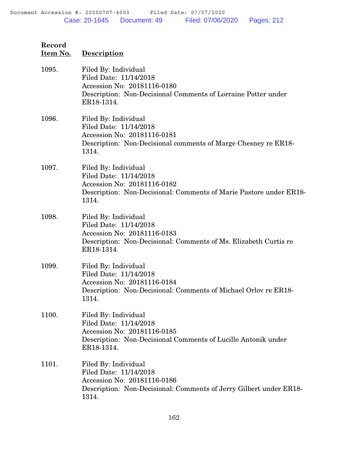| Record<br>Item No. | <b>Description</b>                                                                                                                                              |
|--------------------|-----------------------------------------------------------------------------------------------------------------------------------------------------------------|
| 1095.              | Filed By: Individual<br>Filed Date: 11/14/2018<br>Accession No: 20181116-0180<br>Description: Non-Decisional Comments of Lorraine Potter under<br>ER18-1314.    |
| 1096.              | Filed By: Individual<br>Filed Date: 11/14/2018<br>Accession No: 20181116-0181<br>Description: Non-Decisional comments of Marge Chesney re ER18-<br>1314.        |
| 1097.              | Filed By: Individual<br>Filed Date: 11/14/2018<br>Accession No: 20181116-0182<br>Description: Non-Decisional: Comments of Marie Pastore under ER18-<br>1314.    |
| 1098.              | Filed By: Individual<br>Filed Date: 11/14/2018<br>Accession No: 20181116-0183<br>Description: Non-Decisional: Comments of Ms. Elizabeth Curtis re<br>ER18-1314. |
| 1099.              | Filed By: Individual<br>Filed Date: 11/14/2018<br>Accession No: 20181116-0184<br>Description: Non-Decisional: Comments of Michael Orlov re ER18-<br>1314.       |
| 1100.              | Filed By: Individual<br>Filed Date: 11/14/2018<br>Accession No: 20181116-0185<br>Description: Non-Decisional Comments of Lucille Antonik under<br>ER18-1314.    |
| 1101.              | Filed By: Individual<br>Filed Date: 11/14/2018<br>Accession No: 20181116-0186<br>Description: Non-Decisional: Comments of Jerry Gilbert under ER18-<br>1314.    |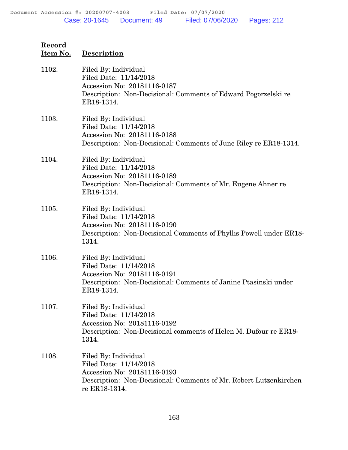| Record<br>Item No. | Description                                                                                                                                                         |
|--------------------|---------------------------------------------------------------------------------------------------------------------------------------------------------------------|
| 1102.              | Filed By: Individual<br>Filed Date: 11/14/2018<br>Accession No: 20181116-0187<br>Description: Non-Decisional: Comments of Edward Pogorzelski re<br>ER18-1314.       |
| 1103.              | Filed By: Individual<br>Filed Date: 11/14/2018<br>Accession No: 20181116-0188<br>Description: Non-Decisional: Comments of June Riley re ER18-1314.                  |
| 1104.              | Filed By: Individual<br>Filed Date: 11/14/2018<br>Accession No: 20181116-0189<br>Description: Non-Decisional: Comments of Mr. Eugene Ahner re<br>ER18-1314.         |
| 1105.              | Filed By: Individual<br>Filed Date: 11/14/2018<br>Accession No: 20181116-0190<br>Description: Non-Decisional Comments of Phyllis Powell under ER18-<br>1314.        |
| 1106.              | Filed By: Individual<br>Filed Date: 11/14/2018<br>Accession No: 20181116-0191<br>Description: Non-Decisional: Comments of Janine Ptasinski under<br>ER18-1314.      |
| 1107.              | Filed By: Individual<br>Filed Date: 11/14/2018<br>Accession No: 20181116-0192<br>Description: Non-Decisional comments of Helen M. Dufour re ER18-<br>1314.          |
| 1108.              | Filed By: Individual<br>Filed Date: 11/14/2018<br>Accession No: 20181116-0193<br>Description: Non-Decisional: Comments of Mr. Robert Lutzenkirchen<br>re ER18-1314. |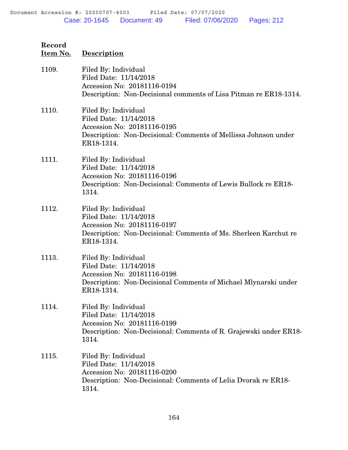| Record   |             |
|----------|-------------|
| Item No. | Description |

1109. Filed By: Individual Filed Date: 11/14/2018 Accession No: 20181116-0194 Description: Non-Decisional comments of Lisa Pitman re ER18-1314. 1110. Filed By: Individual Filed Date: 11/14/2018 Accession No: 20181116-0195 Description: Non-Decisional: Comments of Mellissa Johnson under ER18-1314. 1111. Filed By: Individual Filed Date: 11/14/2018 Accession No: 20181116-0196 Description: Non-Decisional: Comments of Lewis Bullock re ER18- 1314. 1112. Filed By: Individual Filed Date: 11/14/2018 Accession No: 20181116-0197 Description: Non-Decisional: Comments of Ms. Sherleen Karchut re ER18-1314. 1113. Filed By: Individual Filed Date: 11/14/2018 Accession No: 20181116-0198 Description: Non-Decisional Comments of Michael Mlynarski under ER18-1314. 1114. Filed By: Individual Filed Date: 11/14/2018 Accession No: 20181116-0199 Description: Non-Decisional: Comments of R. Grajewski under ER18- 1314. 1115. Filed By: Individual Filed Date: 11/14/2018 Accession No: 20181116-0200 Description: Non-Decisional: Comments of Lelia Dvorak re ER18- 1314.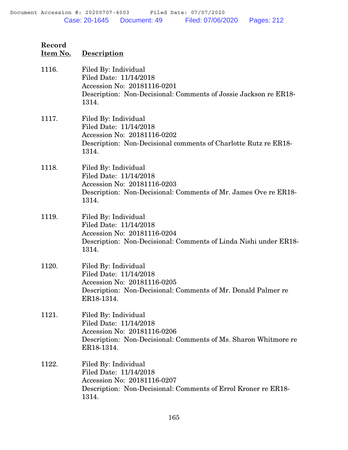| Record<br>Item No. | <b>Description</b>                                                                                                                                             |
|--------------------|----------------------------------------------------------------------------------------------------------------------------------------------------------------|
| 1116.              | Filed By: Individual<br>Filed Date: 11/14/2018<br>Accession No: 20181116-0201<br>Description: Non-Decisional: Comments of Jossie Jackson re ER18-<br>1314.     |
| 1117.              | Filed By: Individual<br>Filed Date: 11/14/2018<br>Accession No: 20181116-0202<br>Description: Non-Decisional comments of Charlotte Rutz re ER18-<br>1314.      |
| 1118.              | Filed By: Individual<br>Filed Date: 11/14/2018<br>Accession No: 20181116-0203<br>Description: Non-Decisional: Comments of Mr. James Ove re ER18-<br>1314.      |
| 1119.              | Filed By: Individual<br>Filed Date: 11/14/2018<br>Accession No: 20181116-0204<br>Description: Non-Decisional: Comments of Linda Nishi under ER18-<br>1314.     |
| 1120.              | Filed By: Individual<br>Filed Date: 11/14/2018<br>Accession No: 20181116-0205<br>Description: Non-Decisional: Comments of Mr. Donald Palmer re<br>ER18-1314.   |
| 1121.              | Filed By: Individual<br>Filed Date: 11/14/2018<br>Accession No: 20181116-0206<br>Description: Non-Decisional: Comments of Ms. Sharon Whitmore re<br>ER18-1314. |
| 1122.              | Filed By: Individual<br>Filed Date: 11/14/2018<br>Accession No: 20181116-0207<br>Description: Non-Decisional: Comments of Errol Kroner re ER18-<br>1314.       |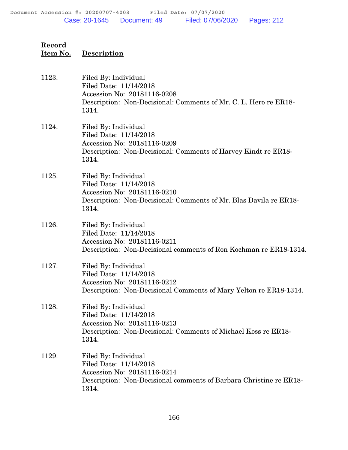| 1123. | Filed By: Individual<br>Filed Date: 11/14/2018<br>Accession No: 20181116-0208<br>Description: Non-Decisional: Comments of Mr. C. L. Hero re ER18-<br>1314.   |
|-------|--------------------------------------------------------------------------------------------------------------------------------------------------------------|
| 1124. | Filed By: Individual<br>Filed Date: 11/14/2018<br>Accession No: 20181116-0209<br>Description: Non-Decisional: Comments of Harvey Kindt re ER18-<br>1314.     |
| 1125. | Filed By: Individual<br>Filed Date: 11/14/2018<br>Accession No: 20181116-0210<br>Description: Non-Decisional: Comments of Mr. Blas Davila re ER18-<br>1314.  |
| 1126. | Filed By: Individual<br>Filed Date: 11/14/2018<br>Accession No: 20181116-0211<br>Description: Non-Decisional comments of Ron Kochman re ER18-1314.           |
| 1127. | Filed By: Individual<br>Filed Date: 11/14/2018<br>Accession No: 20181116-0212<br>Description: Non-Decisional Comments of Mary Yelton re ER18-1314.           |
| 1128. | Filed By: Individual<br>Filed Date: 11/14/2018<br>Accession No: 20181116-0213<br>Description: Non-Decisional: Comments of Michael Koss re ER18-<br>1314.     |
| 1129. | Filed By: Individual<br>Filed Date: 11/14/2018<br>Accession No: 20181116-0214<br>Description: Non-Decisional comments of Barbara Christine re ER18-<br>1314. |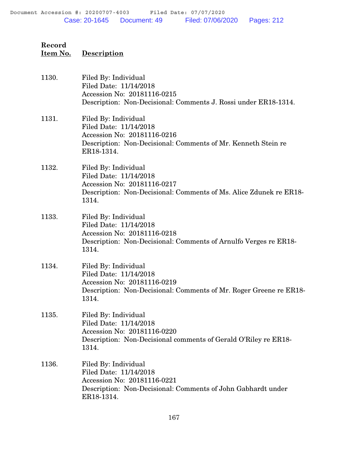| 1130. | Filed By: Individual<br>Filed Date: 11/14/2018<br>Accession No: 20181116-0215<br>Description: Non-Decisional: Comments J. Rossi under ER18-1314.             |
|-------|--------------------------------------------------------------------------------------------------------------------------------------------------------------|
| 1131. | Filed By: Individual<br>Filed Date: 11/14/2018<br>Accession No: 20181116-0216<br>Description: Non-Decisional: Comments of Mr. Kenneth Stein re<br>ER18-1314. |
| 1132. | Filed By: Individual<br>Filed Date: 11/14/2018<br>Accession No: 20181116-0217<br>Description: Non-Decisional: Comments of Ms. Alice Zdunek re ER18-<br>1314. |
| 1133. | Filed By: Individual<br>Filed Date: 11/14/2018<br>Accession No: 20181116-0218<br>Description: Non-Decisional: Comments of Arnulfo Verges re ER18-<br>1314.   |
| 1134. | Filed By: Individual<br>Filed Date: 11/14/2018<br>Accession No: 20181116-0219<br>Description: Non-Decisional: Comments of Mr. Roger Greene re ER18-<br>1314. |
| 1135. | Filed By: Individual<br>Filed Date: 11/14/2018<br>Accession No: 20181116-0220<br>Description: Non-Decisional comments of Gerald O'Riley re ER18-<br>1314.    |
| 1136. | Filed By: Individual<br>Filed Date: 11/14/2018<br>Accession No: 20181116-0221<br>Description: Non-Decisional: Comments of John Gabhardt under<br>ER18-1314.  |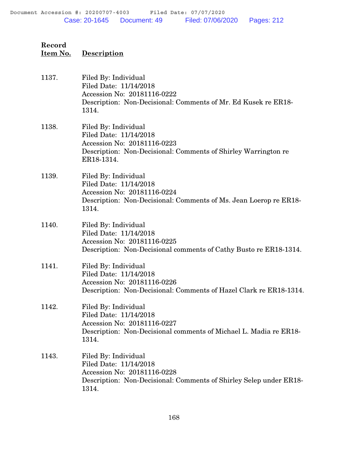| 1137. | Filed By: Individual<br>Filed Date: 11/14/2018<br>Accession No: 20181116-0222<br>Description: Non-Decisional: Comments of Mr. Ed Kusek re ER18-<br>1314.      |
|-------|---------------------------------------------------------------------------------------------------------------------------------------------------------------|
| 1138. | Filed By: Individual<br>Filed Date: 11/14/2018<br>Accession No: 20181116-0223<br>Description: Non-Decisional: Comments of Shirley Warrington re<br>ER18-1314. |
| 1139. | Filed By: Individual<br>Filed Date: 11/14/2018<br>Accession No: 20181116-0224<br>Description: Non-Decisional: Comments of Ms. Jean Loerop re ER18-<br>1314.   |
| 1140. | Filed By: Individual<br>Filed Date: 11/14/2018<br>Accession No: 20181116-0225<br>Description: Non-Decisional comments of Cathy Busto re ER18-1314.            |
| 1141. | Filed By: Individual<br>Filed Date: 11/14/2018<br>Accession No: 20181116-0226<br>Description: Non-Decisional: Comments of Hazel Clark re ER18-1314.           |
| 1142. | Filed By: Individual<br>Filed Date: 11/14/2018<br>Accession No: 20181116-0227<br>Description: Non-Decisional comments of Michael L. Madia re ER18-<br>1314.   |
| 1143. | Filed By: Individual<br>Filed Date: 11/14/2018<br>Accession No: 20181116-0228<br>Description: Non-Decisional: Comments of Shirley Selep under ER18-<br>1314.  |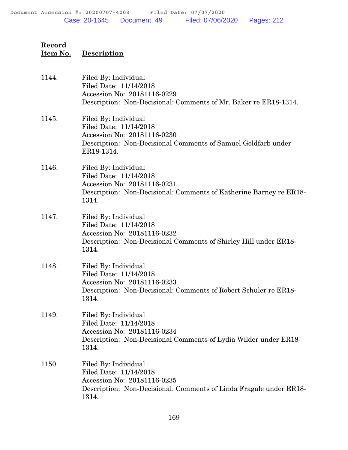| 1144. | Filed By: Individual<br>Filed Date: 11/14/2018<br>Accession No: 20181116-0229<br>Description: Non-Decisional: Comments of Mr. Baker re ER18-1314.            |
|-------|--------------------------------------------------------------------------------------------------------------------------------------------------------------|
| 1145. | Filed By: Individual<br>Filed Date: 11/14/2018<br>Accession No: 20181116-0230<br>Description: Non-Decisional Comments of Samuel Goldfarb under<br>ER18-1314. |
| 1146. | Filed By: Individual<br>Filed Date: 11/14/2018<br>Accession No: 20181116-0231<br>Description: Non-Decisional: Comments of Katherine Barney re ER18-<br>1314. |
| 1147. | Filed By: Individual<br>Filed Date: 11/14/2018<br>Accession No: 20181116-0232<br>Description: Non-Decisional Comments of Shirley Hill under ER18-<br>1314.   |
| 1148. | Filed By: Individual<br>Filed Date: 11/14/2018<br>Accession No: 20181116-0233<br>Description: Non-Decisional: Comments of Robert Schuler re ER18-<br>1314.   |
| 1149. | Filed By: Individual<br>Filed Date: 11/14/2018<br>Accession No: 20181116-0234<br>Description: Non-Decisional Comments of Lydia Wilder under ER18-<br>1314.   |
| 1150. | Filed By: Individual<br>Filed Date: 11/14/2018<br>Accession No: 20181116-0235<br>Description: Non-Decisional: Comments of Linda Fragale under ER18-<br>1314. |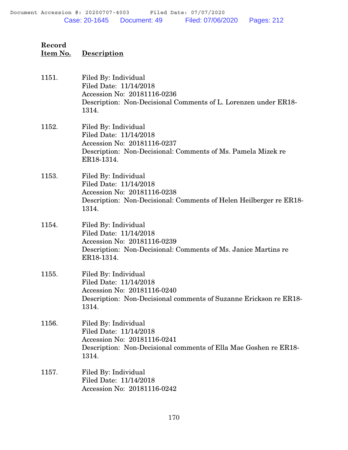| 1151. | Filed By: Individual<br>Filed Date: 11/14/2018<br>Accession No: 20181116-0236<br>Description: Non-Decisional Comments of L. Lorenzen under ER18-<br>1314.     |
|-------|---------------------------------------------------------------------------------------------------------------------------------------------------------------|
| 1152. | Filed By: Individual<br>Filed Date: 11/14/2018<br>Accession No: 20181116-0237<br>Description: Non-Decisional: Comments of Ms. Pamela Mizek re<br>ER18-1314.   |
| 1153. | Filed By: Individual<br>Filed Date: 11/14/2018<br>Accession No: 20181116-0238<br>Description: Non-Decisional: Comments of Helen Heilberger re ER18-<br>1314.  |
| 1154. | Filed By: Individual<br>Filed Date: 11/14/2018<br>Accession No: 20181116-0239<br>Description: Non-Decisional: Comments of Ms. Janice Martins re<br>ER18-1314. |
| 1155. | Filed By: Individual<br>Filed Date: 11/14/2018<br>Accession No: 20181116-0240<br>Description: Non-Decisional comments of Suzanne Erickson re ER18-<br>1314.   |
| 1156. | Filed By: Individual<br>Filed Date: 11/14/2018<br>Accession No: 20181116-0241<br>Description: Non-Decisional comments of Ella Mae Goshen re ER18-<br>1314.    |
| 1157. | Filed By: Individual<br>Filed Date: 11/14/2018<br>Accession No: 20181116-0242                                                                                 |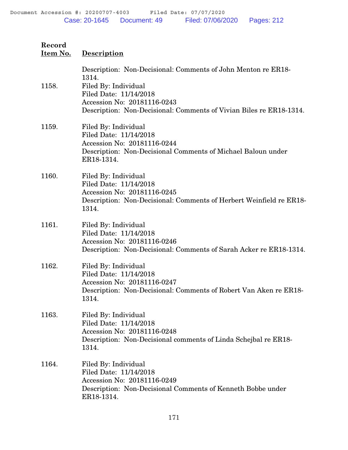| Item No. | Description                                                                                                                                                                                                                    |
|----------|--------------------------------------------------------------------------------------------------------------------------------------------------------------------------------------------------------------------------------|
| 1158.    | Description: Non-Decisional: Comments of John Menton re ER18-<br>1314.<br>Filed By: Individual<br>Filed Date: 11/14/2018<br>Accession No: 20181116-0243<br>Description: Non-Decisional: Comments of Vivian Biles re ER18-1314. |
| 1159.    | Filed By: Individual<br>Filed Date: 11/14/2018<br>Accession No: 20181116-0244<br>Description: Non-Decisional Comments of Michael Baloun under<br>ER18-1314.                                                                    |
| 1160.    | Filed By: Individual<br>Filed Date: 11/14/2018<br>Accession No: 20181116-0245<br>Description: Non-Decisional: Comments of Herbert Weinfield re ER18-<br>1314.                                                                  |
| 1161.    | Filed By: Individual<br>Filed Date: 11/14/2018<br>Accession No: 20181116-0246<br>Description: Non-Decisional: Comments of Sarah Acker re ER18-1314.                                                                            |
| 1162.    | Filed By: Individual<br>Filed Date: 11/14/2018<br>Accession No: 20181116-0247<br>Description: Non-Decisional: Comments of Robert Van Aken re ER18-<br>1314.                                                                    |
| 1163.    | Filed By: Individual<br>Filed Date: 11/14/2018<br>Accession No: 20181116-0248<br>Description: Non-Decisional comments of Linda Schejbal re ER18-<br>1314.                                                                      |
| 1164.    | Filed By: Individual<br>Filed Date: 11/14/2018<br>Accession No: 20181116-0249<br>Description: Non-Decisional Comments of Kenneth Bobbe under<br>ER18-1314.                                                                     |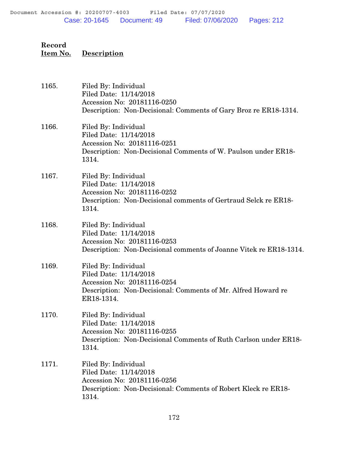| 1165. | Filed By: Individual<br>Filed Date: 11/14/2018<br>Accession No: 20181116-0250<br>Description: Non-Decisional: Comments of Gary Broz re ER18-1314.            |
|-------|--------------------------------------------------------------------------------------------------------------------------------------------------------------|
| 1166. | Filed By: Individual<br>Filed Date: 11/14/2018<br>Accession No: 20181116-0251<br>Description: Non-Decisional Comments of W. Paulson under ER18-<br>1314.     |
| 1167. | Filed By: Individual<br>Filed Date: 11/14/2018<br>Accession No: 20181116-0252<br>Description: Non-Decisional comments of Gertraud Selck re ER18-<br>1314.    |
| 1168. | Filed By: Individual<br>Filed Date: 11/14/2018<br>Accession No: 20181116-0253<br>Description: Non-Decisional comments of Joanne Vitek re ER18-1314.          |
| 1169. | Filed By: Individual<br>Filed Date: 11/14/2018<br>Accession No: 20181116-0254<br>Description: Non-Decisional: Comments of Mr. Alfred Howard re<br>ER18-1314. |
| 1170. | Filed By: Individual<br>Filed Date: 11/14/2018<br>Accession No: 20181116-0255<br>Description: Non-Decisional Comments of Ruth Carlson under ER18-<br>1314.   |
| 1171. | Filed By: Individual<br>Filed Date: 11/14/2018<br>Accession No: 20181116-0256<br>Description: Non-Decisional: Comments of Robert Kleck re ER18-<br>1314.     |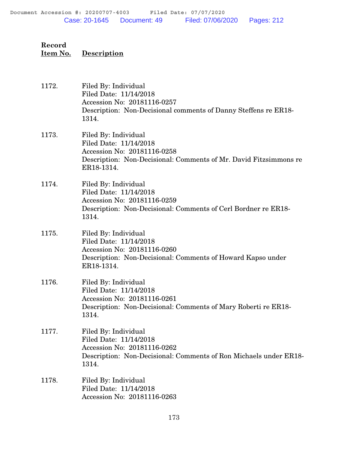| 1172. | Filed By: Individual<br>Filed Date: 11/14/2018<br>Accession No: 20181116-0257<br>Description: Non-Decisional comments of Danny Steffens re ER18-<br>1314.        |
|-------|------------------------------------------------------------------------------------------------------------------------------------------------------------------|
| 1173. | Filed By: Individual<br>Filed Date: 11/14/2018<br>Accession No: 20181116-0258<br>Description: Non-Decisional: Comments of Mr. David Fitzsimmons re<br>ER18-1314. |
| 1174. | Filed By: Individual<br>Filed Date: 11/14/2018<br>Accession No: 20181116-0259<br>Description: Non-Decisional: Comments of Cerl Bordner re ER18-<br>1314.         |
| 1175. | Filed By: Individual<br>Filed Date: 11/14/2018<br>Accession No: 20181116-0260<br>Description: Non-Decisional: Comments of Howard Kapso under<br>ER18-1314.       |
| 1176. | Filed By: Individual<br>Filed Date: 11/14/2018<br>Accession No: 20181116-0261<br>Description: Non-Decisional: Comments of Mary Roberti re ER18-<br>1314.         |
| 1177. | Filed By: Individual<br>Filed Date: 11/14/2018<br>Accession No: 20181116-0262<br>Description: Non-Decisional: Comments of Ron Michaels under ER18-<br>1314.      |
| 1178. | Filed By: Individual<br>Filed Date: 11/14/2018<br>Accession No: 20181116-0263                                                                                    |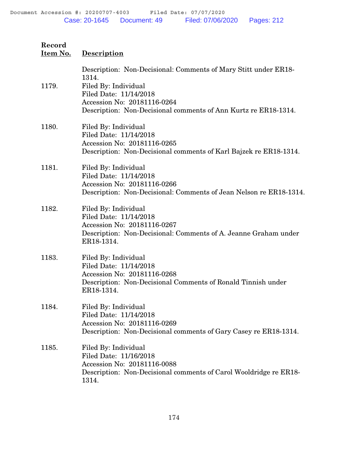| Item No. | <b>Description</b>                                                                                                                                                                                                           |
|----------|------------------------------------------------------------------------------------------------------------------------------------------------------------------------------------------------------------------------------|
| 1179.    | Description: Non-Decisional: Comments of Mary Stitt under ER18-<br>1314.<br>Filed By: Individual<br>Filed Date: 11/14/2018<br>Accession No: 20181116-0264<br>Description: Non-Decisional comments of Ann Kurtz re ER18-1314. |
| 1180.    | Filed By: Individual<br>Filed Date: 11/14/2018<br>Accession No: 20181116-0265<br>Description: Non-Decisional comments of Karl Bajzek re ER18-1314.                                                                           |
| 1181.    | Filed By: Individual<br>Filed Date: 11/14/2018<br>Accession No: 20181116-0266<br>Description: Non-Decisional: Comments of Jean Nelson re ER18-1314.                                                                          |
| 1182.    | Filed By: Individual<br>Filed Date: 11/14/2018<br>Accession No: 20181116-0267<br>Description: Non-Decisional: Comments of A. Jeanne Graham under<br>ER18-1314.                                                               |
| 1183.    | Filed By: Individual<br>Filed Date: 11/14/2018<br>Accession No: 20181116-0268<br>Description: Non-Decisional Comments of Ronald Tinnish under<br>ER18-1314.                                                                  |
| 1184.    | Filed By: Individual<br>Filed Date: 11/14/2018<br>Accession No: 20181116-0269<br>Description: Non-Decisional comments of Gary Casey re ER18-1314.                                                                            |
| 1185.    | Filed By: Individual<br>Filed Date: 11/16/2018<br>Accession No: 20181116-0088<br>Description: Non-Decisional comments of Carol Wooldridge re ER18-<br>1314.                                                                  |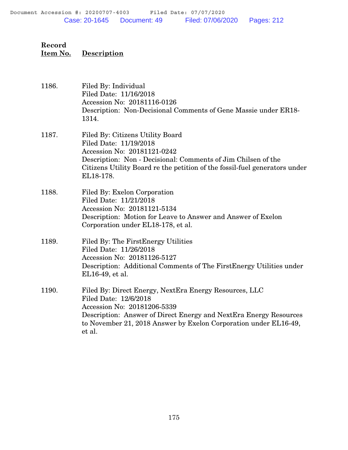| 1186. | Filed By: Individual<br>Filed Date: 11/16/2018<br>Accession No: 20181116-0126<br>Description: Non-Decisional Comments of Gene Massie under ER18-<br>1314.                                                                                                         |
|-------|-------------------------------------------------------------------------------------------------------------------------------------------------------------------------------------------------------------------------------------------------------------------|
| 1187. | Filed By: Citizens Utility Board<br>Filed Date: 11/19/2018<br>Accession No: 20181121-0242<br>Description: Non - Decisional: Comments of Jim Chilsen of the<br>Citizens Utility Board re the petition of the fossil-fuel generators under<br>EL18-178.             |
| 1188. | Filed By: Exelon Corporation<br>Filed Date: 11/21/2018<br>Accession No: 20181121-5134<br>Description: Motion for Leave to Answer and Answer of Exelon<br>Corporation under EL18-178, et al.                                                                       |
| 1189. | Filed By: The First Energy Utilities<br>Filed Date: 11/26/2018<br>Accession No: 20181126-5127<br>Description: Additional Comments of The FirstEnergy Utilities under<br>EL16-49, et al.                                                                           |
| 1190. | Filed By: Direct Energy, NextEra Energy Resources, LLC<br>Filed Date: 12/6/2018<br>Accession No: 20181206-5339<br>Description: Answer of Direct Energy and NextEra Energy Resources<br>to November 21, 2018 Answer by Exelon Corporation under EL16-49,<br>et al. |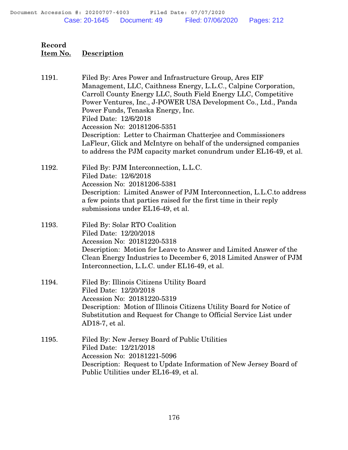1191. Filed By: Ares Power and Infrastructure Group, Ares EIF Management, LLC, Caithness Energy, L.L.C., Calpine Corporation, Carroll County Energy LLC, South Field Energy LLC, Competitive Power Ventures, Inc., J-POWER USA Development Co., Ltd., Panda Power Funds, Tenaska Energy, Inc. Filed Date: 12/6/2018 Accession No: 20181206-5351 Description: Letter to Chairman Chatterjee and Commissioners LaFleur, Glick and McIntyre on behalf of the undersigned companies to address the PJM capacity market conundrum under EL16-49, et al. 1192. Filed By: PJM Interconnection, L.L.C. Filed Date: 12/6/2018 Accession No: 20181206-5381 Description: Limited Answer of PJM Interconnection, L.L.C.to address a few points that parties raised for the first time in their reply submissions under EL16-49, et al. 1193. Filed By: Solar RTO Coalition Filed Date: 12/20/2018 Accession No: 20181220-5318 Description: Motion for Leave to Answer and Limited Answer of the Clean Energy Industries to December 6, 2018 Limited Answer of PJM Interconnection, L.L.C. under EL16-49, et al. 1194. Filed By: Illinois Citizens Utility Board Filed Date: 12/20/2018 Accession No: 20181220-5319 Description: Motion of Illinois Citizens Utility Board for Notice of Substitution and Request for Change to Official Service List under AD18-7, et al. 1195. Filed By: New Jersey Board of Public Utilities Filed Date: 12/21/2018 Accession No: 20181221-5096 Description: Request to Update Information of New Jersey Board of Public Utilities under EL16-49, et al.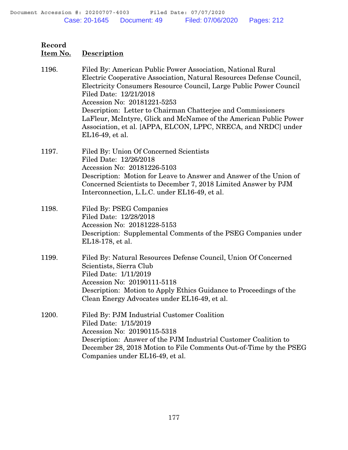| Record<br><u>Item No.</u> | <b>Description</b>                                                                                                                                                                                                                                                                        |
|---------------------------|-------------------------------------------------------------------------------------------------------------------------------------------------------------------------------------------------------------------------------------------------------------------------------------------|
| 1196.                     | Filed By: American Public Power Association, National Rural<br>Electric Cooperative Association, Natural Resources Defense Council,                                                                                                                                                       |
|                           | Electricity Consumers Resource Council, Large Public Power Council<br>Filed Date: 12/21/2018<br>Accession No: 20181221-5253<br>Description: Letter to Chairman Chatterjee and Commissioners<br>LaFleur, McIntyre, Glick and McNamee of the American Public Power                          |
|                           | Association, et al. [APPA, ELCON, LPPC, NRECA, and NRDC] under<br>EL16-49, et al.                                                                                                                                                                                                         |
| 1197.                     | Filed By: Union Of Concerned Scientists<br>Filed Date: 12/26/2018<br>Accession No: 20181226-5103<br>Description: Motion for Leave to Answer and Answer of the Union of<br>Concerned Scientists to December 7, 2018 Limited Answer by PJM<br>Interconnection, L.L.C. under EL16-49, et al. |
| 1198.                     | Filed By: PSEG Companies<br>Filed Date: 12/28/2018<br>Accession No: 20181228-5153<br>Description: Supplemental Comments of the PSEG Companies under<br>EL18-178, et al.                                                                                                                   |
| 1199.                     | Filed By: Natural Resources Defense Council, Union Of Concerned<br>Scientists, Sierra Club<br>Filed Date: 1/11/2019<br>Accession No: 20190111-5118<br>Description: Motion to Apply Ethics Guidance to Proceedings of the<br>Clean Energy Advocates under EL16-49, et al.                  |
| 1200.                     | Filed By: PJM Industrial Customer Coalition<br>Filed Date: 1/15/2019<br>Accession No: 20190115-5318<br>Description: Answer of the PJM Industrial Customer Coalition to<br>December 28, 2018 Motion to File Comments Out-of-Time by the PSEG<br>Companies under EL16-49, et al.            |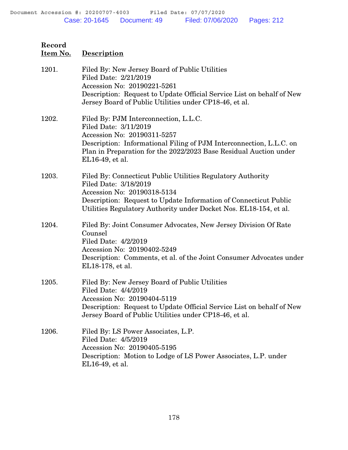| 1201. | Filed By: New Jersey Board of Public Utilities<br>Filed Date: 2/21/2019<br>Accession No: 20190221-5261<br>Description: Request to Update Official Service List on behalf of New                                                                              |
|-------|--------------------------------------------------------------------------------------------------------------------------------------------------------------------------------------------------------------------------------------------------------------|
|       | Jersey Board of Public Utilities under CP18-46, et al.                                                                                                                                                                                                       |
| 1202. | Filed By: PJM Interconnection, L.L.C.<br>Filed Date: 3/11/2019<br>Accession No: 20190311-5257<br>Description: Informational Filing of PJM Interconnection, L.L.C. on<br>Plan in Preparation for the 2022/2023 Base Residual Auction under<br>EL16-49, et al. |
| 1203. | Filed By: Connecticut Public Utilities Regulatory Authority<br>Filed Date: 3/18/2019<br>Accession No: 20190318-5134<br>Description: Request to Update Information of Connecticut Public<br>Utilities Regulatory Authority under Docket Nos. EL18-154, et al. |
| 1204. | Filed By: Joint Consumer Advocates, New Jersey Division Of Rate<br>Counsel<br>Filed Date: 4/2/2019<br>Accession No: 20190402-5249<br>Description: Comments, et al. of the Joint Consumer Advocates under<br>EL18-178, et al.                                 |
| 1205. | Filed By: New Jersey Board of Public Utilities<br>Filed Date: 4/4/2019<br>Accession No: 20190404-5119<br>Description: Request to Update Official Service List on behalf of New<br>Jersey Board of Public Utilities under CP18-46, et al.                     |
| 1206. | Filed By: LS Power Associates, L.P.<br>Filed Date: 4/5/2019<br>Accession No: 20190405-5195<br>Description: Motion to Lodge of LS Power Associates, L.P. under<br>EL16-49, et al.                                                                             |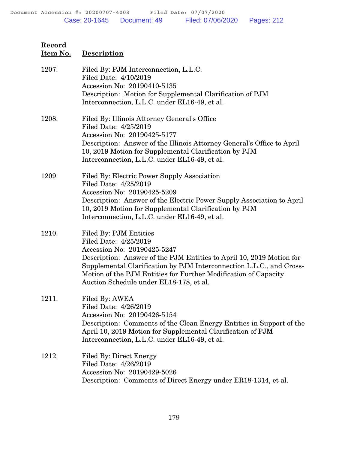| 1207. | Filed By: PJM Interconnection, L.L.C.<br>Filed Date: 4/10/2019<br>Accession No: 20190410-5135<br>Description: Motion for Supplemental Clarification of PJM<br>Interconnection, L.L.C. under EL16-49, et al.                                                                                                                                  |
|-------|----------------------------------------------------------------------------------------------------------------------------------------------------------------------------------------------------------------------------------------------------------------------------------------------------------------------------------------------|
| 1208. | Filed By: Illinois Attorney General's Office<br>Filed Date: 4/25/2019<br>Accession No: 20190425-5177<br>Description: Answer of the Illinois Attorney General's Office to April<br>10, 2019 Motion for Supplemental Clarification by PJM<br>Interconnection, L.L.C. under EL16-49, et al.                                                     |
| 1209. | Filed By: Electric Power Supply Association<br>Filed Date: 4/25/2019<br>Accession No: 20190425-5209<br>Description: Answer of the Electric Power Supply Association to April<br>10, 2019 Motion for Supplemental Clarification by PJM<br>Interconnection, L.L.C. under EL16-49, et al.                                                       |
| 1210. | Filed By: PJM Entities<br>Filed Date: 4/25/2019<br>Accession No: 20190425-5247<br>Description: Answer of the PJM Entities to April 10, 2019 Motion for<br>Supplemental Clarification by PJM Interconnection L.L.C., and Cross-<br>Motion of the PJM Entities for Further Modification of Capacity<br>Auction Schedule under EL18-178, et al. |
| 1211. | Filed By: AWEA<br>Filed Date: 4/26/2019<br>Accession No: 20190426-5154<br>Description: Comments of the Clean Energy Entities in Support of the<br>April 10, 2019 Motion for Supplemental Clarification of PJM<br>Interconnection, L.L.C. under EL16-49, et al.                                                                               |
| 1212. | Filed By: Direct Energy<br>Filed Date: 4/26/2019<br>Accession No: 20190429-5026<br>Description: Comments of Direct Energy under ER18-1314, et al.                                                                                                                                                                                            |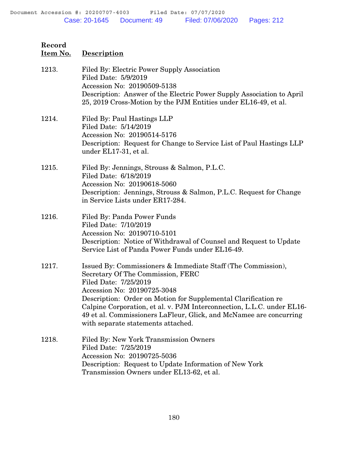| 1213. | Filed By: Electric Power Supply Association<br>Filed Date: 5/9/2019<br>Accession No: 20190509-5138<br>Description: Answer of the Electric Power Supply Association to April<br>25, 2019 Cross-Motion by the PJM Entities under EL16-49, et al.                                                                                                                                                                    |
|-------|-------------------------------------------------------------------------------------------------------------------------------------------------------------------------------------------------------------------------------------------------------------------------------------------------------------------------------------------------------------------------------------------------------------------|
| 1214. | Filed By: Paul Hastings LLP<br>Filed Date: 5/14/2019<br>Accession No: 20190514-5176<br>Description: Request for Change to Service List of Paul Hastings LLP<br>under EL17-31, et al.                                                                                                                                                                                                                              |
| 1215. | Filed By: Jennings, Strouss & Salmon, P.L.C.<br>Filed Date: 6/18/2019<br>Accession No: 20190618-5060<br>Description: Jennings, Strouss & Salmon, P.L.C. Request for Change<br>in Service Lists under ER17-284.                                                                                                                                                                                                    |
| 1216. | Filed By: Panda Power Funds<br>Filed Date: 7/10/2019<br>Accession No: 20190710-5101<br>Description: Notice of Withdrawal of Counsel and Request to Update<br>Service List of Panda Power Funds under EL16-49.                                                                                                                                                                                                     |
| 1217. | Issued By: Commissioners & Immediate Staff (The Commission),<br>Secretary Of The Commission, FERC<br>Filed Date: 7/25/2019<br>Accession No: 20190725-3048<br>Description: Order on Motion for Supplemental Clarification re<br>Calpine Corporation, et al. v. PJM Interconnection, L.L.C. under EL16-<br>49 et al. Commissioners LaFleur, Glick, and McNamee are concurring<br>with separate statements attached. |
| 1218. | Filed By: New York Transmission Owners<br>Filed Date: 7/25/2019<br>Accession No: 20190725-5036<br>Description: Request to Update Information of New York<br>Transmission Owners under EL13-62, et al.                                                                                                                                                                                                             |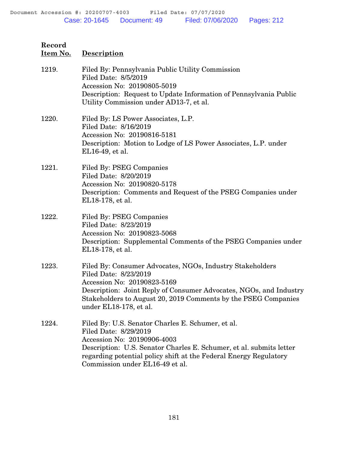| 1219. | Filed By: Pennsylvania Public Utility Commission<br>Filed Date: 8/5/2019<br>Accession No: 20190805-5019<br>Description: Request to Update Information of Pennsylvania Public<br>Utility Commission under AD13-7, et al.                                                                  |
|-------|------------------------------------------------------------------------------------------------------------------------------------------------------------------------------------------------------------------------------------------------------------------------------------------|
| 1220. | Filed By: LS Power Associates, L.P.<br>Filed Date: 8/16/2019<br>Accession No: 20190816-5181<br>Description: Motion to Lodge of LS Power Associates, L.P. under<br>EL16-49, et al.                                                                                                        |
| 1221. | Filed By: PSEG Companies<br>Filed Date: 8/20/2019<br>Accession No: 20190820-5178<br>Description: Comments and Request of the PSEG Companies under<br>EL18-178, et al.                                                                                                                    |
| 1222. | Filed By: PSEG Companies<br>Filed Date: 8/23/2019<br>Accession No: 20190823-5068<br>Description: Supplemental Comments of the PSEG Companies under<br>EL18-178, et al.                                                                                                                   |
| 1223. | Filed By: Consumer Advocates, NGOs, Industry Stakeholders<br>Filed Date: 8/23/2019<br>Accession No: 20190823-5169<br>Description: Joint Reply of Consumer Advocates, NGOs, and Industry<br>Stakeholders to August 20, 2019 Comments by the PSEG Companies<br>under EL18-178, et al.      |
| 1224. | Filed By: U.S. Senator Charles E. Schumer, et al.<br>Filed Date: 8/29/2019<br>Accession No: 20190906-4003<br>Description: U.S. Senator Charles E. Schumer, et al. submits letter<br>regarding potential policy shift at the Federal Energy Regulatory<br>Commission under EL16-49 et al. |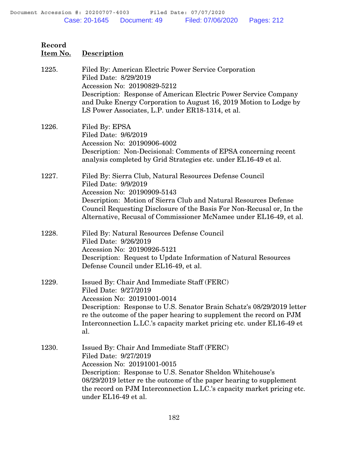| Item No. | <b>Description</b>                                                                                                                                                                                                                                                                                                                         |
|----------|--------------------------------------------------------------------------------------------------------------------------------------------------------------------------------------------------------------------------------------------------------------------------------------------------------------------------------------------|
| 1225.    | Filed By: American Electric Power Service Corporation<br>Filed Date: 8/29/2019<br>Accession No: 20190829-5212<br>Description: Response of American Electric Power Service Company<br>and Duke Energy Corporation to August 16, 2019 Motion to Lodge by<br>LS Power Associates, L.P. under ER18-1314, et al.                                |
| 1226.    | Filed By: EPSA<br>Filed Date: 9/6/2019<br>Accession No: 20190906-4002<br>Description: Non-Decisional: Comments of EPSA concerning recent<br>analysis completed by Grid Strategies etc. under EL16-49 et al.                                                                                                                                |
| 1227.    | Filed By: Sierra Club, Natural Resources Defense Council<br>Filed Date: 9/9/2019<br>Accession No: 20190909-5143<br>Description: Motion of Sierra Club and Natural Resources Defense<br>Council Requesting Disclosure of the Basis For Non-Recusal or, In the<br>Alternative, Recusal of Commissioner McNamee under EL16-49, et al.         |
| 1228.    | Filed By: Natural Resources Defense Council<br>Filed Date: 9/26/2019<br>Accession No: 20190926-5121<br>Description: Request to Update Information of Natural Resources<br>Defense Council under EL16-49, et al.                                                                                                                            |
| 1229.    | Issued By: Chair And Immediate Staff (FERC)<br>Filed Date: 9/27/2019<br>Accession No: 20191001-0014<br>Description: Response to U.S. Senator Brain Schatz's 08/29/2019 letter<br>re the outcome of the paper hearing to supplement the record on PJM<br>Interconnection L.LC.'s capacity market pricing etc. under EL16-49 et<br>al.       |
| 1230.    | Issued By: Chair And Immediate Staff (FERC)<br>Filed Date: 9/27/2019<br>Accession No: 20191001-0015<br>Description: Response to U.S. Senator Sheldon Whitehouse's<br>08/29/2019 letter re the outcome of the paper hearing to supplement<br>the record on PJM Interconnection L.LC.'s capacity market pricing etc.<br>under EL16-49 et al. |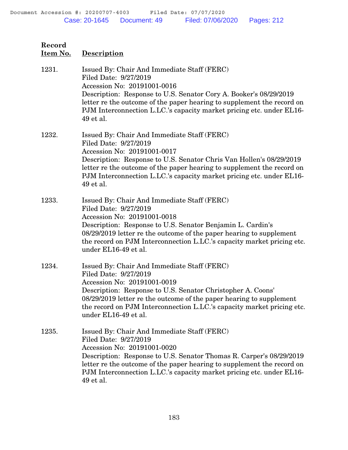| Record<br>Item No. | <b>Description</b>                                                                                                                                                                                                                                                                                                                          |
|--------------------|---------------------------------------------------------------------------------------------------------------------------------------------------------------------------------------------------------------------------------------------------------------------------------------------------------------------------------------------|
| 1231.              | Issued By: Chair And Immediate Staff (FERC)<br>Filed Date: 9/27/2019<br>Accession No: 20191001-0016<br>Description: Response to U.S. Senator Cory A. Booker's 08/29/2019<br>letter re the outcome of the paper hearing to supplement the record on<br>PJM Interconnection L.LC.'s capacity market pricing etc. under EL16-<br>49 et al.     |
| 1232.              | Issued By: Chair And Immediate Staff (FERC)<br>Filed Date: 9/27/2019<br>Accession No: 20191001-0017<br>Description: Response to U.S. Senator Chris Van Hollen's 08/29/2019<br>letter re the outcome of the paper hearing to supplement the record on<br>PJM Interconnection L.LC.'s capacity market pricing etc. under EL16-<br>49 et al.   |
| 1233.              | Issued By: Chair And Immediate Staff (FERC)<br>Filed Date: 9/27/2019<br>Accession No: 20191001-0018<br>Description: Response to U.S. Senator Benjamin L. Cardin's<br>08/29/2019 letter re the outcome of the paper hearing to supplement<br>the record on PJM Interconnection L.LC.'s capacity market pricing etc.<br>under EL16-49 et al.  |
| 1234.              | Issued By: Chair And Immediate Staff (FERC)<br>Filed Date: 9/27/2019<br>Accession No: 20191001-0019<br>Description: Response to U.S. Senator Christopher A. Coons'<br>08/29/2019 letter re the outcome of the paper hearing to supplement<br>the record on PJM Interconnection L.LC.'s capacity market pricing etc.<br>under EL16-49 et al. |
| 1235.              | Issued By: Chair And Immediate Staff (FERC)<br>Filed Date: 9/27/2019<br>Accession No: 20191001-0020<br>Description: Response to U.S. Senator Thomas R. Carper's 08/29/2019<br>letter re the outcome of the paper hearing to supplement the record on<br>PJM Interconnection L.LC.'s capacity market pricing etc. under EL16-<br>49 et al.   |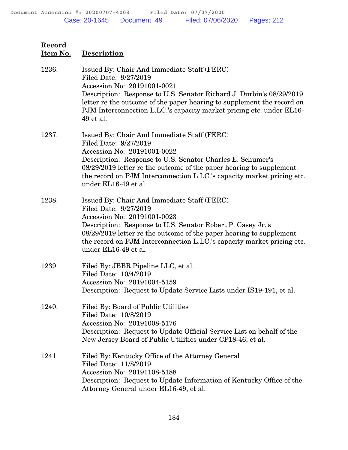| Record<br>Item No. | Description                                                                                                                                                                                                                                                                                                                                 |
|--------------------|---------------------------------------------------------------------------------------------------------------------------------------------------------------------------------------------------------------------------------------------------------------------------------------------------------------------------------------------|
| 1236.              | Issued By: Chair And Immediate Staff (FERC)<br>Filed Date: 9/27/2019<br>Accession No: 20191001-0021<br>Description: Response to U.S. Senator Richard J. Durbin's 08/29/2019<br>letter re the outcome of the paper hearing to supplement the record on<br>PJM Interconnection L.LC.'s capacity market pricing etc. under EL16-<br>49 et al.  |
| 1237.              | Issued By: Chair And Immediate Staff (FERC)<br>Filed Date: 9/27/2019<br>Accession No: 20191001-0022<br>Description: Response to U.S. Senator Charles E. Schumer's<br>08/29/2019 letter re the outcome of the paper hearing to supplement<br>the record on PJM Interconnection L.LC.'s capacity market pricing etc.<br>under EL16-49 et al.  |
| 1238.              | Issued By: Chair And Immediate Staff (FERC)<br>Filed Date: 9/27/2019<br>Accession No: 20191001-0023<br>Description: Response to U.S. Senator Robert P. Casey Jr.'s<br>08/29/2019 letter re the outcome of the paper hearing to supplement<br>the record on PJM Interconnection L.LC.'s capacity market pricing etc.<br>under EL16-49 et al. |
| 1239.              | Filed By: JBBR Pipeline LLC, et al.<br>Filed Date: 10/4/2019<br>Accession No: 20191004-5159<br>Description: Request to Update Service Lists under IS19-191, et al.                                                                                                                                                                          |
| 1240.              | Filed By: Board of Public Utilities<br>Filed Date: 10/8/2019<br>Accession No: 20191008-5176<br>Description: Request to Update Official Service List on behalf of the<br>New Jersey Board of Public Utilities under CP18-46, et al.                                                                                                          |
| 1241.              | Filed By: Kentucky Office of the Attorney General<br>Filed Date: 11/8/2019<br>Accession No: 20191108-5188<br>Description: Request to Update Information of Kentucky Office of the<br>Attorney General under EL16-49, et al.                                                                                                                 |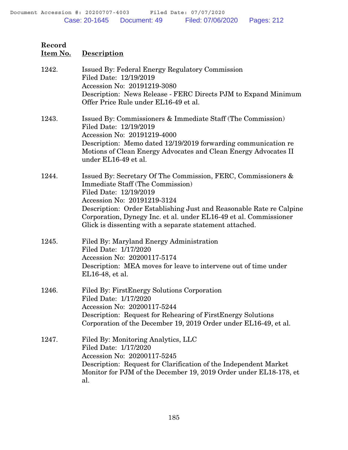| 1242. | <b>Issued By: Federal Energy Regulatory Commission</b><br>Filed Date: 12/19/2019<br>Accession No: 20191219-3080<br>Description: News Release - FERC Directs PJM to Expand Minimum<br>Offer Price Rule under EL16-49 et al.                                                                                                                                               |
|-------|--------------------------------------------------------------------------------------------------------------------------------------------------------------------------------------------------------------------------------------------------------------------------------------------------------------------------------------------------------------------------|
| 1243. | Issued By: Commissioners & Immediate Staff (The Commission)<br>Filed Date: 12/19/2019<br>Accession No: 20191219-4000<br>Description: Memo dated 12/19/2019 forwarding communication re<br>Motions of Clean Energy Advocates and Clean Energy Advocates II<br>under EL16-49 et al.                                                                                        |
| 1244. | Issued By: Secretary Of The Commission, FERC, Commissioners &<br><b>Immediate Staff (The Commission)</b><br>Filed Date: 12/19/2019<br>Accession No: 20191219-3124<br>Description: Order Establishing Just and Reasonable Rate re Calpine<br>Corporation, Dynegy Inc. et al. under EL16-49 et al. Commissioner<br>Glick is dissenting with a separate statement attached. |
| 1245. | Filed By: Maryland Energy Administration<br>Filed Date: 1/17/2020<br>Accession No: 20200117-5174<br>Description: MEA moves for leave to intervene out of time under<br>EL16-48, et al.                                                                                                                                                                                   |
| 1246. | Filed By: First Energy Solutions Corporation<br>Filed Date: 1/17/2020<br>Accession No: 20200117-5244<br>Description: Request for Rehearing of FirstEnergy Solutions<br>Corporation of the December 19, 2019 Order under EL16-49, et al.                                                                                                                                  |
| 1247. | Filed By: Monitoring Analytics, LLC<br>Filed Date: 1/17/2020<br>Accession No: 20200117-5245<br>Description: Request for Clarification of the Independent Market<br>Monitor for PJM of the December 19, 2019 Order under EL18-178, et<br>al.                                                                                                                              |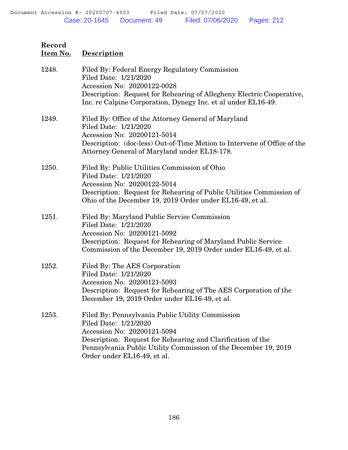| 1248. | Filed By: Federal Energy Regulatory Commission<br>Filed Date: 1/21/2020<br>Accession No: 20200122-0028<br>Description: Request for Rehearing of Allegheny Electric Cooperative, |
|-------|---------------------------------------------------------------------------------------------------------------------------------------------------------------------------------|
|       | Inc. re Calpine Corporation, Dynegy Inc. et al under EL16-49.                                                                                                                   |
| 1249. | Filed By: Office of the Attorney General of Maryland<br>Filed Date: 1/21/2020<br>Accession No: 20200121-5014                                                                    |
|       | Description: (doc-less) Out-of-Time Motion to Intervene of Office of the<br>Attorney General of Maryland under EL18-178.                                                        |
| 1250. | Filed By: Public Utilities Commission of Ohio<br>Filed Date: 1/21/2020<br>Accession No: 20200122-5014                                                                           |
|       | Description: Request for Rehearing of Public Utilities Commission of<br>Ohio of the December 19, 2019 Order under EL16-49, et al.                                               |
| 1251. | Filed By: Maryland Public Service Commission<br>Filed Date: 1/21/2020<br>Accession No: 20200121-5092                                                                            |
|       | Description: Request for Rehearing of Maryland Public Service<br>Commission of the December 19, 2019 Order under EL16-49, et al.                                                |
| 1252. | Filed By: The AES Corporation<br>Filed Date: 1/21/2020                                                                                                                          |
|       | Accession No: 20200121-5093<br>Description: Request for Rehearing of The AES Corporation of the<br>December 19, 2019 Order under EL16-49, et al.                                |
| 1253. | Filed By: Pennsylvania Public Utility Commission<br>Filed Date: 1/21/2020                                                                                                       |
|       | Accession No: 20200121-5094<br>Description: Request for Rehearing and Clarification of the                                                                                      |
|       | Pennsylvania Public Utility Commission of the December 19, 2019<br>Order under EL16-49, et al.                                                                                  |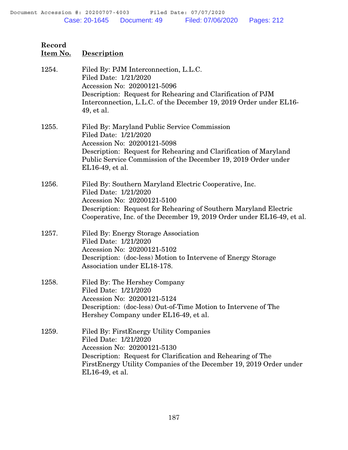| Record<br><u>Item No.</u> | <b>Description</b>                                                                                                                                                                                                                                            |
|---------------------------|---------------------------------------------------------------------------------------------------------------------------------------------------------------------------------------------------------------------------------------------------------------|
| 1254.                     | Filed By: PJM Interconnection, L.L.C.<br>Filed Date: 1/21/2020<br>Accession No: 20200121-5096<br>Description: Request for Rehearing and Clarification of PJM<br>Interconnection, L.L.C. of the December 19, 2019 Order under EL16-<br>49, et al.              |
| 1255.                     | Filed By: Maryland Public Service Commission<br>Filed Date: 1/21/2020<br>Accession No: 20200121-5098<br>Description: Request for Rehearing and Clarification of Maryland<br>Public Service Commission of the December 19, 2019 Order under<br>EL16-49, et al. |
| 1256.                     | Filed By: Southern Maryland Electric Cooperative, Inc.<br>Filed Date: 1/21/2020<br>Accession No: 20200121-5100<br>Description: Request for Rehearing of Southern Maryland Electric<br>Cooperative, Inc. of the December 19, 2019 Order under EL16-49, et al.  |
| 1257.                     | Filed By: Energy Storage Association<br>Filed Date: 1/21/2020<br>Accession No: 20200121-5102<br>Description: (doc-less) Motion to Intervene of Energy Storage<br>Association under EL18-178.                                                                  |
| 1258.                     | Filed By: The Hershey Company<br>Filed Date: 1/21/2020<br>Accession No: 20200121-5124<br>Description: (doc-less) Out-of-Time Motion to Intervene of The<br>Hershey Company under EL16-49, et al.                                                              |
| 1259.                     | Filed By: First Energy Utility Companies<br>Filed Date: 1/21/2020<br>Accession No: 20200121-5130<br>Description: Request for Clarification and Rehearing of The<br>First Energy Utility Companies of the December 19, 2019 Order under<br>EL16-49, et al.     |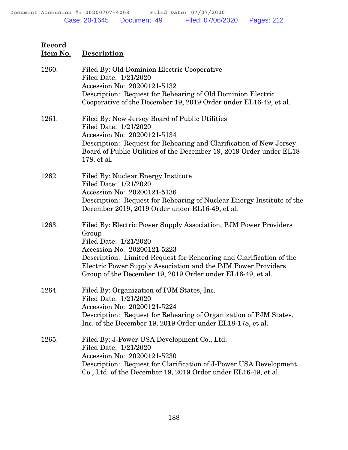| 1260. | Filed By: Old Dominion Electric Cooperative<br>Filed Date: 1/21/2020<br>Accession No: 20200121-5132<br>Description: Request for Rehearing of Old Dominion Electric<br>Cooperative of the December 19, 2019 Order under EL16-49, et al.                                                                                                  |
|-------|-----------------------------------------------------------------------------------------------------------------------------------------------------------------------------------------------------------------------------------------------------------------------------------------------------------------------------------------|
| 1261. | Filed By: New Jersey Board of Public Utilities<br>Filed Date: 1/21/2020<br>Accession No: 20200121-5134<br>Description: Request for Rehearing and Clarification of New Jersey<br>Board of Public Utilities of the December 19, 2019 Order under EL18-<br>178, et al.                                                                     |
| 1262. | Filed By: Nuclear Energy Institute<br>Filed Date: 1/21/2020<br>Accession No: 20200121-5136<br>Description: Request for Rehearing of Nuclear Energy Institute of the<br>December 2019, 2019 Order under EL16-49, et al.                                                                                                                  |
| 1263. | Filed By: Electric Power Supply Association, PJM Power Providers<br>Group<br>Filed Date: 1/21/2020<br>Accession No: 20200121-5223<br>Description: Limited Request for Rehearing and Clarification of the<br>Electric Power Supply Association and the PJM Power Providers<br>Group of the December 19, 2019 Order under EL16-49, et al. |
| 1264. | Filed By: Organization of PJM States, Inc.<br>Filed Date: 1/21/2020<br>Accession No: 20200121-5224<br>Description: Request for Rehearing of Organization of PJM States,<br>Inc. of the December 19, 2019 Order under EL18-178, et al.                                                                                                   |
| 1265. | Filed By: J-Power USA Development Co., Ltd.<br>Filed Date: 1/21/2020<br>Accession No: 20200121-5230<br>Description: Request for Clarification of J-Power USA Development<br>Co., Ltd. of the December 19, 2019 Order under EL16-49, et al.                                                                                              |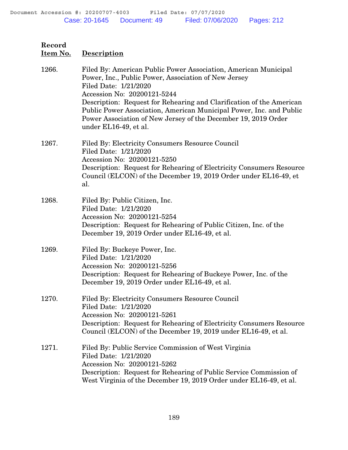# **Item No. Description** 1266. Filed By: American Public Power Association, American Municipal Power, Inc., Public Power, Association of New Jersey Filed Date: 1/21/2020 Accession No: 20200121-5244 Description: Request for Rehearing and Clarification of the American Public Power Association, American Municipal Power, Inc. and Public Power Association of New Jersey of the December 19, 2019 Order under EL16-49, et al. 1267. Filed By: Electricity Consumers Resource Council Filed Date: 1/21/2020 Accession No: 20200121-5250 Description: Request for Rehearing of Electricity Consumers Resource Council (ELCON) of the December 19, 2019 Order under EL16-49, et al. 1268. Filed By: Public Citizen, Inc. Filed Date: 1/21/2020 Accession No: 20200121-5254 Description: Request for Rehearing of Public Citizen, Inc. of the December 19, 2019 Order under EL16-49, et al. 1269. Filed By: Buckeye Power, Inc. Filed Date: 1/21/2020 Accession No: 20200121-5256 Description: Request for Rehearing of Buckeye Power, Inc. of the December 19, 2019 Order under EL16-49, et al. 1270. Filed By: Electricity Consumers Resource Council Filed Date: 1/21/2020 Accession No: 20200121-5261 Description: Request for Rehearing of Electricity Consumers Resource Council (ELCON) of the December 19, 2019 under EL16-49, et al.

1271. Filed By: Public Service Commission of West Virginia Filed Date: 1/21/2020 Accession No: 20200121-5262 Description: Request for Rehearing of Public Service Commission of West Virginia of the December 19, 2019 Order under EL16-49, et al.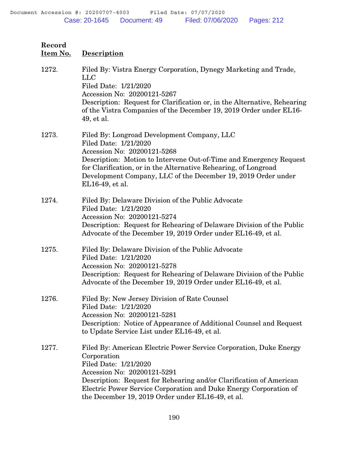| <u>Item No.</u> | Description                                                                                                                                                                                                                                                                                                                                |
|-----------------|--------------------------------------------------------------------------------------------------------------------------------------------------------------------------------------------------------------------------------------------------------------------------------------------------------------------------------------------|
| 1272.           | Filed By: Vistra Energy Corporation, Dynegy Marketing and Trade,<br><b>LLC</b><br>Filed Date: 1/21/2020<br>Accession No: 20200121-5267<br>Description: Request for Clarification or, in the Alternative, Rehearing<br>of the Vistra Companies of the December 19, 2019 Order under EL16-<br>49, et al.                                     |
| 1273.           | Filed By: Longroad Development Company, LLC<br>Filed Date: 1/21/2020<br>Accession No: 20200121-5268<br>Description: Motion to Intervene Out-of-Time and Emergency Request<br>for Clarification, or in the Alternative Rehearing, of Longroad<br>Development Company, LLC of the December 19, 2019 Order under<br>EL16-49, et al.           |
| 1274.           | Filed By: Delaware Division of the Public Advocate<br>Filed Date: 1/21/2020<br>Accession No: 20200121-5274<br>Description: Request for Rehearing of Delaware Division of the Public<br>Advocate of the December 19, 2019 Order under EL16-49, et al.                                                                                       |
| 1275.           | Filed By: Delaware Division of the Public Advocate<br>Filed Date: 1/21/2020<br>Accession No: 20200121-5278<br>Description: Request for Rehearing of Delaware Division of the Public<br>Advocate of the December 19, 2019 Order under EL16-49, et al.                                                                                       |
| 1276.           | Filed By: New Jersey Division of Rate Counsel<br>Filed Date: 1/21/2020<br>Accession No: 20200121-5281<br>Description: Notice of Appearance of Additional Counsel and Request<br>to Update Service List under EL16-49, et al.                                                                                                               |
| 1277.           | Filed By: American Electric Power Service Corporation, Duke Energy<br>Corporation<br>Filed Date: 1/21/2020<br>Accession No: 20200121-5291<br>Description: Request for Rehearing and/or Clarification of American<br>Electric Power Service Corporation and Duke Energy Corporation of<br>the December 19, 2019 Order under EL16-49, et al. |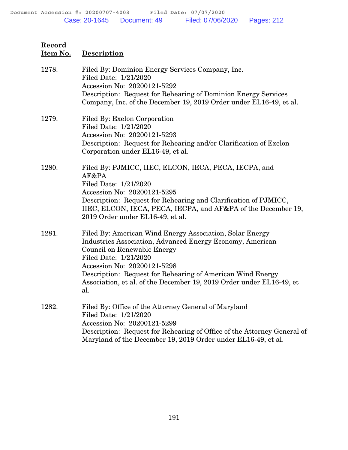| 1278. | Filed By: Dominion Energy Services Company, Inc.<br>Filed Date: 1/21/2020<br>Accession No: 20200121-5292<br>Description: Request for Rehearing of Dominion Energy Services<br>Company, Inc. of the December 19, 2019 Order under EL16-49, et al.                                                                                                          |
|-------|-----------------------------------------------------------------------------------------------------------------------------------------------------------------------------------------------------------------------------------------------------------------------------------------------------------------------------------------------------------|
| 1279. | Filed By: Exelon Corporation<br>Filed Date: 1/21/2020<br>Accession No: 20200121-5293<br>Description: Request for Rehearing and/or Clarification of Exelon<br>Corporation under EL16-49, et al.                                                                                                                                                            |
| 1280. | Filed By: PJMICC, IIEC, ELCON, IECA, PECA, IECPA, and<br>AF&PA<br>Filed Date: 1/21/2020<br>Accession No: 20200121-5295<br>Description: Request for Rehearing and Clarification of PJMICC,<br>IIEC, ELCON, IECA, PECA, IECPA, and AF&PA of the December 19,<br>2019 Order under EL16-49, et al.                                                            |
| 1281. | Filed By: American Wind Energy Association, Solar Energy<br>Industries Association, Advanced Energy Economy, American<br>Council on Renewable Energy<br>Filed Date: 1/21/2020<br>Accession No: 20200121-5298<br>Description: Request for Rehearing of American Wind Energy<br>Association, et al. of the December 19, 2019 Order under EL16-49, et<br>al. |
| 1282. | Filed By: Office of the Attorney General of Maryland<br>Filed Date: 1/21/2020<br>Accession No: 20200121-5299<br>Description: Request for Rehearing of Office of the Attorney General of<br>Maryland of the December 19, 2019 Order under EL16-49, et al.                                                                                                  |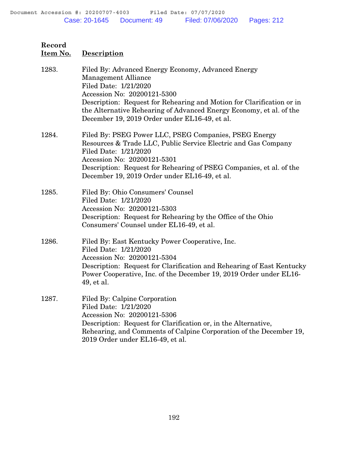| 1283. | Filed By: Advanced Energy Economy, Advanced Energy<br><b>Management Alliance</b><br>Filed Date: 1/21/2020<br>Accession No: 20200121-5300<br>Description: Request for Rehearing and Motion for Clarification or in<br>the Alternative Rehearing of Advanced Energy Economy, et al. of the<br>December 19, 2019 Order under EL16-49, et al. |
|-------|-------------------------------------------------------------------------------------------------------------------------------------------------------------------------------------------------------------------------------------------------------------------------------------------------------------------------------------------|
| 1284. | Filed By: PSEG Power LLC, PSEG Companies, PSEG Energy<br>Resources & Trade LLC, Public Service Electric and Gas Company<br>Filed Date: 1/21/2020<br>Accession No: 20200121-5301<br>Description: Request for Rehearing of PSEG Companies, et al. of the<br>December 19, 2019 Order under EL16-49, et al.                                   |
| 1285. | Filed By: Ohio Consumers' Counsel<br>Filed Date: 1/21/2020<br>Accession No: 20200121-5303<br>Description: Request for Rehearing by the Office of the Ohio<br>Consumers' Counsel under EL16-49, et al.                                                                                                                                     |
| 1286. | Filed By: East Kentucky Power Cooperative, Inc.<br>Filed Date: 1/21/2020<br>Accession No: 20200121-5304<br>Description: Request for Clarification and Rehearing of East Kentucky<br>Power Cooperative, Inc. of the December 19, 2019 Order under EL16-<br>49, et al.                                                                      |
| 1287. | Filed By: Calpine Corporation<br>Filed Date: 1/21/2020<br>Accession No: 20200121-5306<br>Description: Request for Clarification or, in the Alternative,<br>Rehearing, and Comments of Calpine Corporation of the December 19,<br>2019 Order under EL16-49, et al.                                                                         |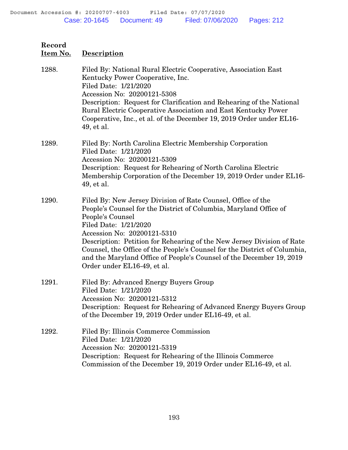**Item No. Description**

| 1288. | Filed By: National Rural Electric Cooperative, Association East<br>Kentucky Power Cooperative, Inc.<br>Filed Date: 1/21/2020<br>Accession No: 20200121-5308<br>Description: Request for Clarification and Rehearing of the National<br>Rural Electric Cooperative Association and East Kentucky Power<br>Cooperative, Inc., et al. of the December 19, 2019 Order under EL16-<br>49, et al.                                                                                 |
|-------|-----------------------------------------------------------------------------------------------------------------------------------------------------------------------------------------------------------------------------------------------------------------------------------------------------------------------------------------------------------------------------------------------------------------------------------------------------------------------------|
| 1289. | Filed By: North Carolina Electric Membership Corporation<br>Filed Date: 1/21/2020<br>Accession No: 20200121-5309<br>Description: Request for Rehearing of North Carolina Electric<br>Membership Corporation of the December 19, 2019 Order under EL16-<br>49, et al.                                                                                                                                                                                                        |
| 1290. | Filed By: New Jersey Division of Rate Counsel, Office of the<br>People's Counsel for the District of Columbia, Maryland Office of<br>People's Counsel<br>Filed Date: 1/21/2020<br>Accession No: 20200121-5310<br>Description: Petition for Rehearing of the New Jersey Division of Rate<br>Counsel, the Office of the People's Counsel for the District of Columbia,<br>and the Maryland Office of People's Counsel of the December 19, 2019<br>Order under EL16-49, et al. |
| 1291. | Filed By: Advanced Energy Buyers Group<br>Filed Date: 1/21/2020<br>Accession No: 20200121-5312<br>Description: Request for Rehearing of Advanced Energy Buyers Group<br>of the December 19, 2019 Order under EL16-49, et al.                                                                                                                                                                                                                                                |
| 1292. | Filed By: Illinois Commerce Commission<br>Filed Date: 1/21/2020<br>Accession No: 20200121-5319<br>Description: Request for Rehearing of the Illinois Commerce<br>Commission of the December 19, 2019 Order under EL16-49, et al.                                                                                                                                                                                                                                            |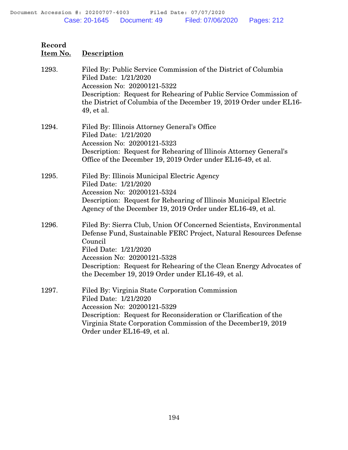**Item No. Description**

| 1293. | Filed By: Public Service Commission of the District of Columbia<br>Filed Date: 1/21/2020<br>Accession No: 20200121-5322<br>Description: Request for Rehearing of Public Service Commission of<br>the District of Columbia of the December 19, 2019 Order under EL16-<br>49, et al.                                                      |
|-------|-----------------------------------------------------------------------------------------------------------------------------------------------------------------------------------------------------------------------------------------------------------------------------------------------------------------------------------------|
| 1294. | Filed By: Illinois Attorney General's Office<br>Filed Date: 1/21/2020<br>Accession No: 20200121-5323<br>Description: Request for Rehearing of Illinois Attorney General's<br>Office of the December 19, 2019 Order under EL16-49, et al.                                                                                                |
| 1295. | Filed By: Illinois Municipal Electric Agency<br>Filed Date: 1/21/2020<br>Accession No: 20200121-5324<br>Description: Request for Rehearing of Illinois Municipal Electric<br>Agency of the December 19, 2019 Order under EL16-49, et al.                                                                                                |
| 1296. | Filed By: Sierra Club, Union Of Concerned Scientists, Environmental<br>Defense Fund, Sustainable FERC Project, Natural Resources Defense<br>Council<br>Filed Date: 1/21/2020<br>Accession No: 20200121-5328<br>Description: Request for Rehearing of the Clean Energy Advocates of<br>the December 19, 2019 Order under EL16-49, et al. |
| 1297. | Filed By: Virginia State Corporation Commission<br>Filed Date: 1/21/2020<br>Accession No: 20200121-5329<br>Description: Request for Reconsideration or Clarification of the<br>Virginia State Corporation Commission of the December 19, 2019<br>Order under EL16-49, et al.                                                            |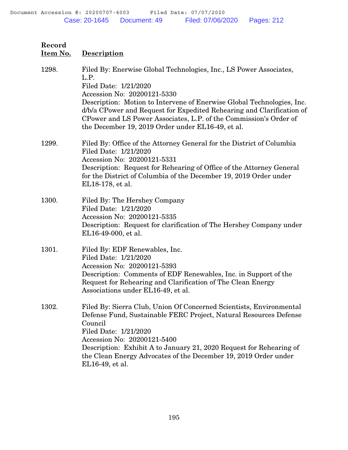| 1298. | Filed By: Enerwise Global Technologies, Inc., LS Power Associates,<br>L.P.<br>Filed Date: 1/21/2020<br>Accession No: 20200121-5330<br>Description: Motion to Intervene of Enerwise Global Technologies, Inc.<br>d/b/a CPower and Request for Expedited Rehearing and Clarification of<br>CPower and LS Power Associates, L.P. of the Commission's Order of<br>the December 19, 2019 Order under EL16-49, et al. |
|-------|-----------------------------------------------------------------------------------------------------------------------------------------------------------------------------------------------------------------------------------------------------------------------------------------------------------------------------------------------------------------------------------------------------------------|
| 1299. | Filed By: Office of the Attorney General for the District of Columbia<br>Filed Date: 1/21/2020<br>Accession No: 20200121-5331<br>Description: Request for Rehearing of Office of the Attorney General<br>for the District of Columbia of the December 19, 2019 Order under<br>EL18-178, et al.                                                                                                                  |
| 1300. | Filed By: The Hershey Company<br>Filed Date: 1/21/2020<br>Accession No: 20200121-5335<br>Description: Request for clarification of The Hershey Company under<br>EL16-49-000, et al.                                                                                                                                                                                                                             |
| 1301. | Filed By: EDF Renewables, Inc.<br>Filed Date: 1/21/2020<br>Accession No: 20200121-5393<br>Description: Comments of EDF Renewables, Inc. in Support of the<br>Request for Rehearing and Clarification of The Clean Energy<br>Associations under EL16-49, et al.                                                                                                                                                  |
| 1302. | Filed By: Sierra Club, Union Of Concerned Scientists, Environmental<br>Defense Fund, Sustainable FERC Project, Natural Resources Defense<br>Council<br>Filed Date: 1/21/2020<br>Accession No: 20200121-5400<br>Description: Exhibit A to January 21, 2020 Request for Rehearing of<br>the Clean Energy Advocates of the December 19, 2019 Order under<br>EL16-49, et al.                                        |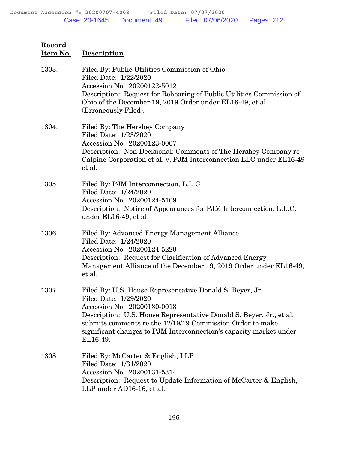| Record<br>Item No. | <b>Description</b>                                                                                                                                                                                                                                                                                                                     |
|--------------------|----------------------------------------------------------------------------------------------------------------------------------------------------------------------------------------------------------------------------------------------------------------------------------------------------------------------------------------|
| 1303.              | Filed By: Public Utilities Commission of Ohio<br>Filed Date: 1/22/2020<br>Accession No: 20200122-5012<br>Description: Request for Rehearing of Public Utilities Commission of<br>Ohio of the December 19, 2019 Order under EL16-49, et al.<br>(Erroneously Filed).                                                                     |
| 1304.              | Filed By: The Hershey Company<br>Filed Date: 1/23/2020<br>Accession No: 20200123-0007<br>Description: Non-Decisional: Comments of The Hershey Company re<br>Calpine Corporation et al. v. PJM Interconnection LLC under EL16-49<br>et al.                                                                                              |
| 1305.              | Filed By: PJM Interconnection, L.L.C.<br>Filed Date: 1/24/2020<br>Accession No: 20200124-5109<br>Description: Notice of Appearances for PJM Interconnection, L.L.C.<br>under EL16-49, et al.                                                                                                                                           |
| 1306.              | Filed By: Advanced Energy Management Alliance<br>Filed Date: 1/24/2020<br>Accession No: 20200124-5220<br>Description: Request for Clarification of Advanced Energy<br>Management Alliance of the December 19, 2019 Order under EL16-49,<br>et al.                                                                                      |
| 1307.              | Filed By: U.S. House Representative Donald S. Beyer, Jr.<br>Filed Date: 1/29/2020<br>Accession No: 20200130-0013<br>Description: U.S. House Representative Donald S. Beyer, Jr., et al.<br>submits comments re the 12/19/19 Commission Order to make<br>significant changes to PJM Interconnection's capacity market under<br>EL16-49. |
| 1308.              | Filed By: McCarter & English, LLP<br>Filed Date: 1/31/2020<br>Accession No: 20200131-5314<br>Description: Request to Update Information of McCarter & English,<br>LLP under AD16-16, et al.                                                                                                                                            |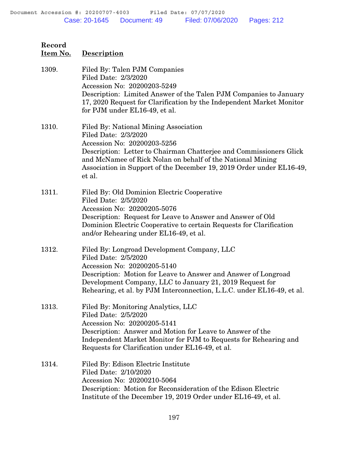| Record<br>Item No. | Description                                                                                                                                                                                                                                                                                                        |
|--------------------|--------------------------------------------------------------------------------------------------------------------------------------------------------------------------------------------------------------------------------------------------------------------------------------------------------------------|
| 1309.              | Filed By: Talen PJM Companies<br>Filed Date: 2/3/2020<br>Accession No: 20200203-5249<br>Description: Limited Answer of the Talen PJM Companies to January<br>17, 2020 Request for Clarification by the Independent Market Monitor<br>for PJM under EL16-49, et al.                                                 |
| 1310.              | Filed By: National Mining Association<br>Filed Date: 2/3/2020<br>Accession No: 20200203-5256<br>Description: Letter to Chairman Chatterjee and Commissioners Glick<br>and McNamee of Rick Nolan on behalf of the National Mining<br>Association in Support of the December 19, 2019 Order under EL16-49,<br>et al. |
| 1311.              | Filed By: Old Dominion Electric Cooperative<br>Filed Date: 2/5/2020<br>Accession No: 20200205-5076<br>Description: Request for Leave to Answer and Answer of Old<br>Dominion Electric Cooperative to certain Requests for Clarification<br>and/or Rehearing under EL16-49, et al.                                  |
| 1312.              | Filed By: Longroad Development Company, LLC<br>Filed Date: 2/5/2020<br>Accession No: 20200205-5140<br>Description: Motion for Leave to Answer and Answer of Longroad<br>Development Company, LLC to January 21, 2019 Request for<br>Rehearing, et al. by PJM Interconnection, L.L.C. under EL16-49, et al.         |
| 1313.              | Filed By: Monitoring Analytics, LLC<br>Filed Date: 2/5/2020<br>Accession No: 20200205-5141<br>Description: Answer and Motion for Leave to Answer of the<br>Independent Market Monitor for PJM to Requests for Rehearing and<br>Requests for Clarification under EL16-49, et al.                                    |
| 1314.              | Filed By: Edison Electric Institute<br>Filed Date: 2/10/2020<br>Accession No: 20200210-5064<br>Description: Motion for Reconsideration of the Edison Electric<br>Institute of the December 19, 2019 Order under EL16-49, et al.                                                                                    |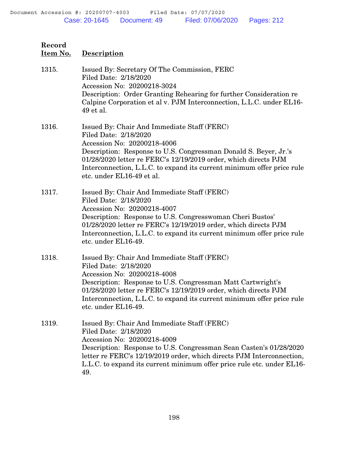**Item No. Description**

1315. Issued By: Secretary Of The Commission, FERC Filed Date: 2/18/2020 Accession No: 20200218-3024 Description: Order Granting Rehearing for further Consideration re Calpine Corporation et al v. PJM Interconnection, L.L.C. under EL16- 49 et al. 1316. Issued By: Chair And Immediate Staff (FERC) Filed Date: 2/18/2020 Accession No: 20200218-4006 Description: Response to U.S. Congressman Donald S. Beyer, Jr.'s 01/28/2020 letter re FERC's 12/19/2019 order, which directs PJM Interconnection, L.L.C. to expand its current minimum offer price rule etc. under EL16-49 et al. 1317. Issued By: Chair And Immediate Staff (FERC) Filed Date: 2/18/2020 Accession No: 20200218-4007 Description: Response to U.S. Congresswoman Cheri Bustos' 01/28/2020 letter re FERC's 12/19/2019 order, which directs PJM Interconnection, L.L.C. to expand its current minimum offer price rule etc. under EL16-49. 1318. Issued By: Chair And Immediate Staff (FERC) Filed Date: 2/18/2020 Accession No: 20200218-4008 Description: Response to U.S. Congressman Matt Cartwright's 01/28/2020 letter re FERC's 12/19/2019 order, which directs PJM Interconnection, L.L.C. to expand its current minimum offer price rule etc. under EL16-49. 1319. Issued By: Chair And Immediate Staff (FERC) Filed Date: 2/18/2020 Accession No: 20200218-4009 Description: Response to U.S. Congressman Sean Casten's 01/28/2020 letter re FERC's 12/19/2019 order, which directs PJM Interconnection, L.L.C. to expand its current minimum offer price rule etc. under EL16- 49.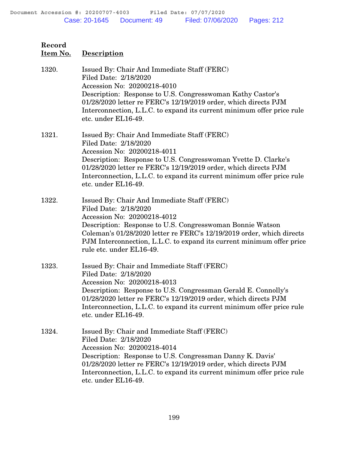**Record Item No. Description** 1320. Issued By: Chair And Immediate Staff (FERC) Filed Date: 2/18/2020 Accession No: 20200218-4010 Description: Response to U.S. Congresswoman Kathy Castor's 01/28/2020 letter re FERC's 12/19/2019 order, which directs PJM Interconnection, L.L.C. to expand its current minimum offer price rule etc. under EL16-49. 1321. Issued By: Chair And Immediate Staff (FERC) Filed Date: 2/18/2020 Accession No: 20200218-4011 Description: Response to U.S. Congresswoman Yvette D. Clarke's 01/28/2020 letter re FERC's 12/19/2019 order, which directs PJM Interconnection, L.L.C. to expand its current minimum offer price rule etc. under EL16-49. 1322. Issued By: Chair And Immediate Staff (FERC) Filed Date: 2/18/2020 Accession No: 20200218-4012 Description: Response to U.S. Congresswoman Bonnie Watson Coleman's 01/28/2020 letter re FERC's 12/19/2019 order, which directs PJM Interconnection, L.L.C. to expand its current minimum offer price rule etc. under EL16-49. 1323. Issued By: Chair and Immediate Staff (FERC) Filed Date: 2/18/2020 Accession No: 20200218-4013 Description: Response to U.S. Congressman Gerald E. Connolly's 01/28/2020 letter re FERC's 12/19/2019 order, which directs PJM Interconnection, L.L.C. to expand its current minimum offer price rule etc. under EL16-49. 1324. Issued By: Chair and Immediate Staff (FERC) Filed Date: 2/18/2020 Accession No: 20200218-4014 Description: Response to U.S. Congressman Danny K. Davis' 01/28/2020 letter re FERC's 12/19/2019 order, which directs PJM Interconnection, L.L.C. to expand its current minimum offer price rule etc. under EL16-49.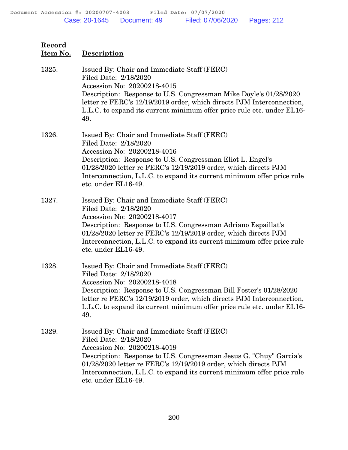| Record<br>Item No. | <b>Description</b>                                                                                                                                                                                                                                                                                                                            |
|--------------------|-----------------------------------------------------------------------------------------------------------------------------------------------------------------------------------------------------------------------------------------------------------------------------------------------------------------------------------------------|
| 1325.              | Issued By: Chair and Immediate Staff (FERC)<br>Filed Date: 2/18/2020<br>Accession No: 20200218-4015<br>Description: Response to U.S. Congressman Mike Doyle's 01/28/2020<br>letter re FERC's 12/19/2019 order, which directs PJM Interconnection,<br>L.L.C. to expand its current minimum offer price rule etc. under EL16-<br>49.            |
| 1326.              | Issued By: Chair and Immediate Staff (FERC)<br>Filed Date: 2/18/2020<br>Accession No: 20200218-4016<br>Description: Response to U.S. Congressman Eliot L. Engel's<br>01/28/2020 letter re FERC's 12/19/2019 order, which directs PJM<br>Interconnection, L.L.C. to expand its current minimum offer price rule<br>etc. under EL16-49.         |
| 1327.              | Issued By: Chair and Immediate Staff (FERC)<br>Filed Date: 2/18/2020<br>Accession No: 20200218-4017<br>Description: Response to U.S. Congressman Adriano Espaillat's<br>01/28/2020 letter re FERC's 12/19/2019 order, which directs PJM<br>Interconnection, L.L.C. to expand its current minimum offer price rule<br>etc. under EL16-49.      |
| 1328.              | Issued By: Chair and Immediate Staff (FERC)<br>Filed Date: 2/18/2020<br>Accession No: 20200218-4018<br>Description: Response to U.S. Congressman Bill Foster's 01/28/2020<br>letter re FERC's 12/19/2019 order, which directs PJM Interconnection,<br>L.L.C. to expand its current minimum offer price rule etc. under EL16-<br>49.           |
| 1329.              | Issued By: Chair and Immediate Staff (FERC)<br>Filed Date: 2/18/2020<br>Accession No: 20200218-4019<br>Description: Response to U.S. Congressman Jesus G. "Chuy" Garcia's<br>01/28/2020 letter re FERC's 12/19/2019 order, which directs PJM<br>Interconnection, L.L.C. to expand its current minimum offer price rule<br>etc. under EL16-49. |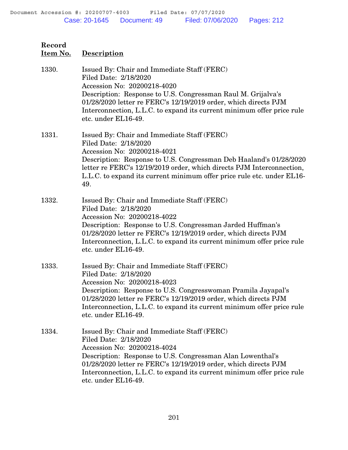| Record<br>Item No. | <b>Description</b>                                                                                                                                                                                                                                                                                                                       |
|--------------------|------------------------------------------------------------------------------------------------------------------------------------------------------------------------------------------------------------------------------------------------------------------------------------------------------------------------------------------|
| 1330.              | Issued By: Chair and Immediate Staff (FERC)<br>Filed Date: 2/18/2020<br>Accession No: 20200218-4020<br>Description: Response to U.S. Congressman Raul M. Grijalva's<br>01/28/2020 letter re FERC's 12/19/2019 order, which directs PJM<br>Interconnection, L.L.C. to expand its current minimum offer price rule<br>etc. under EL16-49.  |
| 1331.              | Issued By: Chair and Immediate Staff (FERC)<br>Filed Date: 2/18/2020<br>Accession No: 20200218-4021<br>Description: Response to U.S. Congressman Deb Haaland's 01/28/2020<br>letter re FERC's 12/19/2019 order, which directs PJM Interconnection,<br>L.L.C. to expand its current minimum offer price rule etc. under EL16-<br>49.      |
| 1332.              | Issued By: Chair and Immediate Staff (FERC)<br>Filed Date: 2/18/2020<br>Accession No: 20200218-4022<br>Description: Response to U.S. Congressman Jarded Huffman's<br>01/28/2020 letter re FERC's 12/19/2019 order, which directs PJM<br>Interconnection, L.L.C. to expand its current minimum offer price rule<br>etc. under EL16-49.    |
| 1333.              | Issued By: Chair and Immediate Staff (FERC)<br>Filed Date: 2/18/2020<br>Accession No: 20200218-4023<br>Description: Response to U.S. Congresswoman Pramila Jayapal's<br>01/28/2020 letter re FERC's 12/19/2019 order, which directs PJM<br>Interconnection, L.L.C. to expand its current minimum offer price rule<br>etc. under EL16-49. |
| 1334.              | Issued By: Chair and Immediate Staff (FERC)<br>Filed Date: 2/18/2020<br>Accession No: 20200218-4024<br>Description: Response to U.S. Congressman Alan Lowenthal's<br>01/28/2020 letter re FERC's 12/19/2019 order, which directs PJM<br>Interconnection, L.L.C. to expand its current minimum offer price rule<br>etc. under EL16-49.    |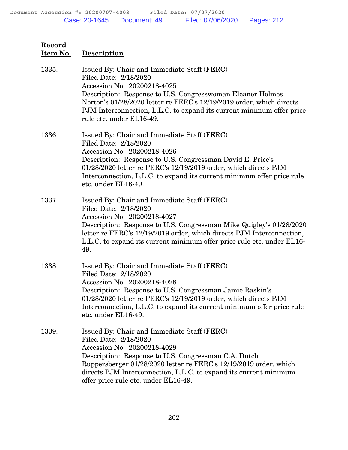| Item No. | <b>Description</b>                                                                                                                                                                                                                                                                                                                             |
|----------|------------------------------------------------------------------------------------------------------------------------------------------------------------------------------------------------------------------------------------------------------------------------------------------------------------------------------------------------|
| 1335.    | Issued By: Chair and Immediate Staff (FERC)<br>Filed Date: 2/18/2020<br>Accession No: 20200218-4025<br>Description: Response to U.S. Congresswoman Eleanor Holmes<br>Norton's 01/28/2020 letter re FERC's 12/19/2019 order, which directs<br>PJM Interconnection, L.L.C. to expand its current minimum offer price<br>rule etc. under EL16-49. |
| 1336.    | Issued By: Chair and Immediate Staff (FERC)<br>Filed Date: 2/18/2020<br>Accession No: 20200218-4026<br>Description: Response to U.S. Congressman David E. Price's<br>01/28/2020 letter re FERC's 12/19/2019 order, which directs PJM<br>Interconnection, L.L.C. to expand its current minimum offer price rule<br>etc. under EL16-49.          |
| 1337.    | Issued By: Chair and Immediate Staff (FERC)<br>Filed Date: 2/18/2020<br>Accession No: 20200218-4027<br>Description: Response to U.S. Congressman Mike Quigley's 01/28/2020<br>letter re FERC's 12/19/2019 order, which directs PJM Interconnection,<br>L.L.C. to expand its current minimum offer price rule etc. under EL16-<br>49.           |
| 1338.    | Issued By: Chair and Immediate Staff (FERC)<br>Filed Date: 2/18/2020<br>Accession No: 20200218-4028<br>Description: Response to U.S. Congressman Jamie Raskin's<br>01/28/2020 letter re FERC's 12/19/2019 order, which directs PJM<br>Interconnection, L.L.C. to expand its current minimum offer price rule<br>etc. under EL16-49.            |
| 1339.    | Issued By: Chair and Immediate Staff (FERC)<br>Filed Date: 2/18/2020<br>Accession No: 20200218-4029<br>Description: Response to U.S. Congressman C.A. Dutch<br>Ruppersberger 01/28/2020 letter re FERC's 12/19/2019 order, which<br>directs PJM Interconnection, L.L.C. to expand its current minimum<br>offer price rule etc. under EL16-49.  |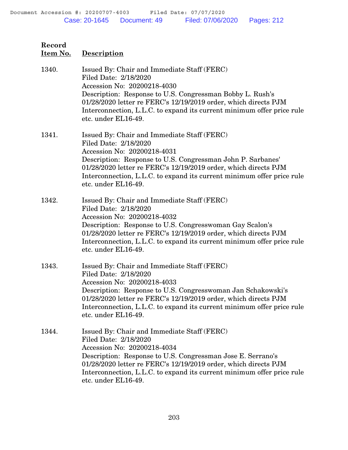**Record Item No. Description** 1340. Issued By: Chair and Immediate Staff (FERC) Filed Date: 2/18/2020 Accession No: 20200218-4030 Description: Response to U.S. Congressman Bobby L. Rush's 01/28/2020 letter re FERC's 12/19/2019 order, which directs PJM Interconnection, L.L.C. to expand its current minimum offer price rule etc. under EL16-49. 1341. Issued By: Chair and Immediate Staff (FERC) Filed Date: 2/18/2020 Accession No: 20200218-4031 Description: Response to U.S. Congressman John P. Sarbanes' 01/28/2020 letter re FERC's 12/19/2019 order, which directs PJM Interconnection, L.L.C. to expand its current minimum offer price rule etc. under EL16-49. 1342. Issued By: Chair and Immediate Staff (FERC) Filed Date: 2/18/2020 Accession No: 20200218-4032 Description: Response to U.S. Congresswoman Gay Scalon's 01/28/2020 letter re FERC's 12/19/2019 order, which directs PJM Interconnection, L.L.C. to expand its current minimum offer price rule etc. under EL16-49. 1343. Issued By: Chair and Immediate Staff (FERC) Filed Date: 2/18/2020 Accession No: 20200218-4033 Description: Response to U.S. Congresswoman Jan Schakowski's 01/28/2020 letter re FERC's 12/19/2019 order, which directs PJM Interconnection, L.L.C. to expand its current minimum offer price rule etc. under EL16-49. 1344. Issued By: Chair and Immediate Staff (FERC) Filed Date: 2/18/2020 Accession No: 20200218-4034 Description: Response to U.S. Congressman Jose E. Serrano's 01/28/2020 letter re FERC's 12/19/2019 order, which directs PJM Interconnection, L.L.C. to expand its current minimum offer price rule etc. under EL16-49.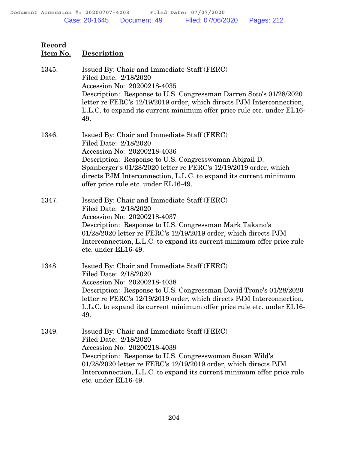| Record<br>Item No. | <b>Description</b>                                                                                                                                                                                                                                                                                                                             |
|--------------------|------------------------------------------------------------------------------------------------------------------------------------------------------------------------------------------------------------------------------------------------------------------------------------------------------------------------------------------------|
| 1345.              | Issued By: Chair and Immediate Staff (FERC)<br>Filed Date: 2/18/2020<br>Accession No: 20200218-4035<br>Description: Response to U.S. Congressman Darren Soto's 01/28/2020<br>letter re FERC's 12/19/2019 order, which directs PJM Interconnection,<br>L.L.C. to expand its current minimum offer price rule etc. under EL16-<br>49.            |
| 1346.              | Issued By: Chair and Immediate Staff (FERC)<br>Filed Date: 2/18/2020<br>Accession No: 20200218-4036<br>Description: Response to U.S. Congresswoman Abigail D.<br>Spanberger's 01/28/2020 letter re FERC's 12/19/2019 order, which<br>directs PJM Interconnection, L.L.C. to expand its current minimum<br>offer price rule etc. under EL16-49. |
| 1347.              | Issued By: Chair and Immediate Staff (FERC)<br>Filed Date: 2/18/2020<br>Accession No: 20200218-4037<br>Description: Response to U.S. Congressman Mark Takano's<br>01/28/2020 letter re FERC's 12/19/2019 order, which directs PJM<br>Interconnection, L.L.C. to expand its current minimum offer price rule<br>etc. under EL16-49.             |
| 1348.              | Issued By: Chair and Immediate Staff (FERC)<br>Filed Date: 2/18/2020<br>Accession No: 20200218-4038<br>Description: Response to U.S. Congressman David Trone's 01/28/2020<br>letter re FERC's 12/19/2019 order, which directs PJM Interconnection,<br>L.L.C. to expand its current minimum offer price rule etc. under EL16-<br>49.            |
| 1349.              | Issued By: Chair and Immediate Staff (FERC)<br>Filed Date: 2/18/2020<br>Accession No: 20200218-4039<br>Description: Response to U.S. Congresswoman Susan Wild's<br>01/28/2020 letter re FERC's 12/19/2019 order, which directs PJM<br>Interconnection, L.L.C. to expand its current minimum offer price rule<br>etc. under EL16-49.            |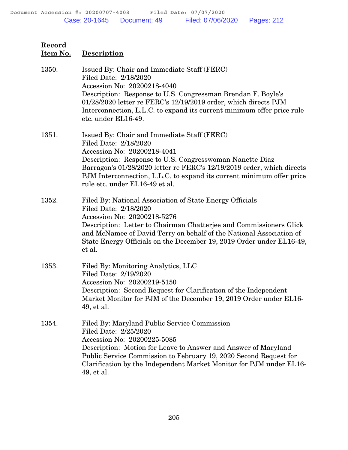| Record<br>Item No. | <b>Description</b>                                                                                                                                                                                                                                                                                                                                   |
|--------------------|------------------------------------------------------------------------------------------------------------------------------------------------------------------------------------------------------------------------------------------------------------------------------------------------------------------------------------------------------|
| 1350.              | Issued By: Chair and Immediate Staff (FERC)<br>Filed Date: 2/18/2020<br>Accession No: 20200218-4040<br>Description: Response to U.S. Congressman Brendan F. Boyle's<br>01/28/2020 letter re FERC's 12/19/2019 order, which directs PJM<br>Interconnection, L.L.C. to expand its current minimum offer price rule<br>etc. under EL16-49.              |
| 1351.              | Issued By: Chair and Immediate Staff (FERC)<br>Filed Date: 2/18/2020<br>Accession No: 20200218-4041<br>Description: Response to U.S. Congresswoman Nanette Diaz<br>Barragon's 01/28/2020 letter re FERC's 12/19/2019 order, which directs<br>PJM Interconnection, L.L.C. to expand its current minimum offer price<br>rule etc. under EL16-49 et al. |
| 1352.              | Filed By: National Association of State Energy Officials<br>Filed Date: 2/18/2020<br>Accession No: 20200218-5276<br>Description: Letter to Chairman Chatterjee and Commissioners Glick<br>and McNamee of David Terry on behalf of the National Association of<br>State Energy Officials on the December 19, 2019 Order under EL16-49,<br>et al.      |
| 1353.              | Filed By: Monitoring Analytics, LLC<br>Filed Date: 2/19/2020<br>Accession No: 20200219-5150<br>Description: Second Request for Clarification of the Independent<br>Market Monitor for PJM of the December 19, 2019 Order under EL16-<br>49, et al.                                                                                                   |
| 1354.              | Filed By: Maryland Public Service Commission<br>Filed Date: 2/25/2020<br>Accession No: 20200225-5085<br>Description: Motion for Leave to Answer and Answer of Maryland<br>Public Service Commission to February 19, 2020 Second Request for<br>Clarification by the Independent Market Monitor for PJM under EL16-<br>49, et al.                     |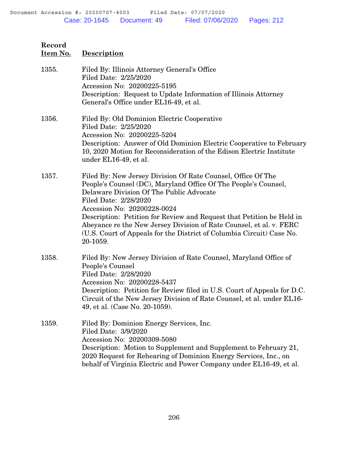| 1355. | Filed By: Illinois Attorney General's Office<br>Filed Date: 2/25/2020<br>Accession No: 20200225-5195<br>Description: Request to Update Information of Illinois Attorney<br>General's Office under EL16-49, et al.                                                                                                                                                                                                                                                        |
|-------|--------------------------------------------------------------------------------------------------------------------------------------------------------------------------------------------------------------------------------------------------------------------------------------------------------------------------------------------------------------------------------------------------------------------------------------------------------------------------|
| 1356. | Filed By: Old Dominion Electric Cooperative<br>Filed Date: 2/25/2020<br>Accession No: 20200225-5204<br>Description: Answer of Old Dominion Electric Cooperative to February<br>10, 2020 Motion for Reconsideration of the Edison Electric Institute<br>under EL16-49, et al.                                                                                                                                                                                             |
| 1357. | Filed By: New Jersey Division Of Rate Counsel, Office Of The<br>People's Counsel (DC), Maryland Office Of The People's Counsel,<br>Delaware Division Of The Public Advocate<br>Filed Date: 2/28/2020<br>Accession No: 20200228-0024<br>Description: Petition for Review and Request that Petition be Held in<br>Abeyance re the New Jersey Division of Rate Counsel, et al. v. FERC<br>(U.S. Court of Appeals for the District of Columbia Circuit) Case No.<br>20-1059. |
| 1358. | Filed By: New Jersey Division of Rate Counsel, Maryland Office of<br>People's Counsel<br>Filed Date: 2/28/2020<br>Accession No: 20200228-5437<br>Description: Petition for Review filed in U.S. Court of Appeals for D.C.<br>Circuit of the New Jersey Division of Rate Counsel, et al. under EL16-<br>49, et al. (Case No. 20-1059).                                                                                                                                    |
| 1359. | Filed By: Dominion Energy Services, Inc.<br>Filed Date: 3/9/2020<br>Accession No: 20200309-5080<br>Description: Motion to Supplement and Supplement to February 21,<br>2020 Request for Rehearing of Dominion Energy Services, Inc., on<br>behalf of Virginia Electric and Power Company under EL16-49, et al.                                                                                                                                                           |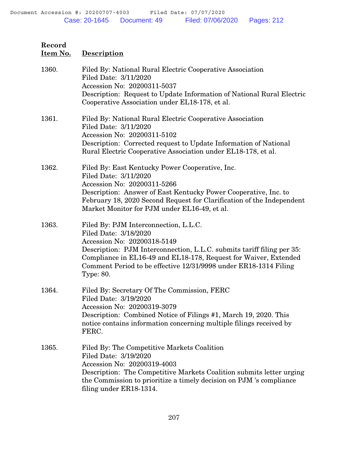| 1360. | Filed By: National Rural Electric Cooperative Association<br>Filed Date: 3/11/2020<br>Accession No: 20200311-5037<br>Description: Request to Update Information of National Rural Electric<br>Cooperative Association under EL18-178, et al.                                                                                        |
|-------|-------------------------------------------------------------------------------------------------------------------------------------------------------------------------------------------------------------------------------------------------------------------------------------------------------------------------------------|
| 1361. | Filed By: National Rural Electric Cooperative Association<br>Filed Date: 3/11/2020<br>Accession No: 20200311-5102<br>Description: Corrected request to Update Information of National<br>Rural Electric Cooperative Association under EL18-178, et al.                                                                              |
| 1362. | Filed By: East Kentucky Power Cooperative, Inc.<br>Filed Date: 3/11/2020<br>Accession No: 20200311-5266<br>Description: Answer of East Kentucky Power Cooperative, Inc. to<br>February 18, 2020 Second Request for Clarification of the Independent<br>Market Monitor for PJM under EL16-49, et al.                                 |
| 1363. | Filed By: PJM Interconnection, L.L.C.<br>Filed Date: 3/18/2020<br>Accession No: 20200318-5149<br>Description: PJM Interconnection, L.L.C. submits tariff filing per 35:<br>Compliance in EL16-49 and EL18-178, Request for Waiver, Extended<br>Comment Period to be effective 12/31/9998 under ER18-1314 Filing<br><b>Type: 80.</b> |
| 1364. | Filed By: Secretary Of The Commission, FERC<br>Filed Date: 3/19/2020<br>Accession No: 20200319-3079<br>Description: Combined Notice of Filings #1, March 19, 2020. This<br>notice contains information concerning multiple filings received by<br>FERC.                                                                             |
| 1365. | Filed By: The Competitive Markets Coalition<br>Filed Date: 3/19/2020<br>Accession No: 20200319-4003<br>Description: The Competitive Markets Coalition submits letter urging<br>the Commission to prioritize a timely decision on PJM 's compliance<br>filing under ER18-1314.                                                       |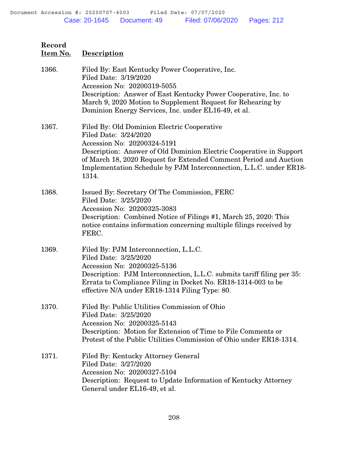**Item No. Description** 1366. Filed By: East Kentucky Power Cooperative, Inc. Filed Date: 3/19/2020 Accession No: 20200319-5055 Description: Answer of East Kentucky Power Cooperative, Inc. to March 9, 2020 Motion to Supplement Request for Rehearing by Dominion Energy Services, Inc. under EL16-49, et al. 1367. Filed By: Old Dominion Electric Cooperative Filed Date: 3/24/2020 Accession No: 20200324-5191 Description: Answer of Old Dominion Electric Cooperative in Support of March 18, 2020 Request for Extended Comment Period and Auction Implementation Schedule by PJM Interconnection, L.L.C. under ER18- 1314. 1368. Issued By: Secretary Of The Commission, FERC Filed Date: 3/25/2020 Accession No: 20200325-3083 Description: Combined Notice of Filings #1, March 25, 2020: This notice contains information concerning multiple filings received by FERC. 1369. Filed By: PJM Interconnection, L.L.C. Filed Date: 3/25/2020 Accession No: 20200325-5136 Description: PJM Interconnection, L.L.C. submits tariff filing per 35: Errata to Compliance Filing in Docket No. ER18-1314-003 to be effective N/A under ER18-1314 Filing Type: 80. 1370. Filed By: Public Utilities Commission of Ohio Filed Date: 3/25/2020 Accession No: 20200325-5143 Description: Motion for Extension of Time to File Comments or Protest of the Public Utilities Commission of Ohio under ER18-1314. 1371. Filed By: Kentucky Attorney General Filed Date: 3/27/2020 Accession No: 20200327-5104 Description: Request to Update Information of Kentucky Attorney General under EL16-49, et al.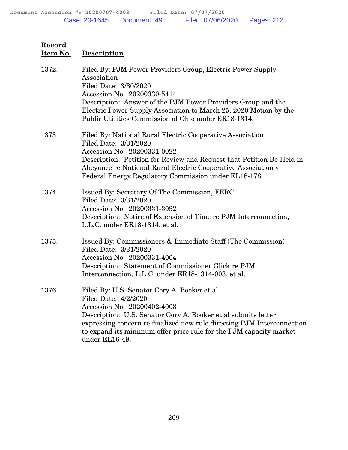| 1372. | Filed By: PJM Power Providers Group, Electric Power Supply<br>Association<br>Filed Date: 3/30/2020<br>Accession No: 20200330-5414<br>Description: Answer of the PJM Power Providers Group and the<br>Electric Power Supply Association to March 25, 2020 Motion by the<br>Public Utilities Commission of Ohio under ER18-1314.        |
|-------|---------------------------------------------------------------------------------------------------------------------------------------------------------------------------------------------------------------------------------------------------------------------------------------------------------------------------------------|
| 1373. | Filed By: National Rural Electric Cooperative Association<br>Filed Date: 3/31/2020<br>Accession No: 20200331-0022<br>Description: Petition for Review and Request that Petition Be Held in<br>Abeyance re National Rural Electric Cooperative Association v.<br>Federal Energy Regulatory Commission under EL18-178.                  |
| 1374. | Issued By: Secretary Of The Commission, FERC<br>Filed Date: 3/31/2020<br>Accession No: 20200331-3092<br>Description: Notice of Extension of Time re PJM Interconnection,<br>L.L.C. under ER18-1314, et al.                                                                                                                            |
| 1375. | Issued By: Commissioners & Immediate Staff (The Commission)<br>Filed Date: 3/31/2020<br>Accession No: 20200331-4004<br>Description: Statement of Commissioner Glick re PJM<br>Interconnection, L.L.C. under ER18-1314-003, et al.                                                                                                     |
| 1376. | Filed By: U.S. Senator Cory A. Booker et al.<br>Filed Date: 4/2/2020<br>Accession No: 20200402-4003<br>Description: U.S. Senator Cory A. Booker et al submits letter<br>expressing concern refinalized new rule directing PJM Interconnection<br>to expand its minimum offer price rule for the PJM capacity market<br>under EL16-49. |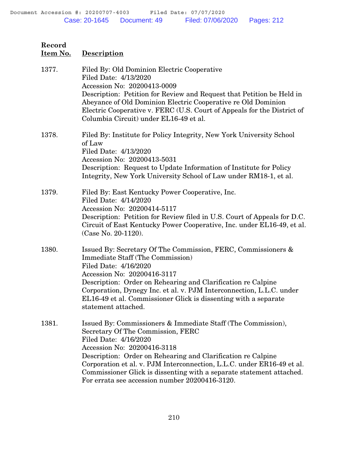| Record<br>Item No. | <b>Description</b>                                                                                                                                                                                                                                                                                                                                                                                                            |
|--------------------|-------------------------------------------------------------------------------------------------------------------------------------------------------------------------------------------------------------------------------------------------------------------------------------------------------------------------------------------------------------------------------------------------------------------------------|
| 1377.              | Filed By: Old Dominion Electric Cooperative<br>Filed Date: 4/13/2020<br>Accession No: 20200413-0009<br>Description: Petition for Review and Request that Petition be Held in<br>Abeyance of Old Dominion Electric Cooperative re Old Dominion<br>Electric Cooperative v. FERC (U.S. Court of Appeals for the District of<br>Columbia Circuit) under EL16-49 et al.                                                            |
| 1378.              | Filed By: Institute for Policy Integrity, New York University School<br>of Law<br>Filed Date: 4/13/2020<br>Accession No: 20200413-5031<br>Description: Request to Update Information of Institute for Policy<br>Integrity, New York University School of Law under RM18-1, et al.                                                                                                                                             |
| 1379.              | Filed By: East Kentucky Power Cooperative, Inc.<br>Filed Date: 4/14/2020<br>Accession No: 20200414-5117<br>Description: Petition for Review filed in U.S. Court of Appeals for D.C.<br>Circuit of East Kentucky Power Cooperative, Inc. under EL16-49, et al.<br>(Case No. 20-1120).                                                                                                                                          |
| 1380.              | Issued By: Secretary Of The Commission, FERC, Commissioners &<br><b>Immediate Staff (The Commission)</b><br>Filed Date: 4/16/2020<br>Accession No: 20200416-3117<br>Description: Order on Rehearing and Clarification re Calpine<br>Corporation, Dynegy Inc. et al. v. PJM Interconnection, L.L.C. under<br>EL16-49 et al. Commissioner Glick is dissenting with a separate<br>statement attached.                            |
| 1381.              | Issued By: Commissioners & Immediate Staff (The Commission),<br>Secretary Of The Commission, FERC<br>Filed Date: 4/16/2020<br>Accession No: 20200416-3118<br>Description: Order on Rehearing and Clarification re Calpine<br>Corporation et al. v. PJM Interconnection, L.L.C. under ER16-49 et al.<br>Commissioner Glick is dissenting with a separate statement attached.<br>For errata see accession number 20200416-3120. |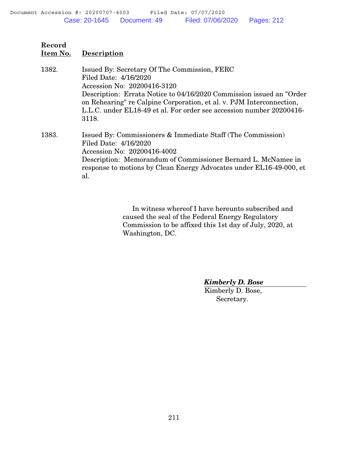| 1382. | Issued By: Secretary Of The Commission, FERC<br>Filed Date: 4/16/2020<br>Accession No: 20200416-3120<br>Description: Errata Notice to 04/16/2020 Commission issued an "Order"<br>on Rehearing" re Calpine Corporation, et al. v. PJM Interconnection,<br>L.L.C. under EL18-49 et al. For order see accession number 20200416-<br>3118. |
|-------|----------------------------------------------------------------------------------------------------------------------------------------------------------------------------------------------------------------------------------------------------------------------------------------------------------------------------------------|
| 1383. | Issued By: Commissioners & Immediate Staff (The Commission)<br>Filed Date: 4/16/2020<br>Accession No: 20200416-4002<br>Description: Memorandum of Commissioner Bernard L. McNamee in<br>response to motions by Clean Energy Advocates under EL16-49-000, et<br>al.                                                                     |

 In witness whereof I have hereunto subscribed and caused the seal of the Federal Energy Regulatory Commission to be affixed this 1st day of July, 2020, at Washington, DC.

*Kimberly D. Bose*

Kimberly D. Bose, Secretary.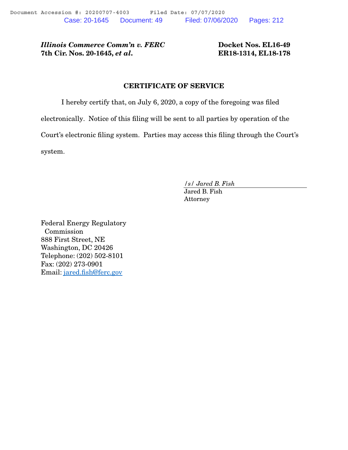*Illinois Commerce Comm'n v. FERC* Docket Nos. EL16-49 7th Cir. Nos. 20-1645, *et al*. ER18-1314, EL18-178

#### CERTIFICATE OF SERVICE

I hereby certify that, on July 6, 2020, a copy of the foregoing was filed

electronically. Notice of this filing will be sent to all parties by operation of the

Court's electronic filing system. Parties may access this filing through the Court's

system.

*/s/ Jared B. Fish*

Jared B. Fish Attorney

Federal Energy Regulatory Commission 888 First Street, NE Washington, DC 20426 Telephone: (202) 502-8101 Fax: (202) 273-0901 Email: jared.fish@ferc.gov